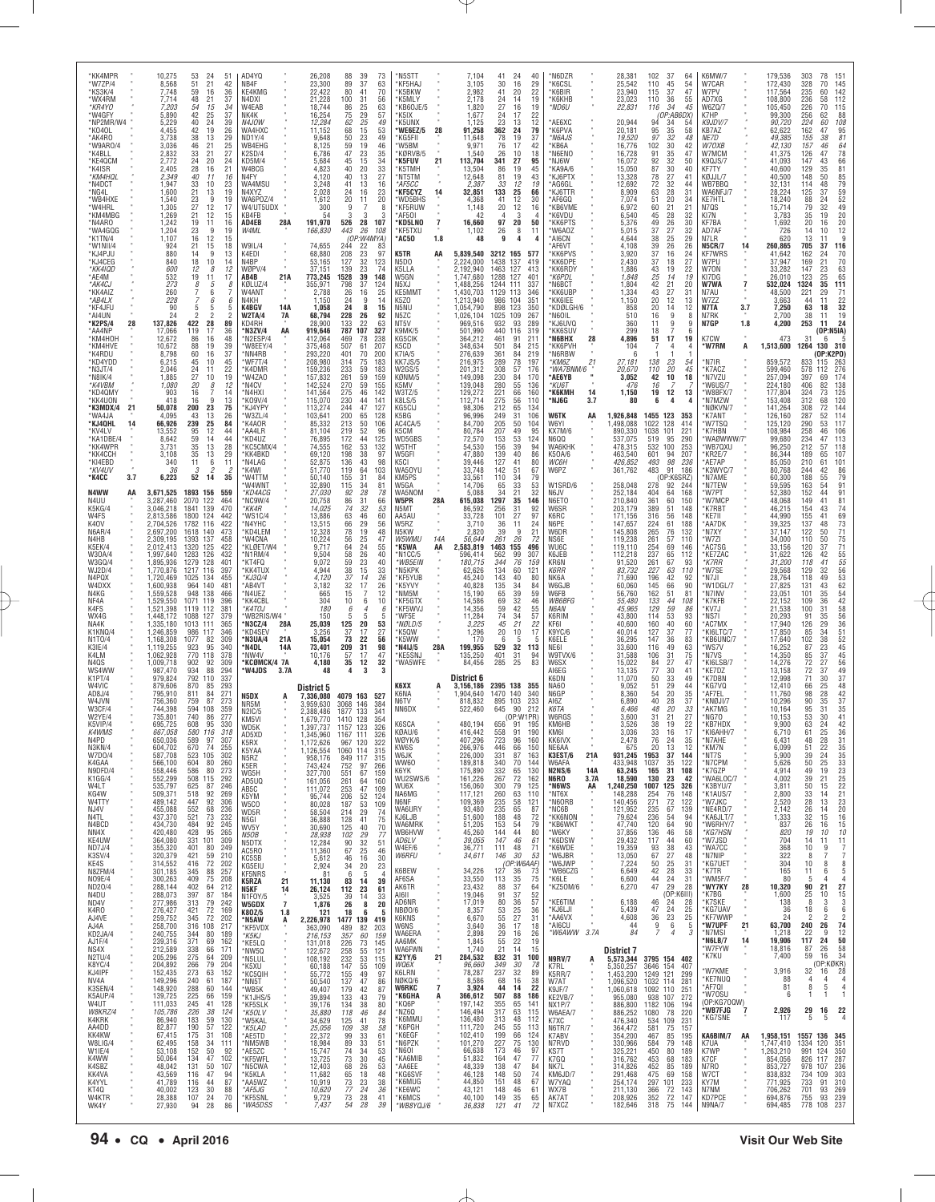| WX4G<br>NA4K<br>K1KNQ/4<br>N1T0/4<br>K3IE/4<br>K4I M<br>N4QS<br>WS4WW<br>K1PT/4<br>W4VIC<br>AD8J/4<br>W4JVN<br><b>W3CF/4</b><br>W2YE/4<br>K5VIP/4<br>K4WMS<br>N4PD<br>N3KN/4<br>W7D0/4<br>K4GAA<br>N9DFD/4<br>K1GG/4<br>W4LT<br>KG4W<br>W4TTY<br>NJ4V<br>N4TL<br>N4BCD<br>NN4X<br>KE4UW<br>ND7J/4<br>K3SV/4<br>KE4S<br>N8ZFM/4<br>NO9E/4<br>ND20/4<br>N4DU<br>ND4V<br>K4RO<br>AJ4VE<br>AJ4A<br>KD2JA/4<br>AJ1F/4<br>NS4X<br>N2TU/4<br>K8YC/4<br>KJ4IPF<br>NV4A<br>K3SEN/4<br>K5AUP/4<br>W4UT<br>W8KRZ/4<br>K4KRK<br>AA4DD<br>KK4KW<br>W8LIG/4<br>W1IE/4<br>K4WW<br>K4SBZ<br>KK4VA<br>K4YYL<br>KT40<br>W4KTR<br>WK4Y                                                                                                                                                                                                                                                                                                                                                                                                                                                                                                                                                                                                                                                                                                              | *KK4MPR<br>*W7ZP/4<br>*KS3K/4<br>*WX4RM<br>*KR4YO<br>*W4GFY<br>*NP2MR/W4<br>*K040L<br>*AK4RO<br>*W9AR0/4<br>*K4BLL<br>*KE4QCM<br>*K4ISR<br>*KM4HQL<br>*N4DCT<br>*NG4I<br>*WB4HXE<br>*W4HRL<br>*KM4MBG<br>*N4ARO<br>*WA4GQG<br>*K1TN/4<br>*W1NII/4<br>*KJ4PJU<br>*KJ4CEG<br>*KK4IQD<br>*AE4M<br>*AK4CJ<br>*KK4AIZ<br>*AB4LX<br>*KF4JFU<br>*AI4UN<br>*K2PS/4<br>28<br>*AA4NP<br>*KM4HOH<br>*KM4HVE<br>*K4RDU<br>*KD4YDD<br>*N3JT/4<br>*N8IK/4<br>*K4VBM<br>*KD4QMY<br>*KK4UON<br>*K3MDX/4<br>21<br>*WA4JA<br>*KJ4QHL<br>14<br>*KV4LV<br>*KA1DBF/4<br>*KK4WPR<br>*KK4CCH<br>*KI4EBD<br>*KV4UV<br>*K4CC<br>3.7<br>N4WW<br>AA<br>N4UU<br>K5KG/4<br>W4FS<br>K40V<br>N6AR/4<br>N4HB<br>K5EK/4<br>W30A/4<br>W3GQ/4<br>WJ2D/4<br>N4PQX<br>W4DXX<br>N4KG<br>NF4A<br>K4FS                                                                                                                                                                                                                                                                                                                                                                                                                                                                                                                                                                                                                                                                                                                                                     |
|----------------------------------------------------------------------------------------------------------------------------------------------------------------------------------------------------------------------------------------------------------------------------------------------------------------------------------------------------------------------------------------------------------------------------------------------------------------------------------------------------------------------------------------------------------------------------------------------------------------------------------------------------------------------------------------------------------------------------------------------------------------------------------------------------------------------------------------------------------------------------------------------------------------------------------------------------------------------------------------------------------------------------------------------------------------------------------------------------------------------------------------------------------------------------------------------------------------------------------------------------------------------------------------------------------------------------------|--------------------------------------------------------------------------------------------------------------------------------------------------------------------------------------------------------------------------------------------------------------------------------------------------------------------------------------------------------------------------------------------------------------------------------------------------------------------------------------------------------------------------------------------------------------------------------------------------------------------------------------------------------------------------------------------------------------------------------------------------------------------------------------------------------------------------------------------------------------------------------------------------------------------------------------------------------------------------------------------------------------------------------------------------------------------------------------------------------------------------------------------------------------------------------------------------------------------------------------------------------------------------------------------------------------------------------------------------------------------------------------------------------------------------------------------------------------------------------------------------------------------|
| 1,448,172<br>1,335,180<br>1,246,859<br>1,168,308<br>1,119,255<br>1,062,928<br>1,009,718<br>987,470<br>979,824<br>879,606<br>795,910<br>756,360<br>744,398<br>735,801<br>695,725<br>667,058<br>650,036<br>604,702<br>587,708<br>566,100<br>558,446<br>552,299<br>535,797<br>509,371<br>489,142<br>455,088<br>437,370<br>434,730<br>420,480<br>364,080<br>355,320<br>320,379<br>314,552<br>301,185<br>300,263<br>288,144<br>288,073<br>277,986<br>276,427<br>259,752<br>258,700<br>240,755<br>239,316<br>212,589<br>205,296<br>204,892<br>152,435<br>149,296<br>148,920<br>139,725<br>111,033<br>105,786<br>86,940<br>82,877<br>67,415<br>62,495<br>53,108<br>50,064<br>48,042<br>43,569<br>41,789<br>40,002<br>28,388<br>27,930                                                                                                                                                                                                                                                                                                                                                                                                                                                                                                                                                                                                   | 10,275<br>8,568<br>7,748<br>7,714<br>7,203<br>5,890<br>5,229<br>4,455<br>3,738<br>3,036<br>2,832<br>2,772<br>2,405<br>2,349<br>1,947<br>1,600<br>1,540<br>1,305<br>1,269<br>1,242<br>1,204<br>1,107<br>924<br>880<br>840<br>600<br>532<br>273<br>260<br>228<br>90<br>24<br>137,826<br>17,066<br>12,672<br>10,672<br>8,798<br>6,215<br>2,046<br>1,885<br>1,080<br>903<br>418<br>50,078<br>4,095<br>66,926<br>13,552<br>8,642<br>3,731<br>3,108<br>340<br>36<br>6,223<br>3,671,525<br>3,287,460<br>3,046,218<br>2,813,586<br>2,704,526<br>2,697,200<br>2,309,195<br>2,012,413<br>1,997,640<br>1,895,936<br>1,770,876<br>1,720,469<br>1,600,938<br>1,559,528<br>1,529,550<br>1,521,398                                                                                                                                                                                                                                                                                                                                                                                                                                                                                                                                                                                                                                                                                                                                                                                                                                |
| 1088<br>127<br>379<br>1013<br>111<br>365<br>986<br>117<br>346<br>1077<br>309<br>82<br>923<br>770<br>95<br>340<br>118<br>378<br>902<br>92<br>309<br>934<br>88<br>294<br>792<br>110<br>337<br>870<br>293<br>85<br>811<br>84<br>271<br>759<br>87<br>273<br>594<br>108<br>359<br>740<br>277<br>86<br>608<br>330<br>95<br>580 116<br>318<br>589<br>97<br>307<br>670<br>74<br>255<br>523<br>105<br>302<br>80<br>260<br>604<br>586<br>273<br>80<br>508<br>115<br>292<br>625<br>87<br>246<br>518<br>92<br>269<br>447<br>92<br>306<br>68<br>236<br>552<br>73<br>521<br>232<br>484<br>92<br>245<br>95<br>428<br>265<br>331<br>101<br>309<br>401<br>80<br>249<br>421<br>210<br>59<br>416<br>72<br>202<br>88<br>257<br>345<br>409<br>75<br>208<br>402<br>212<br>64<br>397<br>87<br>184<br>313<br>79<br>242<br>421<br>72<br>169<br>72<br>345<br>202<br>316<br>108<br>217<br>344<br>80<br>189<br>371<br>69<br>162<br>338<br>66<br>171<br>275<br>64<br>209<br>266<br>79<br>204<br>273<br>63<br>152<br>240<br>61<br>187<br>288<br>225<br>60<br>144<br>159<br>66<br>245<br>41<br>128<br>226<br>38<br>124<br>183<br>59<br>130<br>57<br>190<br>122<br>175<br>31<br>108<br>158<br>34<br>111<br>152<br>50<br>92<br>47<br>134<br>102<br>131<br>50<br>107<br>116<br>47<br>94<br>87<br>116<br>44<br>123<br>30<br>88<br>107<br>70<br>24<br>94<br>28<br>86 | 53<br>24<br>51<br>51<br>21<br>42<br>59<br>16<br>36<br>48<br>21<br>37<br>$\frac{54}{42}$<br>34<br>15<br>25<br>37<br>40<br>24<br>39<br>$\substack{42\\38}$<br>$\frac{19}{13}$<br>$^{26}_{29}$<br>46<br>21<br>25<br>33<br>21<br>27<br>24<br>20<br>24<br>28<br>16<br>21<br>40<br>11<br>16<br>33<br>21<br>10<br>23<br>19<br>13<br>23<br>9<br>19<br>27<br>12<br>17<br>21<br>12<br>15<br>19<br>11<br>16<br>23<br>9<br>19<br>16<br>12<br>15<br>21<br>15<br>18<br>14<br>9<br>13<br>18<br>10<br>14<br>12<br>12<br>8<br>19<br>11<br>17<br>8<br>5<br>8<br>7<br>6<br>7<br>$\overline{7}$<br>6<br>6<br>5<br>5<br>5<br>422<br>28<br>89<br>119<br>17<br>36<br>86<br>16<br>48<br>19<br>39<br>88<br>37<br>60<br>16<br>45<br>10<br>$^{45}_{22}$<br>24<br>11<br>19<br>27<br>10<br>20<br>8<br>12<br>16<br>14<br>7<br>13<br>16<br>9<br>75<br>200<br>23<br>43<br>13<br>$\frac{26}{84}$<br>239<br>$\frac{25}{12}$<br>95<br>44<br>59<br>14<br>44<br>13<br>28<br>35<br>35<br>13<br>29<br>11<br>6<br>11<br>$\mathcal{S}$<br>2<br>$\overline{c}$<br>52<br>14<br>35<br>1893 156<br>559<br>2070<br>122<br>464<br>139<br>470<br>1841<br>1800<br>124<br>442<br>116<br>1782<br>422<br>1618<br>140<br>473<br>1393<br>137<br>458<br>422<br>1320<br>125<br>1283 126<br>432<br>1279<br>128<br>401<br>1217 116<br>397<br>134<br>1025<br>455<br>964 140<br>481<br>948<br>138<br>466<br>1071<br>119<br>396<br>112<br>381<br>1119                                                                                                                           |
| 'WB2RIS/W4"<br>28A<br>'N3CZ/4<br>*KD4SEV<br>21A<br>N3UA/4*<br>*N4DL<br>14A<br>*NW4V<br>*KCØMCK/4 7A<br>*W4JDS<br>3.7A<br>N5DX<br>NR5M<br>N2IC/5<br>KM5VI<br>WD5K<br>AD5XD<br>K5RX<br>K5YAA<br>N5RZ<br>K5ER<br>WG5H<br>AD5UQ<br>AB5C<br>K5YM<br>W5CO<br>WD5R<br>N5GI<br>WV5Y<br>N5OB<br>N5DTX<br>AC5RO<br>KC5SB<br>KG5EIU<br>×<br>KF5NRS<br>21<br>K5RZA<br>N5KF<br>14<br>N1FOY/5<br>$\overline{7}$<br><b>W5GDX</b><br>K80Z/5<br>1.8<br>*N5AW<br>Ą<br>*KF5VDX<br>*K5KJ<br>*KE5LQ<br>*NW5Q<br>*N5LUL<br>*K5XU<br>*KC5QIH<br>*NN5T<br>*WB5K<br>K1JHS/5<br>*KF5SLK<br>*K5OLV<br>*W5KAL<br>*K5LAD<br>*AE5TD<br>*NM5WB<br>*AE5ZC<br>*KF5WFL<br>*N5CWA<br>*K5KLA<br>*AA5WZ<br>*AF5JG<br>*KF5SNL<br>*WA5DSS                                                                                                                                                                                                                                                                                                                                                                                                                                                                                                                                                                                                                               | AD4YQ<br>NB4F<br>KE4KMG<br>N4DXI<br>W4EAB<br>NK4K<br>N4JOW<br>WA4HXC<br>ND1Y/4<br>WB4EHG<br>K2SD/4<br>KD5M/4<br>W4BCG<br>N4FY<br>WA4MSU<br>N4XY7<br>WA6P0Z/4<br>W4/UT5UDX<br>KB4FB<br>AD4EB<br>28A<br>W4ML<br>W9IL/4<br>K4EDI<br>N4BP<br>WØPV/4<br>21A<br>AB4B<br>KØLUZ/4<br>W4ANT<br>N4KH<br>K4BGV<br>14A<br><b>W2TA/4</b><br>7A<br>KD4RH<br>AA<br>*N3ZV/4<br>N2ESP/4<br>*W8EEY/4<br>*NN4RB<br>*WF7T/4<br>*K4DMR<br>*W4ZAO<br>*N4CV<br>*N4HXI<br>*K09V/4<br>*KJ4YPY<br>*W3ZL/4<br>*K4AOR<br>*AA4LR<br>*KD4UZ<br>KC5CMX/4<br>*KK4BKD<br>*N4LAG<br>*K4WI<br>*W4TTM<br>'W4WNT<br>*KD4ACG<br>NC9W/4<br>*KK4R<br>'WS1C/4<br>*N4YHC<br>*KD4LEM<br>*W4CNA<br>*KLØET/W4<br>N1RM/4<br>*KT4FQ<br><b>KK4TUX</b><br>*KJ3Q/4<br>*AB4VT<br>*N4UEZ<br>*KK4CBL<br>*K4TOJ                                                                                                                                                                                                                                                                                                                                                                                                                                                                                                                                                                                                                                                                                                                                                          |
| 150<br>25,039<br>3,256<br>15,054<br>73,401<br>10,176<br>4,180<br>48<br>District 5<br>7,336,080<br>3.959.630<br>2.388.486<br>1,679,770<br>1.397.737<br>1,345,960<br>1,172,626<br>1,126,554<br>958,176<br>743,424<br>327,700<br>161,056<br>111,072<br>95,744<br>80,028<br>58,504<br>36,888<br>30,690<br>28,938<br>12,284<br>11,360<br>5,612<br>2,924<br>81<br>11,130<br>26,124<br>3,525<br>1,876<br>121<br>2,226,978<br>363,090<br>216,153<br>131,018<br>122,672<br>108,192<br>60,188<br>55,772<br>50,540<br>49,407<br>39,894<br>39,176<br>35,880<br>34,629<br>25,056<br>22,372<br>18,984<br>15,747<br>13,725<br>12,403<br>11,682<br>10,919<br>10,620<br>9,729<br>7,437                                                                                                                                                                                                                                                                                                                                                                                                                                                                                                                                                                                                                                                            | 26,208<br>23,300<br>22,422<br>21,228<br>18,744<br>16,254<br>12,284<br>11,152<br>9,648<br>8,125<br>6,786<br>5,684<br>4,823<br>4,120<br>3,248<br>2,028<br>1,612<br>300<br>54<br>191,970<br>166,830<br>74,655<br>68,880<br>53,165<br>37,151<br>773,245<br>355,971<br>2,788<br>1,150<br>1,058<br>68,794<br>28,900<br>919,646<br>412,064<br>375,468<br>293,220<br>208,980<br>159,236<br>157,832<br>142,524<br>141,564<br>115,070<br>113,274<br>103,641<br>85,332<br>81,104<br>76,895<br>74,555<br>69,120<br>52,875<br>51,770<br>50,140<br>32,890<br>27,030<br>20,758<br>14,025<br>13,886<br>13,515<br>12,328<br>10,224<br>9,717<br>9,504<br>9,072<br>4,944<br>4,120<br>3,182<br>665<br>304<br>180                                                                                                                                                                                                                                                                                                                                                                                                                                                                                                                                                                                                                                                                                                                                                                                                                       |
| 5<br>5<br>125<br>20<br>53<br>37<br>17<br>27<br>22<br>56<br>73<br>209<br>31<br>98<br>47<br>57<br>17<br>32<br>35<br>12<br>3<br>4<br>4079 163<br>527<br>146<br>3068<br>384<br>1877 133<br>341<br>1410 128<br>354<br>1157 123<br>326<br>1167 111<br>326<br>967<br>120<br>322<br>1060 114<br>315<br>849<br>752<br>117<br>315<br>97<br>266<br>551<br>67<br>159<br>261<br>64<br>160<br>253<br>47<br>109<br>206<br>52<br>124<br>187<br>53<br>109<br>214<br>29<br>$\frac{74}{75}$<br>70<br>128<br>41<br>40<br>125<br>102<br>77<br>29<br>32<br>51<br>90<br>$25\,$<br>67<br>46<br>30<br>46<br>16<br>34<br>20<br>23<br>6<br>-5<br>83<br>14<br>39<br>112<br>23<br>61<br>39<br>33<br>14<br>8<br>20<br>26<br>18<br>6<br>5<br>1477 139<br>419<br>489<br>82<br>203<br>357<br>60<br>159<br>226<br>73<br>145<br>258<br>55<br>121<br>232<br>53<br>115<br>147<br>55<br>109<br>155<br>49<br>97<br>137<br>47<br>86<br>179<br>42<br>87<br>$\frac{133}{134}$<br>43<br>79<br>38<br>80<br>118<br>46<br>84<br>125<br>41<br>78<br>109<br>38<br>58<br>33<br>99<br>61<br>89<br>$\frac{33}{34}$<br>51<br>74<br>53<br>30<br>45<br>73<br>68<br>26<br>53<br>65<br>18<br>48<br>73<br>23<br>38<br>77<br>24<br>36<br>73<br>28<br>41<br>39<br>54<br>28                                                                                                                  | 88<br>39<br>73<br>37<br>63<br>89<br>80<br>41<br>70<br>100<br>31<br>56<br>86<br>$\frac{25}{29}$<br>63<br>75<br>57<br>25<br>62<br>49<br>$\frac{15}{23}$<br>68<br>53<br>50<br>49<br>19<br>46<br>59<br>23<br>47<br>35<br>45<br>15<br>34<br>40<br>20<br>33<br>40<br>13<br>27<br>13<br>41<br>16<br>24<br>16<br>$\frac{23}{20}$<br>20<br>11<br>9<br>8<br>3<br>3<br>3<br>$\frac{28}{26}$<br>526<br>107<br>443<br>108<br>(OP:W4MYA)<br>244<br>$\frac{22}{23}$<br>$\frac{32}{25}$<br>83<br>208<br>97<br>127<br>123<br>139<br>23<br>74<br>39<br>1528<br>148<br>798<br>37<br>124<br>26<br>16<br>25<br>9<br>24<br>14<br>24<br>8<br>15<br>228<br>26<br>92<br>$\frac{133}{787}$<br>22<br>63<br>107<br>327<br>469<br>78<br>238<br>507<br>61<br>207<br>401<br>70<br>200<br>314<br>$\frac{75}{59}$<br>183<br>233<br>261<br>183<br>59<br>159<br>270<br>59<br>155<br>275<br>46<br>142<br>230<br>44<br>141<br>244<br>47<br>127<br>200<br>65<br>50<br>128<br>$\frac{213}{219}$<br>106<br>52<br>96<br>172<br>44<br>125<br>53<br>162<br>132<br>198<br>38<br>97<br>136<br>43<br>98<br>119<br>64<br>103<br>155<br>$\frac{31}{34}$<br>84<br>115<br>81<br>28<br>92<br>78<br>86<br>31<br>66<br>74<br>$32\,$<br>53<br>63<br>46<br>60<br>66<br>29<br>56<br>78<br>56<br>19<br>48<br>$\frac{25}{24}$<br>47<br>64<br>55<br>58<br>26<br>40<br>59<br>23<br>40<br>$\frac{15}{14}$<br>38<br>$\frac{33}{26}$<br>37<br>17<br>32<br>26<br>15<br>12<br>10<br>6<br>10<br>6<br>6                                                                               |
| WF5E<br>*NØLD/5<br>K50W<br>*K5WW<br>*N4IJ/5<br>28A<br>*KE5SNJ<br>*WA5WFE<br>K6XX<br>A<br>K6NA<br>N6TV<br>NN6DX<br>K6SCA<br>KØAU/6<br>WØYK/6<br>KW6S<br>W6JK<br>WW60<br>K6YK<br>WU2SWS/6<br>WU6X<br>NA6MG<br>N6NF<br>WA6URY<br>KJ6LJB<br><b>WA6MRK</b><br>WB6HVW<br>AD6LV<br>W4EF/6<br><b>W6RFU</b><br>K6BEW<br>AF6SA<br>AK6TR<br>AI6II<br>AD6NR<br>NBØ0/6<br><b>K6KNS</b><br><b>W6NS</b><br>WA6ERA<br>AA6MK<br>WA6FWN<br>21<br><b>K2YY/6</b><br>WQ6X<br>K6LRN<br>NØKQ/6<br>$\overline{7}$<br><b>W6RKC</b><br>*K6GHA<br>A<br>*KQ6P<br>*NZ6Q<br>*K6MMU<br>*K6PGH<br>*K6EGF<br>*N6PZK<br>'N6OI<br>*KA6MIB<br>*AA6EE<br>*KG6SVF<br>*K6MUG<br>*KE6WC<br>*K6MCS<br>*WB8YQJ/6                                                                                                                                                                                                                                                                                                                                                                                                                                                                                                                                                                                                                                                           | N <sub>5</sub> STT<br>'KF5HAJ<br>'K5BKW<br>'K5MLY<br>KB6OJE/5<br>*K5IX<br>*K5UNX<br>28<br>*WE6EZ/5<br>'KG5FII<br>'W5BM<br>KØRVB/5<br>*K5FUV<br>21<br>K5TMH<br>*NT5TM<br>*AF5CC<br><b>*KF5CYZ</b><br>14<br>*WD5BHS<br>*KF5RUW<br>AF50I*<br><b>KD5LNO</b><br>$\overline{1}$<br>*KF5TXU<br>*AC50<br>1.8<br>K5TR<br>AA<br>N5DO<br>K5LLA<br>W5GN<br>N5XJ<br>KE5MMT<br>K <sub>5</sub> Z <sub>0</sub><br>N5NU<br>N5ZC<br>NT <sub>5</sub> V<br>K9MK/5<br>KG5CIK<br>K5CD<br><b>K7IA/5</b><br>KK7JS/5<br><b>W2GS/5</b><br>KØNM/5<br>K5MV<br>W3TZ/5<br><b>K8LS/5</b><br>KG5CIJ<br>K5BG<br>AC4CA/5<br>K5CM<br>WD5GBS<br>W5THT<br>W5GFI<br>K5CI<br>WA50YU<br>KM5PS<br>W5GA<br>WA5NOM<br>W5PR<br>28A<br>N5MT<br>AA5AU<br>W5RZ<br>N5KW<br>W5WMU<br>14A<br>*K5WA<br>AA<br>N1CC/5<br>*WB5EIN<br>'N5KPK<br>*KF5YUB<br>'K5YVY<br>*NM5M<br>KF5GTX<br>KF5WVJ                                                                                                                                                                                                                                                                                                                                                                                                                                                                                                                                                                                                                                                                            |
| 11,284<br>3,225<br>1,296<br>170<br>199,955<br>135,250<br>84,456<br>District 6<br>3,156,186<br>.904,640<br>818,832<br>522,460<br>480,194<br>416,442<br>407,296<br>266,976<br>226,000<br>189,818<br>175,890<br>161,226<br>156,060<br>117,121<br>109,369<br>93,480<br>51,600<br>51,205<br>45,260<br>39,055<br>36,771<br>34,611<br>34,226<br>33,550<br>23,432<br>19,046<br>17,019<br>8,357<br>6,670<br>3,640<br>2,898<br>1,845<br>1,740<br>284,532<br>96,660<br>78,287<br>8,586<br>3,924<br>366,612<br>197,142<br>146,494<br>136,480<br>111,720<br>102,410<br>101,270<br>66,638<br>51,832<br>48,339<br>46,128<br>44,850<br>43,121<br>40,100<br>36,838                                                                                                                                                                                                                                                                                                                                                                                                                                                                                                                                                                                                                                                                                | 7,104<br>3,105<br>2.982<br>2,178<br>1,820<br>1,677<br>1.125<br>91,258<br>11,648<br>9,971<br>1,540<br>113,704<br>13,504<br>12,648<br>2,387<br>32,851<br>4,368<br>1,148<br>42<br>16,660<br>1,102<br>48<br>5,839,540<br>2,224,000<br>2,192,940<br>1,747,680<br>,488,256<br>1,430,703<br>1,213,940<br>,054,790<br>1,026,104<br>969,516<br>501,990<br>364,212<br>348,634<br>276,639<br>216,975<br>201,312<br>149,098<br>139,048<br>129,272<br>112,714<br>98,306<br>96,996<br>84,700<br>80,784<br>72,570<br>54,530<br>47,880<br>39,446<br>33,748<br>33,561<br>14,706<br>5,088<br>615,038<br>86,592<br>33,728<br>3,710<br>2,820<br>56,644<br>2,583,819<br>596,414<br>180,715<br>62,626<br>45,240<br>40,828<br>15,190<br>14,586<br>14,356                                                                                                                                                                                                                                                                                                                                                                                                                                                                                                                                                                                                                                                                                                                                                                                  |
| 74<br>57<br>34<br>22<br>21<br>45<br>20<br>17<br>10<br>-5<br>-6<br>5<br>529<br>32<br>113<br>31<br>401<br>94<br>83<br>285<br>25<br>2395 138<br>355<br>1470 140<br>340<br>895 103<br>233<br>645<br>90<br>212<br>(OP:W1PR)<br>656 91<br>195<br>558<br>91<br>190<br>723<br>96<br>160<br>446<br>66<br>150<br>331<br>87<br>163<br>340<br>70<br>144<br>332<br>65<br>130<br>267<br>72<br>162<br>79<br>300<br>125<br>260<br>63<br>110<br>58<br>235<br>121<br>235<br>65<br>87<br>188<br>48<br>72<br>153<br>54<br>79<br>80<br>144<br>44<br>61<br>147<br>46<br>111<br>71<br>48<br>$(OP:W6AAF)$<br>127 36<br>113<br>35<br>75<br>88<br>64<br>37<br>91<br>37<br>52<br>57<br>80<br>36<br>53<br>25<br>36<br>27<br>31<br>55<br>36<br>17<br>18<br>29<br>16<br>26<br>55<br>22<br>19<br>21<br>15<br>14<br>832<br>31<br>100<br>349<br>30<br>78<br>237<br>32<br>89<br>38<br>68<br>16<br>44<br>14<br>22<br>507<br>88<br>186<br>355<br>65<br>141<br>63<br>317<br>115<br>48<br>112<br>313<br>113<br>245<br>55<br>199<br>66<br>124<br>227<br>75<br>130<br>46<br>97<br>173<br>164<br>77<br>47<br>138<br>47<br>84<br>148<br>50<br>74<br>67<br>48<br>151<br>148<br>46<br>61<br>149<br>35<br>65<br>121<br>41<br>72                                                                                                                                               | 41<br>40<br>24<br>29<br>30<br>16<br>22<br>41<br>20<br>19<br>24<br>14<br>$\frac{27}{24}$<br>16<br>19<br>22<br>17<br>12<br>23<br>13<br>362<br>24<br>$\frac{79}{37}$<br>78<br>19<br>42<br>76<br>17<br>18<br>26<br>10<br>27<br>95<br>341<br>86<br>45<br>19<br>43<br>81<br>19<br>33<br>12<br>19<br>133<br>25<br>66<br>41<br>12<br>30<br>20<br>12<br>16<br>3<br>$\overline{4}$<br>$\overline{4}$<br>97<br>20<br>50<br>11<br>26<br>8<br>9<br>$\overline{4}$<br>4<br>3212 165<br>577<br>137<br>1438<br>419<br>1463<br>127<br>413<br>127<br>1288<br>401<br>1244<br>111<br>337<br>1129 113<br>346<br>986<br>104<br>351<br>350<br>898<br>123<br>1025<br>109<br>267<br>932<br>93<br>289<br>440<br>116<br>319<br>461<br>91<br>211<br>501<br>215<br>84<br>361<br>84<br>219<br>289<br>308<br>$\frac{78}{57}$<br>197<br>176<br>230<br>84<br>170<br>280<br>55<br>136<br>221<br>160<br>66<br>275<br>56<br>110<br>212<br>65<br>134<br>249<br>31<br>106<br>50<br>104<br>205<br>207<br>49<br>95<br>153<br>53<br>124<br>156<br>39<br>94<br>86<br>139<br>127<br>40<br>41<br>80<br>142<br>51<br>67<br>110<br>$\begin{array}{c} 34 \\ 33 \end{array}$<br>$^{79}_{53}$<br>65<br>34<br>21<br>32<br>1297<br>35<br>146<br>31<br>92<br>256<br>101<br>27<br>97<br>36<br>11<br>$^{24}$<br>39<br>9<br>$\frac{21}{72}$<br>261<br>26<br>1463<br>155<br>496<br>562<br>99<br>307<br>344<br>76<br>159<br>134<br>60<br>121<br>143<br>40<br>80<br>135<br>34<br>84<br>$65$<br>$69$<br>$\begin{array}{c} 39 \\ 32 \end{array}$<br>59<br>46<br>59<br>42<br>55 |
| K6RIM<br>KF61<br>K9YC/6<br>K6ELE<br>NE61<br>W9TVX/6<br>W6SX<br>AI6FG<br>K6DN<br><b>NA60</b><br>N6GP<br>AI6Z<br>K6TA<br>W6RGS<br>KM6HB<br>KM6I<br>KK6IVX<br>NE6AA<br>21A<br>K3EST/6<br>W6AFA<br><b>N2NS/6</b><br>14A<br>N6RO<br>3.7A<br>*N6WS<br>AA<br>*NT6X<br>*N6ORB<br>*NC6B<br>*KK6NON<br>*KB6WKT<br>*W6KY<br>*K6DSW<br>*K6WDE<br>*W6JBR<br>*W6JWP<br>*WB6CZG<br>*K6LE<br>*KZ50M/6<br>*KE6TIM<br>*KJ6LJI<br>*AA6VX<br>*AI6CU<br>*W6AWW 3.7A<br><b>N9RV/7</b><br>A<br>K7RL<br><b>K5RR/7</b><br>W7AT<br>K9JF/7<br>KE2VB/7<br>NX1P/7<br>W6AEA/7<br>K7XC<br>N6TR/7<br>K7ABV<br>N7RVD<br>KS7T<br>K7GQ<br>NK7L<br>KM6JD/7<br>W7YAQ<br>WX7B<br>AK7AT<br>N7XCZ                                                                                                                                                                                                                                                                                                                                                                                                                                                                                                                                                                                                                                                                        | *N6DZR<br>'K6CSL<br>K6BIR<br>*К6КНВ<br>*ND6U<br>*AE6XC<br>*K6PVA<br>M6AJS"<br>'KB6A<br>N6ENO<br>'NJ6W<br>'KA9A/6<br>KJ6PTX<br>*AG6GL<br>'KJ6TTR<br>'AF6GQ<br>KB6VME<br>*K6VDU<br>*KK6PTS<br>*W6AOZ<br>*AI6CN<br>'AF6VT<br>'KK6PVS<br>*KK6DPE<br>'KK6RDY<br>*K6PDL<br>N6BCT<br>*KK6UBP<br>*KK6IEE<br>*KDØLGH/6<br>'N6OIL<br>KJ6UVQ<br>*KK6SUV<br>'N6BHX<br>28<br>'KK6PVH<br>*N6RBW<br>*KM6Z<br>*WA7BNM/6<br>*AE6YB<br>*KU6T<br>*К6КМН<br>14<br>*NJ6G<br>3.7<br><b>W6TK</b><br>AA<br>W6YI<br><b>KX7M/6</b><br><b>N600</b><br>WA6KHK<br>K50A/6<br>WC6H<br>W6PZ<br>W1SRD/6<br>N6JV<br>N6ETO<br>W6SR<br>K6RC<br>N6PE<br>W6DR<br>NS6F<br>WU6C<br>K6JEB<br>KR6N<br>K6RR<br>NK6A<br>W6GJB<br>W6FB<br><b>WB6BFG</b><br>N6AN                                                                                                                                                                                                                                                                                                                                                                                                                                                                                                                                                                                                                                                                                                                                                                                                 |
| 43,800<br>40,600<br>40,014<br>36,295<br>33,600<br>31,588<br>15,022<br>13,135<br>11,070<br>9,052<br>8,360<br>6,890<br>6,466<br>3,600<br>3,526<br>3,036<br>2,478<br>675<br>931,245<br>433,948<br>63,245<br>18,590<br>1,240,250<br>148,288<br>140,456<br>121,952<br>79,624<br>47,740<br>37,856<br>29,432<br>19,359<br>13,050<br>7,224<br>6,649<br>6,600<br>6,270<br>6,188<br>5,439<br>4,608<br>44<br>84<br>District 7<br>5,573,344<br>5,350,257<br>1,453,200<br>1,096,520<br>1,060,618<br>955,080<br>886,800<br>886,252<br>476,340<br>364,472<br>354,200<br>330,966<br>325,221<br>316,762<br>314,826<br>291,468<br>254,174<br>211,130<br>208,926<br>182,646                                                                                                                                                                                                                                                                                                                                                                                                                                                                                                                                                                                                                                                                         | 28,381<br>25,542<br>23.940<br>23,023<br>22,831<br>20,944<br>20,181<br>19,520<br>16,776<br>16,728<br>16,072<br>15,050<br>13,328<br>12,692<br>8,909<br>7,074<br>6,972<br>6,540<br>5,376<br>5,015<br>4,644<br>4,108<br>3,920<br>2,430<br>1,886<br>1,848<br>1,804<br>1,334<br>1,150<br>858<br>510<br>360<br>299<br>4,896<br>104<br>-6<br>27,181<br>20.670<br>3,052<br>476<br>1,150<br>80<br>1,926,848<br>,498,088<br>890,330<br>537,075<br>478,315<br>463,540<br>426,852<br>361,762<br>258,048<br>252,184<br>210,840<br>203,179<br>171,156<br>147,657<br>145,808<br>119,238<br>119,110<br>112.218<br>91,520<br>83,732<br>71,690<br>60,060<br>56,760<br>55,480<br>45,965                                                                                                                                                                                                                                                                                                                                                                                                                                                                                                                                                                                                                                                                                                                                                                                                                                                |
| 114<br>53<br>93<br>40<br>160<br>60<br>127<br>37<br>77<br>147<br>36<br>83<br>116<br>49<br>$\frac{63}{75}$<br>$\frac{31}{27}$<br>106<br>84<br>47<br>77<br>30<br>41<br>50<br>33<br>49<br>$\frac{29}{20}$<br>51<br>44<br>54<br>35<br>40<br>28<br>37<br>48<br>$^{20}_{21}$<br>$\frac{33}{27}$<br>31<br>22<br>38<br>19<br>33<br>16<br>17<br>76<br>24<br>35<br>13<br>12<br>20<br>37<br>1953<br>144<br>1037<br>122<br>35<br>31<br>108<br>165<br>130<br>23<br>42<br>1007<br>125<br>326<br>254<br>76<br>148<br>271<br>$\frac{72}{67}$<br>122<br>235<br>139<br>236<br>54<br>94<br>64<br>90<br>120<br>136<br>46<br>58<br>117<br>60<br>44<br>93<br>38<br>43<br>67<br>27<br>48<br>50<br>25<br>31<br>42<br>28<br>33<br>$\frac{24}{29}$<br>31<br>44<br>47<br>28<br>(OP:K6III)<br>46<br>24<br>28<br>47<br>24<br>25<br>36<br>23<br>25<br>5<br>9<br>6<br>7<br>$\overline{4}$<br>3<br>3795 154 402<br>3646 154<br>407<br>1249 121<br>299<br>1032 114<br>281<br>1092 110<br>251<br>272<br>938<br>107<br>1182 106<br>194<br>1080<br>78<br>220<br>534<br>109<br>231<br>581<br>75<br>157<br>467<br>85<br>195<br>584<br>79<br>148<br>450<br>80<br>189<br>453<br>68<br>183<br>452<br>85<br>189<br>475<br>69<br>158<br>297 101<br>233<br>366<br>72<br>143<br>72<br>352<br>147<br>318<br>75<br>144                                                           | 102<br>37<br>64<br>45<br>54<br>110<br>37<br>47<br>115<br>110<br>36<br>55<br>116<br>34<br>45<br>(OP:AB6DX)<br>94<br>34<br>-54<br>$\frac{35}{32}$<br>$\frac{95}{97}$<br>58<br>48<br>30<br>102<br>42<br>91<br>$\frac{35}{32}$<br>47<br>92<br>50<br>$\frac{87}{78}$<br>$\frac{30}{27}$<br>40<br>41<br>$\frac{72}{63}$<br>32<br>28<br>20<br>44<br>31<br>51<br>34<br>21<br>60<br>21<br>28<br>45<br>32<br>$\frac{49}{37}$<br>$\frac{26}{27}$<br>30<br>32<br>38<br>$\frac{25}{26}$<br>16<br>29<br>$\begin{array}{c} 39 \\ 37 \end{array}$<br>26<br>24<br>37<br>18<br>27<br>43<br>19<br>22<br>25<br>19<br>14<br>42<br>21<br>20<br>27<br>43<br>31<br>$_{\rm 20}^{\rm 20}$<br>12<br>13<br>14<br>12<br>16<br>9<br>8<br>9<br>11<br>18<br>7<br>6<br>51<br>17<br>19<br>$\overline{4}$<br>4<br>-1<br>138<br>$\substack{23 \20}$<br>54<br>110<br>45<br>42<br>$10\,$<br>18<br>16<br>7<br>12<br>19<br>13<br>6<br>4<br>$\overline{4}$<br>1455 123<br>353<br>1022<br>128<br>414<br>221<br>1038<br>101<br>519<br>290<br>95<br>532 100<br>253<br>207<br>601<br>94<br>98<br>493<br>236<br>483<br>91<br>186<br>(OP:K6SRZ)<br>278<br>92<br>244<br>404<br>64<br>168<br>361<br>60<br>150<br>51<br>389<br>148<br>316<br>56<br>148<br>61<br>224<br>188<br>265<br>$^{76}_{57}$<br>132<br>261<br>254<br>110<br>69<br>146<br>237<br>65<br>112<br>261<br>67<br>93<br>227<br>63<br>110<br>196<br>42<br>92<br>145<br>66<br>90<br>51<br>162<br>81<br>133<br>44<br>108<br>129<br>59<br>86                                                                |
| *NS7I<br>*AC7MX<br>KI6LTC/7<br>KB6UNC/7<br>*WS7V<br>*N7VS<br>*KI6LSB/7<br>*KE7DZ<br>*K7DBN<br>KG7VQ<br>*AF7EL<br>*KNØJI/7<br>*AK7MG<br>*NG70<br>*KB7HDX<br>KI6AHH/7<br>*N7AHE<br>*KM7N<br>*NT7S<br>*N7CPM<br>*K7GZP<br>*WA6LOC/7<br>*K3BYU/7<br>*K1AUS/7<br>*W7JKC<br>*NE4RD/7<br>*KA6JLT/7<br>*W6RHY/7<br><i>*KG7HSN</i><br>*W7JSD<br>*WA7CC<br>*N7NIP<br>*KG7UET<br>*K7TR<br>$\epsilon$<br>*WM5F/7<br>*WY7KY<br>28<br>*K7BG<br>*K7SKE<br>*KG7UAV<br>*KF7WWP<br>21<br>*W7UPF<br>*N7MSI<br>*N6LB/7<br>14<br>*W7FYW<br>*K7KU<br>*W7KME<br>*KE7NUQ<br>*AF7QI<br>*W70SU<br>(OP:KG70QW)<br><b>'WB7FJG</b><br>7<br>*KG7SNE<br>KA6BIM/7<br>AA<br>K7UA<br>K7WP<br>K7CF<br>N7R0<br>W7CT<br>KY7M<br>N7NM<br>KD7PCE<br>N9NA/7                                                                                                                                                                                                                                                                                                                                                                                                                                                                                                                                                                                                              | K6MW/7<br>W7CAR<br>W7PV<br>AD7XG<br>W6ZQ/7<br>K7HP<br>K9JDV/7<br>KB7AZ<br>NE7D<br>W70XB<br>W7MCM<br>K9QJS/7<br>KF7TY<br>KØJJL/7<br>WB7BBQ<br>WA6NFJ/7<br><b>KE7HTL</b><br>N7QS<br>KI7N<br>KF7BA<br>AD7AF<br>N7LR<br><b>N5CR/7</b><br>$\frac{14}{1}$<br><b>KF7WRS</b><br>W7PU<br>W70N<br>KI7DG<br>W7WA<br>$\overline{1}$<br>N7AU<br>W7ZZ<br>N7TA<br>3.7<br>N7RK<br>N7GP<br>1.8<br>K7CW<br>*W7RM<br>A<br>*N7IR<br>*K7ACZ<br>*N7VZU<br>*W6US/7<br>*W8BFX/7<br>N7MZW<br>MØKVN/7<br>*K7ANT<br>'W7TSQ<br>*K7HBN<br>*WAØWWW/7*<br>*WB7QXU<br>*KR2E/7<br>*AE7AP<br>*K3WYC/7<br>*N7AME<br>'N7TEW<br>*W7PT<br>'W7MCP<br>'K7RBT<br>'KE7II<br>*AA7DK<br>*N7XY<br>*W7ZI<br>*AC7SG<br>KE7ZAC<br>*K7RR<br>'W7SE<br>*N7JI<br>*W1DGL/7<br>*N7INV<br>*K7KFB<br>*KV7J                                                                                                                                                                                                                                                                                                                                                                                                                                                                                                                                                                                                                                                                                                                                                                 |
| 20,293<br>17,940<br>17,850<br>17,640<br>16,252<br>14,350<br>14,276<br>13,158<br>12,998<br>12,410<br>11,760<br>10,296<br>10,164<br>10,153<br>9.900<br>6,710<br>6,431<br>6,099<br>5,900<br>5,626<br>4,914<br>4,002<br>3,811<br>2,800<br>2,520<br>2,142<br>1,333<br>837<br>820<br>704<br>368<br>322<br>304<br>165<br>80<br>10,320<br>1.600<br>138<br>36<br>24<br>63,700<br>1.218<br>19,906<br>18,816<br>7,400<br>3,916<br>88<br>81<br>6<br>2,926<br>117<br>1,958,151<br>1,747,410<br>1,263,210<br>854,056<br>853,727<br>838,832<br>771,925<br>706,262<br>694,876<br>694,485                                                                                                                                                                                                                                                                                                                                                                                                                                                                                                                                                                                                                                                                                                                                                         | 179,536<br>172,430<br>117,564<br>108,800<br>105,450<br>99,300<br>90,720<br>62,622<br>49,385<br>42,130<br>41,375<br>41,093<br>40,600<br>40,500<br>32,131<br>28,224<br>18,240<br>15,714<br>3,783<br>1,692<br>726<br>620<br>260,865<br>41,642<br>37,947<br>33,282<br>26,010<br>532,024<br>48,500<br>3,663<br>7,250<br>2,700<br>4,200<br>473<br>1,513,600<br>859,572<br>599,460<br>257,094<br>224,180<br>177,804<br>153,408<br>141,264<br>126,160<br>125,120<br>108,984<br>99,680<br>96,250<br>86,344<br>85,050<br>80,768<br>60,300<br>59,595<br>52,380<br>48,068<br>46,215<br>44,990<br>39,325<br>37,147<br>34,000<br>33,156<br>31,622<br>31,200<br>29,568<br>28,764<br>27,825<br>23,051<br>22,152<br>21,538                                                                                                                                                                                                                                                                                                                                                                                                                                                                                                                                                                                                                                                                                                                                                                                                          |
| 91<br>35<br>29<br>126<br>85<br>34<br>102<br>38<br>87<br>85<br>72<br>72<br>23<br>37<br>27<br>37<br>71<br>30<br>48<br>42<br>37<br>35<br>35<br>41<br>66<br>$\frac{25}{28}$<br>98<br>90<br>35<br>$\begin{array}{c} 31 \\ 30 \end{array}$<br>$\frac{95}{53}$<br>42<br>63<br>24<br>61<br>25<br>36<br>$\frac{28}{22}$<br>22<br>24<br>48<br>31<br>$\frac{51}{39}$<br>35 35 323 25 22 21 23 20 16 15 10<br>50<br>$^{25}_{19}$<br>49<br>39<br>21<br>50<br>15<br>33<br>14<br>$^{28}_{26}$<br>13<br>14<br>$32\,$<br>15<br>$^{26}_{19}$<br>16<br>10<br>11<br>14<br>11<br>10<br>$\overline{7}$<br>9<br>$\overline{7}$<br>-8<br>7<br>10<br>8<br>8<br>5<br>11<br>6<br>-5<br>$\begin{array}{r} 27 \\ 15 \\ 3 \\ 6 \end{array}$<br>90<br>21<br>25<br>10<br>8<br>3<br>18<br>6<br>$\frac{2}{74}$<br>$\mathcal{P}$<br>240<br>26<br>$\frac{12}{50}$<br>50<br>22<br>9<br>117<br>24<br>26<br>87<br>34<br>59<br>16<br>(OP:KØKR)<br>32<br>28<br>16<br>$\overline{4}$<br>4<br>4<br>8<br>5<br>$\overline{4}$<br>29<br>16<br>22<br>$\overline{4}$<br>5<br>5<br>136<br>1557<br>345<br>$351$<br>$350$<br>1334<br>120<br>124<br>991<br>287<br>826<br>117<br>236<br>978<br>107<br>303<br>734<br>109<br>310<br>91<br>733<br>269<br>701<br>93<br>755<br>93<br>239<br>237<br>778 108                                                                                 | 303<br>78<br>$\frac{151}{145}$<br>328<br>70<br>142<br>235<br>60<br>112<br>236<br>58<br>115<br>226<br>70<br>256<br>88<br>62<br>108<br>224<br>60<br>$\begin{array}{c} 95 \\ 81 \end{array}$<br>162<br>47<br>155<br>38<br>157<br>64<br>46<br>78<br>126<br>47<br>66<br>147<br>43<br>81<br>129<br>35<br>85<br>79<br>59<br>52<br>49<br>20<br>148<br>50<br>114<br>48<br>37<br>125<br>88<br>24<br>79<br>32<br>35<br>19<br>20<br>$^{20}_{12}$<br>16<br>14<br>10<br>13<br>11<br>37<br>116<br>705<br>162<br>24<br>70<br>21<br>70<br>169<br>147<br>23<br>$\substack{63 \\ 65}$<br>25<br>123<br>1324<br>35<br>111<br>221<br>29<br>71<br>$\frac{22}{32}$<br>19<br>44<br>11<br>63<br>18<br>38<br>11<br>253<br>24<br>-11<br>(OP:N5IA)<br>31<br>6<br>310<br>1264<br>130<br>(OP:K2PO)<br>$\frac{263}{276}$<br>115<br>578<br>112<br>174<br>397<br>69<br>82<br>138<br>406<br>125<br>73<br>324<br>312<br>120<br>68<br>72<br>144<br>308<br>287<br>114<br>52<br>290<br>53<br>117<br>258<br>106<br>46<br>234<br>47<br>113<br>212<br>57<br>118<br>189<br>65<br>107<br>210<br>61<br>101<br>244<br>42<br>86<br>79<br>91<br>188<br>$\frac{55}{54}$<br>163<br>91<br>152<br>44<br>149<br>81<br>41<br>74<br>43<br>154<br>155<br>41<br>69<br>73<br>71<br>75<br>71<br>137<br>48<br>122<br>$\begin{array}{c} 50 \\ 50 \end{array}$<br>110<br>37<br>120<br>55 56 53 62 54 42 58 56 36 15 52 45 45 56 49 37<br>126<br>42<br>118<br>41<br>129<br>32<br>49<br>118<br>131<br>43<br>101<br>$\begin{array}{c} 35 \\ 36 \end{array}$<br>109<br>100<br>31     |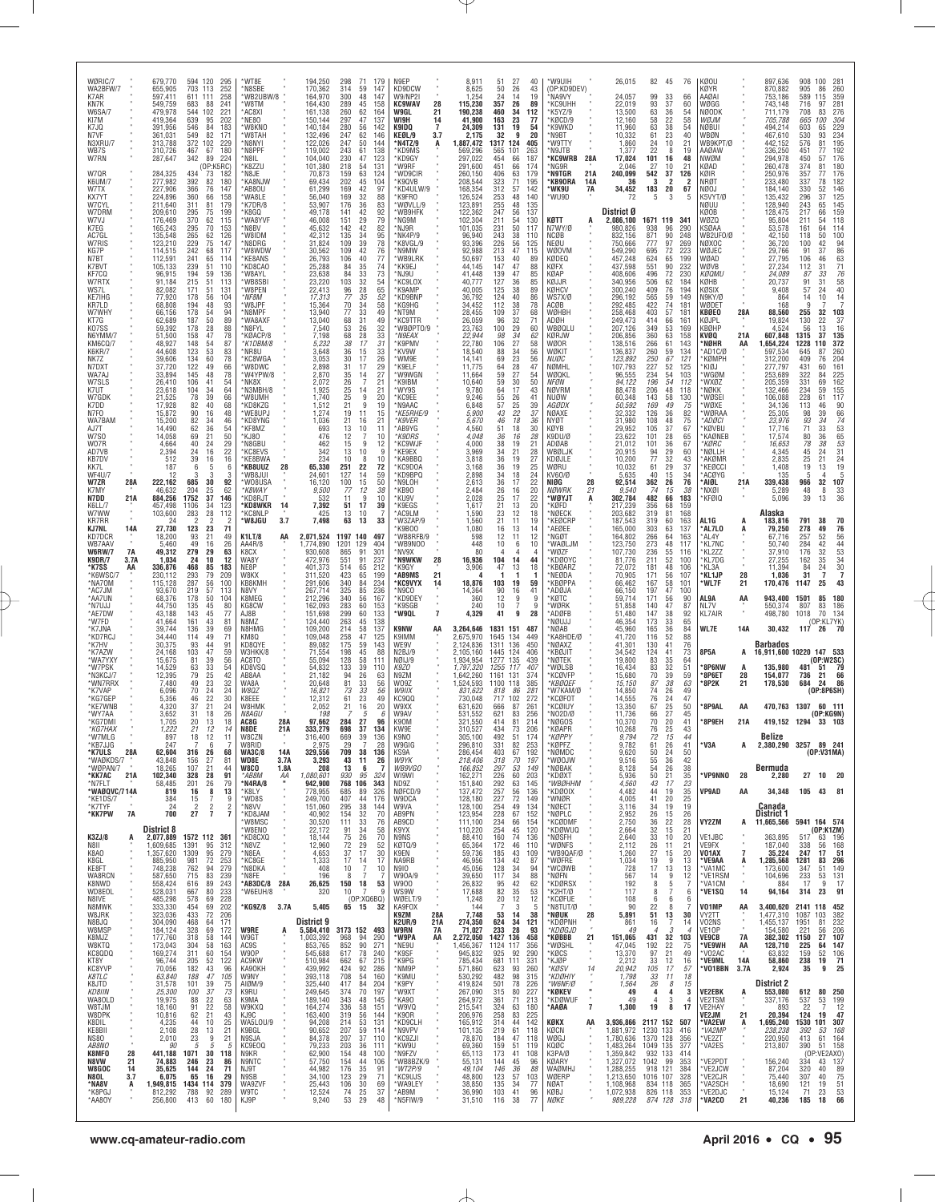| WØRIC/7<br>WA2BFW/7<br>K7AR<br>KN7K<br>W6SA/7<br>KI7M<br>K7JQ<br>N7VF<br>N3XRU/7<br>WB7S<br>W7RN<br>W7QR<br>K6UM/7<br>W7TX<br>KX7YT<br>W7CYL<br>W7DRM<br>W7VJ<br>K7EG<br>AC7GL<br>W7RIS<br>KG7P<br>N7BT<br>K7BVT<br>KF7CQ<br>W7RTX<br>WS7L<br>KE7IHG<br>KR7I D<br>W7WHY<br>KT7G<br>KO7SS<br>N6YMM/7<br>KM6CQ/7<br>K6KR/7<br>NK7Z<br>N7DXT<br>WA7AJ<br>W7SLS<br>K7UT<br>W7GDK<br>K7DD<br>N7FO                                   |                                              | 679,770<br>655,905<br>597,411<br>549.759<br>479,978<br>419,364<br>391,956<br>361,031<br>313,788<br>310,726<br>287,647<br>284,325<br>277,982<br>227,906<br>224,896<br>211,640<br>209,610<br>176,469<br>165,243<br>135,548<br>123,210<br>114,515<br>112,591<br>105,133<br>96,915<br>91,184<br>82,082<br>77,920<br>68,808<br>66,156<br>62,689<br>59,392<br>51,500<br>48,927<br>44.608<br>39,606<br>37,720<br>33,894<br>26,410<br>23,618<br>21,525<br>17,928<br>15,872 | 594 120<br>295<br>703<br>252<br>113<br>611<br>111<br>258<br>241<br>683<br>88<br>544<br>102<br>221<br>639<br>95<br>202<br>546<br>84<br>183<br>82<br>549<br>171<br>372<br>102<br>229<br>467<br>67<br>180<br>342<br>89<br>224<br>(OP:K5RC)<br>73<br>434<br>182<br>392<br>$\frac{82}{76}$<br>180<br>366<br>147<br>360<br>66<br>158<br>311<br>81<br>179<br>295<br>75<br>199<br>370<br>62<br>115<br>295<br>70<br>153<br>265<br>62<br>126<br>229<br>75<br>147<br>242<br>68<br>117<br>241<br>65<br>114<br>239<br>51<br>110<br>59<br>194<br>136<br>215<br>51<br>113<br>51<br>171<br>131<br>178<br>56<br>104<br>194<br>48<br>93<br>178<br>54<br>94<br>50<br>187<br>89<br>178<br>28<br>88<br>47<br>158<br>78<br>54<br>87<br>148<br>53<br>123<br>83<br>134<br>122<br>60<br>78<br>66<br>49<br>145<br>48<br>78<br>106<br>54<br>41<br>34<br>64<br>104<br>39<br>78<br>66<br>82<br>40<br>68<br>16<br>48 | *WT8E<br>N8SBE*<br>WB2UBW/8<br>*W8TM<br>AC8XI'<br>*NE80<br>*W8KNO<br>'W8TAH<br>M8NYI*<br>N8PPF*<br>M8IL*<br>'K8ZZU<br>M8JE*<br><b>KA8NJW</b><br>AB80U<br>'WA8LE<br>K7DR/8<br>*K8GQ<br>'WA8YVF<br>M8BV*<br>'W8IDM<br>*N8DRG<br>'W8WDW<br>'KE8ANS<br>*KD8CA0<br>'W8AYL<br>'WB8SBI<br>'W8PEN<br>*NF8M<br>'W8JPF<br>'N8MPF<br>'WA8AXF<br>*N8FYL<br>KØACP/8<br>*K1DBM/8<br>MR8U*<br>*KC8WGA<br>'W8DWC<br>'W4YPW/8<br>MK8X*<br>N3MBH/8"<br>'W8UMH<br>*KD8KZG<br>*WE8UPJ | 194,250<br>170,362<br>164,970<br>164,430<br>161,138<br>150,144<br>140,184<br>132,496<br>122,026<br>119,002<br>104,040<br>101,380<br>70,873<br>69,434<br>61,299<br>56,040<br>53,907<br>49,178<br>46,008<br>45,632<br>42,312<br>31,824<br>30,562<br>26,793<br>25,288<br>23,638<br>23,220<br>22,413<br>17,313<br>15,364<br>13,940<br>13,040<br>7,540<br>7,198<br>5,232<br>3,648<br>3,053<br>2,898<br>2,870<br>2,072<br>1,925<br>1,740<br>1,512<br>1,274 | 298<br>71<br>179<br>314<br>59<br>147<br>300<br>48<br>147<br>289<br>45<br>158<br>260<br>62<br>164<br>297<br>47<br>137<br>280<br>$\frac{56}{62}$<br>142<br>247<br>146<br>50<br>247<br>144<br>243<br>61<br>138<br>230<br>47<br>123<br>218<br>54<br>131<br>63<br>159<br>124<br>202<br>45<br>104<br>$\frac{42}{32}$<br>169<br>97<br>88<br>169<br>36<br>176<br>83<br>141<br>42<br>92<br>$^{29}_{42}$<br>79<br>151<br>142<br>82<br>$\frac{34}{39}$<br>135<br>95<br>78<br>76<br>109<br>109<br>40<br>106<br>77<br>84<br>35<br>33<br>32<br>28<br>74<br>84<br>73<br>$\frac{103}{96}$<br>54<br>65<br>77<br>70<br>77<br>$\frac{35}{34}$<br>$\frac{52}{58}$<br>49<br>68<br>31<br>49<br>26<br>32<br>53<br>68<br>$\frac{28}{17}$<br>33<br>38<br>31<br>36<br>15<br>33<br>$\frac{17}{17}$<br>$\frac{30}{31}$<br>$^{26}_{29}$<br>14<br>27<br>26<br>7<br>21<br>25<br>25<br>21<br>14<br>21<br>9<br>20<br>9<br>19<br>19<br>11<br>15 | N9EP<br>KD9DCW<br>W9/NP2I<br><b>KC9WAV</b><br>28<br>W9GL<br>21<br>WI9H<br>14<br>K9IDQ<br>7<br>KEØL/9<br>3.7<br>*N4TZ/9<br>A<br>*KD9MS<br>*KD9GY<br>'W9RF<br>*WD9CIR<br>*K9QVB<br>KD4ULW/9<br>*K9FRO<br>*WØVLL/9<br>*WB9HFK<br>*NG9M<br>*NJ9R<br>NK4P/9<br>*K8VGL/9<br>'N9MW<br>'WB9LRK<br>'KK9EJ<br>NJ9U*<br>KC9LOX<br>'K9AMP<br>*KD9BNP<br>*KG9HG<br>NT9M*<br><b>KC9TTR</b><br>*WBØPT0/9<br>*N9FAX<br>'K9PMV<br>*KV9W<br>*WM9E<br>'K9ELF<br>'W9WGN<br>K9IBM<br>'WY9S<br>KC9EE<br>*N9AAC<br>*KE5RHE/9 | 8,911<br>8,625<br>1,254<br>115,230<br>190,238<br>41.900<br>24,309<br>2,175<br>,887,472<br>569,296<br>297,022<br>291,600<br>260,150<br>208,544<br>168,354<br>126,524<br>123,891<br>122,362<br>102,304<br>101,035<br>96,940<br>93,396<br>92,988<br>50,697<br>44,145<br>41,448<br>40,777<br>40,005<br>36,792<br>34,452<br>28,455<br>26,059<br>23,763<br>22,944<br>22,780<br>18,540<br>14,141<br>11,775<br>11,664<br>10,640<br>9,780<br>9,246<br>6,848<br>5,900 | 51<br>50<br>24<br>357<br>460<br>163<br>131<br>32<br>1317<br>565<br>454<br>451<br>406<br>323<br>312<br>253<br>255<br>247<br>211<br>231<br>243<br>226<br>213<br>153<br>147<br>139<br>127<br>125<br>124<br>112<br>109<br>96<br>100<br>98<br>106<br>88<br>$69$<br>$64$<br>59<br>59<br>$64$<br>55<br>57<br>43 | 27<br>26<br>14<br>26<br>34<br>112<br>23<br>19<br>9<br>124<br>405<br>101<br>263<br>66<br>187<br>66<br>174<br>63<br>179<br>71<br>195<br>57<br>142<br>140<br>48<br>48<br>135<br>56<br>137<br>54<br>130<br>50<br>117<br>38<br>110<br>56<br>125<br>47<br>115<br>40<br>47<br>47<br>36<br>38<br>40<br>38<br>37<br>32<br>29<br>34<br>27<br>34<br>$^{23}_{28}$<br>27<br>30<br>17<br>26<br>25<br>$\frac{22}{18}$ | 40<br>43<br>19<br>89<br>77<br>54<br>20<br>89<br>88<br>85<br>85<br>89<br>86<br>78<br>68<br>71<br>60<br>62<br>58<br>56<br>56<br>47<br>54<br>50<br>43<br>41<br>39<br>37 | *W9UIH<br>(OP:KD9DEV)<br>*NA9VY<br><b>KC9UHH</b><br>*K5YZ/9<br>KØCD/9<br>*K9WKD<br>*N9BT<br>*W9TTY<br>*N9JTB<br><b>'KC9WRB</b><br>28A<br>NG9R<br>21A<br>*N9TGR<br>*KB90RA<br>14A<br><b>7A</b><br>° WK9U<br>*WU9D<br>KØTT<br>A<br>N7WY/Ø<br>NCØB<br>NEØU<br>WØOVM<br>KØDEQ<br>KØFX<br>KØAP<br>KØJJR<br>KØHCV<br>WS7X/Ø<br>ACØB<br>WØHBH<br>ADØH<br>WBØQLU<br>KØRJW<br>WØOR<br>WØKIT<br><i>NUØC</i><br>NØMHL<br>WØQKL<br>NFØN<br>NØVRM<br>NUØW<br><i>AGØDX</i><br>NØAXE | 26,015<br>24,057<br>22.019<br>13,500<br>12,160<br>11,960<br>10,332<br>1,860<br>1,377<br>17,024<br>2,046<br>240,099<br>36<br>34,452<br>72<br>District Ø<br>2,086,100<br>980,826<br>832.156<br>750,666<br>549,290<br>457,248<br>437,598<br>408,606<br>340,956<br>300,240<br>296,192<br>292,485<br>258,468<br>249,473<br>207,126<br>206,856<br>138,516<br>136,837<br>123,892<br>107,793<br>96,555<br>94,122<br>88,478<br>60,348<br>50,592<br>32,332 | 82<br>99<br>93<br>63<br>58<br>$63$<br>$61$<br>24<br>22<br>101<br>27<br>542<br>3<br>183<br>5<br>1671 119<br>938<br>871<br>777<br>695<br>624<br>551<br>496<br>506<br>409<br>565<br>422<br>403<br>414<br>349<br>360<br>266<br>260<br>250<br>227<br>234<br>196<br>206<br>143<br>169<br>126 | 45<br>76<br>33<br>66<br>37<br>60<br>36<br>54<br>22<br>58<br>$\begin{array}{c} 38 \\ 23 \end{array}$<br>54<br>40<br>10<br>21<br>8<br>19<br>16<br>48<br>10<br>21<br>37<br>126<br>2<br>-2<br>20<br>67<br>3<br>-5<br>341<br>96<br>290<br>90<br>248<br>97<br>269<br>72<br>223<br>65<br>199<br>90<br>232<br>72<br>230<br>62<br>184<br>76<br>194<br>59<br>149<br>74<br>181<br>57<br>181<br>66<br>161<br>53<br>169<br>63<br>158<br>61<br>143<br>59<br>134<br>$\frac{67}{52}$<br>121<br>125<br>54<br>103<br>54<br>112<br>48<br>118<br>58<br>130<br>49<br>75<br>36<br>82           | KØOU<br>KØYR<br>AAØAI<br>WØGG<br>NØODK<br>WØJM<br>NØBUI<br>WBØN<br>WB9KPT/Ø<br>AAØAW<br>NWØM<br>KØAD<br>KØIR<br>NRØT<br>NØOJ<br>K5VYT/Ø<br>NØUU<br>KØOB<br>wøzo<br>KSØAA<br>WB2UF0/Ø<br>NØXOC<br>WØJEC<br>WØAD<br>WØVB<br>каами<br>KØHB<br>KØSIX<br>N9KY/Ø<br>WØDET<br>KBØEO<br>KØJPL<br>KBØHP<br>KVØQ<br>*NØHR<br>*AD1C/Ø<br>*KØMPH<br>'KIØJ<br>WGØM<br><b>WXØZ</b><br>NØKK<br>WØSEI<br>WØXE<br>WØRAA | 28A<br>21A<br>AA                                                                       | 897,636<br>870,882<br>753,186<br>743,148<br>711,179<br>705,788<br>494,214<br>467,610<br>442,152<br>336,250<br>294,978<br>260,478<br>250,976<br>233,480<br>184,140<br>135,432<br>128,940<br>128,475<br>95,804<br>53,578<br>42,150<br>36,720<br>29,766<br>27,795<br>27,234<br>24,089<br>20,737<br>9,408<br>864<br>168<br>88,560<br>19,824<br>4,524<br>607,848<br>1,654,224<br>597,534<br>312,200<br>277,797<br>253,689<br>205,359<br>132,466<br>106,088<br>34,136<br>25,305 | 908<br>905<br>589<br>716<br>708<br>665<br>603<br>530<br>576<br>451<br>450<br>374<br>357<br>337<br>330<br>296<br>243<br>217<br>211<br>161<br>118<br>100<br>91<br>106<br>112<br>87<br>91<br>57<br>14<br>9<br>255<br>130<br>56<br>1315<br>1228<br>645<br>409<br>431<br>322<br>331<br>234<br>228<br>113<br>98 | 100<br>281<br>86<br>260<br>115<br>359<br>281<br>97<br>83<br>276<br>100<br>304<br>229<br>234<br>65<br>195<br>81<br>192<br>77<br>176<br>57<br>180<br>81<br>176<br>77<br>182<br>146<br>125<br>78<br>52<br>37<br>145<br>65<br>159<br>66<br>118<br>54<br>64<br>114<br>100<br>50<br>94<br>86<br>63<br>71<br>42<br>46<br>31<br>$\frac{76}{58}$<br>33<br>31<br>24<br>10<br>$\frac{14}{7}$<br>32<br>103<br>22<br>37<br>16<br>13<br>135<br>37<br>372<br>110<br>87<br>260<br>76<br>204<br>161<br>60<br>225<br>84<br>69<br>162<br>155<br>59<br>117<br>61<br>90<br>46<br>39 |
|--------------------------------------------------------------------------------------------------------------------------------------------------------------------------------------------------------------------------------------------------------------------------------------------------------------------------------------------------------------------------------------------------------------------------------|----------------------------------------------|--------------------------------------------------------------------------------------------------------------------------------------------------------------------------------------------------------------------------------------------------------------------------------------------------------------------------------------------------------------------------------------------------------------------------------------------------------------------|----------------------------------------------------------------------------------------------------------------------------------------------------------------------------------------------------------------------------------------------------------------------------------------------------------------------------------------------------------------------------------------------------------------------------------------------------------------------------------------------------------------------------------------------------------------------------------------------------------------------------------------------------------------------------------------------------------------------------------------------------------------------------------------------------------------------------------------------------------------------------------------|-------------------------------------------------------------------------------------------------------------------------------------------------------------------------------------------------------------------------------------------------------------------------------------------------------------------------------------------------------------------------------------------------------------------------------------------------------------------|------------------------------------------------------------------------------------------------------------------------------------------------------------------------------------------------------------------------------------------------------------------------------------------------------------------------------------------------------------------------------------------------------------------------------------------------------|---------------------------------------------------------------------------------------------------------------------------------------------------------------------------------------------------------------------------------------------------------------------------------------------------------------------------------------------------------------------------------------------------------------------------------------------------------------------------------------------------------------------------------------------------------------------------------------------------------------------------------------------------------------------------------------------------------------------------------------------------------------------------------------------------------------------------------------------------------------------------------------------------------------|-------------------------------------------------------------------------------------------------------------------------------------------------------------------------------------------------------------------------------------------------------------------------------------------------------------------------------------------------------------------------------------------------------------------------------------------------------------------------------------------------------|-------------------------------------------------------------------------------------------------------------------------------------------------------------------------------------------------------------------------------------------------------------------------------------------------------------------------------------------------------------------------------------------------------------------------------------------------------------|----------------------------------------------------------------------------------------------------------------------------------------------------------------------------------------------------------------------------------------------------------------------------------------------------------|--------------------------------------------------------------------------------------------------------------------------------------------------------------------------------------------------------------------------------------------------------------------------------------------------------------------------------------------------------------------------------------------------------|----------------------------------------------------------------------------------------------------------------------------------------------------------------------|-----------------------------------------------------------------------------------------------------------------------------------------------------------------------------------------------------------------------------------------------------------------------------------------------------------------------------------------------------------------------------------------------------------------------------------------------------------------------|--------------------------------------------------------------------------------------------------------------------------------------------------------------------------------------------------------------------------------------------------------------------------------------------------------------------------------------------------------------------------------------------------------------------------------------------------|----------------------------------------------------------------------------------------------------------------------------------------------------------------------------------------------------------------------------------------------------------------------------------------|--------------------------------------------------------------------------------------------------------------------------------------------------------------------------------------------------------------------------------------------------------------------------------------------------------------------------------------------------------------------------------------------------------------------------------------------------------------------------------------------------------------------------------------------------------------------------|--------------------------------------------------------------------------------------------------------------------------------------------------------------------------------------------------------------------------------------------------------------------------------------------------------------------------------------------------------------------------------------------------------|----------------------------------------------------------------------------------------|---------------------------------------------------------------------------------------------------------------------------------------------------------------------------------------------------------------------------------------------------------------------------------------------------------------------------------------------------------------------------------------------------------------------------------------------------------------------------|-----------------------------------------------------------------------------------------------------------------------------------------------------------------------------------------------------------------------------------------------------------------------------------------------------------|----------------------------------------------------------------------------------------------------------------------------------------------------------------------------------------------------------------------------------------------------------------------------------------------------------------------------------------------------------------------------------------------------------------------------------------------------------------------------------------------------------------------------------------------------------------|
| WA7BAM<br>AJ7T<br>W7S0<br>W07R<br>AD7VB<br>KB7DV<br>KK7L<br><b>WF4U/7</b><br>W7ZR<br>K7MY<br>N7DD<br>K6LL/7<br>W7WW<br>KR7RR<br>KJ7NL<br>KD7DCR<br>WB7AAV<br><b>W6RW/7</b><br><b>K9DR/7</b><br>*K7SS<br>*K6WSC/7<br>*NA7OM<br>*AC7JM<br>*AA7UN<br>*N7UJJ<br>*AE7DW<br>*W7FD<br>*K7JNA<br>*KD7RCJ<br>*K7HV<br>*K7AZW<br>*WA7YXY<br>*W7PSK<br>*N3KCJ/7<br>*WN7RRX<br>*K7VAP<br>*KG7GEP<br>*KE7WNB<br>*WY7AA<br>*KG7DM<br>*KG7HAX | 28A<br>21A<br>14A<br><b>7A</b><br>3.7A<br>ΑA | 15,200<br>14,490<br>14,058<br>4,664<br>2,394<br>512<br>187<br>12<br>222,162<br>46,632<br>884,256<br>457,498<br>103,600<br>24<br>27,730<br>18.200<br>5,460<br>49,312<br>1,034<br>336,876<br>230,112<br>115,128<br>93,670<br>68,376<br>44.750<br>43,188<br>41,664<br>39,744<br>34,440<br>30,375<br>24,168<br>15,675<br>14.529<br>12,395<br>7,480<br>6,096<br>5,356<br>4,320<br>3,652<br>1,705<br>1.222                                                               | 90<br>82<br>62<br>$\frac{34}{36}$<br>46<br>54<br>50<br>69<br>21<br>24<br>40<br>29<br>24<br>16<br>22<br>39<br>16<br>16<br>6<br>6<br>5<br>3<br>30<br>92<br>685<br>204<br>25<br>62<br>1752<br>37<br>146<br>1106<br>34<br>123<br>283<br>28<br>112<br>$\frac{123}{93}$<br>$\begin{array}{c} 23 \\ 21 \end{array}$<br>71<br>49<br>26<br>49<br>16<br>63<br>279<br>29<br>12<br>24<br>10<br>468<br>85<br>183<br>293<br>79<br>209<br>287<br>56<br>100<br>219<br>$\frac{57}{50}$<br>113<br>178<br>104<br>45<br>135<br>80<br>143<br>45<br>77<br>43<br>161<br>81<br>136<br>39<br>69<br>49<br>114<br>71<br>93<br>44<br>91<br>47<br>103<br>59<br>39<br>81<br>56<br>63<br>33<br>54<br>25<br>79<br>42<br>23<br>49<br>32<br>70<br>24<br>24<br>22<br>46<br>30<br>21<br>$\begin{array}{c} 37 \\ 31 \end{array}$<br>24<br>18<br>26<br>20<br>13<br>18<br>14<br>21                                            | *KD8YNG<br>*KF8MZ<br>*KJ80<br>*N8GBU<br><b>KC8EVS</b><br>*KE8BWA<br>*KB8UUZ<br>28<br>MB8JUI*<br>'WO8USA<br>*K8WAY<br><b>KD8RJT</b><br>14<br>*KD8WKR<br>'KC8NLP<br>'W8JGU<br>3.7<br><b>K1LT/8</b><br>AA<br>AA4R/8<br>K8CX<br>WA8Y<br>NE8P<br>W8KX<br>KB8KMH<br>N8VY<br>K8MEG<br>KG8CW<br>AJ8B<br>N8MZ<br>N8HMG<br>KM8Q<br>KD8QYE<br>W3HKK/8<br>AC8TO<br>KD8VSQ<br>AB8AA<br>WA8A<br>W8QZ<br>K8FFF<br>W8HMK<br><i>N8AGU</i><br>28A<br>AC8G<br>N8DE<br>21A            | 1,036<br>693<br>476<br>462<br>342<br>234<br>65,330<br>24,601<br>16,120<br>9,500<br>532<br>7,392<br>425<br>7,498<br>2,071,524<br>1,774,890<br>930,608<br>472,976<br>401,373<br>311,520<br>291,606<br>267,714<br>212,296<br>162,093<br>151,698<br>124,440<br>109,200<br>109,048<br>89,082<br>71,554<br>55,094<br>54,832<br>21,182<br>20,648<br>16,821<br>12,312<br>2.052<br>198<br>97,662<br>333,279                                                   | 21<br>16<br>21<br>13<br>10<br>11<br>12<br>$\overline{7}$<br>10<br>15<br>9<br>12<br>13<br>10<br>9<br>10<br>8<br>10<br>251<br>22<br>72<br>127<br>$\frac{14}{15}$<br>59<br>$\frac{100}{77}$<br>50<br>12<br>38<br>9<br>11<br>10<br>17<br>51<br>39<br>13<br>10<br>63<br>13<br>33<br>1197 140<br>497<br>1201<br>129<br>404<br>865<br>91<br>301<br>551<br>91<br>237<br>514<br>65<br>212<br>423<br>65<br>199<br>340<br>84<br>234<br>325<br>85<br>56<br>236<br>167<br>340<br>60<br>283<br>153<br>299<br>60<br>133<br>263<br>138<br>45<br>214<br>58<br>137<br>47<br>258<br>125<br>175<br>59<br>143<br>45<br>198<br>88<br>58<br>128<br>111<br>133<br>39<br>110<br>94<br>26<br>63<br>81<br>$\frac{33}{33}$<br>56<br>73<br>56<br>23<br>61<br>49<br>21<br>16<br>20<br>5<br>6<br>27<br>284<br>96<br>698<br>37<br>134                                                                                                         | *K9VER<br>AB9YG<br>*K9DRS<br>*KC9WJF<br>KE9EX<br>'KA9BBQ<br>*KC9DOA<br>*KD9BPQ<br>'N9LOH<br>*KB90<br>'KU9V<br>*K9EGS<br>AC9LM<br>*W3ZAP/9<br>K9B00<br>WB8RFB/9<br>*WB9NOO<br>NV9X*<br>*N9WKW<br>28<br>'K9GY<br>*AB9MS<br>21<br>*KC9VYX<br>14<br>N9CO*<br>'KD9DEY<br>*K9SGB<br>$\overline{\mathbf{r}}$<br>'W9QL<br>K9NW<br>AA<br>K9IMM<br>WE9V<br>N2BJ/9<br>NØIJ/9<br>K9ZO<br>N9ZM<br>W09Z<br>W9IIX<br>KC9QQ<br>W9XX<br>W9AV<br>K90M<br>KW9F                                                           | 5,670<br>4,560<br>4.048<br>4,000<br>3,969<br>3,818<br>3.168<br>2,898<br>2,613<br>2,484<br>2,028<br>1,617<br>1,590<br>1,560<br>1,080<br>598<br>448<br>80<br>16,936<br>3,906<br>18,876<br>14,364<br>360<br>240<br>4,329<br>3,264,646<br>2,675,970<br>2,124,836<br>2,105,160<br>1,934,954<br>1,797,320<br>1,642,260<br>1,524,593<br>831,622<br>730,048<br>631,620<br>531,552<br>321,550<br>310,527                                                             | 46<br>51<br>36<br>38<br>$\frac{34}{36}$<br>36<br>$\frac{34}{36}$<br>26<br>25<br>21<br>23<br>21<br>16<br>12<br>10<br>104<br>47<br>103<br>$\frac{90}{12}$<br>10<br>41<br>1831<br>1645<br>1311<br>1445<br>1277<br>1255<br>1161<br>1100<br>818<br>717<br>666<br>621<br>414<br>434                            | 18<br>16<br>19<br>21<br>19<br>19<br>18<br>17<br>16<br>17<br>13<br>12<br>11<br>13<br>11<br>6<br>14<br>13<br>19<br>16<br>9<br>7<br>9<br>151<br>487<br>134<br>449<br>136<br>450<br>124<br>406<br>135<br>439<br>117<br>407<br>131<br>374<br>385<br>118<br>86<br>281<br>102<br>272<br>87<br>261<br>83<br>256<br>81<br>214<br>73<br>206                                                                      | 36<br>30<br>28<br>21<br>28<br>27<br>25<br>$^{24}_{22}$<br>20<br>22<br>20<br>18<br>19<br>$^{14}_{12}$<br>10<br>44<br>18<br>59<br>41<br>9<br>9<br>28                   | NYØT<br>KØYB<br>K9DU/Ø<br>ADØAB<br>WBØLJK<br>KDØJLE<br>WØRU<br>KV60/Ø<br>28<br>NIØG<br>21<br>NØWRK<br>*WØYJT<br>A<br>*KØFD<br>*NØECK<br>*KEØCRP<br>*AEØEE<br>*NGØT<br>*WAØLJM<br>*WØZF<br>*KDØOYC<br><b>KBØARZ</b><br>*NEØDA<br>*KBØPPA<br>*ADØJA<br>*KØTC<br>*WØRK<br>*ADØFB<br>NØUJJ<br>NØAB<br>*KA8HDE/Ø<br>*NØAXZ<br>*KBØJIT<br>*NØTEK<br>*WØLSB<br>*KCØVFP<br>*KBØQEF<br>*W7KAM/Ø<br>*KCØFOT<br>*KCØIUY<br>*N02D/Ø<br>*NØGOS<br>*KØAPR                           | 31,980<br>29,952<br>23,622<br>21,012<br>20,915<br>10,200<br>10,032<br>5,635<br>92,514<br>9,540<br>302,784<br>217,239<br>203,682<br>187,543<br>165,000<br>164,802<br>123,750<br>107,730<br>81,776<br>72,072<br>70,905<br>66,462<br>66,150<br>59,714<br>51,858<br>51,480<br>46,354<br>45,960<br>41,720<br>41,301<br>34,542<br>19,800<br>16,434<br>15,680<br>15,150<br>14,850<br>14,555<br>13,350<br>11,736<br>10.370<br>10,268                     | 108<br>105<br>101<br>101<br>94<br>77<br>61<br>40<br>$\frac{362}{74}$<br>482<br>356<br>319<br>319<br>303<br>266<br>273<br>236<br>211<br>181<br>171<br>167<br>197<br>171<br>140<br>147<br>173<br>165<br>116<br>130<br>124<br>83<br>83<br>70<br>87<br>74<br>76<br>67<br>66<br>70<br>76    | 48<br>75<br>37<br>67<br>28<br>65<br>36<br>67<br>$\frac{29}{32}$<br>60<br>43<br>29<br>37<br>15<br>34<br>76<br>26<br>15<br>38<br>66<br>183<br>68<br>159<br>81<br>168<br>60<br>163<br>63<br>137<br>64<br>163<br>48<br>117<br>55<br>116<br>52<br>100<br>48<br>106<br>56<br>107<br>58<br>101<br>$\frac{47}{56}$<br>100<br>90<br>47<br>87<br>38<br>92<br>33<br>65<br>36<br>84<br>52<br>88<br>76<br>41<br>41<br>73<br>35<br>64<br>$\begin{array}{c} 32 \\ 39 \end{array}$<br>51<br>59<br>38<br>63<br>26<br>49<br>$24$<br>$25$<br>$27$<br>47<br>50<br>45<br>20<br>41<br>25<br>43 | *ADØCI<br>'KØVBU<br><b>KAØNEB</b><br>*KØRC<br>MØLLH<br>*AKØMR<br>*KEØCCI<br>*ACØYG<br>*AIØL<br>'NXØI<br>*KFØIQ<br>AL1G<br>*AL7LO<br>*AL4Y<br>*KL7NC<br>KL2ZZ<br>KL7DG*<br>KL3A<br>*KL1JP<br>*WL7F<br>AL9A<br>NL7V<br><b>KL7AIR</b><br>WL7E<br>8P5A<br>8P6NW<br>'8P6ET<br><b>8P2K</b><br>*8P9AL<br>*8P9EH                                                                                               | 21A<br>A<br>Ą<br>28<br>21<br>AA<br>$\alpha$<br>14A<br>A<br>A<br>28<br>21<br>AA<br>21A  | 23,976<br>17,716<br>17,574<br>16,653<br>4,345<br>2,835<br>1,408<br>135<br>339,438<br>5,289<br>5,096<br>Alaska<br>183,816<br>79,250<br>67.716<br>50,740<br>37.910<br>27,255<br>11,394<br>1,036<br>170,476<br>943,400<br>550,374<br>498,780<br>30,432<br>Barbados<br>16,911,600 10220 147 533<br>135,980<br>154,077<br>178,530<br>470,763 1307                                                                                                                              | 93<br>71<br>80<br>78<br>$\begin{array}{c} 45 \\ 25 \end{array}$<br>19<br>966<br>48<br>39<br>791<br>278<br>257<br>284<br>176<br>162<br>84<br>31<br>1147<br>1501<br>807<br>1018<br>117 26<br>481<br>736<br>684                                                                                              | 34<br>33<br>36<br>38<br>$^{24}_{21}$<br>13<br>32<br>33<br>8<br>36<br>13<br>38<br>70<br>76<br>56<br>54<br>53<br>34<br>30<br>7<br>49<br>52<br>42<br>32<br>35<br>24<br>7<br>25<br>43<br>85<br>180<br>186<br>83<br>70<br>134<br>(OP:KL7YK)<br>(0P:W2SC<br>$\begin{array}{r} 79 \\ 79 \\ 66 \\ 86 \end{array}$<br>-51<br>21<br>24<br>(OP:8P6SH)<br>60 111<br>(OP:KG9N)<br>419,152 1294 33 103                                                                                                                                                                       |
| 'W7MLG<br>*KB7JJG<br>*K7ULS<br>*WAØKDS/7<br>*WØPAN/7<br>*KK7AC<br>*N7FLT<br>*WAØQVC/714A<br>*KE1DS/7<br>*K7TYF<br>*KK7PW                                                                                                                                                                                                                                                                                                       | 28A<br>21A<br>7A                             | 897<br>247<br>62,604<br>43,848<br>18,265<br>102,340<br>58,485<br>819<br>384<br>24<br>700                                                                                                                                                                                                                                                                                                                                                                           | 18<br>12<br>6<br>68<br>316<br>26<br>27<br>156<br>81<br>21<br>44<br>107<br>328<br>28<br>91<br>201<br>79<br>26<br>16<br>8<br>13<br>9<br>15<br>7<br>$\overline{\mathbf{c}}$<br>$\overline{2}$<br>$\overline{2}$<br>27<br>$\overline{7}$<br>$\overline{7}$                                                                                                                                                                                                                                                                                                                                                                                                                                                                                                                                                                                                                                 | W8C∠N<br>W8RID<br>14A<br><b>WA3C/8</b><br>WD8E<br>3.7A<br>1.8A<br>W8CO<br>*AB8M<br>ΑA<br>$\mathbf{u}$<br>*N4RA/8<br>$\blacksquare$<br>*K8LY<br>'WD8S<br>*N8VV<br>*KD8JAM                                                                                                                                                                                                                                                                                          | 316,400<br>2,975<br>329,556<br>3,293<br>208<br>1,080,601<br>942,900<br>778,955<br>249,700<br>151,060<br>40,902                                                                                                                                                                                                                                                                                                                                       | 669<br>39<br>136<br>7<br>28<br>29<br>709<br>38<br>136<br>43<br>11<br>26<br>13<br>- 6<br>930<br>95<br>324<br>768 106<br>343<br>685<br>89<br>326<br>407<br>176<br>44<br>38<br>295<br>144<br>154<br>32<br>70                                                                                                                                                                                                                                                                                                                                                                                                                                                                                                                                                                                                                                                                                                     | K9NO<br>W9GIG<br>KS9A<br>W9YK<br>WB9VGO<br>WI9WI<br>ND9Z<br>NØFCD/9<br>W9DCA<br>W9VA<br>AB9PN                                                                                                                                                                                                                                                                                                                                                                                                         | 305,100<br>296,810<br>286,454<br>218,406<br>166,852<br>162,271<br>151,840<br>137,472<br>128,180<br>128,100<br>123,954                                                                                                                                                                                                                                                                                                                                       | 492<br>331<br>403<br>318<br>297<br>226<br>292<br>257<br>227<br>254<br>228                                                                                                                                                                                                                                | -51<br>174<br>82<br>253<br>67<br>192<br>70<br>197<br>53<br>149<br>60<br>203<br>63<br>145<br>56<br>136<br>72<br>149<br>49<br>134<br>67<br>152                                                                                                                                                                                                                                                           |                                                                                                                                                                      | КИРРҮ<br>*KØPFZ<br>*NØMDC<br>*WØOJW<br>*NØBAK<br>*KDØXT<br>*WBØHHM<br>*KDØOIX<br>*WNØR<br>*NØECT<br>*NØPLC                                                                                                                                                                                                                                                                                                                                                            | 9.794<br>9,782<br>9,620<br>9,516<br>8,128<br>5,936<br>4,560<br>4,482<br>4,005<br>3,116<br>2,952                                                                                                                                                                                                                                                                                                                                                  | 72<br>61<br>50<br>$\frac{55}{54}$<br>50<br>43<br>44<br>41<br>34<br>26                                                                                                                                                                                                                  | 15<br>41<br>26<br>24<br>50<br>36<br>42<br>26<br>38<br>21<br>35<br>17<br>23<br>19<br>35<br>20<br>25<br>19<br>19<br>15<br>26                                                                                                                                                                                                                                                                                                                                                                                                                                               | *V3A<br>*VP9NNO<br><b>VP9AD</b>                                                                                                                                                                                                                                                                                                                                                                        | А<br>28<br>AA                                                                          | Relise<br>2,380,290 3257 89 241<br>Bermuda<br>2,280<br>34,348<br>Canada<br>District 1                                                                                                                                                                                                                                                                                                                                                                                     | 27<br>105                                                                                                                                                                                                                                                                                                 | (OP:V31MA)<br>10 20<br>43<br>- 81                                                                                                                                                                                                                                                                                                                                                                                                                                                                                                                              |
| K3ZJ/8<br>N811<br>K8AO<br>K8GL<br>KE8FT<br>WA8RCN<br>K8NWD<br>WD8EOL<br>N8IVE<br>N8MWK<br>W8JRK<br>N8BJQ<br>W8MSP<br>K8MJZ<br>W8KTQ<br>KC8QDQ<br>KT8Y                                                                                                                                                                                                                                                                          | A                                            | <b>District 8</b><br>2,077,889<br>1,609,685<br>1,357,620<br>885,950<br>748,238<br>587,650<br>558,424<br>528,031<br>485,298<br>333,330<br>323,036<br>304,090<br>184,124<br>177,760<br>173,043<br>169,274<br>96,744                                                                                                                                                                                                                                                  | 1572 112 361<br>1391<br>95<br>312<br>95<br>1309<br>279<br>72<br>253<br>981<br>279<br>762<br>94<br>715<br>83<br>239<br>89<br>243<br>616<br>667<br>80<br>233<br>578<br>69<br>228<br>454<br>69<br>202<br>433<br>72<br>206<br>468<br>64<br>171<br>328<br>69<br>172<br>318<br>58<br>144<br>58<br>163<br>304<br>60<br>311<br>154<br>122<br>205<br>52                                                                                                                                                                                                                                                                                                                                                                                                                                                                                                                                         | M8MSC*<br>'W8ENO<br>*KD8CXQ<br>*N8VZ<br>*N8EA<br>KC8GE*<br>$\epsilon$<br>*N8DKA<br>*N8FE<br>*AB3DC/8 28A<br>*W6EUH/8<br>*KG9Z/8<br>3.7A<br><b>W9RE</b><br>A<br>W9GT<br>AC9S<br>W90P<br>AC9KW                                                                                                                                                                                                                                                                      | 30,520<br>22,172<br>18,144<br>12,960<br>4,653<br>1,333<br>408<br>196<br>26,625<br>320<br>5,405<br>District 9<br>5,584,410<br>1,003,392<br>853,765<br>545,688<br>510,984                                                                                                                                                                                                                                                                              | 111<br>$\frac{33}{34}$<br>76<br>58<br>91<br>75<br>26<br>70<br>72<br>29<br>52<br>17<br>30<br>37<br>17<br>17<br>14<br>7<br>10<br>10<br>7<br>8<br>7<br>150 18<br>53<br>10<br>7<br>-9<br>(OP:XQ6BQ)<br>65 15<br>32<br>3173 152 493<br>968<br>94<br>290<br>852<br>90<br>271<br>617<br>78<br>240<br>215<br>662<br>67                                                                                                                                                                                                                                                                                                                                                                                                                                                                                                                                                                                                | AB9CD<br>K9YX<br>N9NS<br>KØTQ/9<br>K9EN<br>NA9RB<br>N910<br>W90A/9<br>W900<br>WS9W<br>WØELT/9<br>KA9FOX<br>K9ZM<br>28A<br>K2UR/9<br>21A<br><b>W9RN</b><br>7A<br>*W9PA<br>AA<br>*NE9U<br>*K9SF<br>$\bar{a}$<br>*K9PG                                                                                                                                                                                                                                                                                   | 111,100<br>110,220<br>88,410<br>65,364<br>59,736<br>46,956<br>45,056<br>39,650<br>26,832<br>17,688<br>1,248<br>144<br>7,748<br>274,350<br>71,027<br>2,272,050<br>.456,367<br>945,832<br>785,434                                                                                                                                                                                                                                                             | 234<br>254<br>160<br>172<br>185<br>134<br>128<br>117<br>95<br>82<br>20<br>53<br>624<br>233<br>1427 136<br>1124 117<br>925<br>681                                                                                                                                                                         | 66<br>154<br>45<br>120<br>74<br>136<br>46<br>110<br>43<br>109<br>42<br>34<br>34<br>42<br>35<br>12<br>3<br>14<br>34<br>121<br>28<br>93<br>458<br>356<br>92<br>290<br>111<br>331                                                                                                                                                                                                                         | 87<br>94<br>88<br>62<br>53<br>12<br>5<br>38                                                                                                                          | *KCØDMF<br>*KDØWUQ<br>*NØSFH<br>*WØNFS<br>*WB9QAF/Ø<br>*WØFRE<br>*WCØWB<br>*NØFN<br>*KDØRSX<br>*K2HT/Ø<br>*KCØFUE<br>*N8TUT/Ø<br>*NØUK<br>28<br>*KDØPNH<br>*KDØGJD<br>21<br>*KØBBB<br>*WØSHL<br>*KØCS<br>*KJØP                                                                                                                                                                                                                                                        | 2,750<br>2,664<br>2,640<br>2,112<br>1,260<br>1,034<br>728<br>567<br>192<br>117<br>108<br>90<br>5,891<br>861<br>49<br>151,065<br>47,045<br>13,370<br>2,212                                                                                                                                                                                                                                                                                        | $\frac{36}{32}$<br>33<br>26<br>27<br>19<br>17<br>14<br>8<br>8<br>6<br>22<br>51<br>16<br>$\overline{4}$<br>431<br>192<br>97<br>33                                                                                                                                                       | $^{22}_{15}$<br>28<br>21<br>10<br>20<br>11<br>21<br>15<br>20<br>9<br>13<br>13<br>13<br>9<br>$\frac{12}{7}$<br>$\frac{5}{7}$<br>6<br>6<br>6<br>8<br>-7<br>13<br>30<br>7<br>14<br>3<br>32<br>103<br>$\frac{22}{21}$<br>75<br>49<br>12<br>16                                                                                                                                                                                                                                                                                                                                | VY2ZM<br>VE1JBC<br>VE9FX<br>VO1AX<br>*VE9AA<br>*VA1MC<br>*VE1RSM<br>*VA1CM<br>*VE1SQ<br>VO1MP<br>VY2TT<br>VO2NS<br>VE10P<br><b>VE9CB</b><br>*VE9WH<br>*VO2AC<br>*VE9ML                                                                                                                                                                                                                                 | А<br>$\overline{7}$<br>Ą<br>$\alpha$<br>14<br>AA<br>$\alpha$<br><b>7A</b><br>AA<br>14A | 11,665,566<br>363,895<br>187,040<br>35,224<br>1,285,568<br>173,600<br>104,696<br>884<br>94,164<br>3,400,620<br>1,477,310<br>1,455,137<br>154,580<br>382,302<br>128,710<br>63,832<br>58,860                                                                                                                                                                                                                                                                                | 517<br>338<br>247<br>1281<br>347<br>233<br>17<br>314<br>2141 118<br>1087<br>1951<br>221<br>1150<br>225<br>159<br>238                                                                                                                                                                                      | 5941 164 574<br>(OP:K1ZM)<br>63 196<br>168<br>56<br>51<br>17<br>296<br>83<br>149<br>51<br>53<br>$\frac{131}{17}$<br>$_{9}$<br>91<br>23<br>452<br>382<br>103<br>232<br>81<br>206<br>56<br>107<br>27<br>147<br>64<br>106<br>52<br>19<br>71                                                                                                                                                                                                                                                                                                                       |
| KC8YVP<br>K8TLC<br>K8JTD<br>KD8IIN<br>WA80LD<br>W8TJM<br>W8DPK<br>K8DIL<br>KE8BII<br>NS80<br>AB8NO<br>K8MF0<br>N8VW<br><b>W8GOC</b><br>N8OL<br>*NA8V<br>*K8PGJ<br>*AA80Y                                                                                                                                                                                                                                                       | 28<br>21<br>14<br>3.7<br>A                   | 70,056<br>63,840<br>31,578<br>25,300<br>19,975<br>18,160<br>10,816<br>4,235<br>2,108<br>2,010<br>-90<br>441,188<br>74,883<br>35,625<br>6,075<br>1,949,815<br>812,292<br>256,800                                                                                                                                                                                                                                                                                    | 43<br>182<br>96<br>188<br>47<br>105<br>101<br>39<br>75<br>100<br>$\begin{array}{c} 37 \\ 22 \\ 22 \end{array}$<br>$73$<br>63<br>88<br>91<br>58<br>21<br>62<br>43<br>44<br>10<br>25<br>28<br>13<br>21<br>23<br>9<br>21<br>5<br>5<br>-5<br>1071<br>30<br>118<br>23<br>246<br>86<br>144<br>24<br>71<br>65<br>16<br>29<br>1434 114<br>379<br>92<br>788<br>289<br>60<br>413<br>180                                                                                                                                                                                                                                                                                                                                                                                                                                                                                                          | KA90KH<br>W9NY<br>AIØM/9<br>K9RU<br>K9MA<br>W9KXQ<br>KJ9C<br>WA5LOU/9<br>K9BGL<br>N9SJA<br>KC9E0Q<br>N9KR<br>N9NTC<br>NJ9T<br>N9SB<br>WA9ZVF<br>W9TC<br>KJ9P                                                                                                                                                                                                                                                                                                      | 439,992<br>393,118<br>325,440<br>249,645<br>189,140<br>164,274<br>163,400<br>94,208<br>90,652<br>84,378<br>79,233<br>62,900<br>57,750<br>44,982<br>34,100<br>25,443<br>12,524<br>9,240                                                                                                                                                                                                                                                               | 92<br>424<br>286<br>708<br>54<br>160<br>417<br>84<br>204<br>70<br>374<br>197<br>343<br>48<br>145<br>336<br>58<br>151<br>319<br>56<br>144<br>214<br>53<br>131<br>207<br>59<br>114<br>37<br>207<br>110<br>203<br>36<br>111<br>154<br>100<br>48<br>154<br>44<br>106<br>176<br>35<br>91<br>123<br>29<br>71<br>30<br>106<br>69<br>74<br>25<br>37<br>29<br>53<br>48                                                                                                                                                                                                                                                                                                                                                                                                                                                                                                                                                 | $\epsilon$<br>*NM9P<br>*K9MU<br>*K9PY<br>$\bar{a}$<br>*W9XT<br>*KA90<br>*W9VQ<br>*K90R<br>*KD9CLH<br>*N9VPV<br>*KC9ZJI<br>*KW9U<br>*N9FZV<br>*WB8BZK/9<br>*WT2P/9<br>*KC9UJS<br>*WA9LEY<br>*AB9M<br>*N5FIW/9                                                                                                                                                                                                                                                                                          | 571,860<br>530,292<br>419,824<br>267,090<br>264,972<br>215,541<br>206,976<br>165,912<br>101,135<br>78,870<br>69,360<br>65,113<br>55,131<br>49,104<br>48,800<br>38,850<br>36,990<br>31,510                                                                                                                                                                                                                                                                   | 623<br>482<br>501<br>315<br>361<br>324<br>258<br>314<br>219<br>184<br>159<br>173<br>144<br>146<br>123<br>135<br>103<br>116                                                                                                                                                                               | 93<br>260<br>98<br>315<br>78<br>226<br>227<br>80<br>213<br>71<br>63<br>180<br>83<br>225<br>44<br>142<br>61<br>118<br>47<br>118<br>51<br>119<br>41<br>108<br>45<br>36<br>103<br>57<br>-34<br>41<br>38                                                                                                                                                                                                   | 96<br>88<br>77<br>96<br>77                                                                                                                                           | *KØSV<br>14<br>*KDØHIY<br>*W6NF/Ø<br>n,<br>*KØKEV<br>*KDØWUF<br>$\overline{7}$<br>*AAØA<br>KØKX<br>AA<br>KØCN<br>WØGJ<br>KOQC<br>K3PA/Ø<br>KØARY<br>WAØMHJ<br>WØERP<br>NØAT<br>KØBJ<br><i>NØKE</i>                                                                                                                                                                                                                                                                    | 20,942<br>1,798<br>1,564<br>49<br>49<br>1,300<br>3,936,866<br>1,881,972<br>1,780,636<br>1,483,264<br>1,359,842<br>1,327,072<br>1,288,255<br>1,213,650<br>1,108,968<br>1,072,938<br>989,228                                                                                                                                                                                                                                                       | 105<br>33<br>26<br>4<br>$\Delta$<br>19<br>2117 152<br>1230 133<br>1370 128<br>1049 135<br>932 133<br>1042<br>918 121<br>1016 107<br>834 118<br>826 118<br>874 128                                                                                                                      | $17\,$<br>57<br>11<br>18<br>8<br>15<br>4<br>3<br>$\overline{4}$<br>3<br>8<br>17<br>507<br>416<br>356<br>377<br>414<br>99<br>353<br>384<br>328<br>365<br>353<br>318                                                                                                                                                                                                                                                                                                                                                                                                       | *VO1BBN<br>VE2EBK<br>VE2TSM<br>VE2HAY<br>VE2JM<br>*VA2EW<br>*VA2MP<br>*VE2ZT<br>*VA2ES<br>'VE2PDT<br>*VE2JCW<br>'VE2CJR<br>*VA2SCH<br>*VE2DJC<br>*VA2CO                                                                                                                                                                                                                                                | 3.7A<br>Ą<br>21<br>Ą<br>21                                                             | 2,924<br>District 2<br>553,080<br>337,176<br>893<br>20,394<br>1,695,240<br>238,238<br>220,950<br>213,807<br>156,240<br>87,204<br>75,440<br>18,690<br>15,124<br>40,236                                                                                                                                                                                                                                                                                                     | 35<br>612<br>537<br>22<br>124<br>1530 101<br>392<br>413<br>390<br>334<br>320<br>307<br>121<br>71<br>185                                                                                                                                                                                                   | 25<br>9<br>80<br>250<br>199<br>53<br>12<br>47<br>19<br>307<br>168<br>53<br>164<br>61<br>51 158<br>(OP:VE2AXO)<br>137<br>43<br>89<br>40<br>75<br>40<br>51<br>19<br>$\frac{53}{66}$<br>23<br>18                                                                                                                                                                                                                                                                                                                                                                  |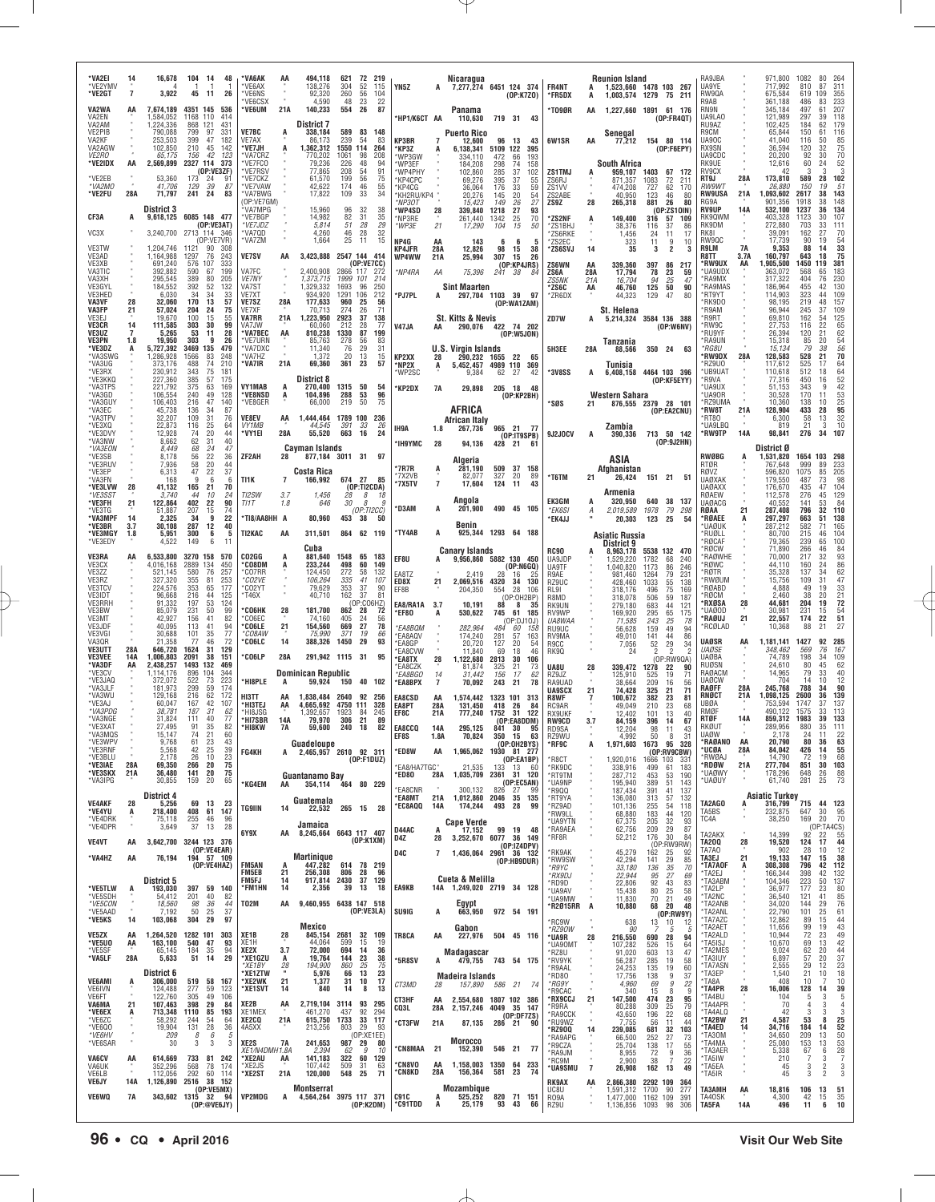| *VA2EI<br>*VE2YMV<br>*VE2GT<br>VA2WA<br>VA2EN<br>VA2AM<br>VE2PIB                  | 7                       | 16,678<br>3,922<br>7,674,189<br>1,584,052<br>.224.336<br>790,088                      | 104<br>-14<br>-1<br>45<br>11<br>4351 145<br>1168 110<br>868 121<br>799<br>97                          | 48<br>26<br>536<br>414<br>431<br>331                | *VA6AK<br><b>VF6AX</b><br>*VE6NS<br>VF6CS><br>*VE6UM<br><b>VE7BC</b>             | 21A                              | 494,118<br>138,276<br>92,320<br>4.590<br>140,233<br>District 7<br>338,184                      | 621<br>304<br>260<br>48<br>554<br>589              | 72<br>219<br>52<br>115<br>56<br>104<br>22<br>23<br>26<br>87<br>83<br>148                      | YN5Z<br>*HP1/K6CT AA                                                        |                                                        | Nicaragua<br>7,277,274 6451 124 374<br>Panama<br>110,630<br><b>Puerto Rico</b>             |                                                   | (0P:K7Z0)<br>719 31 43                                                                              | FR4NT<br>*FR5DX<br>*TO9ØR                                                                   | AA                     | <b>Reunion Island</b><br>1,523,660 1478 103 267<br>1,003,574 1279 75 211<br>1,227,660 1891 61 176   |                                                                                                                    | (OP:FR40T)                                              | RA9JBA<br>UA9YE<br>RW9QA<br>R9AB<br>RN9N<br>UA9LA0<br>RU9AZ<br>R9CM                        |                         | 971,800<br>717,992<br>675,584<br>361.188<br>345,184<br>121.989<br>102,425<br>65,844  | 1082<br>810<br>619<br>486<br>497<br>297<br>184<br>150    | 80<br>87<br>311<br>109<br>355<br>233<br>83<br>207<br>61<br>118<br>39<br>179<br>62<br>116<br>61                                              |
|-----------------------------------------------------------------------------------|-------------------------|---------------------------------------------------------------------------------------|-------------------------------------------------------------------------------------------------------|-----------------------------------------------------|----------------------------------------------------------------------------------|----------------------------------|------------------------------------------------------------------------------------------------|----------------------------------------------------|-----------------------------------------------------------------------------------------------|-----------------------------------------------------------------------------|--------------------------------------------------------|--------------------------------------------------------------------------------------------|---------------------------------------------------|-----------------------------------------------------------------------------------------------------|---------------------------------------------------------------------------------------------|------------------------|-----------------------------------------------------------------------------------------------------|--------------------------------------------------------------------------------------------------------------------|---------------------------------------------------------|--------------------------------------------------------------------------------------------|-------------------------|--------------------------------------------------------------------------------------|----------------------------------------------------------|---------------------------------------------------------------------------------------------------------------------------------------------|
| VA2KF<br>VA2AGW<br><i>VE2RO</i><br>*VE2IDX<br>*VE2EB<br>*VA2MO                    | AA                      | 253,503<br>102,850<br>65,175<br>2,569,899<br>53,360<br>41.706                         | 399<br>47<br>210<br>45<br>42<br>156<br>2327 114 373<br>(OP:VE3ZF)<br>173<br>-24<br>129<br>39          | 182<br>142<br>123<br>87                             | VE7AX<br>'VE7JH<br>*VA7CRZ<br>*VE7FCO<br>*VE7RSV<br>*VE7CKZ<br>*VE7VAW           |                                  | 86.173<br>1,362,312<br>770.202<br>79,236<br>77,865<br>61,570<br>42,622                         | 239<br>1550<br>1061<br>226<br>208<br>199<br>174    | -54<br>-83<br>114<br>264<br>208<br>98<br>48<br>94<br>91<br>54<br>56<br>75<br>46<br>55         | KP3BR<br>'KP3Z<br>'WP3GW<br>'WP3EF<br>'WP4PHY<br>*KP4CPC<br>*KP4CG          | $\overline{7}$                                         | 12,600<br>6,138,341<br>334,110<br>184,208<br>102,860<br>69.276<br>36,064                   | 96<br>5109 122<br>472<br>298<br>285<br>395<br>176 | 13<br>43<br>395<br>66<br>193<br>74<br>158<br>37<br>102<br>37<br>55<br>33<br>59                      | 6W1SR<br>ZS1TMJ<br>ZS6RJ<br>ZS <sub>1</sub> W                                               | AA                     | Senegal<br>77,212<br>South Africa<br>959,107<br>871,357<br>474,208                                  | 154 80 114<br>1403<br>67<br>72<br>1083<br>727<br>62                                                                | (OP:FEEPY)<br>172<br>211<br>170                         | UA90C<br>RX9SN<br>UA9CDC<br>RK9UE<br>RV9CX<br>RT9J<br><b>RW9WT</b>                         | 28A                     | 41,040<br>36,594<br>20,200<br>12,616<br>42<br>173,810<br>26,880                      | 116<br>120<br>92<br>60<br>589<br>150                     | 85<br>50<br>$^{75}_{70}$<br>32<br>30<br>52<br>24<br>3<br>з<br>102<br>28<br>51<br>19                                                         |
| *VE2FU<br>CF3A<br>VC3X<br>VE3TW                                                   | 28A<br>A                | 71,797<br><b>District 3</b><br>3,240,700<br>1,204,746                                 | 241<br>24<br>9,618,125 6085 148 477<br>(OP:VE3AT)<br>2713 114 346<br>(OP:VE7VR)<br>1121<br>90         | 83<br>308                                           | *VA7BWG<br>(OP:VE7GM)<br>VA7MPG<br>*VF7BGP<br>*VE7JDZ<br>*VA7QD<br>*VA7ZM        |                                  | 17,822<br>15,960<br>14.982<br>5,814<br>4,260<br>1,664                                          | 109<br>96<br>82<br>51<br>46<br>25                  | 33<br>34<br>-32<br>38<br>31<br>35<br>29<br>28<br>28<br>32<br>-11<br>15                        | *KH2RU/KP4 *<br>*NP3OT<br>*WP4SD<br>*NP3RE<br>*WP3E<br>NP4G<br>KP4JFR       | 28<br>21<br>AA<br>28A                                  | 20,276<br>15,423<br>339,840<br>261,440<br>17,290<br>143<br>12,826                          | 145<br>149<br>1218<br>1342<br>104<br>6<br>98      | 20<br>54<br>27<br>26<br>27<br>93<br>25<br>70<br>15<br>50<br>15<br>38                                | ZS2ABE<br>ZS9Z<br>*ZS2NF<br>*ZS1BHJ<br>ZS6RKE<br>*ZS2EC<br>*ZS6SVJ                          | 28<br>14               | 40.950<br>265,318<br>149,400<br>38,376<br>1,456<br>323<br>35                                        | 123<br>46<br>881<br>26<br>316<br>57<br>37<br>116<br>24<br>11<br>11<br>9<br>$\overline{\mathbf{2}}$<br>3            | 80<br>80<br>(0P:ZS10IN)<br>109<br>86<br>17<br>10        | <b>RW9USA</b><br>RG9A<br><b>RV9UP</b><br>RK90WM<br>RK9DM<br>RK8I<br>RW9QC<br>R9LM          | 21A<br>14A<br><b>7A</b> | 1,093,602<br>901,356<br>532,100<br>403.328<br>272,880<br>39,091<br>17,739<br>9,353   | 2617<br>1918<br>1237<br>1123<br>703<br>162<br>90<br>88   | 38<br>143<br>148<br>38<br>134<br>36<br>107<br>30<br>33<br>111<br>${}^{70}_{54}$<br>27<br>19<br>33<br>14                                     |
| VE3AD<br>VE3XB<br>VA3TIC<br>VA3XH<br>VE3GYL<br>VE3HED<br>VA3VF<br>VA3FP           | 28<br>21                | 1,164,988<br>691,240<br>392,882<br>295,545<br>184,552<br>6,030<br>32,060<br>57,024    | 76<br>1297<br>576<br>107<br>590<br>67<br>389<br>80<br>52<br>392<br>34<br>34<br>170<br>13<br>204<br>24 | 243<br>333<br>199<br>205<br>132<br>33<br>57<br>75   | <b>VE7SV</b><br>VA7FC<br><b>VE7NY</b><br>VA7ST<br>VE7XT<br><b>VE7SZ</b><br>VE7XF | AA<br>28A                        | 3,423,888 2547 144 414<br>2,400,908<br>1,373,715<br>1,329,332<br>934,920<br>177,633<br>70.713  | 2866 117<br>1999 101<br>1693<br>1291<br>960<br>274 | (OP:VE7CC)<br>272<br>214<br>96<br>250<br>106<br>212<br>-25<br>56<br>26<br>71                  | WP4WW<br>*NP4RA<br>*PJ7PL                                                   | 21A<br>ΑA<br>A                                         | 25,994<br>75,396<br><b>Sint Maarten</b><br>297,704 1103 39                                 | 307<br>241                                        | 15<br>26<br>(OP:KP4JRS)<br>38<br>84<br>- 97<br>(OP:WA1ZAM)                                          | ZS6WN<br>ZS6A<br><i>ZS5NK</i><br>*ZS6C<br>*ZR6DX                                            | ΑA<br>28A<br>21A<br>AA | 339,360<br>17,794<br>16,704<br>46,760<br>44,323<br>St. Helena                                       | 397<br>86<br>78<br>23<br>94<br>25<br>125<br>50<br>129<br>47                                                        | 217<br>59<br>47<br>90<br>80                             | R8TT<br>*RW9UX<br>UA9UDX<br>*RA9MX<br>*RA9MAS<br>*RT9YT<br>*RK9DO<br>*R9AM                 | 3.7A<br>AA              | 160,797<br>1,905,500<br>363,072<br>317,322<br>186,964<br>114,903<br>98.195<br>96,944 | 643<br>1450<br>568<br>404<br>455<br>323<br>219<br>245    | 75<br>18<br>381<br>119<br>183<br>65<br>230<br>76<br>$\frac{130}{109}$<br>42<br>44<br>48<br>157<br>109<br>37                                 |
| VF3F.I<br><b>VE3CR</b><br>VE3UZ<br>VE3PN<br>*VE3DZ<br>*VA3SWG<br>*VA3UG           | 14<br>7<br>1.8<br>A     | 19.670<br>111,585<br>5,265<br>19,950<br>5,727,392<br>,286,928<br>373,176              | 100<br>15<br>303<br>30<br>53<br>11<br>303<br>9<br>3469 135<br>1566<br>83<br>74<br>488                 | 55<br>99<br>28<br>26<br>479<br>248<br>210           | <b>VA7RR</b><br>VA7JW<br><b>VA7BEC</b><br>*VE7URN<br>*VA7DXC<br>*VA7HZ<br>*VA7IR | 21A<br>AA<br>21A                 | 1.223.950<br>60,060<br>810,238<br>85,763<br>11,340<br>1,372<br>69,360                          | 2923<br>212<br>1330<br>278<br>76<br>20<br>361      | 37<br>138<br>28<br>77<br>87<br>199<br>56<br>83<br>29<br>31<br>13<br>15<br>23<br>57            | V47JA<br>KP2XX<br>*NP2X                                                     | AA<br>28<br>A                                          | St. Kitts & Nevis<br>290,076<br><b>U.S. Virgin Islands</b><br>290,232<br>5,452,457         | 1655                                              | 422 74 202<br>(OP:W5JON)<br>-22<br>65<br>4989 110 369                                               | ZD7W<br>5H3EE                                                                               | 28A                    | 5,214,324 3584 136 388<br>Tanzania<br>88,566<br>Tunisia                                             | 350 24                                                                                                             | (OP:W6NV)<br>63                                         | *R9RT<br>RW9C<br>RU9YF<br>*RA9UN<br>*RG8U<br>*RW9DX<br>RZ9U0                               | 28A                     | 69,810<br>27,753<br>26,394<br>15,318<br>15.134<br>128,583<br>117,612                 | 162<br>116<br>120<br>85<br>79<br>528<br>525              | 125<br>65<br>54<br>22<br>$62$<br>$54$<br>21<br>20<br>$\frac{56}{70}$<br>38<br>21<br>64<br>17                                                |
| *VE3RX<br>*VE3KKQ<br>*VA3TPS<br>*VA3GD<br>*VA3GUY<br>*VA3EC<br>*VA3TPV<br>*VE3XQ  |                         | 230,912<br>227,360<br>221,792<br>106,554<br>106,403<br>45,738<br>32,207<br>22,873     | 343<br>75<br>385<br>57<br>375<br>63<br>240<br>49<br>216<br>47<br>136<br>34<br>109<br>31<br>116<br>25  | 181<br>175<br>169<br>128<br>140<br>87<br>76<br>64   | VY1MAB<br>*VE8NSD<br>*VE8GER<br><b>VE8EV</b><br><b>VY1MB</b>                     | A<br>А<br>AA                     | District 8<br>270,400<br>104,896<br>66,000<br>1.444.464 1789 100<br>44,545                     | 1315 50<br>288<br>219<br>391                       | 54<br>96<br>53<br>50<br>75<br>236<br>33<br>26                                                 | *WP2SC<br>*KP2DX<br>IH9A                                                    | <b>7A</b><br>1.8                                       | 9,384<br>29,898<br>AFRICA<br><b>African Italy</b><br>267,736                               | 62 27<br>205 18                                   | 42<br>48<br>(OP:KP2BH)<br>965 21 77                                                                 | *3V8SS<br>*SØS                                                                              | A                      | 6,408,158 4464 103 396<br>Western Sahara<br>Zambia                                                  | (OP:KF5EYY)<br>876,555 2379 28 101<br>(OP:EA2CNU)                                                                  |                                                         | *UB9UAT<br>*R9VA<br>UA9UX<br>*UA90R<br>*RZ9UMA<br>*RW8T<br>*RT80<br>*UA9LBQ                | 21A                     | 110,618<br>77,316<br>51,153<br>30,528<br>10,360<br>128,904<br>6,300<br>819           | 512<br>450<br>343<br>170<br>138<br>433<br>58<br>21       | 64<br>18<br>52<br>16<br>42<br>9<br>53<br>25<br>95<br>11<br>10<br>28<br>32<br>13<br>10<br>3                                                  |
| *VE3DVY<br>*VA3NW<br>*VA3EON<br>*VE3SB<br>*VE3RUV<br>*VE3EP<br>*VA3FN<br>*VE3LVW  | 28                      | 12,928<br>8,662<br>8.449<br>8,178<br>7.936<br>6,313<br>168<br>41,132                  | 20<br>74<br>62<br>31<br>68<br>24<br>22<br>56<br>58<br>20<br>47<br>22<br>9<br>6<br>21<br>165           | 44<br>40<br>47<br>36<br>44<br>37<br>6<br>70         | *VY1EI<br>ZF2AH<br>TI1K                                                          | 28A<br>28<br>$\overline{7}$      | 55,520<br>Cavman Islands<br>877,184 3011 31<br>Costa Rica<br>166,992                           | 663<br>674 27                                      | 16<br>24<br>97<br>85<br>(OP:TI2CDA)                                                           | *IH9YMC<br>'7R7R<br>*7X2VB<br>*7X5TV                                        | 28<br>A<br>$\overline{7}$                              | 94,136<br>Algeria<br>281,190<br>82.077<br>17,604                                           | 428 21<br>509<br>327<br>124                       | (OP:IT9SPB)<br>61<br>37<br>158<br>20<br>89<br>11<br>43                                              | 9J2JOCV<br>*T6TM                                                                            | 21                     | 390,336<br>ASIA<br>Afghanistan<br>26,424                                                            | 713 50 142<br>151 21                                                                                               | (OP:9J2HN)<br>51                                        | *RW9TP<br><b>RWØBG</b><br>RTØR<br>RØVZ<br><b>UAØXAK</b><br><b>UAØAXX</b>                   | <b>14A</b>              | 98,841<br>District Ø<br>1,531,820<br>767.648<br>596,820<br>179,550<br>176,670        | 276<br>1654<br>999<br>1075<br>487<br>435                 | 34<br>107<br>103<br>298<br>233<br>89<br>205<br>85<br>98<br>73<br>104<br>47                                                                  |
| *VF3SS1<br>*VE3FH<br>*VE3TG<br>*VA3MPF<br>*VE3BR<br>*VE3MGY<br>*VE3EDY            | 21<br>-14<br>3.7<br>1.8 | 3,740<br>122,864<br>51,887<br>2,325<br>30,108<br>5.951<br>4,522                       | 44<br>-10<br>402<br>22<br>207<br>15<br>-9<br>34<br>287<br>12<br>300<br>6<br>149<br>6                  | 24<br>90<br>74<br>22<br>40<br>-5                    | TI2SW<br>TI1T<br>*TI8/AA8HH A<br>TI2KAC                                          | 3.7<br>1.8<br>AA                 | 1,456<br>646<br>80,960<br>311,501<br>Cuba                                                      | 28<br>30<br>453                                    | 8<br>18<br>8<br>g<br>(OP:TI2CC)<br>38<br>50<br>864 62 119                                     | *D3AM<br>*TY4AB                                                             | A<br>A                                                 | Angola<br>201,900<br>Benin<br>925,344 1293 64 188                                          |                                                   | 490 45 105                                                                                          | EK3GM<br>*EK6SI<br>*EK4JJ                                                                   | A<br>А                 | Armenia<br>320,950<br>2,019,589<br>20,303<br>Asiatic Russia<br>District 9                           | 640 38 137<br>1978<br>79<br>123<br>- 25                                                                            | 298<br>54                                               | RØAEW<br><b>UAØACG</b><br>RØAA<br>*RØAEE<br>*UAØUK<br>*RUØLL<br>*RØCAF<br><b>RØCW</b>      | 21                      | 112,578<br>40,552<br>287,408<br>297,297<br>287,212<br>80,700<br>79,365<br>71,890     | 276<br>141<br>796<br>663<br>582<br>215<br>239<br>266     | 129<br>45<br>84<br>53<br>32<br>110<br>138<br>51<br>71<br>165<br>104<br>46<br>100<br>65<br>46                                                |
| VE3RA<br>VE3CX<br>VE3ZZ<br>VE3RZ<br>VE3TCV<br>VE3IDT<br>VE3RRH<br>VE3BW           |                         | 6,533,800<br>4,016,168<br>521,145<br>327.320<br>224,576<br>96,668<br>91,332<br>85.079 | 3270 158<br>2889 134<br>580<br>76<br>355<br>81<br>353<br>65<br>44<br>216<br>197<br>53<br>231<br>50    | 570<br>450<br>257<br>253<br>177<br>125<br>124<br>99 | CO2GG<br><b>'CO8DM</b><br>*CO7RR<br>*CO2VE<br>*CO2YT<br>*T46X<br>'СО6НК          | A<br>28                          | 881,640<br>233,244<br>124,450<br>106,264<br>79,629<br>40,710<br>181,700                        | 1548<br>498<br>272<br>335<br>353<br>162<br>862 28  | 65<br>183<br>60<br>149<br>58<br>132<br>41<br>107<br>37<br>-90<br>37<br>81<br>(OP:CO6HZ)<br>72 | EF8U<br>EA8TZ<br>ED8X<br>EF8B<br>EA8/RA1A                                   | A<br>21<br>- 3.7                                       | <b>Canary Islands</b><br>9,956,860 5882 130 450<br>2,419<br>2,069,516<br>204,350<br>10,191 | 28<br>4320<br>554<br>88                           | (OP:NGGQ)<br>16<br>25<br>34<br>130<br>28<br>106<br>(OP:OH2BP)<br>8<br>-35                           | <b>RC90</b><br>UA9JDP<br>UA9TF<br>R9AE<br>RZ9UC<br>RL9I<br>R8MD<br><b>RK9UN</b>             |                        | 8,963,178 5538 132<br>1,529,220<br>1.040.820<br>981,460<br>428,460<br>318,176<br>318,078<br>279,180 | 1782<br>68<br>1173<br>86<br>1264<br>79<br>1033<br>55<br>496<br>75<br>506<br>59<br>683<br>44                        | 470<br>240<br>246<br>231<br>138<br>169<br>187<br>121    | 'RAØWHE<br><b>RØWC</b><br>RØTR<br><b>RWØUM</b><br><b>RØABD</b><br>RØCM<br>*RXØSA<br>*UAØOD | 28                      | 70,000<br>44.110<br>35,328<br>15,756<br>4,888<br>2,460<br>44,681<br>30,981           | 217<br>160<br>137<br>109<br>49<br>38<br>204<br>231       | $84$<br>93<br>32<br>86<br>24<br>62<br>34<br>$\frac{47}{33}$<br>31<br>19<br>$\frac{21}{72}$<br>20<br>19<br>15                                |
| VE3MT<br>VE3JDF<br>VE3VGI<br>VA3QR<br><b>VE3UTT</b><br><b>VE3VEE</b><br>*VA3DF    | 28A<br>14A<br>AA        | 42.927<br>40,095<br>30,688<br>21,358<br>646,720<br>1,006,803<br>2,438,257             | 156<br>-41<br>113<br>41<br>35<br>101<br>77<br>46<br>31<br>1624<br>2091<br>38<br>1493<br>132           | 82<br>94<br>77<br>72<br>129<br>151<br>469           | *CO6FC<br>*CO6LE<br>*CO8AW<br>*CO6LC<br>*CO6LP                                   | 21<br>14<br>28A                  | 74.160<br>154,560<br>75,990<br>388,326<br>291,942 1115 31                                      | 405<br>669<br>371<br>1450                          | -24<br>56<br>27<br>78<br>19<br>66<br>29<br>93<br>95                                           | *EF80<br>*EA8BQM<br>*EA8AQV<br>*EA8GP<br><b>EA8CVW</b><br>*EA8TX<br>*FA8C7K | A<br>28                                                | 530,622<br>282,964<br>174,240<br>20,720<br>11.840<br>1,122,680<br>81,874                   | 745<br>484<br>281<br>127<br>69<br>2813<br>325     | 61<br>185<br>(OP:DJ10J)<br>-60<br>158<br>57<br>163<br>20<br>54<br>18<br>46<br>30<br>106<br>21<br>73 | RV9WP<br>UA8WAA<br>RU9UC<br>RV9MA<br>R9CC<br>RK90<br>UA8U                                   | 28                     | 169,920<br>71,585<br>56,628<br>49,010<br>7,056<br>24<br>339,472                                     | 295<br>65<br>243<br>25<br>159<br>49<br>141<br>44<br>$\frac{52}{2}$<br>29<br>$\overline{\phantom{a}}$<br>1278<br>22 | 175<br>-78<br>94<br>86<br>34<br>(OP:RW9QA)<br>90        | *RAØUJ<br>RCØLAD<br><b>UAØSR</b><br><b>UAØSE</b><br><b>UAØBA</b><br>RUØSN                  | 21<br>AA                | 22,557<br>10,368<br>1.181.141<br>348,462<br>74,789<br>24,610                         | 174<br>88<br>1427<br>569<br>198<br>80                    | $\frac{54}{51}$<br>22<br>21<br>27<br>285<br>92<br>76<br>167<br>34<br>109<br>62<br>45                                                        |
| *VE3CV<br>*VE3JAQ<br>*VA3JLF<br>*VA3WU<br>*VE3AJ<br>*VA3PDG<br>*VA3NGE<br>*VE3XAT |                         | 1.114.176<br>372,072<br>181,973<br>129.168<br>60.047<br>38,781<br>31,824<br>27.495    | 896<br>104<br>522<br>73<br>299<br>59<br>216<br>62<br>42<br>167<br>187<br>31<br>40<br>111<br>91<br>35  | 344<br>223<br>174<br>172<br>107<br>62<br>77<br>82   | *HI8PLE<br>HI3TT<br>*HI3TEJ<br>*HI8JSG<br>*HI7SBR<br>*HI8KW                      | AA<br>14A<br>7A                  | <b>Dominican Republic</b><br>59,924<br>1,838,484<br>4,665,692<br>1.392.657<br>79,970<br>59,600 | 150<br>2640<br>4750 111<br>1923<br>306<br>240      | 40<br>102<br>92<br>256<br>328<br>-84<br>245<br>21<br>89<br>18<br>82                           | <i>*EA8BGO</i><br>*EA8BPX<br><b>EA8CSD</b><br>EA8PT<br>EF8C<br>EA8CCQ       | 14<br>$\overline{7}$<br>AA<br>28A<br>21A<br><b>14A</b> | 31,442<br>70,092<br>1,574,442<br>131,450<br>777,240<br>295,125                             | 156<br>243<br>1323<br>418<br>1752<br>841 30       | 17<br>62<br>78<br>21<br>101<br>313<br>26<br>-84<br>31<br>122<br>(OP:EA8DDM)<br>95                   | RZ9JZ<br>RA9UAD<br><b>UA9SCX</b><br>R8WF<br>RC9AR<br><b>RX9UKF</b><br><b>RW9CD</b><br>RD9SA | 21<br>3.7              | 125,910<br>38.664<br>74,428<br>100,672<br>49,049<br>12,402<br>84,159<br>12,204                      | 525<br>19<br>209<br>16<br>325<br>21<br>382<br>23<br>210<br>23<br>13<br>101<br>396<br>-14<br>98<br>11               | 71<br>56<br>71<br>81<br>68<br>40<br>67<br>43            | RAØACM<br><b>UAØCW</b><br>RAØFF<br>RNØCT<br>UBØA<br>RMØF<br>RTØF<br>RKØUT                  | 28A<br>21A<br>14A       | 14,965<br>704<br>245,768<br>1,098,125<br>753,594<br>490,122<br>859.312<br>289.956    | 79<br>14<br>788<br>2600<br>1747<br>1575<br>1983<br>880   | 40<br>33<br>12<br>10<br>34<br>90<br>139<br>36<br>37<br>137<br>33<br>113<br>133<br>39<br>35<br>11 <sup>1</sup>                               |
| VA3MQS<br>*VE3WPV<br>*VE3RNF<br>*VE3BLU<br>*VE3IAE<br>*VE3SKX<br>*VA3IPG          | 28A<br>21A              | 15,147<br>9,768<br>5,568<br>2,178<br>69,350<br>36,480<br>30,855                       | 74<br>21<br>61<br>23<br>$\frac{25}{10}$<br>42<br>26<br>266<br>20<br>141<br>20<br>20<br>159            | 60<br>43<br>39<br>23<br>75<br>75<br>65              | FG4KH<br>*KG4EM                                                                  | A<br>AA                          | Guadeloupe<br>2,465,957 2610 92 311<br>Guantanamo Bay<br>354,114                               |                                                    | (OP:F1DUZ)<br>464 80 229                                                                      | EF8S<br>*ED8W<br>*EA8/HA7TGC*<br>*ED80<br>*EA8CNR                           | 1.8A<br>AA<br>28A                                      | 70,824<br>1,965,062 1930 81 277<br>21.535<br>1,035,709 2361 31 120<br>300,132              | 350<br>133<br>826                                 | 15<br>-63<br>(OP:OH2BYS)<br>(OP:EABP)<br>13<br>- 60<br>(OP:EC5AN)<br>27<br>.99                      | RZ9WU<br>*RF9C<br>*R8CT<br>*RK9DC<br>*RT9TM<br>*UA9NP<br>*R9QQ                              | A                      | 4.992<br>1,971,603<br>1,920,016<br>338,916<br>287,712<br>195,940<br>187,434                         | 50<br>8<br>95<br>1673<br>(OP:RV9CBW)<br>1666 103<br>499<br>61<br>453<br>53<br>389<br>51<br>391<br>41               | -31<br>328<br>-331<br>183<br>190<br>143<br>137          | <b>UAØW</b><br>*RAØANO<br>*UCØA<br>*RWØAJ<br>*RDØW<br>*UAØWY<br>*UAØUY                     | AA<br>28A<br>21A        | 2,178<br>20,790<br>84,042<br>14,790<br>277,704<br>178,296<br>61,740                  | 24<br>80<br>426<br>72<br>851<br>648<br>281               | 22<br>$\begin{array}{l} \mathbf{63}\\ \mathbf{55}\\ \mathbf{68} \end{array}$<br>36<br>14<br>19<br>103<br>30<br>88<br>26<br>73<br>25         |
| <b>VE4AKF</b><br>*VE4YU<br>*VE4DRK<br>*VE4DPR<br><b>VE4VT</b>                     | 28<br>A<br>AA           | District 4<br>5,256<br>218,400<br>75,118<br>3,649                                     | 69<br>13<br>408<br>61<br>255<br>46<br>37<br>13<br>3,642,700 3244 123 376<br>(OP:VE4EAR)               | 23<br>147<br>96<br>28                               | TG9IIN<br>6Y9X                                                                   | 14<br>AA                         | Guatemala<br>22,532<br>Jamaica<br>8,245,664 6643 117 407                                       |                                                    | 265 15 28<br>(OP:K1XM)                                                                        | *EA8MT<br>*EC8AQQ<br>D44AC<br>D4Z                                           | 21A<br>14A<br>28                                       | 1,012,860 2046 35 135<br>174,244<br><b>Cape Verde</b><br>17,152<br>3,252,670               | 493 28<br>99                                      | 99<br>19<br>48<br>6077 36 149<br>(0P:IZ4DPV)                                                        | *RT9YA<br>*RZ9AD<br>*RW9LL<br>*UA9YTN<br>*RA9AEA<br>*RF8R                                   |                        | 136,080<br>101,136<br>68,880<br>67,375<br>62,756<br>52,212                                          | 313<br>57<br>255<br>54<br>183<br>44<br>205<br>209<br>$\frac{32}{29}$<br>30<br>176<br>(OP:RW9RW)                    | 132<br>118<br>120<br>93<br>87<br>84                     | TA2AGO<br>TA5BS<br>TC4A<br>TA2AKX<br><b>TA200</b><br>TA7A0                                 | A<br>28                 | <b>Asiatic Turkey</b><br>316,799<br>232,875<br>38,250<br>14,399<br>19,520<br>902     | 715<br>647<br>169<br>92<br>124<br>-28                    | 44 123<br>$\frac{95}{70}$<br>30<br>20<br>(0P:TA4CS)<br>2 22 55<br>44<br>17<br>12                                                            |
| *VA4HZ<br>*VE5TLW<br>*VE5SDH<br>*VE5CON<br>*VE5AAD                                | AA<br>A                 | 76,194<br>District 5<br>193,030<br>54,412<br>18,560                                   | 194 57 109<br>(OP:VE4HAZ)<br>397 59 140<br>201<br>40<br>98<br>36<br>50<br>25                          | -82<br>44<br>37                                     | <b>FM5AN</b><br>FM5EB<br>FM5FJ<br>*FM1HN<br><b>T02M</b>                          | 21<br>14<br>14<br>AA             | Martinique<br>447,282<br>256,308<br>917,814 2430<br>2,356<br>9,460,955 6438 147 518            | 614<br>806<br>39                                   | 78 219<br>28<br>96<br>37<br>129<br>13<br>18<br>(OP:VE3LA)                                     | D4C<br><b>EA9KB</b><br><b>SU9IG</b>                                         | 7                                                      | 1,436,064 2961 36 132<br>Cueta & Melilla<br>14A 1,249,020 2719 34 128<br>Egypt             |                                                   | (OP:HB9DUR)<br>972 54 191                                                                           | <b>RK9AK</b><br>*RW9SW<br>*R9YC<br>*RX9DJ<br>*RD9D<br>*UA9AV<br>*UA9MW<br>*R2Ø15RR A        |                        | 45,279<br>42,294<br>33,180<br>22,944<br>22,806<br>15,438<br>11,830<br>10,880                        | 162<br>25<br>29<br>141<br>136<br>35<br>27<br>95<br>92<br>43<br>80<br>25<br>70<br>21<br>20<br>68                    | 92<br>85<br>70<br>69<br>83<br>58<br>49<br>48            | TA3EJ<br>*TA7AOF<br>*TA2EJ<br>*TA3ABM<br>*TA2LP<br>*TA2NC<br>*TA2ANB<br>*TA2ANL            | 21<br>A                 | 19,133<br>308,308<br>166,344<br>104,346<br>36,977<br>36,540<br>34,020                | 147<br>796<br>398<br>223<br>177<br>121<br>144<br>101     | 10<br>15<br>38<br>42<br>112<br>42<br>132<br>137<br>50<br>80<br>23<br>85<br>76<br>41<br>29<br>61                                             |
| *VE5KS<br><b>VE5ZX</b><br>*VE5U0<br>*VE5SF<br>*VA5LF                              | 14<br>AA<br>AA<br>28A   | 7,192<br>103,068<br>1,264,520<br>163,100<br>65,145<br>5,633                           | 304<br>29<br>1282 101<br>540<br>47<br>184<br>35<br>51<br>14                                           | 97<br>303<br>93<br>94<br>29                         | XE1B<br>XE1H<br>XE2X<br>*XE1GZU<br>*XE1BY                                        | 28<br>3.7<br>A<br>$\frac{28}{1}$ | Mexico<br>845,154<br>44,064<br>72,000<br>19,764<br>194,900                                     | 2681<br>599<br>694<br>144<br>860                   | 32<br>109<br>15<br>19<br>14<br>36<br>23<br>38<br>25<br>75                                     | TR8CA<br>*5R8SV                                                             | A<br>AA<br>A                                           | 663,950<br>Gabon<br>227,976<br>Madagascar<br>479,755 743 54 175                            |                                                   | 504 45 116                                                                                          | *RC9W<br>*RZ90W<br>*UA9R<br>*UA90MT<br>*RZ8U<br>*RV9YK<br>*R9AAL                            | 28                     | 638<br>90<br>216,550<br>107,282<br>91,020<br>56,287<br>24,253                                       | 13 10<br>690<br>28<br>526<br>15<br>13<br>603<br>285<br>19<br>135<br>19                                             | (0P:RW9Y)<br>12<br>5<br>5<br>94<br>64<br>47<br>58<br>60 | *TA7AZC<br>*TA2AET<br>*TA2ALD<br>*TA5ISJ<br>*TA2MES<br>*TA3IUY<br>*TA7ASN                  |                         | 22,790<br>12,862<br>11,656<br>10,944<br>10,670<br>9,024<br>6,897<br>2,555            | 89<br>99<br>72<br>69<br>62<br>57<br>29                   | 25<br>15<br>44<br>$^{43}_{49}$<br>19<br>23<br>13<br>$\frac{42}{44}$<br>20<br>$\frac{37}{23}$<br>20<br>12                                    |
| <b>VE6AMI</b><br>VE6IVN<br>VE6FT<br>VA6MA<br>*VE6EX<br>*VE6ZC<br>*VE600           | A<br>21<br>A            | District 6<br>306,000<br>124,488<br>122,760<br>107,463<br>713,348<br>58,292<br>19,904 | 519 58<br>277<br>59<br>49<br>305<br>398<br>29<br>1110<br>85<br>244<br>54<br>131<br>28                 | 167<br>123<br>106<br>84<br>193<br>64<br>36          | *XE1ZTW<br>*XE2WK<br>*XE1SVT<br>XE2B<br>XE1MEX<br>XE2CQ<br>4A5XX                 | 21<br>14<br>AA<br>21A            | 5,976<br>1,377<br>840<br>2,719,104 3114 93<br>461,270<br>615,750<br>213,256                    | 66<br>31<br>14<br>437<br>1733<br>803               | 13<br>23<br>10<br>17<br>8<br>13<br>295<br>92<br>294<br>33<br>117<br>29<br>-93                 | CT3MD<br>СТЗНҒ<br>CQ3L<br><b>*CT3FW</b>                                     | 28<br>AA<br>28A<br>21A                                 | Madeira Islands<br>157,890<br>2,554,680<br>2,157,246 4049 35 147<br>87,135                 | 586 21<br>286 21                                  | 74<br>1807 102 386<br>(OP:DF7ZS)<br>90                                                              | *RD80<br>*RG9Y<br>R9CAC<br>*RX9CCJ<br>*R9RA<br>*RA9CCK<br>*RU9WZ<br>*RZ90Q                  | 21<br>14               | 17,756<br>4,960<br>340<br>147,500<br>80,288<br>43,650<br>7,755<br>239,085                           | 138<br>9<br>$\boldsymbol{g}$<br>69<br>15<br>8<br>474<br>23<br>309<br>25<br>22<br>196<br>56<br>11<br>681<br>32      | 37<br>22<br>9<br>95<br>79<br>68<br>44<br>103            | *TA3EP<br>*TA8A<br>*TA4PR<br>*TA4BU<br>*TA4APR<br>*TA4ALQ<br>*TA2BW<br>*TA4ED              | 28<br>×<br>21<br>14     | 1,540<br>408<br>16,006<br>104<br>70<br>42<br>4,587<br>34,716                         | 21<br>10<br>128<br>$\overline{5}$<br>4<br>3<br>53<br>184 | 10<br>18<br>10<br>$\overline{7}$<br>39<br>14<br>3<br>5<br>3<br>4<br>3<br>3<br>25<br>8<br>$\begin{array}{c} {\bf 52}\\ 50 \end{array}$<br>14 |
| *VE6HV<br>*VE6SAR<br><b>VA6CV</b><br>VA6UK<br>VE6LB<br><b>VE6JY</b>               | AA<br>14A               | 209<br>30<br>614,669<br>352,296<br>112,056<br>1,126,890                               | 8<br>6<br>3<br>3<br>733<br>81<br>568<br>78<br>292<br>60<br>38<br>2516<br>(OP:VE5MX)                   | 5<br>3<br>242<br>174<br>114<br>152                  | XE2S<br>XE1/N4DMH1.8A<br>*XE2AU<br>*XE2JS<br>*XE2ST                              | 7A<br>AA<br>21A                  | 241,653<br>2,394<br>141,183<br>107,442<br>120,000<br>Montserrat                                | 987<br>62<br>322<br>509<br>548                     | (OP:XE1EE)<br>29<br>80<br>$\overline{g}$<br>10<br>60<br>129<br>31<br>63<br>25<br>71           | *CN8MAA<br><b>*CN8VO</b><br>*CN8KD                                          | 21<br>AA<br>28A                                        | Morocco<br>152,390<br>1,158,003 1350 64 233<br>156,364<br><b>Mozambique</b>                | 581 23                                            | 546 21 77<br>-74                                                                                    | *RA9APG<br>*R9CZA<br>*RA9JM<br>*RC9M<br>*UA9SMU<br><b>RK9AX</b><br>UC8U                     | $\overline{7}$<br>AA   | 66,500<br>25,704<br>8,955<br>2,900<br>26,908<br>2,866,380 2292 109<br>1,591,312 1700 90             | 252<br>27<br>138<br>17<br>$\frac{72}{38}$<br>9<br>$\overline{7}$<br>162 13                                         | 73<br>55<br>$\frac{36}{22}$<br>49<br>364<br>277         | *TA30M<br>*TA4MA<br>*TA3AER<br>*TA5IW<br>*TA5EA<br>*TA5IR<br><b>TA3AMH</b>                 | AA                      | 34,650<br>25,080<br>5,338<br>210<br>45<br>45<br>18,816                               | 209<br>153<br>67<br>3<br>3<br>106                        | 13<br>$\frac{53}{28}$<br>$^{13}_{\hphantom{1}6}$<br>3<br>$\overline{7}$<br>$\overline{\mathbf{c}}$<br>3<br>$\overline{c}$<br>3<br>13<br>51  |
| <b>VE6WQ</b>                                                                      | 7A                      | 343,602                                                                               | 1315 32<br>$(0P:\@VEBJY)$                                                                             | 94                                                  | VP2MDG                                                                           | A                                | 4,564,264 3975 117 371                                                                         |                                                    | (OP:K2DM)                                                                                     | <b>C91C</b><br>*C91TDD                                                      | A<br>A                                                 | 525,252<br>25,179                                                                          | 93                                                | 820 71 151<br>43<br>66                                                                              | RO9A<br>RZ9U                                                                                |                        | 1,477,000<br>1,136,856                                                                              | 1162 109<br>1093 98                                                                                                | 391<br>306                                              | TA40SK<br>TA5FA                                                                            | 14A                     | 4,300<br>496                                                                         | 42<br>11                                                 | $\frac{35}{10}$<br>15<br>6                                                                                                                  |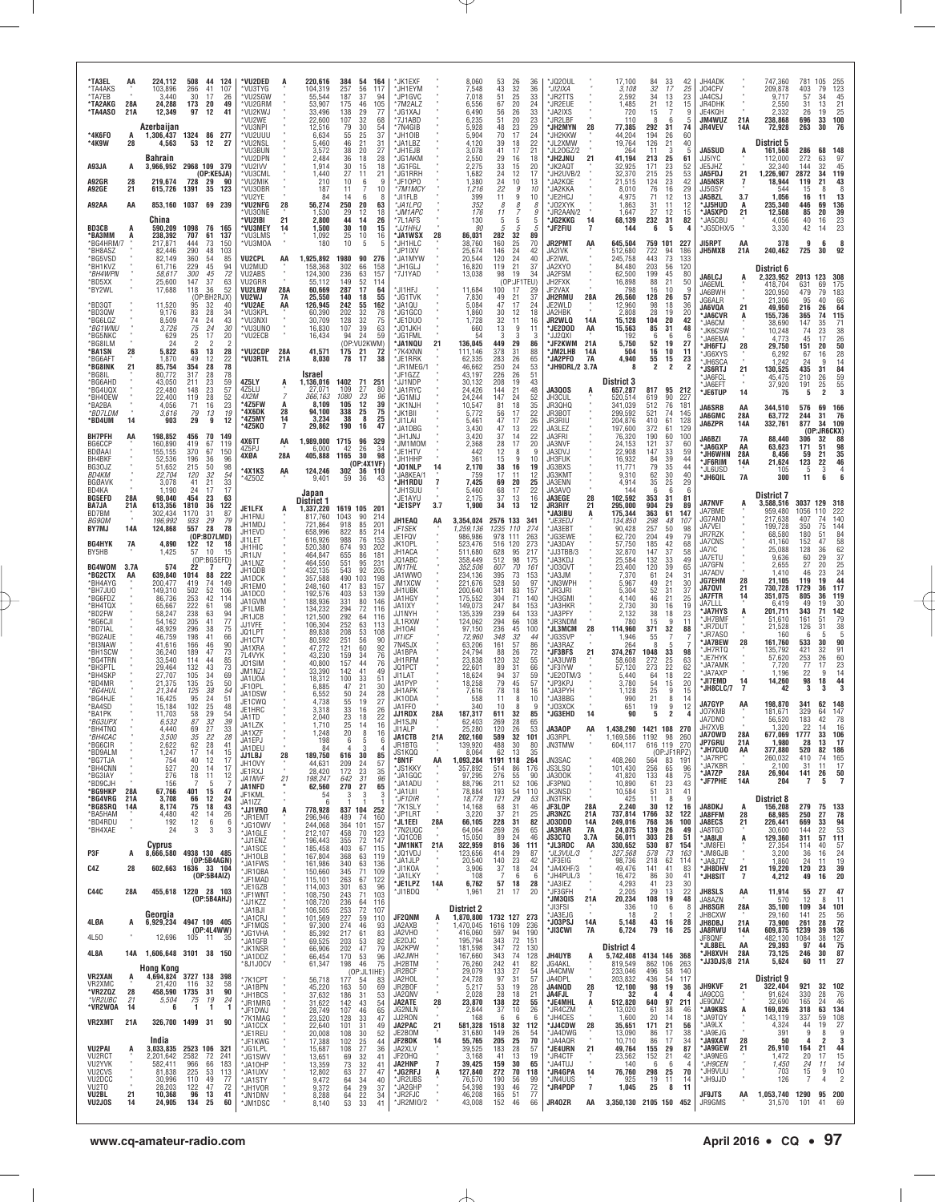| *TA3EL<br>*TA4AKS<br>*TA7EB<br>*TA2AKG<br>*TA4ASO<br>*4K6F0<br>*4K9W<br>A93JA<br>A92GR<br>A92GE<br><b>A92AA</b> | AA<br>28A<br>21A<br>А<br>28<br>А<br>28<br>21<br>AA | 224,112<br>103,896<br>3,440<br>24,288<br>12,349<br>Azerbaijan<br>1.306.437<br>4,563<br><b>Bahrain</b><br>219,674<br>615,726<br>China | 508<br>44<br>124<br>266<br>41<br>107<br>30<br>17<br>26<br>173<br>20<br>49<br>97<br>12<br>41<br>1324 86 277<br>53<br>12<br>27<br>3,966,952 2968 109 379<br>(OP:KE5JA)<br>728<br>29<br>90<br>35<br>123<br>1391<br>853,160 1037 69 239 | *VU2DED<br>*VU3TYG<br>*VU2SGW<br>*VU2GRM<br>*VU2KWJ<br>*VU2WE<br>*VU3NPI<br>*VU2UUU<br>*VU2NSL<br>*VU3BUN<br>*VU2DPN<br>*VU2IVV<br>*VU3CML<br>*VU2MIK<br>*VU30BR<br>*VU2YE<br>*VU2NFG<br>*VU30NF<br>'VU2IBI | A<br>28<br>21                                     | 220,616<br>104,319<br>55,544<br>53,907<br>33,496<br>22,600<br>12,516<br>6,634<br>5,460<br>3,572<br>2,484<br>1,914<br>1,440<br>210<br>187<br>84<br>56,274<br>1,530<br>2,800 | 384<br>54<br>164<br>257<br>56<br>117<br>187<br>37<br>94<br>105<br>46<br>175<br>138<br>29<br>77<br>32<br>107<br>68<br>79<br>30<br>54<br>37<br>55<br>25<br>21<br>46<br>31<br>38<br>20<br>27<br>36<br>18<br>28<br>30<br>18<br>15<br>27<br>11<br>21<br>10<br>6<br>9<br>11<br>10<br>14<br>6<br>8<br>250<br>20<br>63<br>12<br>18<br>29<br>44<br>14<br>26 | *JK1EXF<br>*JH1EYM<br>*JP1GVC<br>*7M2ALZ<br>JG1XAJ<br>*7J1ABD<br>*7N4GIB<br>*.JH10IB<br>*JA1LBZ<br>*JH1EJB<br>*JG1AKM<br>*JG1FGL<br>*JG1RRH<br>*JF10P0<br>*7M1MCY<br>'JI1FLB<br>*JA1LPQ<br>*JM1APC<br>*7L1AFS |                     | 8,060<br>7,548<br>7,018<br>6,556<br>6,490<br>6,235<br>5.928<br>5.904<br>4,120<br>3,078<br>2,550<br>2,275<br>1,682<br>1,380<br>1,216<br>399<br>352<br>176<br>130 | 53<br>43<br>51<br>67<br>56<br>51<br>48<br>70<br>39<br>41<br>29<br>33<br>24<br>$\frac{24}{22}$<br>11<br>8<br>11<br>5 | 26<br>36<br>32<br>36<br>25<br>33<br>20<br>24<br>33<br>26<br>23<br>20<br>23<br>29<br>24<br>17<br>22<br>18<br>17<br>21<br>16<br>18<br>20<br>15<br>17<br>12<br>10<br>13<br>9<br>10<br>9<br>10<br>8<br>8<br>9<br>5<br>5 | JQ20UL*<br>*JI2IXA<br><b>JR2TTS</b><br>'JR2EUE<br>'JA2IXS<br>*JR2LBF<br>*JH2MYN<br>*JH2KKW<br>*JL2XMW<br>*JL20GZ/2<br>*JH2JNU<br>*JK2AQT<br>*JH2UVB/2<br>*JA2KQE<br>*JA2KKA<br>*JE2HCJ<br>*JO2XYK<br>*JR2AAN/2<br>*JG2KKG | 28<br>21<br>14           | 17,100<br>3,108<br>2,592<br>1,485<br>720<br>110<br>77,385<br>44,204<br>19,764<br>264<br>41,194<br>32,925<br>32,370<br>21.515<br>8,010<br>4,975<br>1,863<br>1,647<br>68,139 | 84<br>$32\,$<br>34<br>21<br>15<br>-8<br>292<br>194<br>126<br>11<br>213<br>171<br>215<br><sup>124</sup> 76<br>71<br>31<br>27<br>232 | 33<br>42<br>17<br>25<br>23<br>13<br>12<br>15<br>9<br>6<br>-5<br>31<br>74<br>60<br>26<br>21<br>40<br>3<br>-5<br>25<br>61<br>$\frac{23}{25}$<br>52<br>53<br>$^{23}_{16}$<br>42<br>29<br>12<br>13<br>11<br>12<br>12<br>15<br>82<br>31 | JH4ADK<br>J04CFV<br>JA4CSJ<br>JR4DHK<br>JE4KQH<br>JM4WUZ<br><b>JR4VEV</b><br><b>JA5SUD</b><br>JJ5IYC<br>JE5JHZ<br><b>JA5FDJ</b><br>JA5NSR<br>JJ5GSY<br>JA5BZL<br>*JJ5HUD<br>*JA5XPD<br>*JA5CBU | 21A<br>14A<br>Ą.<br>21<br>$\overline{1}$<br>3.7<br>А<br>21 | 747,360<br>209,878<br>9,717<br>2.550<br>2.332<br>238,868<br>72,928<br>District 5<br>161,568<br>112,000<br>32.340<br>1,226,907<br>18,944<br>544<br>1,056<br>235,340<br>12,508<br>4,056 | 781<br>403<br>57<br>31<br>26<br>696<br>263<br>286<br>272<br>144<br>2872<br>119<br>15<br>16<br>446<br>85<br>40 | 105<br>79<br>34<br>13<br>19<br>33<br>30<br>68<br>63<br>32<br>34<br>21<br>8<br>11<br>69<br>20<br>16 | 255<br>123<br>45<br>21<br>$\frac{25}{100}$<br>76<br>148<br>97<br>45<br>119<br>$\frac{43}{8}$<br>13<br>136<br>39<br>23 |
|-----------------------------------------------------------------------------------------------------------------|----------------------------------------------------|--------------------------------------------------------------------------------------------------------------------------------------|-------------------------------------------------------------------------------------------------------------------------------------------------------------------------------------------------------------------------------------|-------------------------------------------------------------------------------------------------------------------------------------------------------------------------------------------------------------|---------------------------------------------------|----------------------------------------------------------------------------------------------------------------------------------------------------------------------------|----------------------------------------------------------------------------------------------------------------------------------------------------------------------------------------------------------------------------------------------------------------------------------------------------------------------------------------------------|---------------------------------------------------------------------------------------------------------------------------------------------------------------------------------------------------------------|---------------------|-----------------------------------------------------------------------------------------------------------------------------------------------------------------|---------------------------------------------------------------------------------------------------------------------|---------------------------------------------------------------------------------------------------------------------------------------------------------------------------------------------------------------------|---------------------------------------------------------------------------------------------------------------------------------------------------------------------------------------------------------------------------|--------------------------|----------------------------------------------------------------------------------------------------------------------------------------------------------------------------|------------------------------------------------------------------------------------------------------------------------------------|------------------------------------------------------------------------------------------------------------------------------------------------------------------------------------------------------------------------------------|------------------------------------------------------------------------------------------------------------------------------------------------------------------------------------------------|------------------------------------------------------------|---------------------------------------------------------------------------------------------------------------------------------------------------------------------------------------|---------------------------------------------------------------------------------------------------------------|----------------------------------------------------------------------------------------------------|-----------------------------------------------------------------------------------------------------------------------|
| <b>BD3CB</b><br>*BA3MM<br>*BG4HRM/7<br>*BH8AS7                                                                  | A<br>A                                             | 590,209<br>238,392<br>217,871<br>82,446                                                                                              | 1098<br>76<br>165<br>137<br>707<br>61<br>444<br>73<br>150<br>290<br>48<br>103                                                                                                                                                       | *VU3MEY<br>*VU3LMS<br>*VU3MOA                                                                                                                                                                               | 14                                                | 1,500<br>1,092<br>180                                                                                                                                                      | 30<br>10<br>15<br>25<br>10<br>16<br>10<br>5                                                                                                                                                                                                                                                                                                        | *JJ1HHJ<br>*JA1WSX<br>*JH1HLC<br>'JP1IXV                                                                                                                                                                      | 28                  | 90<br>86,031<br>38,760<br>25.674                                                                                                                                | 5<br>282<br>160<br>146                                                                                              | 5<br>5<br>32<br>89<br>$^{25}_{24}$<br>70<br>42                                                                                                                                                                      | *JF2FIU<br>JR2PMT<br>JA2IVK                                                                                                                                                                                               | $\overline{7}$<br>AA     | 144<br>645,504<br>512,680                                                                                                                                                  | 6<br>759<br>722                                                                                                                    | 5<br>$\overline{4}$<br>101<br>227<br>94<br>186                                                                                                                                                                                     | *JG5DHX/5<br>JI5RPT<br>JH5MXB                                                                                                                                                                  | AA<br>21A                                                  | 3,330<br>378<br>240,462                                                                                                                                                               | 42<br>9<br>725                                                                                                | 14<br>6<br>30                                                                                      | 23<br>8<br>92                                                                                                         |
| *BG5VSD<br>*BH1KVZ<br>*BH4WPN<br>*BD5XX                                                                         |                                                    | 82,149<br>61.716<br>58,617<br>25,600                                                                                                 | 360<br>54<br>85<br>229<br>45<br>94<br>72<br>300<br>45<br>147<br>37<br>63                                                                                                                                                            | <b>VU2CPL</b><br>VU2MUD<br>VU2ABS<br>VU2GRR                                                                                                                                                                 | AA                                                | 1,925,892<br>158,368<br>124,300<br>55,112                                                                                                                                  | 1980<br>90<br>276<br>302<br>66<br>158<br>236<br>63<br>157<br>149<br>52<br>114                                                                                                                                                                                                                                                                      | *JA1MYW<br>*JH1GLJ<br>*7J1YAD                                                                                                                                                                                 |                     | 20,544<br>16,820<br>13,038                                                                                                                                      | 120<br>119<br>98                                                                                                    | 24<br>40<br>21<br>37<br>19<br>34<br>(OP:JF1TEU)                                                                                                                                                                     | JF2IWL<br>JA2XYO<br>JA2FSM<br>JH2FXK                                                                                                                                                                                      |                          | 245,758<br>84.480<br>62,500<br>16,898                                                                                                                                      | 443<br>203<br>199<br>88                                                                                                            | 73<br>133<br>120<br>56<br>45<br>80<br>21<br>50                                                                                                                                                                                     | <b>JA6LCJ</b><br>JA6EML                                                                                                                                                                        | Ą                                                          | District 6<br>2,323,952<br>418,704                                                                                                                                                    | 2013<br>631                                                                                                   | 123<br>69                                                                                          | 308<br>175                                                                                                            |
| *BY2WL<br>*BD3QT<br>*BD3QW<br>*BG6LQZ                                                                           |                                                    | 17,688<br>11,520<br>9,176<br>8,509                                                                                                   | 36<br>52<br>118<br>(OP:BH2RJX)<br>95<br>32<br>40<br>83<br>28<br>34<br>74<br>43<br>24                                                                                                                                                | VU2LBW<br>VU2WJ<br>*VU2AE<br>*VU3KPL<br>*VU3NXI                                                                                                                                                             | 28A<br><b>7A</b><br>AA                            | 60,669<br>25,550<br>126,945<br>60,390<br>30,709                                                                                                                            | 287<br>17<br>64<br>140<br>18<br>55<br>242<br>162<br>55<br>202<br>32<br>78<br>32<br>128<br>75                                                                                                                                                                                                                                                       | *JI1HFJ<br>*JG1TVK<br>*JA1QU<br>*JG1GCO<br>*JE1DU0                                                                                                                                                            |                     | 11,684<br>7,830<br>5,084<br>1,860<br>1,728                                                                                                                      | 100<br>$\frac{49}{47}$<br>30<br>32                                                                                  | 17<br>29<br>$\frac{37}{24}$<br>21<br>17<br>18<br>12<br>16<br>11                                                                                                                                                     | JF2VAX<br>JH2RMU<br>JE2WLD<br>JA2HBK<br><b>JR2WLQ</b>                                                                                                                                                                     | 28A<br>14A               | 798<br>26,560<br>12,960<br>2,808<br>15,128                                                                                                                                 | 16<br>128<br>98<br>28<br>104                                                                                                       | 10<br>-9<br>26<br>57<br>18<br>36<br>19<br>20<br>20<br>42                                                                                                                                                                           | JA6BWH<br>JG6ALR<br>JA6VQA<br>'JA6CVR                                                                                                                                                          | 21<br>Ą                                                    | 320,950<br>21.306<br>49,950<br>155,736<br>38,690                                                                                                                                      | 479<br>95<br>216<br>365                                                                                       | 79<br>40<br>26<br>74                                                                               | 183<br>66<br>64<br>115<br>71                                                                                          |
| *BG1WNU<br>*BG5NKC<br>*BG8ILM<br>*BA1SN                                                                         | 28                                                 | 3,726<br>629<br>24<br>5,822                                                                                                          | 75<br>30<br>24<br>25<br>20<br>17<br>$\overline{2}$<br>63<br>28<br>13                                                                                                                                                                | *VU3UNO<br>*VU2ECB<br>*VU2CDP                                                                                                                                                                               | 28A                                               | 16,830<br>16,434<br>41,571                                                                                                                                                 | 39<br>107<br>63<br>59<br>94<br>24<br>(OP:VU2KWM)<br>175<br>21<br>72                                                                                                                                                                                                                                                                                | *JO1JKH<br>*JG1FML<br>*JA1NQU<br>*7K4XNN                                                                                                                                                                      | 21                  | 660<br>-54<br>136,045<br>111,146                                                                                                                                | 13<br>3<br>449<br>378                                                                                               | 9<br>11<br>3<br>3<br>86<br>29<br>88<br>31                                                                                                                                                                           | *JE2DOD<br>'JJ20XI<br><b>SJF2KWM</b><br>*JM2LHB                                                                                                                                                                           | AA<br>21A<br>14A         | 15,563<br>192<br>5,750<br>504                                                                                                                                              | 85<br>6<br>52<br>16                                                                                                                | 31<br>48<br>6<br>-6<br>19<br>27<br>10<br>11                                                                                                                                                                                        | *JA6CM<br><b>JK6CSW</b><br>'JA6EMA<br><b>JH6FTJ</b><br>'JG6XYS                                                                                                                                 | 28                                                         | 10,248<br>4,773<br>29,750<br>6,292                                                                                                                                                    | 147<br>74<br>45<br>151<br>67                                                                                  | 35<br>23<br>17<br>20<br>16                                                                         | $\begin{array}{c} 38 \\ 26 \end{array}$<br>$\begin{array}{c} {\bf 50}\\ 28 \end{array}$                               |
| *BG6AFT<br>*BG8INK<br>*BG8IL<br>*BG6AHD<br>*BG4UQX                                                              | 21                                                 | 1,870<br>85,754<br>80,772<br>43,050<br>22,480                                                                                        | 49<br>12<br>22<br>78<br>354<br>28<br>317<br>28<br>78<br>211<br>23<br>59<br>148<br>23<br>57                                                                                                                                          | *VU3RTL<br>4Z5LY<br>4Z5LU                                                                                                                                                                                   | 21A<br>Ŗ                                          | 8,030<br>Israel<br>1,136,016<br>27.071                                                                                                                                     | 38<br>78<br>17<br>1402<br>71<br>251<br>109<br>80                                                                                                                                                                                                                                                                                                   | *JE1RRK<br>JR1MEG/1<br>*JF1GZZ<br>*JJ1NDP<br>'JA1RYC                                                                                                                                                          |                     | 62,335<br>46,662<br>43,197<br>30,132<br>24,426                                                                                                                  | 283<br>250<br>226<br>208<br>144                                                                                     | 26<br>65<br>53<br>24<br>51<br>26<br>19<br>43<br>21<br>48                                                                                                                                                            | *JA2PF0<br>JH9DRL/2 3.7A<br><b>JA3QOS</b>                                                                                                                                                                                 | 7A<br>A                  | 4,940<br>-8<br><b>District 3</b><br>657,287                                                                                                                                | 55<br>2<br>817                                                                                                                     | $\frac{15}{2}$<br>$\frac{23}{2}$<br>95<br>212                                                                                                                                                                                      | *JH6SCA<br>*JS6RTJ<br>*JA6FCL<br>'JA6EFT                                                                                                                                                       | 21                                                         | 1,242<br>130,525<br>45,475<br>37,920                                                                                                                                                  | 24<br>435<br>210<br>191                                                                                       | 9<br>31<br>$\frac{26}{25}$<br>$\overline{2}$                                                       | 14<br>84<br>$\begin{array}{c} 59 \\ 55 \\ \textbf{3} \end{array}$                                                     |
| *BH40EW<br>*BA2BA<br>*BD7LDM<br>*BD4UM                                                                          | 14                                                 | 22,400<br>4,056<br>3,616<br>903                                                                                                      | 119<br>28<br>$\frac{52}{23}$<br>71<br>16<br>$^{79}_{\bf 29}$<br>$\frac{13}{9}$<br>19<br>12                                                                                                                                          | 4X2M<br>*4Z5FW<br>*4X6DK<br>*4Z5MY<br>*4Z5KO                                                                                                                                                                | $\overline{7}$<br>A<br>28<br>14<br>$\overline{7}$ | 366,163<br>8.109<br>94,100<br>3,234<br>29,862                                                                                                                              | 27<br>23<br>1080<br>96<br>105<br>12<br>39<br>338<br>25<br>75<br>38<br>8<br>25<br>190<br>47<br>16                                                                                                                                                                                                                                                   | *JG1MIJ<br>*JK1NJH<br>*JK1BII<br>*JI1LAI                                                                                                                                                                      |                     | 24.244<br>10,547<br>5,772<br>5,461                                                                                                                              | 147<br>81<br>$\frac{56}{5}$<br>47                                                                                   | 24<br>52<br>35<br>18<br>17<br>$^{22}_{26}$<br>17                                                                                                                                                                    | JH3CUL<br>JR3QHQ<br>JR3BOT<br>JR3RIU                                                                                                                                                                                      |                          | 520.514<br>341,039<br>299.592<br>204,876                                                                                                                                   | 619<br>512<br>521<br>410                                                                                                           | 90<br>227<br>76<br>181<br>74<br>145<br>61<br>128                                                                                                                                                                                   | *JE6TUP<br><b>JA6SRB</b><br><b>JA6GMC</b><br>JA6ZPR                                                                                                                                            | 14<br>AA<br>28A<br>14A                                     | 75<br>344,510<br>63,772<br>332,761                                                                                                                                                    | 5<br>576<br>244<br>877                                                                                        | 69<br>31<br>34                                                                                     | 166<br>76<br>109                                                                                                      |
| <b>BH7PFH</b><br>BG6CCP<br>BDØAAI<br>BH4BKF                                                                     | AA                                                 | 198,852<br>160,890<br>155,155<br>52,536                                                                                              | 456<br>70<br>149<br>419<br>67<br>119<br>370<br>67<br>150<br>96<br>196<br>36                                                                                                                                                         | 4X6TT<br>4Z5PJ<br>4XØA                                                                                                                                                                                      | AA<br>28A                                         | 1,989,000<br>6,000<br>405,888                                                                                                                                              | 1715<br>96<br>329<br>42<br>26<br>34<br>98<br>1165<br>-30                                                                                                                                                                                                                                                                                           | *JA1DBG<br>'JH1JNJ<br>'JM1MOM<br>*JE1HTV<br>*JH1HHP                                                                                                                                                           |                     | 3,430<br>3,420<br>2,368<br>442<br>361                                                                                                                           | 47<br>37<br>28<br>12<br>15                                                                                          | 22<br>13<br>22<br>14<br>20<br>17<br>8<br>9<br>9<br>10                                                                                                                                                               | JA3LEZ<br>JA3FRI<br><b>JA3NVF</b><br>JA3DVJ<br>JH3FUK                                                                                                                                                                     |                          | 197,600<br>76,320<br>24,153<br>22,908<br>16,932                                                                                                                            | 372<br>190<br>121<br>147<br>84                                                                                                     | 129<br>61<br>60<br>100<br>37<br>60<br>33<br>59<br>39<br>44                                                                                                                                                                         | <b>JA6BZI</b><br>'JA6GXP<br><b>JH6WHN</b><br>*JF6RIM                                                                                                                                           | <b>7A</b><br>AA<br>28A<br>14A                              | 88,440<br>63.623<br>8,456<br>21,624                                                                                                                                                   | 306<br>171<br>59<br>123                                                                                       | (0P:JR6CKX)<br>32<br>51<br>21<br>22                                                                | 88<br>98<br>35                                                                                                        |
| BG30JZ<br>BD4KM<br><b>BGØAVK</b><br>BD4KA<br><b>BG5EFD</b>                                                      | 28A                                                | 51,652<br>22,704<br>3.078<br>1,190<br>98,040                                                                                         | 98<br>215<br>50<br>32<br>$\frac{54}{33}$<br>120<br>21<br>41<br>24<br>17<br>17<br>23<br>454<br>63                                                                                                                                    | <b>*4X1KS</b><br>*4Z50Z                                                                                                                                                                                     | AA                                                | 124,246<br>9,401<br>Japan                                                                                                                                                  | (OP:4X1VF)<br>302 36 110<br>59<br>36<br>43                                                                                                                                                                                                                                                                                                         | *JO1NLP<br>*JA8KEA/1<br>*JH1RDU<br>*JH1SUU<br>*JE1AYU                                                                                                                                                         | 14<br>7             | 2,170<br>759<br>7.425<br>5,460<br>2.175                                                                                                                         | 38<br>17<br>69<br>68<br>37                                                                                          | 16<br>19<br>11<br>12<br>20<br>25<br>22<br>17<br>13<br>16                                                                                                                                                            | JG3BXS<br>JG3KMT<br>JA3ENN<br>JA3AVO<br>JA3EGE                                                                                                                                                                            | 28                       | 11,771<br>9,310<br>4,914<br>144<br>102,592                                                                                                                                 | 79<br>$\frac{62}{35}$<br>6<br>353                                                                                                  | 35<br>44<br>30<br>40<br>25<br>29<br>6<br>6<br>31<br>81                                                                                                                                                                             | *JL6USD<br>*JH6QIL                                                                                                                                                                             | 7A                                                         | 105<br>300<br>District 7                                                                                                                                                              | 11                                                                                                            | 3<br>6                                                                                             | $\begin{array}{c} 46 \\ 4 \\ 6 \end{array}$                                                                           |
| BA7JA<br>BD7BM<br><b>BG9QM</b><br>BY7MJ                                                                         | 21A<br>14A                                         | 613,356<br>302.434<br>196,992<br>124,868                                                                                             | 1810<br>36<br>122<br>87<br>1170<br>31<br>933<br>29<br>79<br>557<br>28<br>78                                                                                                                                                         | JE1LFX<br>JH1FNU<br>JH1MDJ<br>JH1EVD                                                                                                                                                                        |                                                   | District 1<br>1,337,220<br>817,760<br>721.864<br>658,996                                                                                                                   | 1619 105 201<br>1043<br>90<br>214<br>918<br>85<br>201<br>822<br>85<br>214                                                                                                                                                                                                                                                                          | *JE1SPY<br>JH1EAQ<br>JF1SEK                                                                                                                                                                                   | 3.7<br>AA           | 1,900<br>3,354,024<br>1,259,136                                                                                                                                 | 34<br>2576 133<br>1235                                                                                              | 12<br>13<br>341<br>110<br>274                                                                                                                                                                                       | <b>JR3RIY</b><br><b>JA3IBU</b><br>*JE3EDJ<br>JA3EBT                                                                                                                                                                       | 21<br>Ą                  | 295,000<br>175,344<br>134,850<br>90,428                                                                                                                                    | 904<br>363<br>298<br>257<br>204                                                                                                    | 29<br>89<br>61<br>147<br>48<br>107<br>$\frac{50}{49}$<br>98<br>79                                                                                                                                                                  | <b>JA7NVF</b><br>JA7BME<br>JG7AMD<br>JA7VEI                                                                                                                                                    | A                                                          | 3,588,516<br>959,480<br>217,638<br>199,728                                                                                                                                            | 3037<br>1056<br>407<br>350                                                                                    | 129<br>110<br>74<br>75                                                                             | 318<br>222<br>140<br>144                                                                                              |
| <b>BG4HYK</b><br>BY5HB                                                                                          | 7A                                                 | 4,890<br>1,425                                                                                                                       | (OP:BD7LMD)<br>122<br>12<br>18<br>57<br>10<br>15<br>(OP:BG5EFD)                                                                                                                                                                     | JI1LET<br>JH1HIC<br>JR1IJV<br>JA1LNZ                                                                                                                                                                        |                                                   | 616,926<br>520,380<br>464,847<br>464,550                                                                                                                                   | 988<br>76<br>153<br>674<br>93<br>202<br>86<br>655<br>181<br>95<br>231                                                                                                                                                                                                                                                                              | JE1FQV<br>JK10PL<br>JH1ACA<br>JQ1ABC                                                                                                                                                                          |                     | 986,986<br>523,476<br>511.680<br>358,449                                                                                                                        | 978 111<br>516<br>120<br>628<br>512                                                                                 | 263<br>273<br>95<br>217<br>98<br>175                                                                                                                                                                                | *JG3EWE<br>*JA3DAY<br>"JJ3TBB/3<br>*JA3KDJ                                                                                                                                                                                |                          | 62,720<br>57,750<br>32,870<br>25,584                                                                                                                                       | 185<br>147<br>132                                                                                                                  | 42<br>68<br>37<br>58<br>33<br>49                                                                                                                                                                                                   | JR7RZK<br>JA7CNS<br>JA7IC<br>JA7ETU                                                                                                                                                            |                                                            | 68,580<br>41,160<br>25,088<br>9,636                                                                                                                                                   | 180<br>152<br>128<br>60                                                                                       | 51<br>47<br>36<br>29                                                                               | 84<br>58<br>$rac{62}{37}$                                                                                             |
| BG4WOM<br>*BG2CTX<br>*BH4AYG<br>*BH7JU0                                                                         | 3.7A<br>AA                                         | 574<br>639,840<br>200,477<br>149,310                                                                                                 | 22<br>7<br>1014<br>88<br>222<br>419<br>74<br>149<br>52<br>502<br>106                                                                                                                                                                | JH1QDB<br>JA1DCK<br>JR1EMO<br>JA1DCO                                                                                                                                                                        |                                                   | 432,135<br>357,588<br>248,160<br>192,576                                                                                                                                   | 551<br>543<br>92<br>205<br>490<br>103<br>198<br>417<br>83<br>157<br>53<br>403<br>139                                                                                                                                                                                                                                                               | <b>JN1THL</b><br>JA1WW0<br>JM1XCW<br>JH1UBK                                                                                                                                                                   |                     | 352,506<br>234,136<br>221,676<br>200,640                                                                                                                        | 607<br>395<br>528<br>341                                                                                            | 70<br>161<br>73<br>153<br>50<br>97<br>83<br>157                                                                                                                                                                     | 'JO3QVT<br>JA3JM<br>*JN3WPH<br>*JR3JRI                                                                                                                                                                                    |                          | 23,400<br>7,370<br>5,967<br>5,304                                                                                                                                          | 120<br>61<br>49<br>52                                                                                                              | 39<br>65<br>24<br>31<br>21<br>30<br>$\begin{array}{c} 31 \\ 21 \end{array}$<br>37                                                                                                                                                  | JA7GFN<br>JA7ADV<br>JG7EHM<br><b>JA7QVI</b>                                                                                                                                                    | 28<br>21                                                   | 2,655<br>1,410<br>21,105<br>730,728                                                                                                                                                   | 27<br>46<br>119<br>1729                                                                                       | 20<br>23<br>19<br>36                                                                               | 25<br>24<br>44<br>117                                                                                                 |
| *BG6FD7<br>*BH4TQX<br>*BD2FW<br>*BG6CJI                                                                         |                                                    | 86.736<br>65,667<br>58,247<br>54.162                                                                                                 | 42<br>253<br>114<br>222<br>61<br>98<br>238<br>63<br>94<br>205<br>41<br>77                                                                                                                                                           | JA1GVM<br>JF1LMB<br>JR1JCB<br>JJ1VFE                                                                                                                                                                        |                                                   | 188,936<br>134,232<br>121,500<br>106,304                                                                                                                                   | 331<br>80<br>146<br>294<br>72<br>116<br>292<br>64<br>116<br>252<br>63<br>113                                                                                                                                                                                                                                                                       | JA1HGY<br>JA1IXY<br>JJ1NYH<br>JL1RXW                                                                                                                                                                          |                     | 175,552<br>149,073<br>135,339<br>124,062                                                                                                                        | 304<br>247<br>239<br>294                                                                                            | 71<br>140<br>153<br>84<br>133<br>64<br>66<br>108                                                                                                                                                                    | <b>JH3GMI</b><br>*JA3HKR<br>*JA3PFY<br>'JR3NDM                                                                                                                                                                            |                          | 4,140<br>2,730<br>2,132<br>780                                                                                                                                             | 46<br>30<br>38<br>15                                                                                                               | 25<br>16<br>19<br>18<br>23<br>9<br>11                                                                                                                                                                                              | <b>JA7FTR</b><br>JA7LLL<br>*JA7HYS<br>*JH7BMF                                                                                                                                                  | 14<br>Ą                                                    | 351,075<br>6,419<br>201,711<br>51,610                                                                                                                                                 | 805<br>49<br>343<br>161                                                                                       | 36<br>19<br>71<br>51                                                                               | 119<br>30<br>142<br>79                                                                                                |
| *BD7IAL<br>*BG2AUE<br>*BI3NAW<br>*BH1SCW                                                                        |                                                    | 48,929<br>46,759<br>41,616<br>36,240                                                                                                 | 296<br>38<br>75<br>198<br>41<br>66<br>46<br>$\frac{90}{73}$<br>166<br>189<br>47                                                                                                                                                     | JQ1LPT<br>JH1CTV<br>JA1XRA<br>7L4VYK                                                                                                                                                                        |                                                   | 89,838<br>80,592<br>47,272<br>43,230                                                                                                                                       | 208<br>53<br>108<br>$\frac{251}{121}$<br>56<br>90<br>60<br>92<br>159<br>34<br>76                                                                                                                                                                                                                                                                   | JH10AI<br>JI1ICF<br>7N4SJX<br>JA1BPA                                                                                                                                                                          |                     | 97,150<br>72,960<br>63.206<br>24,794                                                                                                                            | 236<br>348<br>$\frac{161}{88}$                                                                                      | 45<br>100<br>32<br>44<br>$\frac{57}{26}$<br>$\frac{86}{72}$                                                                                                                                                         | <b>JL3MCM</b><br>*JG3SVP<br>*JA3RAZ<br>'JF3BFS                                                                                                                                                                            | 28<br>21                 | 114,960<br>1,946<br>264<br>374,267                                                                                                                                         | 371<br>55<br>8<br>1048                                                                                                             | 32<br>88<br>5<br>33<br>98                                                                                                                                                                                                          | 'JR7DUT<br>*JR7ASO<br><b>JA7BEW</b><br>'JH7RTQ                                                                                                                                                 | 28                                                         | 21,528<br>160<br>161,760<br>135,792                                                                                                                                                   | 126<br>533<br>421                                                                                             | 31<br>30<br>32                                                                                     | $\substack{38 \\ 5}$<br>90<br>91                                                                                      |
| *BG4TRN<br>*BH3PTL<br>*BH4SKP<br>*BD4MR                                                                         |                                                    | 33,540<br>29,464<br>27,707<br>21,375                                                                                                 | 114<br>44<br>85<br>132<br>43<br>73<br>105<br>34<br>69<br>135<br>25<br>50                                                                                                                                                            | J01SIM<br>JM1NZJ<br>JA1UOA<br>JF10PL                                                                                                                                                                        |                                                   | 40,800<br>33,390<br>18,312<br>6,885                                                                                                                                        | 157<br>44<br>76<br>142<br>41<br>49<br>100<br>33<br>51<br>21<br>30<br>47                                                                                                                                                                                                                                                                            | JH1RFM<br>JQ1PCT<br>JI1LAT<br>JA1PYP                                                                                                                                                                          |                     | 23,838<br>22,601<br>18,624<br>18,258                                                                                                                            | 120<br>89<br>94<br>79                                                                                               | 32<br>55<br>66<br>31<br>37<br>59<br>45<br>57                                                                                                                                                                        | JA3UWB<br>*JF3IYW<br>*JE20TM/3<br>*JP3KPJ                                                                                                                                                                                 |                          | 58,608<br>57,120<br>5,440<br>3,780                                                                                                                                         | 272<br>273<br>64<br>54                                                                                                             | 25<br>63<br>22<br>62<br>18<br>22<br>20<br>15                                                                                                                                                                                       | *JE7HYK<br>*JA7AMK<br><b>JA7AXP</b><br>*JI7EMD                                                                                                                                                 | 14                                                         | 57,620<br>7,720<br>1,196<br>14,260                                                                                                                                                    | 253<br>77<br>22<br>98                                                                                         | 26<br>17<br>9<br>18                                                                                | 60<br>23<br>14<br>44                                                                                                  |
| *BG4HUL<br>*BG4HJE<br>*BA4SD<br>*BA1PK                                                                          |                                                    | 21,344<br>16,425<br>15,184<br>11,703                                                                                                 | 125<br>38<br>54<br>24<br>51<br>95<br>102<br>25<br>48<br>29<br>58<br>54                                                                                                                                                              | JA1DSW<br>JE1CWQ<br>JE1HRC<br>JA1TD                                                                                                                                                                         |                                                   | 6,552<br>4,738<br>3,318<br>2,040                                                                                                                                           | 50<br>24<br>28<br>19<br>55<br>27<br>33<br>16<br>26<br>22<br>23<br>18                                                                                                                                                                                                                                                                               | JH1APK<br>JK10DA<br>JA1FFO<br>JJ1RDX                                                                                                                                                                          | 28A                 | 7,616<br>558<br>340<br>187,317                                                                                                                                  | 78<br>11<br>10<br>611                                                                                               | 18<br>16<br>8<br>10<br>8<br>9<br>85<br>32                                                                                                                                                                           | *JA3PYH<br>*JA3BBG<br>*JO3XCK<br>*JG3EHD                                                                                                                                                                                  | 14                       | 1,128<br>990<br>651<br>90                                                                                                                                                  | 25<br>21<br>19<br>5                                                                                                                | 9<br>15<br>8<br>14<br>9<br>12<br>2                                                                                                                                                                                                 | *JH8CLC/7<br>JA7GYP<br>J07KMB                                                                                                                                                                  | AA                                                         | 42<br>198,870<br>181.671                                                                                                                                                              | 3<br>341<br>329                                                                                               | 62<br>64                                                                                           | 148<br>147                                                                                                            |
| *BG3UPX<br>*BH4TNQ<br>*ВН4САС<br>*BG6CIR                                                                        |                                                    | 6.532<br>4.440<br><i>3.500</i><br>2,622                                                                                              | 87<br>32<br>39<br>69<br>27<br>33<br>35<br>22<br>62<br>28<br>41                                                                                                                                                                      | <b>JA117K</b><br>JA1XZF<br>JA1EPJ<br>JA1DEU                                                                                                                                                                 |                                                   | 1,710<br>1,248<br>198<br>84                                                                                                                                                | 25<br>16<br>14<br>20<br>8<br>16<br>6<br>5<br>6<br>3<br>4                                                                                                                                                                                                                                                                                           | JH1SJN<br>JI1AI P<br><b>JA1CTB</b><br>JR1BTG                                                                                                                                                                  | 21A                 | 62.403<br>25.280<br>202.160<br>139,920                                                                                                                          | 269<br>120<br>589<br>488                                                                                            | 65<br>28<br>26<br>53<br>32<br>101<br>30<br>-80                                                                                                                                                                      | JA3A0P<br>JG3RPL<br>JN3TMW                                                                                                                                                                                                | AA                       | 1,438,290 1421 108 270<br>1,169,586<br>604,117                                                                                                                             | 1192 98                                                                                                                            | 260<br>616 119 270                                                                                                                                                                                                                 | JA7DNO<br>JH7XVR<br>JA70WD<br><b>JP7GRU</b>                                                                                                                                                    | 28A<br>21A                                                 | 56,520<br>1.320<br>677,069<br>1.980                                                                                                                                                   | 183<br>22<br>1777<br>28                                                                                       | 42<br>14<br>13                                                                                     | 78<br>16<br>106<br>17                                                                                                 |
| *BD9ALM<br>*BG7TJA<br>*BH4CNN<br>*BG3IAY                                                                        |                                                    | 1,247<br>754<br>527<br>276                                                                                                           | 17<br>14<br>15<br>40<br>12<br>17<br>20<br>14<br>17<br>18<br>11<br>12                                                                                                                                                                | JJ1LBJ<br>JH10VY<br>JE1RXJ<br><b>JA1NVF</b>                                                                                                                                                                 | 28<br>21                                          | 189,750<br>44,631<br>28,420<br>198,247                                                                                                                                     | 30<br>616<br>85<br>209<br>24<br>57<br>172<br>23<br>35<br>642<br>31<br>96                                                                                                                                                                                                                                                                           | JS1KQQ<br>*8N1F<br>*JS1KKY<br>*JA1GQC                                                                                                                                                                         | AA                  | 8,064<br>1,093,284<br>357,892<br>97,295                                                                                                                         | 62<br>1191 118<br>514<br>276                                                                                        | 13<br>35<br>264<br>86<br>176<br>55<br>90                                                                                                                                                                            | JN3SAC<br>JS3LSQ<br>JA300K                                                                                                                                                                                                |                          | 408.260<br>101,430<br>41,820                                                                                                                                               | 564<br>256<br>133                                                                                                                  | (OP:JF1RPZ)<br>83<br>191<br>65<br>96<br>48<br>75                                                                                                                                                                                   | *JH7CUO<br>*JA7RPC<br>*JA7KBR<br>*JA7ZP                                                                                                                                                        | AA<br>28A                                                  | 377,880<br>260,032<br>2.100<br>26,904                                                                                                                                                 | 520<br>410<br>-31<br>141                                                                                      | 82<br>74<br>11<br>26                                                                               | 186<br>165<br>17<br>50<br>7                                                                                           |
| *BD9CJH<br>*BG9HKP<br>*BG4VRG<br>*BG8SRQ                                                                        | 28A<br>21A<br>14A                                  | 156<br>67,766<br>3,708<br>8,174                                                                                                      | -5<br>401<br>15<br>47<br>12<br>24<br>66<br>75<br>43<br>18                                                                                                                                                                           | JA1NFD<br>JF1KML<br>JA1IZZ<br>*JJ1VRO                                                                                                                                                                       | A                                                 | 62,560<br>54<br>6<br>778,928                                                                                                                                               | 270<br>27<br>65<br>3<br>3<br>3<br>837 104<br>252                                                                                                                                                                                                                                                                                                   | *JA1ADU<br>*JA1UII<br>*JF1DIR<br>*7K1SLY                                                                                                                                                                      |                     | 88,796<br>78,884<br>18,778<br>14,168                                                                                                                            | 211<br>193<br>121<br>68                                                                                             | 52<br>106<br>54<br>110<br>29<br>53<br>31<br>46                                                                                                                                                                      | JF3PNQ<br>JK3NSD<br><b>JN3TRK</b><br>JF3LOP                                                                                                                                                                               | 28A                      | 10,890<br>10,584<br>425<br>2,240                                                                                                                                           | 61<br>51<br>11<br>30                                                                                                               | 23<br>43<br>31<br>41<br>-9<br>8<br>12<br>16                                                                                                                                                                                        | *JF7PHE<br><b>JA8DKJ</b>                                                                                                                                                                       | 14A<br>А                                                   | 204<br>District 8<br>156,208                                                                                                                                                          | 7<br>279                                                                                                      | 5<br>75                                                                                            | 133                                                                                                                   |
| *BA5HAM<br>*BD4RDU<br>*BH4XAE                                                                                   |                                                    | 4,480<br>192<br>24                                                                                                                   | 42<br>26<br>14<br>$\frac{12}{3}$<br>$\frac{6}{3}$                                                                                                                                                                                   | *JR1EMT<br>$\begin{matrix} 6 \\ 3 \end{matrix}$<br>*JG10WV<br>*JA1GLE<br>*JJ1ENZ                                                                                                                            |                                                   | 296,946<br>244,068<br>212,107<br>196,443                                                                                                                                   | 489<br>74<br>160<br>101<br>364<br>157<br>458<br>70<br>123<br>355<br>72<br>147                                                                                                                                                                                                                                                                      | *JP1LRT<br>*JL1EEI<br>*7N2UQC<br>'JQ1COB                                                                                                                                                                      | 28A                 | 3,220<br>66,105<br>64.064<br>15,050                                                                                                                             | 37<br>228<br>269<br>89                                                                                              | 21<br>25<br>82<br>31<br>26<br>65<br>24<br>46                                                                                                                                                                        | <b>JR3NZC</b><br>J03DDD<br>JA3RAR<br><b>JS3CTQ</b>                                                                                                                                                                        | 21A<br>14A<br>7A<br>3.7A | 737,814<br>249,016<br>24,075<br>56,011                                                                                                                                     | 1766<br>768<br>139<br>303                                                                                                          | 32<br>122<br>36<br>100<br>26<br>49<br>28<br>51                                                                                                                                                                                     | JA8FFM<br><b>JA8ECS</b><br>JA8TGD<br>*JA8IJI                                                                                                                                                   | 28<br>21<br>Ą                                              | 68,985<br>226,441<br>30,600<br>129,360                                                                                                                                                | 250<br>669<br>144<br>311                                                                                      | 27<br>33<br>22<br>57                                                                               | 78<br>94<br>53<br>111                                                                                                 |
| P3F<br>C4Z                                                                                                      | А<br>28                                            | Cyprus<br>8,666,580<br>602,663                                                                                                       | 4938 130 485<br>(OP:5B4AGN)<br>1636 33 104                                                                                                                                                                                          | *JA1SCE<br>*JH10LB<br>*JA1FWS<br>*JR1QBA                                                                                                                                                                    |                                                   | 185,458<br>167,804<br>161,986<br>150,660                                                                                                                                   | 403<br>67<br>115<br>368<br>119<br>63<br>340<br>63<br>136<br>345<br>71<br>109                                                                                                                                                                                                                                                                       | *JM1NKT<br>*JQ1VDJ<br>*JA1JLP<br>*JI1KOA                                                                                                                                                                      | 21A<br>$\bar{a}$    | 322,959<br>123,656<br>20,540<br>3,906                                                                                                                           | 816<br>414<br>140<br>37                                                                                             | 36<br>111<br>29<br>87<br>23<br>42<br>18<br>24                                                                                                                                                                       | *JL3RDC<br>*JL3VUL/3<br>*JF3EIG<br>*JA4XHF/3                                                                                                                                                                              | AA                       | 330,652<br>327,568<br>98,736<br>49,476                                                                                                                                     | 530<br>578<br>218<br>141                                                                                                           | 87<br>154<br>73<br>163<br>62<br>114<br>41<br>83                                                                                                                                                                                    | *JM8FEI<br>*JM8GJB<br>JA8JTZ<br>*JH8DHV                                                                                                                                                        | 21                                                         | 27,354<br>3,200<br>1.860<br>19,220                                                                                                                                                    | 114<br>36<br>24<br>120                                                                                        | 40<br>16<br>11<br>23                                                                               | 57<br>24<br>$\frac{19}{39}$                                                                                           |
| <b>C44C</b>                                                                                                     | 28A                                                |                                                                                                                                      | (0P:5B4AIZ)<br>455,618 1220 28 103<br>(0P:5B4AHJ)                                                                                                                                                                                   | *JF1MAD<br>™JE1GZB<br>*JF1WNT<br>*JJ1KZZ                                                                                                                                                                    |                                                   | 115,101<br>114,003<br>108,750<br>108,720                                                                                                                                   | 263<br>67<br>122<br>301<br>96<br>63<br>243<br>71<br>103<br>236<br>64<br>116                                                                                                                                                                                                                                                                        | *JA1LKY<br>*JE1LPZ<br>*JI1BDQ                                                                                                                                                                                 | 14A                 | 108<br>6,762<br>1,961                                                                                                                                           | 57<br>21                                                                                                            | -6<br>-6<br>28<br>18<br>20<br>17                                                                                                                                                                                    | *JH4PUL/3<br>*JA3IEZ<br>*JF3GFH<br>'JM3QIS                                                                                                                                                                                | 21A                      | 16,472<br>4,293<br>2,205<br>20,234                                                                                                                                         | 86<br>41<br>29<br>108                                                                                                              | 30<br>41<br>23<br>30<br>13<br>22<br>19<br>48                                                                                                                                                                                       | *JH8SIT<br><b>JH8SLS</b><br>JA8AZN                                                                                                                                                             | $\overline{7}$<br>AA                                       | 4,212<br>11,914<br>570                                                                                                                                                                | 49<br>55<br>12                                                                                                | 16<br>27<br>8                                                                                      | 20<br>47<br>11                                                                                                        |
| 4LØA                                                                                                            | A                                                  | Georgia<br>6,929,234                                                                                                                 | 4947 109 405<br>(0P:4L4WW)                                                                                                                                                                                                          | *JA1BJI<br><b>JA1CRJ</b><br>*JF1MQS<br>*JG1VHA                                                                                                                                                              |                                                   | 106,505<br>101,569<br>97,300<br>85,392                                                                                                                                     | 253<br>72<br>107<br>227<br>59<br>110<br>274<br>46<br>93<br>217<br>83<br>61                                                                                                                                                                                                                                                                         | JF2QNM<br>JA2AXB<br>JA2VHO                                                                                                                                                                                    | A                   | <b>District 2</b><br>1,870,800<br>1,470,045<br>416,060                                                                                                          | 1732 127 273<br>1616<br>597                                                                                         | 109<br>236<br>94<br>190                                                                                                                                                                                             | *JI3FSI<br>*JA3EJG<br>*JO3PSJ<br>*JI3CWI                                                                                                                                                                                  | 14A<br>7A                | 336<br>18<br>5,148<br>6,724                                                                                                                                                | 10<br>-2<br>43<br>79                                                                                                               | 6<br>8<br>-2<br>-1<br>16<br>28<br>25<br>16                                                                                                                                                                                         | <b>JH8SGR</b><br>JH8CXW<br>JH8DBJ<br>JA8RWU                                                                                                                                                    | 28A<br>21A<br>14A                                          | 35,100<br>29,160<br>73,900<br>609,875                                                                                                                                                 | 109<br>141<br>261<br>1239                                                                                     | 34<br>25<br>28<br>39                                                                               | 101<br>56<br>72<br>136                                                                                                |
| 4L50<br>4L8A                                                                                                    |                                                    | 12,696                                                                                                                               | 105 11<br>- 35<br>14A 1,606,648 3101 38 150                                                                                                                                                                                         | *JA1GFB<br>™JK1NSR<br>*JA1DDZ<br>*8J1JOCV                                                                                                                                                                   |                                                   | 69,525<br>66,906<br>66,454<br>61,347                                                                                                                                       | 203<br>82<br>53<br>202<br>47<br>79<br>170<br>53<br>96<br>198<br>46<br>75                                                                                                                                                                                                                                                                           | JE2DJC<br>JA2KPW<br>JA2JWH<br>JH2BTM                                                                                                                                                                          |                     | 195,794<br>181,598<br>167,660<br>76,260                                                                                                                         | 343<br>347<br>343<br>242                                                                                            | 72<br>151<br>72<br>130<br>74<br>128<br>41<br>82                                                                                                                                                                     | JH4UYB<br>JG4AKL                                                                                                                                                                                                          | A                        | District 4<br>5,742,408<br>819,549                                                                                                                                         | 862 106                                                                                                                            | 4134 146 368<br>263                                                                                                                                                                                                                | JF8QNF<br>*JL8BEL<br><b>HVX8HL*</b><br>*JJ3DJS/8                                                                                                                                               | AA<br>28A<br>21A                                           | 482,130<br>29,393<br>73,125<br>5,624                                                                                                                                                  | 1084<br>-97<br>246<br>60                                                                                      | 38<br>44<br>30<br>11                                                                               | 127<br>75<br>87<br>27                                                                                                 |
| <b>VR2XAN</b><br>VR2XMC<br>*VR2ZQZ                                                                              | A<br>28                                            | <b>Hong Kong</b><br>21,420<br>458,590                                                                                                | 4,694,824 3727 138 398<br>116<br>32<br>58<br>1735<br>31<br>90                                                                                                                                                                       | *7K1CPT<br><b>JA1BPN</b><br>*JH1BCS                                                                                                                                                                         |                                                   | 56,718<br>45,220<br>37,632                                                                                                                                                 | (OP:JL1IHE)<br>177<br>54<br>83<br>163<br>$-50$<br>69<br>186<br>31                                                                                                                                                                                                                                                                                  | JR2BCF<br>JA2HOL<br>JR2BOF<br>JA2QNV                                                                                                                                                                          |                     | 29,079<br>24,728<br>5,217<br>2,028                                                                                                                              | 133<br>97<br>53<br>28                                                                                               | 27<br>54<br>57<br>31<br>19<br>28<br>21<br>18                                                                                                                                                                        | JA4CMW<br>JA4DPL<br>JA4NQD<br><b>JA4FJL</b>                                                                                                                                                                               | 28                       | 233,046<br>203,832<br>12,100<br>32                                                                                                                                         | 496<br>436<br>98<br>Δ                                                                                                              | 58<br>140<br>54<br>117<br>19<br>36<br>4<br>4                                                                                                                                                                                       | <b>JH9KVF</b><br>JA9CCG                                                                                                                                                                        | 21                                                         | District 9<br>322,404<br>91,624                                                                                                                                                       | 921<br>330                                                                                                    | 32<br>28                                                                                           | 102<br>76                                                                                                             |
| *VR2UBC<br>*VR2W0A<br><b>VR2XMT</b>                                                                             | -21<br>14<br>21A                                   | 5,504<br>6                                                                                                                           | 24<br>75<br>19<br>1<br>1<br>326,700 1499 31<br>90                                                                                                                                                                                   | *JR1MRG<br>-1<br>*JF1DWJ<br>*7K1MAG                                                                                                                                                                         |                                                   | 31,622<br>28,749<br>23,520                                                                                                                                                 | 53<br>142<br>43<br>54<br>107<br>46<br>65<br>128<br>33<br>47                                                                                                                                                                                                                                                                                        | <b>JA2ATE</b><br>JG2NLN<br>JJ2RON<br>JA2PAC                                                                                                                                                                   | 28<br>$\alpha$      | 23,870<br>2,844<br>168<br>581,328                                                                                                                               | 138<br>37<br>6<br>1518                                                                                              | 55<br>22<br>10<br>26<br>6<br>6<br>32<br>112                                                                                                                                                                         | *JE4MHL<br>*JR4CZM<br>*JH4CES<br>*JJ4CDW                                                                                                                                                                                  | A<br>28                  | 512,820<br>13,020<br>1,600<br>35,651                                                                                                                                       | 640<br>61<br>20<br>171                                                                                                             | 97<br>211<br>38<br>46<br>14<br>18<br>21<br>56                                                                                                                                                                                      | JE90MZ<br>*JA9KBS<br>*JA9TQY<br>*JA9LX                                                                                                                                                         | Ą                                                          | 32,690<br>169,026<br>143,119<br>4,324                                                                                                                                                 | 165<br>318<br>337<br>44                                                                                       | 24<br>63<br>59<br>19                                                                               | 46<br>134<br>108<br>27                                                                                                |
| <b>VU2PAI</b><br>VU2RCT                                                                                         | A                                                  | India<br>2,201,642                                                                                                                   | 3,033,835 2523 106 321<br>72<br>2582<br>241                                                                                                                                                                                         | *JA1CCX<br>*JE1REU<br>*JF1KWG<br>*JG1LPL<br>*JG1SWV                                                                                                                                                         |                                                   | 22,640<br>20,008<br>17,388<br>15,687<br>13,651                                                                                                                             | 101<br>49<br>31<br>108<br>30<br>52<br>25<br>102<br>44<br>27<br>108<br>36<br>41                                                                                                                                                                                                                                                                     | JE2BOM<br>JF2BDK<br>JA2XLV<br>JF20HQ                                                                                                                                                                          | 21<br>14            | 31,680<br>55,765<br>39,525<br>3,168                                                                                                                             | 149<br>205<br>183<br>41                                                                                             | 26<br>54<br>70<br>25<br>28<br>57<br>19<br>13                                                                                                                                                                        | *JA4DWG<br>*JA4AQR<br>*JE4URN<br>*JR4CTF                                                                                                                                                                                  | 21                       | 13,090<br>10.710<br>49,764<br>23,562                                                                                                                                       | 86<br>86<br>155<br>152                                                                                                             | 17<br>38<br>17<br>34<br>29<br>87<br>21<br>42                                                                                                                                                                                       | *JA9EJG<br><b>JA9XAT</b><br>*JA9GEW<br>*JA9NEG                                                                                                                                                 | 28<br>21                                                   | 391<br>50<br>26,910<br>1,472                                                                                                                                                          | q<br>164<br>20                                                                                                | 8<br>2<br>21<br>17                                                                                 | 9<br>44<br>15                                                                                                         |
| VU2YVK<br>VU2CVS<br>VU2DCC<br>VU2TO                                                                             |                                                    | 582,411<br>81,838<br>30,996<br>28,203                                                                                                | 66<br>183<br>966<br>225<br>53<br>113<br>110<br>49<br>77<br>47<br>72<br>122                                                                                                                                                          | *JA10HP<br>*JA1UXV<br>*JA1STY<br>*JH1VOR                                                                                                                                                                    |                                                   | 13,359<br>12,802<br>9,472<br>9,372                                                                                                                                         | $\frac{32}{32}$<br>69<br>73<br>41<br>27<br>63<br>47<br>64<br>34<br>40<br>64<br>37                                                                                                                                                                                                                                                                  | JA2HNP<br>*JG2RFJ<br>*JR2UBS<br>*JA2GHP                                                                                                                                                                       | $\overline{7}$<br>A | 39,425<br>127,840<br>76,570<br>54,398                                                                                                                           | 159<br>272<br>190<br>193                                                                                            | 30<br>65<br>70<br>118<br>56<br>-99<br>72<br>46                                                                                                                                                                      | JA4TUJ<br>*JR4GPA<br>*JN4UUS<br>*JR4PDP                                                                                                                                                                                   | 14<br>$\overline{7}$     | 140<br>76,760<br>925<br>1,045                                                                                                                                              | -6<br>298<br>19<br>25                                                                                                              | -6<br>-4<br>25<br>70<br>14<br>11<br>8<br>11                                                                                                                                                                                        | *JH9CEN<br>*JH9VUU<br>JH9JJD                                                                                                                                                                   | $\bar{a}$                                                  | 1,450<br>703<br>126                                                                                                                                                                   | 24<br>15                                                                                                      | 11<br>9<br>$\overline{4}$                                                                          | 14<br>10<br>$\overline{2}$                                                                                            |
| <b>VU2BL</b><br>VU2JOS                                                                                          | 21<br>14                                           | 10,368<br>24,905                                                                                                                     | 96<br>13<br>41<br>134<br>25<br>60                                                                                                                                                                                                   | *JN1DNV<br>*JM1DSC                                                                                                                                                                                          |                                                   | 8,288<br>8,140                                                                                                                                                             | $\frac{29}{22}$<br>64<br>34<br>53<br>33<br>41                                                                                                                                                                                                                                                                                                      | *JR2FJC<br>*JR2MI0/2                                                                                                                                                                                          |                     | 46,208<br>43,008                                                                                                                                                | 165<br>152                                                                                                          | 77<br>51<br>66<br>46                                                                                                                                                                                                | JR40ZR                                                                                                                                                                                                                    | AA                       | 3,350,130 2105 150 452                                                                                                                                                     |                                                                                                                                    |                                                                                                                                                                                                                                    | <b>JF9JTS</b><br>JR9GMS                                                                                                                                                                        | AA                                                         | 1,053,740 1290<br>31,570                                                                                                                                                              | 101                                                                                                           | 95 200<br>41                                                                                       | -69                                                                                                                   |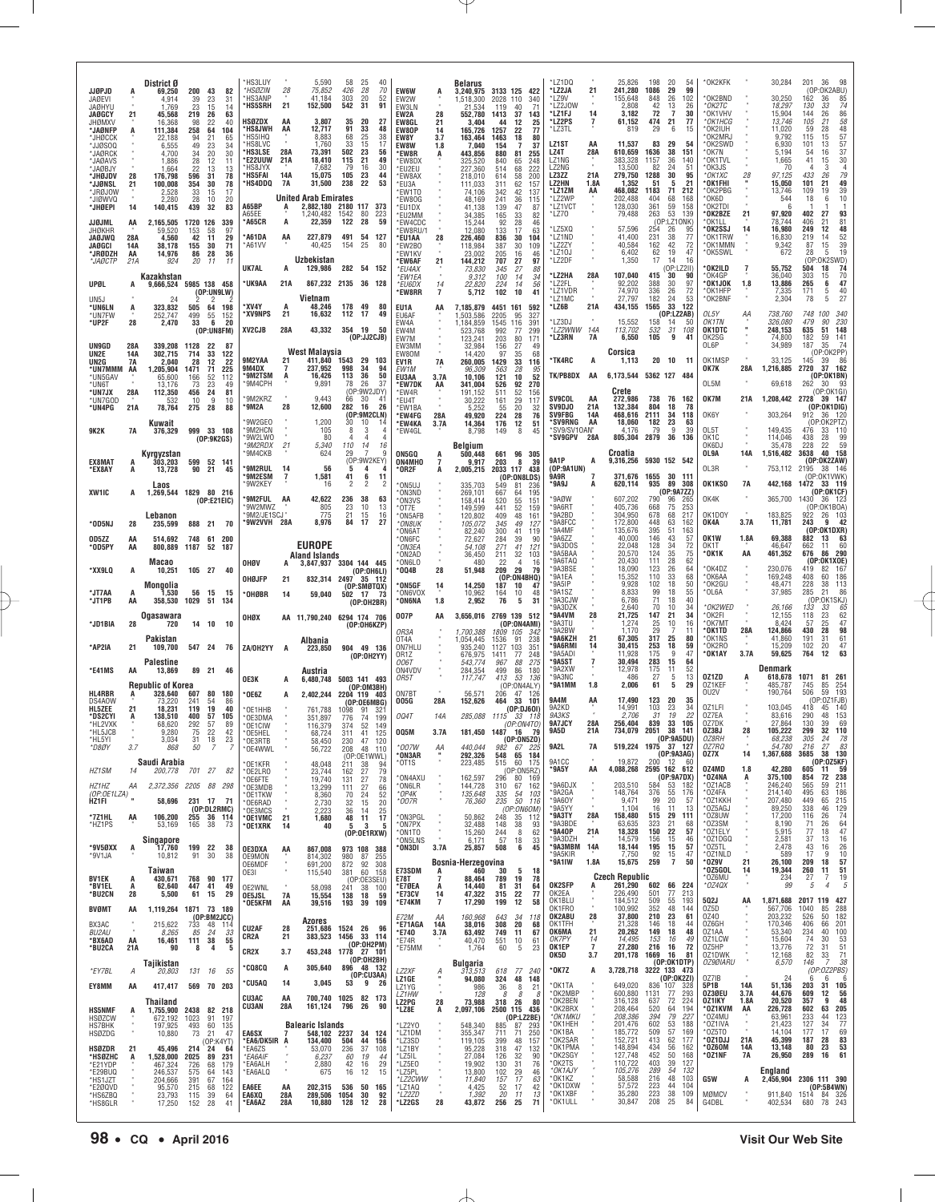| <b>JJØPJD</b>                       |            | District Ø<br>69.250                | 200                       | 43<br>82                          | *HS3LUY<br>*HSØZIN                 | 28             | 5,590<br>75,852                       | 58<br>25<br>40<br>70<br>426<br>28                          | EW6W                              | A                        | <b>Belarus</b><br>3,240,975         | 3133 125<br>422                                          | *LZ1DQ<br>*LZ2JA               | 21                         | 25,826<br>241,280             | 198<br>1086        | -20<br>29                                    | -54<br>99         | OK2KFK                        |             | 30,284                        | 201<br>36<br>98<br>(OP:OK2ABU)                                                                               |
|-------------------------------------|------------|-------------------------------------|---------------------------|-----------------------------------|------------------------------------|----------------|---------------------------------------|------------------------------------------------------------|-----------------------------------|--------------------------|-------------------------------------|----------------------------------------------------------|--------------------------------|----------------------------|-------------------------------|--------------------|----------------------------------------------|-------------------|-------------------------------|-------------|-------------------------------|--------------------------------------------------------------------------------------------------------------|
| JAØEVI<br><b>JAØHYU</b>             | A          | 4.914<br>1.769                      | 39<br>23                  | 23<br>31<br>15<br>14              | <b>HS3ANP</b><br>*HS5SRH           | 21             | 41.184<br>152,500                     | 303<br>20<br>52<br>542<br>31<br>91                         | EW2W<br>EW3LN                     |                          | 1,518,300<br>21.534                 | 2028<br>110<br>340<br>71<br>119<br>40                    | LZ9V*<br>*LZ2JOW               | ٠                          | 155,648<br>2,808              | 848<br>42          | 26                                           | 102<br>26         | OK2BND<br>*ОК2ТС              |             | 30.250<br>18,297              | 162<br>85<br>36<br>130                                                                                       |
| <b>JAØGCY</b><br>JHØMXV             | 21         | 45,568<br>16,368                    | 219<br>-26<br>98          | 63<br>40<br>22                    | HSØZDX                             | AA             | 3,807                                 | 35<br>20<br>27                                             | EW2A<br>EW8GL                     | 28<br>21                 | 552,780<br>3,404                    | 37<br>1413<br>143<br>12<br>44                            | *LZ1FJ<br>*LZ2PS               | 14<br>7                    | 3,182<br>61,152               | 72<br>474          | $\begin{array}{c} 13 \\ 7 \end{array}$<br>21 | 30<br>77          | *OK1VHV<br>*OK1HCG            |             | 15,904<br>13,746              | $\begin{array}{c} 74 \\ 86 \\ 58 \end{array}$<br>$\begin{array}{c} 33 \\ 26 \\ 21 \end{array}$<br>144<br>105 |
| *JAØNFF<br>*JHØCCK                  | A          | 111,384<br>22,188                   | 258<br>64<br>94           | 104<br>21<br>65                   | <b>HS8JWH</b><br>*HS5IHQ           | AA             | 12,717<br>8,883                       | 91<br>33<br>48<br>68<br>25<br>38                           | EW80P<br>EW8Y                     | 14<br>3.7                | 165,726<br>163,464                  | $\frac{25}{77}$<br>1257<br>22<br>1463<br>18<br>80        | *LZ3TL                         |                            | 819                           | 29                 | 6                                            | 15                | *OK2IUH<br>*OK2MRJ            |             | 11,020<br>9,792               | 59<br>28<br>115<br>15                                                                                        |
| *JJØSOQ<br>*JAØRCK                  |            | 6,555<br>4.700                      | 49<br>34                  | 34<br>23<br>30<br>20              | 'HS8LVC<br>*HS3LSE                 | 28A            | 1,760<br>73,391                       | 33<br>17<br>15<br>502<br>23<br>56                          | <b>EW8W</b><br>*EW8R              | 1.8<br>A                 | 7,040<br>443,856                    | 37<br>154<br>-7<br>880<br>81<br>255                      | LZ1ST<br>LZ4T                  | AA<br>28A                  | 11,537<br>610,659             | 83<br>1636         | 29<br>38                                     | 54<br>151         | *OK2SWD<br>*OK7N              |             | 6,930<br>5.194                | 48<br>57<br>57<br>57<br>37<br>13<br>101<br>16<br>-54                                                         |
| *JAØAVS<br>*JAØBJY                  |            | 1.886<br>1,664                      | 28<br>22                  | 11<br>-12<br>13<br>13             | <b>E22UUW</b><br>HS8JYX            | 21A            | 18,410<br>7,682                       | 115<br>21<br>49<br>30<br>79<br>16                          | *EW8DX<br>*EU2EU                  |                          | 325,520<br>227,360                  | 840<br>248<br>65<br>222<br>514<br>68                     | LZ1NG<br>LZ2NG                 |                            | 383,328<br>13,500             | 1157<br>82         | 36<br>24                                     | 140<br>51         | *OK1TVL<br>OK3JS              |             | 1,665<br>70                   | 30<br>41<br>15<br>$\frac{3}{26}$<br>$\frac{4}{79}$                                                           |
| *JHØJDV<br>*JJØNSL                  | 28<br>21   | 176,798<br>100,008                  | 596<br>-31<br>354         | 78<br>78<br>30                    | 'HS5FAI<br>'HS4DDQ                 | 14A<br>7A      | 15,075<br>31,500                      | 105<br>23<br>44<br>238<br>22<br>53                         | 'EW8AX<br>*EU3A                   |                          | 218.010<br>111,033                  | 200<br>58<br>614<br>311<br>62<br>157                     | LZ3ZZ<br>LZ2HN                 | 21A<br>1.8A                | 279,750<br>1,352              | 1288<br>51         | 30<br>5                                      | 95<br>21          | *OK1XC<br>*OK1FHI             | 28          | 97,125<br>15,050              | 433<br>49<br>101<br>21                                                                                       |
| *JRØJOW<br>*JIØWVQ                  |            | 2,528<br>2,280                      | 33<br>28                  | 17<br>15<br>10<br>20              | A65BP                              |                | United Arab Emirates<br>2,882,180     | 2180 117 373                                               | <b>EW1TO</b><br>®EW80G            |                          | 74.106<br>48,169                    | 342<br>42<br>137<br>241<br>36<br>115                     | *LZ1ZM<br>*LZ2WP<br>*LZ1VCT    | AA                         | 468,082<br>202,488<br>128,030 | 1183<br>404<br>361 | 71<br>68<br>59                               | 212<br>168<br>158 | *OK2PBG<br>*OK6D<br>*OK2TDI   |             | 13,746<br>544<br>-6           | 39<br>109<br>19<br>10<br>18<br>6                                                                             |
| *JHØEPI<br>JJØJML                   | 14<br>AA   | 140,415                             | 439<br>-32<br>1720 126    | 83<br>339                         | A65FF<br>*A65CR                    | A<br>А         | 1.240.482<br>22,359                   | 1542<br>-80<br>223<br>28<br>122<br>59                      | <b>EU1DX</b><br>™EU2MM<br>*EW4CDC |                          | 41.138<br>34,385<br>15,244          | 139<br>47<br>87<br>165<br>33<br>82<br>92<br>28           | *LZ70                          |                            | 79,488                        | 263                | 53<br>(OP:LZ10NK)                            | 139               | *OK2BZE<br>*OK1LL             | 21          | 97,920<br>78,744              | 402<br>27<br>93<br>406<br>21                                                                                 |
| JHØKHR<br><b>JAØJWQ</b>             | 28A        | 2,165,505<br>59.520<br>4,560        | 153<br>42                 | .58<br>97<br>11<br>29             | A61DA*                             | AA             | 227,879                               | 491<br>54<br>127                                           | EW8RU/1<br>*EU1AA                 | 28                       | 12.080<br>226,460                   | $\frac{46}{63}$<br>133<br>17<br>836<br>30<br>104         | LZ5XQ*<br>*LZ1ND               |                            | 57,596<br>41,400              | 254<br>231         | 26<br>38                                     | 95<br>77          | *OK2SSJ<br>*OK1TRW            | 14          | 16,980<br>16,830              | $\frac{81}{48}$<br>12<br>249<br>52<br>219<br>14                                                              |
| JAØGCI<br>*JRØDZH                   | 14A<br>AA  | 38,178<br>14,976                    | 155<br>86<br>28           | 71<br>30<br>36                    | *A61VV                             |                | 40,425                                | 154<br>25<br>80                                            | *EW2B0<br>*EW1KV                  |                          | 118,984<br>23,002                   | 109<br>387<br>30<br>46<br>205<br>16                      | *LZ2ZY<br>*LZ10J               |                            | 40,584<br>6,402               | 162<br>62          | 42<br>19                                     | 72<br>47          | *OK1MMN<br>*OK5SWL            |             | 9,342<br>672                  | $^{15}_{\ 5}$<br>39<br>87<br>19<br>28                                                                        |
| *JAØCTP                             | 21A        | 924                                 | 20                        | 11<br>-11                         | UK7AL                              | A              | Uzbekistan<br>129,986                 | 282<br>54<br>152                                           | 'EW6AF<br>*EU4AX                  | 21                       | 144,212<br>73,830                   | 97<br>707<br>27<br>345<br>27<br>88                       | *LZ2DF                         |                            | 1,350                         | 17                 | 14<br>(OP:LZ2II)                             | 16                | *OK2ILD                       | 7           | 55,752                        | (OP:OK2SWD)<br>604 18 74<br>504                                                                              |
| UPØL                                | А          | Kazakhstan<br>9.666.524             | 5985 138 458              |                                   | <b>UK9AA</b>                       | 21A            | 867,232 2135                          | 128<br>36                                                  | *EW1EA<br>*EU6DX                  | 14                       | 9,312<br>22,820                     | 100<br>34<br>14<br>224<br>56<br>14                       | *LZ2HA<br>*LZ2FL               | 28A                        | 107,040<br>92,202             | 415<br>388         | 30<br>30                                     | 90<br>97          | *OK4GP<br>*OK1JOK             | 1.8         | 36,040<br>13,886              | 303<br>70<br>15<br>$\frac{47}{40}$<br>265                                                                    |
| UN <sub>5</sub> J                   |            | 24                                  |                           | (OP:UNGLW)<br>2                   | *XV4Y                              | A              | Vietnam                               | 178<br>49<br>80                                            | <b>EW8RR</b>                      | $\overline{7}$           | 5,712                               | 102<br>10<br>41                                          | *LZ1VDR<br>*LZ1MC<br>*LZ6B     | 21A                        | 74,970<br>27.797              | 336<br>182<br>1565 | 26<br>24<br>33                               | 72<br>53<br>122   | *OK1HFP<br>*OK2BNF            |             | 7,335<br>2,304                | $\begin{array}{c} 6 \\ 5 \\ 5 \end{array}$<br>171<br>27<br>78                                                |
| *UN6LN<br>*UN7FW<br>*UP2F           | A<br>28    | 323,832<br>252,747<br>2,470         | 505<br>499<br>33          | 64<br>198<br>55<br>152<br>20<br>6 | *XV9NPS                            | 21             | 48,246<br>16,632                      | 112<br>17<br>49                                            | EU1A<br>EU6AF<br>EW4A             | AA                       | 7,185,879<br>1,503,586<br>1,184,859 | 4451 161<br>592<br>2205<br>95<br>327<br>1545 116<br>391  | *LZ3DJ                         |                            | 434,155<br>15,552             | 158                | (OP: LZ2AB)<br>14                            | 50                | OL5Y<br>OK1TN                 | ΑА          | 738,760<br>326,080            | 748 100<br>340<br>230<br>479<br>90                                                                           |
|                                     |            |                                     |                           | (OP:UN8FM)                        | XV2CJB                             | 28A            | 43,332                                | 354 19<br>50<br>(DP:JJ2CJB)                                | EW4M<br>EW7M                      |                          | 523,768<br>123,241                  | 992<br>77<br>299<br>203<br>80                            | *LZ2WNW<br>*LZ3RN              | 14A<br>7A                  | 113,702<br>6,550              | 532<br>105         | 31<br>9                                      | 108<br>41         | OK1DTC<br>OK2SG               |             | 248,153<br>74,800             | 635<br>51<br>148<br>182<br>59                                                                                |
| UN9GD<br>UN2E                       | 28A<br>14A | 339,208<br>302,715                  | 1128<br>-22<br>714        | -87<br>33<br>122                  |                                    |                | West Malaysia                         |                                                            | EW3MM<br>EW80M                    |                          | 32.984<br>14,420                    | $\frac{171}{49}$<br>27<br>156<br>68<br>97<br>35          |                                |                            | Corsica                       |                    |                                              |                   | OL6P                          |             | 34,989                        | $\frac{141}{74}$<br>35<br>187<br>(OP:0K2PP)                                                                  |
| UN2G<br>*UN7MMM                     | 7A<br>AA   | 2,040<br>1,205,904                  | 28<br>1471                | 22<br>12<br>71<br>225             | 9M2YAA<br>9M4DX                    | 21<br>7        | 411,840<br>237,952                    | 1543<br>29<br>103<br>998<br>-34<br>94                      | EV1R<br>EW <sub>1M</sub>          | 7A                       | 260,005<br>96,309                   | 1429<br>33<br>116<br>563<br>28<br>95                     | *TK4RC                         | A                          | 1,113                         |                    | $20 \t10$                                    | 11                | OK1MSP<br>OK7K                | 28A         | 33,125<br>1,216,885           | 86<br>145<br>39<br>2720<br>37 162                                                                            |
| *UN5GAV<br>*UN6T                    |            | 65,600<br>13,176                    | 166<br>73                 | 112<br>52<br>23<br>49             | <b>SM2TSM</b><br>*9M4CPH           | A              | 16,426<br>9,891                       | 36<br>50<br>113<br>26<br>78<br>37                          | EU3AA<br>*EW7DK                   | 3.7A<br>AA               | 10,106<br>341,004                   | 121<br>52<br>10<br>92<br>526<br>270                      | TK/PB8DX                       | AA                         | 6,173,544                     | 5362 127 484       |                                              |                   | OL5M                          |             | 69,618                        | (OP:OK1BN)<br>262<br>30.<br>-93                                                                              |
| *UN7JX<br>*UN7GOD                   | 28A<br>21A | 112,350<br>532                      | 456<br>10<br>28           | 24<br>81<br>9<br>10               | *9M2KRZ<br>°9M2A                   | 28             | 9.443<br>12,600                       | (OP:9W2JDY)<br>66<br>30<br>41<br>282<br>16<br>26           | *EW4R<br>*EU4T<br><b>EW1BA</b>    |                          | 191,152<br>30,222<br>5.252          | 52<br>511<br>156<br>117<br>161<br>29<br>55               | <b>SV9COL</b><br><b>SV9DJO</b> | AA<br>21A                  | Crete<br>272,986<br>132,384   | 738<br>804         | 76<br>18                                     | 162<br>-78        | OK7M                          | 21A         | 1,208,442 2728                | (OP:OK1GI<br>39 147<br>(OP:OK1DIG)                                                                           |
| *UN4PG                              |            | 78,764<br>Kuwait                    | 275                       | 88                                | *9W2GE0                            |                | 1,200                                 | (OP:9M2CLN)<br>30<br>10<br>14                              | *EW4FG<br>*EW4KA                  | 28A<br>3.7A              | 49,920<br>14,364                    | 20<br>$\frac{32}{76}$<br>224<br>28<br>176<br>12<br>51    | <b>SV9FBG</b><br>*SV9RNG       | 14A<br>AA                  | 468,616<br>18,060             | 2111<br>182        | 34<br>23                                     | 118<br>63         | OK6Y                          |             | 303,264                       | 36 120<br>912<br>(OP:0K2PTZ)                                                                                 |
| <b>9K2K</b>                         | 7A         | 376,329                             | 999 33 108                | (OP:9K2GS)                        | *9M2HCN<br>*9W2LW0                 |                | 105<br>80                             | 8<br>3<br>$\overline{4}$<br>4<br>4<br>$\overline{4}$       | *EW4GL                            |                          | 8,798                               | 149<br>8<br>45                                           | *SV9GPV                        | *SV9/SV10AN*<br>28A        | 4.176<br>805,304              | 79<br>2879         | 9<br>36                                      | 39<br>136         | OL5T<br>OK1C                  |             | 149,435<br>114,046            | 33 110<br>476<br>438<br>28<br>99                                                                             |
|                                     |            | Kyrgyzstan                          |                           |                                   | *9M2RDX<br>'9M4CKB                 | 21             | 5.340<br>624                          | 110<br>14<br>16<br>29                                      | ON5GQ                             | A                        | Belgium<br>500.448                  | 661<br>96<br>305                                         |                                |                            | Croatia                       |                    |                                              |                   | OK6DJ<br>OL9A                 | 14A         | 35.478<br>1,516,482           | 59<br>228<br>22<br>40 158<br>3638                                                                            |
| EX8MAT<br>*EX8AY                    | A<br>А     | 303,203<br>13,728                   | 599<br>90                 | 52 141<br>21<br>45                | °9M2RUL                            | 14             | 56                                    | (OP:9W2KEY)<br>5<br>4<br>A                                 | ON4MHO<br>°0R2F                   | 7<br>Α                   | 9,917<br>2,005,215                  | 203<br>8<br>39<br>2033 117<br>438                        | <b>9A1P</b><br>(0P:9A1UN)      | A                          | 9,316,256                     | 5930 152 542       |                                              |                   | OL3R                          |             | 753,112                       | (OP:OK2ZAW)<br>2195<br>146<br>38                                                                             |
|                                     |            | Laos                                |                           |                                   | °9M2ESM<br>*9W2KEY                 | $\overline{1}$ | 1,581<br>16                           | 11<br>41<br>6<br>2<br>$\overline{2}$<br>2                  | *ON5UJ                            |                          | 335,703                             | (OP:ON8LDS)<br>549<br>81<br>236                          | <b>9A9R</b><br>*9A9J           |                            | 371,676<br>620,114            | 1655<br>935        | 30<br>89                                     | -111<br>-308      | OK1KSO                        | 7A          | 442,168                       | (OP:OK1VWK)<br>1472<br>33 119<br>(OP:OK1CF)                                                                  |
| XW1IC                               | А          | 1,269,544 1829 80 216               |                           | (OP:E21EIC)                       | °9M2FUL<br>*9W2MWZ                 | AA             | 42,622<br>805                         | 236<br>38<br>63<br>23<br>10<br>13                          | ®ON3ND<br>*ON3VS<br>$*$ OT7E      |                          | 269,101<br>158,414                  | 195<br>667<br>-64<br>520<br>55<br>151<br>441             | *9AØW<br>*9A6RT                |                            | 607,202<br>405,736            | 790<br>668         | (0P:9A7ZZ)<br>96<br>75                       | 265<br>253        | OK4K                          |             | 365,700                       | 1430<br>36 123<br>(OP: OK1BOA                                                                                |
| *OD5NJ                              | 28         | Lebanon<br>235.599                  | 888 21 70                 |                                   | '9M2/JE1SCJ'<br>*9W2VVH 28A        |                | 775<br>8,976                          | 21<br>16<br>15<br>84<br>17<br>27                           | *ON5AFB<br>*ON8UK                 |                          | 149,599<br>120,802<br>105,072       | 52<br>159<br>409<br>48<br>161<br>345<br>49<br>127        | '9A2BD<br>*9A8FCC              |                            | 304,950<br>172,800            | 678<br>448         | 68<br>63                                     | 217<br>162        | OK1DOY<br>OK4A                | 3.7A        | 183,825<br>11,781             | 26 103<br>922<br>243<br>42<br>9                                                                              |
| OD5ZZ                               | AA         | 514.692                             | 748<br>61                 | 200                               |                                    |                |                                       |                                                            | *ON6AT<br><b>ON6FC</b>            |                          | 82,240<br>72,627                    | 300<br>41<br>119<br>284<br>39<br>90                      | *9A4MF<br>*9A6ZZ               |                            | 135,676<br>40,000             | 395<br>146         | 51<br>43                                     | 163<br>57         | OK <sub>1</sub> W             | 1.8A        | 69,388                        | (OP:OK1DXR)<br>882<br>13<br>63                                                                               |
| *OD5PY                              | AA         | 800,889                             | 1187<br>52                | 187                               |                                    |                | <b>EUROPE</b><br><b>Aland Islands</b> |                                                            | *ON3EA<br>ON2AD*                  |                          | 54,108<br>36,450                    | 271<br>41<br>121<br>211<br>32<br>103                     | *9A3DOS<br>*9A5BAA             |                            | 22,048<br>20,570              | 128<br>124         | 34<br>35                                     | 72<br>75          | OK1T<br>*0K1K                 | AA          | 46.647<br>461,352             | 60<br>662<br>11<br>290<br>676<br>86                                                                          |
| *XX9LQ                              | А          | Macao<br>10,251                     | 105 27 40                 |                                   | OHØV                               | A              |                                       | 3,847,937 3304 144 445<br>(OP:0H6LI)                       | *ON6LO<br>°004B                   | 28                       | 480<br>51,948                       | 22<br>16<br>4<br>209<br>29<br>79                         | 9A6TAQ<br>*9A3BSE              |                            | 20,430<br>18,090              | 111<br>123         | 28<br>26                                     | 62<br>64          | *OK4DZ                        |             | 230,076                       | (OP:OK1XOE)<br>167<br>419<br>82                                                                              |
|                                     |            | Mongolia                            |                           |                                   | OHØJFP                             | 21             | 832,314 2497                          | 35 112<br>(OP:SMBTQX)                                      | 'ON5GF                            | $\frac{14}{1}$           | 14,250                              | (OP:0N4BHQ)<br>187<br>10<br>47                           | *9A1EA<br>*9A5IP               |                            | 15,352<br>9,928               | 110<br>102         | 33<br>18                                     | 68<br>50          | *OK6AA<br>*OK2GU              |             | 169,248<br>48,471             | 186<br>408<br>60<br>228<br>38<br>113<br>285<br>21                                                            |
| *JT7AA<br>*JT1PB                    | A<br>AA    | 1,530<br>358,530                    | 56<br>15<br>1029          | 15<br>51<br>134                   | *OHØBR                             | 14             | 59,040                                | 502<br>17<br>73<br>(OP:OH2BR)                              | *ON6VOX<br>'ON6NA                 | 1.8                      | 10,962<br>2,952                     | 164<br>48<br>10<br>76<br>5<br>31                         | *9A1SZ<br>*9A3CJW<br>*9A3DZK   |                            | 8,833<br>6,786<br>2,640       | 99<br>71<br>70     | 18<br>18<br>10                               | 55<br>40<br>34    | *OL6A<br>*OK2WED              |             | 37,985<br>26,166              | 86<br>(OP:OK1SKJ)<br>133<br>33<br>65                                                                         |
| *JD1BIA                             | 28         | <b>Ogasawara</b><br>720             | 14<br>- 10                | 10                                | онох                               |                |                                       | AA 11,790,240 6294 174 706<br>(OP:OH6KZP)                  | 007P                              | AA                       |                                     | 3,656,016 2769 139 512<br>(OP:ON4AMI)                    | '9A4VM<br>9A3TU                | 28                         | 21,725<br>1,274               | 147<br>25          | 21<br>10                                     | 34<br>16          | *OK2FI<br>*OK7MT              |             | 12,155<br>8,424               | 62<br>23<br>118<br>25<br>47<br>57                                                                            |
|                                     |            | Pakistan                            |                           |                                   |                                    |                | Albania                               |                                                            | OR3A<br>OT <sub>4</sub> A         |                          | 1.700.388<br>1.054.445              | 1809 105<br>342<br>91<br>238<br>1536                     | 9A2BW<br>ʻ9A6KZH               | 21                         | 1,170<br>67,305               | 29<br>317          | 25                                           | 11<br>80          | *OK1TD<br>*OK1NS              | 28A         | 124,866<br>41,860             | 98<br>28<br>430<br>61<br>191<br>31                                                                           |
| *AP2IA                              | 21         | 109,700                             | 547 24                    | 76                                | ZA/OH2YY                           | A              | 223.850                               | 904<br>49 136<br>(OP:OH2YY)                                | ON7HLU<br>0R17                    |                          | 935,240<br>676,975                  | 1127<br>103<br>351<br>1411<br>77<br>248                  | *9A6RMI<br>*9A5ADI             | 14                         | 30,415<br>11,928              | 253<br>175         | 18<br>-9                                     | 59<br>47          | *0K2R0<br>*OK1AY              | 3.7A        | 15,209<br>59,625              | 47<br>102<br>20<br>63<br>764<br>12                                                                           |
| *E41MS                              | AA         | <b>Palestine</b><br>13,869          |                           | 89 21 46                          |                                    |                | Austria                               |                                                            | 006T<br>ON4VDV                    |                          | 543,774<br>284,354                  | 967<br>88<br>275<br>499<br>180<br>86                     | '9A5ST<br>*9A2XW<br>*9A3NC     | $\overline{7}$             | 30.494<br>12,978<br>486       | 283<br>175         | 15<br>11                                     | 64<br>52<br>13    | 0Z1ZD                         |             | Denmark                       | 1071                                                                                                         |
| HL4RBR                              |            | <b>Republic of Korea</b><br>328,640 | 80<br>607                 | 180                               | OE3K                               | A              |                                       | 6.480.748 5003 141 493<br>(OP:OM3BH)                       | OR5T<br>ON7BT                     |                          | 117,747<br>56,571                   | 413<br>53<br>136<br>(OP:ON4ALY)<br>206<br>-126<br>47     | *9A1MM                         | 1.8                        | 2,006                         | 27<br>61           | 5<br>5                                       | 29                | 0Z1KEF<br>OU2V                | A           | 618,678<br>485,787<br>190,764 | 81 261<br>745<br>$\frac{85}{59}$<br>254<br>193<br>506                                                        |
| DS4A0W<br>HL5ZEE                    | 21         | 73,220<br>18.231                    | 241<br>119                | 54<br>86<br>19<br>40              | '0E6Z<br>OE1HHB                    | A              | 761,788                               | 2,402,244 2204 119 403<br>(OP:0E6MBG)<br>1098<br>321<br>91 | 005G                              | 28A                      | 152,626                             | 464<br>33<br>101<br>(OP:DJ601)                           | <b>9A4M</b><br>9A2KD           | AA                         | 17,490<br>14,991              | 123<br>103         | 20<br>23                                     | 35<br>34          | 0Z1LFI                        |             | 103,045                       | (OP:0Z1FJB)<br>45<br>140<br>418                                                                              |
| *DS2CYI<br>*HL2VXK                  | A          | 138,510<br>68,620                   | 400<br>292                | 57<br>105<br>89<br>57             | *OE3DMA<br>*OE1CIW                 |                | 351,897<br>116,379                    | 74<br>199<br>776<br>52<br>374<br>149                       | <b>004T</b>                       | 14A                      | 285,088                             | 1115<br>33 118<br>(OP:0N4TO)                             | 9A3KS<br>9A7JCY                | 28A                        | 2,706<br>256,404              | 31<br>839          | 19<br>33                                     | 22<br>105         | 0Z7EA<br>0Z7DK                |             | 83,616<br>27,864              | 153<br>290<br>48<br>130<br>69<br>39                                                                          |
| *HL5JCB<br>*HL5YI                   |            | 9,280<br>3,034                      | 75<br>31                  | 22<br>42<br>18<br>23              | *OE5HEL<br>OE3RTB                  |                | 68,724<br>58,450                      | 41<br>125<br>311<br>230<br>47 120                          | 005M                              | 3.7A                     | 181,450                             | 1487<br>16<br>79<br>(0P:0N5Z0)                           | <b>9A5D</b>                    | 21A                        | 734,079                       | 2051               | 38<br>(0P:9A5DU)                             | 141               | OZ3BJ<br>0Z8RH                | 28          | 105,222<br>68,238             | 32<br>299<br>110<br>305<br>24<br>78                                                                          |
| *D8ØY                               | 3.7        | 868                                 | 50                        | -7<br>7                           | *OE4WWL                            |                | 56,722                                | 208<br>48<br>110<br>(OP:OE1WWL)                            | *007W<br>'ON3AR                   | ĄĄ                       | 440,044<br>292,326                  | 982<br>67 225<br>548 65 184                              | 9A2L<br>9A1CC                  | 7A                         | 519,224 1975<br>19,872        | 200                | 37 127<br>(OP:9A3AG)<br>12 60                |                   | 0Z7RQ<br>OZ7X                 | 14          | 54,780<br>1,367,688           | 27<br>216<br>83<br>3685<br>38<br>130<br>(OP:0Z5KF)                                                           |
| HZ1SM                               | 14         | Saudi Arabia<br>200,778             | 701 27                    | 82                                | 'OE1KFR<br>*OE2LRO                 |                | 48,048<br>23,744                      | 211<br>38<br>94<br>27<br>79<br>162<br>27                   | °OT1S<br>*ON4AXU                  |                          | 223,485<br>162,597                  | 515<br>60<br>175<br>(0P:0N5RZ)<br>296<br>80 169          | *9A5Y                          | AA                         | 4,088,268                     | 2595 162 612       | (OP:9A7DX)                                   |                   | 0Z4MD<br>*OZ4NA               | 1.8<br>A    | 42,280<br>375,100             | 605<br>11<br>- 59<br>854<br>238<br>72                                                                        |
| HZ1HZ<br>(OP:OE1LZA)                | ΑA         |                                     | 2,372,356 2205 88 298     |                                   | *OE6FTE<br>*OE3MDB<br>'OE1TKW      |                | 19,740<br>13,299<br>8,360             | 78<br>131<br>111<br>27<br>66<br>24<br>52<br>70             | ON6LR*<br>*OP4K                   |                          | 144,728<br>135,648                  | 310<br>162<br>67<br>335<br>54<br>103                     | *9A6DJX<br>*9A2GA              |                            | 203,510<br>148,764            | 584<br>376         | 53<br>55                                     | 182<br>176        | *OZ1ACB<br>*OZ4FA             |             | 246,240<br>214,140            | 565<br>59<br>211<br>495<br>63<br>186                                                                         |
| HZ1FI                               |            | 58,696                              | 231 17                    | - 71<br>(OP:DL2RMC)               | *OE6RAD<br>*OE3MCS                 |                | 2,730<br>2.223                        | 20<br>32<br>15<br>36<br>14<br>25                           | *007R                             |                          | 76,360                              | 50<br>235<br>116<br>(OP:ON6OM)                           | *9A6OY<br>*9A5YY               | ٠                          | 9,471<br>1,104                | 99<br>16           | 20<br>11                                     | 57<br>13          | *OZ1KKH<br>*0Z5AGJ            |             | 207,480<br>89,250             | 449<br>65<br>215<br>338<br>46<br>$\frac{729}{74}$                                                            |
| *7Z1HL<br>*HZ1PS                    | AA         | 106,200<br>53,169                   | 255 36 114<br>165<br>38   | 73                                | *OE1VMC<br>*OE1XRK                 | 21<br>14       | 1,680<br>40                           | 48<br>11<br>17<br>3<br>5<br>5                              | *ON3PGL<br>*ON7PX                 |                          | 50,862<br>32,488                    | 248<br>112<br>35<br>148<br>38<br>93                      | *9A3TY<br>*9A3BDE              | 28A                        | 158,480<br>63,635             | 515<br>323         | 29<br>21                                     | 111<br>68         | *0Z8UW<br>*0Z3SM              |             | 17,200<br>8,190               | 26<br>116<br>64<br>71<br>26                                                                                  |
|                                     |            | Singapore                           |                           |                                   |                                    |                |                                       | (OP:OE1RXW)                                                | ON1TO*<br>*ON5LNS                 |                          | 15,260<br>6,171                     | 244<br>62<br>8<br>57<br>33<br>18                         | *9A40P<br>*9A3DZH              | 21A                        | 18,328<br>14,579              | 150<br>156<br>195  | 22<br>15                                     | 57<br>46          | *OZ1ELY<br>*0Z1DGQ            |             | 5,915<br>2,581                | 47<br>77<br>18<br>37<br>13<br>16                                                                             |
| *9V5ØXX<br>*9V1JA                   | A          | 17,760<br>10,812                    | 199<br>91                 | 22<br>38<br>38<br>30              | OE3DXA<br><b>OE9MON</b>            | AA             | 867,008<br>814,302                    | 973 108 388<br>980<br>87<br>255                            | *ON3DI                            | 3.7A                     | 25,857<br>Bosnia-Herzegovina        | 508<br>6<br>45                                           | *9A3MBM<br>*9A5KIR<br>*9A1IW   | 14A<br>1.8A                | 18,144<br>7,750<br>15,675     | 92<br>259          | 15<br>$\frac{15}{7}$                         | 57<br>47<br>50    | $*$ 025TL<br>*OZ1NLD<br>*0Z9V | 21          | 2,478<br>589<br>26,100        | 43<br>26<br>16<br>10<br>17<br>-9<br>209<br>18<br>57                                                          |
| BV1EK                               | A          | Taiwan<br>430,671                   | 768                       | 90 177                            | OE6MDF<br>OE3I                     |                | 691,200<br>115,540                    | 872<br>92<br>308<br>60 158<br>381                          | E73SDM<br>E78T                    | A<br>7                   | 460<br>88,464                       | 5<br>18<br>30<br>789<br>19<br>78                         |                                |                            | <b>Czech Republic</b>         |                    |                                              |                   | *OZ5GOL<br>*OZ6MU             | 14          | 19,344<br>234                 | 51<br>260<br>11<br>27<br>7<br>19                                                                             |
| *BV1EL<br>*BU2CN                    | A<br>28    | 62,640<br>5,500                     | 447<br>61 15              | 41<br>49<br>29                    | OE2WNL<br><b>OE5JSL</b>            | <b>7A</b>      | 58,098<br>15,554                      | (OP:OE3SEU)<br>241<br>38 100<br>138 18<br>59               | *E7ØEA<br>*E73CV                  | A<br>14                  | 14,440<br>47,322                    | 81<br>31<br>64<br>315<br>22<br>77                        | OK2SFP<br>OK2EA                | A                          | 261,290<br>226,490            | 602<br>501         | 66<br>77                                     | 224<br>213        | *0Z4QX                        | $\alpha$    | 99                            | 5<br>4<br>5                                                                                                  |
| <b>BVØMT</b>                        | AA         | 1,119,264                           | 1871 73 189               |                                   | °0E5KFM                            | AA             | 39,516                                | 193 39 109                                                 | *E74KM                            | $\overline{\phantom{a}}$ | 17,290                              | 12<br>199<br>58                                          | OK1BLU<br>OK1FRO               |                            | 184,512<br>100.992            | 509<br>352         | 55<br>48                                     | 193<br>144        | 5Q2J<br>0Z5D                  | AA          | 1,871,688<br>567,706          | 427<br>2017 119<br>1040<br>85<br>288                                                                         |
| BX3AC                               |            | 215,622                             | 733                       | (OP:BM2JCC)<br>48<br>114          | CU2AF                              | 28             | Azores<br>251,686                     | 1524 26 96                                                 | <b>F72M</b><br>*E71AGA            | АA<br>14A                | 160,968<br>38,016                   | 643<br>-34<br>118<br>308<br>20<br>68                     | OK2ABU<br>OK1TFH               | 28                         | 37,800<br>21.328              | 210<br>146         | 23<br>18                                     | 61<br>44          | 0Z40<br>0Z6GH                 |             | 203,232<br>170,346            | 50<br>182<br>526<br>$\frac{406}{234}$<br>$\frac{201}{100}$<br>$\frac{66}{40}$                                |
| <b>BU2AU</b><br>*BX6AD              | AA         | 8.265<br>16,461                     | 85<br>111                 | 24<br>33<br>55<br>38              | CR2A                               | 21             | 383,523                               | 33 114<br>1456<br>(OP:OH2PM)                               | *E740<br>*E74R                    | 3.7A                     | 63,492<br>40,470                    | 749<br>11<br>67<br>551<br>10<br>61                       | ОК6МА<br>OK7PY<br>OK1EP        | 21<br>14<br>$\overline{7}$ | 20,262<br>14,495<br>27,280    | 149<br>153<br>216  | 18<br>16<br>16                               | 48<br>49<br>72    | 0Z1AA<br>0Z1LCW<br>0Z5HP      |             | 53,340<br>15,604              | 74<br>30<br>53<br>51<br>72                                                                                   |
| *BU2CA                              | 21A        | 90                                  | 8                         | 4<br>5                            | CR2X                               | 3.7            |                                       | 453,248 1778 27 101<br>(OP:OH2BH)                          | *E75MM                            |                          | 1,764                               | 60<br>23<br>5                                            | OK5D                           | 3.7                        | 201,178                       | 1669               | 16<br>(OP:OK1DTP)                            | 81                | 0Z1DWK<br><i>OZ9ØIARU</i>     |             | 13,776<br>12,168<br>6,570     | 31<br>82<br>33<br>71<br>$\overline{7}$<br>146<br>38                                                          |
| *EY7BL                              | A          | Tajikistan<br>20,803                | 131 16                    | 55                                | *CQ8CQ                             | А              | 305,640                               | 896 48 132<br>(0P:CU3AA)                                   | LZ2XF<br>LZ1GE                    | Ą.                       | Bulgaria<br>313,513<br>94,080       | 618<br>77 240<br>48<br>324<br>148                        | *0K7Z                          | A                          | 3,728,718 3222 133 473        |                    | (OP:OK2ZI)                                   |                   | 0Z7IB                         |             | 24                            | (OP:OZ2PBS)<br>6<br>-6<br>6                                                                                  |
| EY8MM                               | AA         | 417,417                             | 569 70 203                |                                   | *CU5AQ<br><b>CU3AC</b>             | 14             | 3,045                                 | 53<br>9<br>26                                              | LZ1YG<br>LZ1HW                    | ٠                        | 986<br>128                          | 36<br>8<br>21<br>8<br>8<br>8                             | °OK1TA<br>*OK2MBP              |                            | 649,020<br>600,880            | 836 107<br>1131    | 77                                           | 328<br>293        | 5P1B<br>0230EU                | 14A<br>3.7A | 51,136<br>44,676              | 203<br>31<br>105<br>609<br>56<br>12                                                                          |
| <b>HS5NMF</b>                       | Ą          | Thailand<br>1,755,900               | 2438                      | 82 218                            | <b>CU3AN</b>                       | AA<br>28A      | 161,124                               | 700,740 1025 82 173<br>796<br>26<br>90                     | LZ2PG<br>*LZ8E                    | 28<br>A                  | 73,988<br>2,097,106                 | 318<br>26<br>80<br>2500 115<br>436                       | *OK2BEN<br>*OK2BRX             |                            | 316,128<br>208,464            | 637<br>520         | 72<br>64                                     | 224<br>194        | 0Z1IKY<br>*OZ1KVM             | 1.8A<br>AA  | 20,520<br>226,728             | 48<br>357<br>9<br>205<br>602<br>63                                                                           |
| <b>HSØZCW</b><br>HS7BHK             |            | 672,192<br>197,925                  | 1023<br>-91<br>493        | 197<br>60<br>135                  |                                    |                | <b>Balearic Islands</b>               |                                                            | LZ2YO*                            |                          | 548,340                             | (OP: LZ2BE)<br>885 87<br>293                             | *OK1MKU<br>*OK1HEH             |                            | 208,386<br>201,476            | 394<br>602         | 79<br>53                                     | 227<br>188        | *0Z4MU<br>*0Z1IVA             |             | 63,961<br>21,423              | 233<br>44<br>123<br>77<br>127<br>34                                                                          |
| <b>HSØZDG</b>                       |            | 10,880                              | 73<br>- 21                | 47<br>(OP:K4YT)                   | <b>EA6SX</b><br>*EA6/DK5IR A       | $\overline{7}$ | 548,102 2237<br>134,400               | 34 124<br>504<br>44<br>156                                 | *LZ1DM<br>*LZ3SD                  |                          | 355,347<br>119,105                  | 71<br>711<br>250<br>399<br>48<br>157<br>318<br>47<br>132 | *OK1BA<br>*OK2SAR<br>*OK1PMA   |                            | 185,772<br>152,721<br>148,894 | 509<br>413<br>434  | 57<br>$\substack{62\\56}$                    | 169<br>177<br>162 | *0Z5T0<br>*OZ1DJJ<br>*0Z60M   | 21A<br>14A  | 14,104<br>45,399<br>13,148    | 177<br>17<br>69<br>83<br>53<br>187<br>$\substack{28 \\ 23}$<br>80                                            |
| <b>HSØZDR</b><br>*HSØZHC<br>*E21YDP | 21<br>A    | 45,496<br>1,528,000<br>467,324      | 214<br>-24<br>2025<br>726 | -64<br>89<br>231<br>179<br>68     | *EA6ZS<br>*EA6AIF<br><b>EA6ALH</b> |                | 53,070<br>6,237<br>2,880              | 236<br>37<br>108<br>60<br>19<br>44<br>42<br>29<br>16       | *LZ1BY<br>*LZ5IL<br>*LZ5E0        |                          | 95,228<br>27,084<br>19,902          | 32<br>90<br>126<br>130<br>31<br>76                       | *OK2SGY<br>*OK2TS              |                            | 127,748<br>110,722            | 452<br>403         | 50<br>39                                     | 168<br>127        | *OZ1NF                        | 7A          | 26,950                        | 289<br>61<br>16                                                                                              |
| *E29BUQ<br>*HS1JZT                  |            | 246,537<br>204,666                  | 575<br>391<br>67          | 64<br>143<br>164                  | *EA6ALQ                            | $\alpha$       | 675                                   | 16<br>12<br>15                                             | *LZ5PL<br>*LZ2CWW                 |                          | 13,800<br>11,840                    | 29<br>102<br>46<br>157<br>17<br>63                       | *OK1AJY<br>*OK1KZ              |                            | 105,276<br>58,588             | 289<br>216         | 54<br>48                                     | 132<br>103        | G5W                           | A           | England<br>2,456,904          | 2306 111 390                                                                                                 |
| *E2ØQVD<br>*HS6ZBQ                  |            | 95,570<br>23,793                    | 215<br>115                | 122<br>68<br>39<br>$64$<br>$41$   | EA6EE<br>EA6XQ                     | AA<br>28A      | 202,315<br>289,506 1054               | 536<br>50<br>165<br>30<br>92                               | *LZ1AQ<br>*LZ2ZD                  |                          | 4,425<br>1,392                      | 42<br>52<br>17<br>20<br>13<br>11                         | *OK1DXW<br>*OK1XBF             |                            | 57,572<br>35,280              | 223<br>223         | 44<br>38                                     | 104<br>109        | <b>MØMCV</b>                  |             |                               | (0P:5B4WN)<br>911,840 1514 84 326                                                                            |
| *HS8GLR                             |            | 17,250                              | 152                       | 28                                | *EA6AZ                             | 28A            | 10,880                                | 28<br>128 12                                               | *LZ2GS                            | 28                       | 43,872                              | 71<br>256<br>25                                          | *OK1ULL                        |                            | 30,847                        | 208                | 25                                           | 84                | G4DBL                         |             | 402,534                       | 680<br>78 243                                                                                                |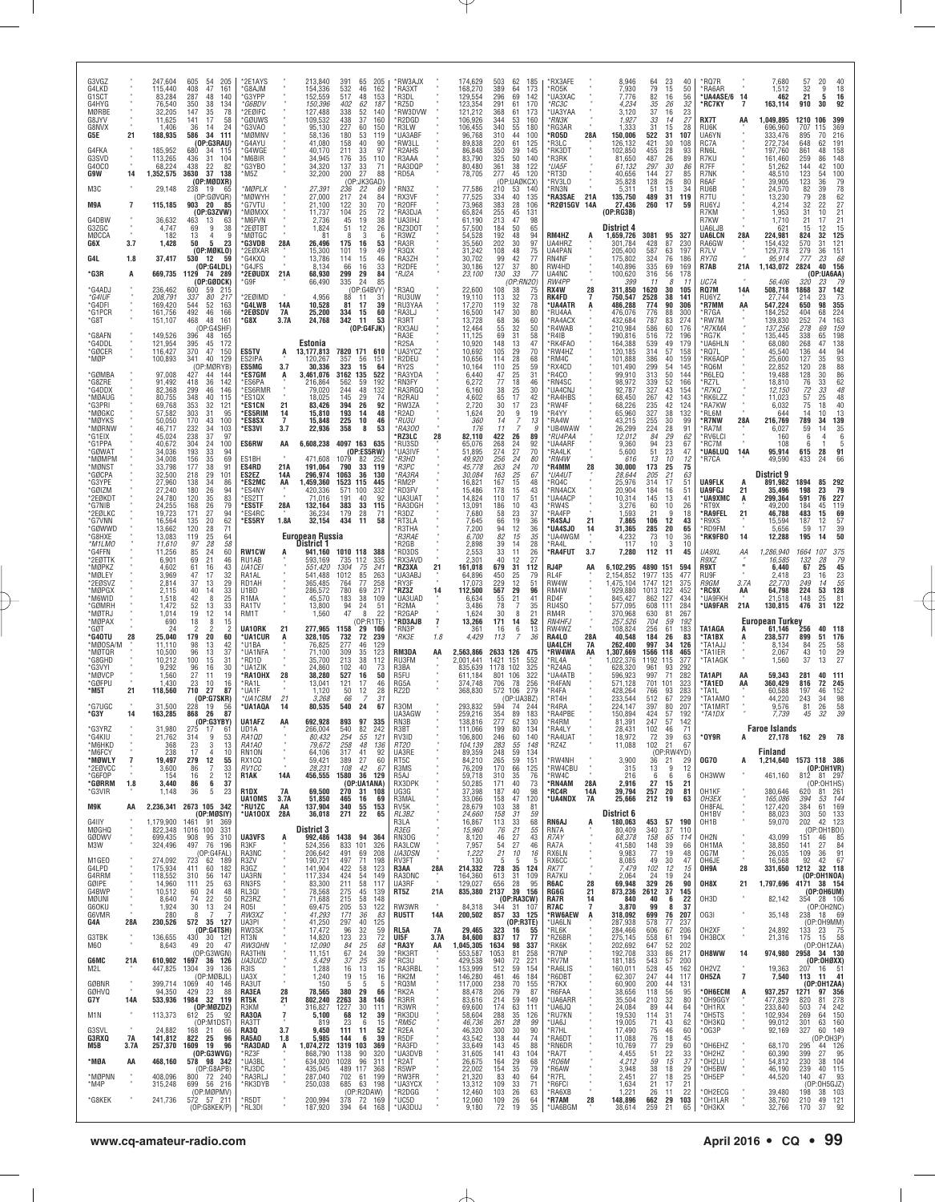| G3VGZ<br>G4LKD              |                | 247,604<br>115,440      | 605<br>205<br>54<br>408<br>47<br>161                                | *2E1AYS<br><b>G8AJM</b>              |                             | 213,840<br>154,336                   | 205<br>391<br>65<br>532<br>162<br>46                       | *RW3AJX<br>*RA3XT          |            | 174,629<br>168,270          | 503<br>389              | 62<br>185<br>64<br>173                                     | *RX3AFE<br>RO5K                 |                 | 8,946<br>7,930                      | 64<br>79             | 23<br>40<br>15<br>50                                      | *RQ7R<br><b>RA6AR</b>                   |                     | 7,680<br>1,512                   | 57<br>32          | 20<br>40<br>$\frac{18}{16}$<br>9                                |
|-----------------------------|----------------|-------------------------|---------------------------------------------------------------------|--------------------------------------|-----------------------------|--------------------------------------|------------------------------------------------------------|----------------------------|------------|-----------------------------|-------------------------|------------------------------------------------------------|---------------------------------|-----------------|-------------------------------------|----------------------|-----------------------------------------------------------|-----------------------------------------|---------------------|----------------------------------|-------------------|-----------------------------------------------------------------|
| G1SCT<br>G4HYG              |                | 83,284<br>76,540        | 287<br>48<br>140<br>350<br>38<br>134                                | 'G3YPP<br>"G6BDV                     |                             | 152,559<br>150,396                   | 517<br>48<br>153<br>402<br>62<br>187                       | *R3DL<br>'RZ5D             |            | 129,554<br>123,354          | 296<br>291              | 69<br>142<br>61<br>170                                     | 'UA3XAC<br>*RC3C                |                 | 7,776<br>4,234                      | 82<br>35             | 16<br>56<br>26<br>32                                      | *UA4ASE/6<br>*RC7KY                     | 14<br>7             | 462<br>163,114                   | 21<br>910         | 5<br>92<br>30                                                   |
| MØRBE<br>G8JYV              |                | 32,205<br>11,625        | 147<br>35<br>78<br>17<br>58<br>141                                  | '2EØIFC<br>'GØUWS                    |                             | 127,488<br>109,532                   | 338<br>52<br>140<br>438<br>37<br>160                       | *RW3DVW<br>'R2DGD          |            | 121,212<br>106,926          | 368<br>344              | 61<br>173<br>53<br>160                                     | *UA3YAA<br>*RN3K                |                 | 3,120<br>1,927                      | 37<br>33             | 16<br>23<br>27<br>14                                      | RX7T                                    | AA                  | 1,049,895                        | 1210              | 399<br>106                                                      |
| G8NVX<br>G5E                | 21             | 1.406<br>188,935        | 24<br>36<br>14<br>586<br>34<br>111                                  | 'G3VAO<br>`MØMNV                     |                             | 95,130<br>58,136                     | 227<br>60<br>150<br>180<br>53<br>119                       | 'R3LW<br>*UA3ABF           |            | 106,455<br>96,768           | 340<br>310              | 55<br>180<br>44<br>100                                     | <b>RG3AR</b><br>*RO5D           | 28A             | 1,333<br>150,006                    | 31<br>522            | 15<br>28<br>31<br>107                                     | RU6K<br>UA6YN                           |                     | 696,960<br>333,476               | 707<br>895        | 369<br>115<br>70<br>216                                         |
| G4FKA                       |                | 185,952                 | (OP:G3RAU)<br>680<br>34<br>115                                      | 'G4AYU<br>'G4WGE                     |                             | 41,080<br>40,170                     | 158<br>40<br>90<br>211<br>33<br>97                         | *RW3LL<br>*R2AHS           |            | 89,838<br>86,848            | 220<br>350              | 61<br>125<br>39<br>145                                     | R3LC <sup>*</sup><br>*RK3DT     |                 | 126,132<br>102,850                  | 421<br>455           | 30<br>108<br>28<br>93                                     | RC7A<br>RN6L                            |                     | 272,734<br>197,760               | 648<br>861        | 191<br>62<br>158<br>48                                          |
| G3SVD<br>G40CO              |                | 113,265<br>68,224       | 436<br>31<br>104<br>438<br>22<br>82                                 | M6BIR <sup>*</sup><br>G3YBO*         |                             | 34.945<br>34,320                     | 176<br>35<br>110<br>33<br>137<br>71                        | <b>R3AAA</b><br>*RA3DQP    |            | 83.790<br>80,480            | 325<br>361              | 50<br>140<br>38<br>122                                     | <b>R3RK</b><br>*UA5F            |                 | 81,650<br>61,132                    | 487<br>297           | 26<br>89<br>30<br>86                                      | R7KU<br>R7FF                            |                     | 161,460<br>51,262                | 259<br>144        | 86<br>148<br>42<br>100                                          |
| G9W                         | 14             | 1,352,575               | 37<br>3630<br>138<br>(OP:MØDXR)                                     | M5Z                                  |                             | 32,200                               | 200<br>27<br>88<br>:JK3GAD)<br>(OF                         | *RD5A                      |            | 78,705                      | 277<br>(OP)             | 45<br>120<br>:UAØKCX)                                      | 'RT3D<br>'RV3LO                 |                 | 40,656<br>35,828                    | 144<br>128           | 27<br>85<br>26<br>80                                      | R7NK<br>R6AF                            |                     | 48,510<br>39,905                 | 123               | 54<br>100                                                       |
| M3C                         |                | 29,148                  | 238<br>19<br>65<br>(OP:GOVQR)                                       | MØPLX<br><b>MØWYH</b>                |                             | 27,391<br>27,000                     | 236<br>22<br>69<br>24<br>217<br>84                         | *RN3Z<br>*RX3VF            |            | 77,586<br>77,525            | 210<br>334              | 140<br>53<br>135<br>40                                     | *RN3N<br>'RA3SAE                | 21A             | 5,311<br>135,750                    | 51<br>489            | 13<br>34<br>31<br>119                                     | RU6B<br>R7TU                            |                     | 24,570<br>13,230                 | 123<br>82<br>79   | 79<br>78<br>$\begin{array}{c} 36 \\ 39 \end{array}$<br>62<br>28 |
| M9A                         | $\overline{7}$ | 115,185                 | 903 20<br>85<br>(0P:G3ZVW)                                          | 'G7VTU<br>'MØMXX                     |                             | 21,100<br>11,737                     | 122<br>30<br>70<br>104<br>25<br>72                         | R20FF<br>'RA3DJA           |            | 73,968<br>65,824            | 383<br>255              | 28<br>106<br>131<br>45                                     | <b>R2015GV</b>                  | 14A             | 27,436<br>(OP:RG3B)                 | 260                  | 17<br>59                                                  | RU6YJ<br>R7KM                           |                     | 4,214<br>1,953                   | 32<br>31          | 27<br>22<br>10<br>21                                            |
| G4DBW<br>G3ZGC              |                | 36,632<br>4,747         | 463<br>13<br>-63<br>38<br>9<br>69                                   | M6FVN<br>*2EØTB1                     |                             | 2,736<br>1,824                       | 45<br>19<br>38<br>51<br>26<br>12                           | *UA3IHJ<br>RZ3DOT          |            | 61,190<br>57,500            | 213<br>184              | 47<br>98<br>65<br>50                                       |                                 |                 | District 4                          |                      |                                                           | R7KW<br>UA6LJB                          |                     | 1,710<br>621                     | 21<br>15          | 21<br>17<br>15<br>12                                            |
| MØCCA<br>G6X                | 3.7            | 182<br>1,428            | 13<br>4<br>9<br>5<br>23<br>50                                       | MØTGC<br>*G3VDB                      | 28A                         | 81<br>26,496                         | 3<br>-6<br>175<br>16<br>53                                 | R3WZ<br>*RA3R              |            | 54,528<br>35,560            | 192<br>202              | 48<br>94<br>97<br>30                                       | RM4HZ<br>UA4HRZ                 | А               | 1,659,726<br>301,784                | 3081<br>428          | 95<br>327<br>87<br>230                                    | <b>UA6LCN</b><br>RA6GW                  | 28A                 | 224,981<br>154,432               | 824<br>570        | 32<br>125<br>31<br>121                                          |
| G4L                         | 1.8            | 37,417                  | (OP:MØKLO)<br>530 12<br>59                                          | *2EØXAR<br>G4KXQ*                    |                             | 15,300<br>13,786                     | 101<br>19<br>49<br>114<br>46<br>15                         | *R3QX<br>*RA3ZH            |            | 31,242<br>30,702            | 108<br>99               | 48<br>75<br>77<br>42                                       | UA4PAN<br>RN4NF                 |                 | 205,400<br>175,802                  | 587<br>324           | 63<br>197<br>76<br>186                                    | R7LV<br>RY7G                            |                     | 129,778<br>95.914                | 279<br>777        | 36<br>151<br>23<br>68                                           |
| *G3R                        | A              | 669,735                 | (OP:G4LDL)<br>1129 74 289                                           | 'G4JFS<br>*2EØUDX                    | 21A                         | 8,134<br>68.930                      | 66<br>16<br>33<br>299<br>29<br>84                          | R2DFE'<br>*RJ2A            |            | 30,186<br>23,100            | 127<br>130              | 37<br>80<br>33<br>77                                       | RW4HD<br>UA4NC                  |                 | 140,896<br>100,620                  | 335<br>316           | 69<br>169<br>56<br>178                                    | R7AB                                    | 21A                 | 1,143,072                        | 2824              | 40<br>156<br>(OP:UA6AA)                                         |
| *G4ADJ                      |                | 236,462                 | $($ OP:GØDCK $)$<br>600<br>59                                       | *G9F                                 |                             | 66,490                               | 335<br>24<br>85<br>(OP:G4BVY)                              | R3AQ                       |            | 22,600                      | 108                     | (OP:RN2O)<br>75<br>38                                      | RW4PP<br>RX4W                   | 28              | 399<br>311,850                      | 11<br>1620           | -8<br>-11<br>30<br>105                                    | UC7A<br><b>RQ7M</b>                     | 14A                 | 56,406<br>508,718                | 320<br>1868       | 79<br>142<br>37                                                 |
| *G4IUF<br>*G4DFI            |                | 208,791<br>169,420      | 215<br>217<br>337<br>80<br>52<br>163<br>544                         | 2EØIMD<br>*G4LWB                     | 14A                         | 4,956<br>10,528                      | 88<br>11<br>31<br>81<br>39<br>17                           | *RU3UW<br>*RU3YAA          |            | 19,110<br>17,270            | 113<br>119              | $\begin{array}{c} 32 \\ 32 \end{array}$<br>$\frac{73}{78}$ | RK4FD<br><b>UA4ATR</b>          | A               | 750,547<br>486,288                  | 2528<br>774          | 38<br>141<br>90<br>306                                    | RU6YZ<br>*R7MM                          | AA                  | 27,744<br>547,224                | 214<br>650        | $\frac{23}{98}$<br>$\frac{73}{355}$                             |
| *G1PCR<br>*G8T              |                | 161,756<br>151,107      | 492<br>46<br>166<br>468<br>161<br>48                                | *2EØSDV<br>*G8X                      | 7A<br>3.7A                  | 25,200<br>24,768                     | 334<br>15<br>60<br>342<br>53<br>11                         | *RA3LJ<br>*R3RT            |            | 16,500<br>13,728            | 147<br>68               | 30<br>80<br>36<br>60                                       | *RU4AA<br><b>RA4ACX</b>         |                 | 476,076<br>432,684                  | 776<br>787           | 88<br>300<br>83<br>274                                    | *R7GA<br>*RW7M                          |                     | 184,252<br>139,830               | 404<br>252        | 224<br>68<br>74                                                 |
| *G8AFN                      |                | 149,526                 | (OP:G4SHF)<br>396<br>48<br>165                                      |                                      |                             |                                      | (OP:G4FJK)                                                 | 'RX3AU<br>RA3E             |            | 12,464<br>11,125            | 55<br>69                | 32<br>50<br>31<br>58                                       | 'R4WAB<br>'R4IB                 |                 | 210,984<br>190,816                  | 586<br>516           | 60<br>176<br>72<br>196                                    | *R7KMA<br>*RG7K                         |                     | 137,256<br>135,445               | 278<br>338        | 163<br>159<br>69<br>198<br>65                                   |
| *G4DDL<br>*GØCER            |                | 121,954<br>116,427      | 172<br>395<br>45<br>370<br>47<br>150                                | <b>ES5TV</b>                         | A                           | Estonia<br>13, 177, 813              | 7820 171<br>610                                            | R2SA<br>UA3YCZ             |            | 10,920<br>10,692            | 148<br>105              | 47<br>13<br>29<br>70                                       | *RK4FA0<br>RW4HZ                |                 | 164,388<br>120,185                  | 539<br>314           | 49<br>179<br>57<br>158                                    | <b>UA6HLN</b><br>RQ7L*                  |                     | 68,080<br>45,540                 | 268<br>136        | 138<br>47<br>94<br>44                                           |
| *MØP                        |                | 100,893                 | 341<br>40<br>129<br>(OP:MØRYB)                                      | ES2IPA<br>ES5MG                      | 3.7                         | 120,267<br>30,336                    | 357<br>56<br>151<br>323<br>15<br>64                        | R2DEU'<br>*RY2S            |            | 10,656<br>10,164            | 114<br>110              | 28<br>68<br>25<br>59                                       | 'RM4C<br>*RX4CD                 |                 | 101,888<br>101,490                  | 386<br>299           | 40<br>159<br>54<br>145                                    | *RK6AQP<br>*RQ6M                        |                     | 25,600<br>22,852                 | 127<br>120        | $\frac{93}{88}$<br>35<br>28                                     |
| *GØMBA<br>*G8ZRE            |                | 97.008<br>91,492        | 427<br>44<br>-144<br>418<br>36<br>142                               | *ES7GM<br>ES6PA*                     | A                           | 3.461.076<br>216,864                 | 3162 135<br>522<br>562<br>59<br>192                        | *RA3YDA<br>*RN3FY          |            | 6.440<br>6,272              | 47<br>77                | 25<br>31<br>18<br>46                                       | R4CO<br>RN4SC'                  |                 | 99.910<br>98,972                    | 313<br>339           | 50<br>144<br>52<br>166                                    | R6LEQ*<br>*RZ7L                         |                     | 19.488<br>18,810                 | 128<br>76         | 30<br>$86$<br>$62$<br>33                                        |
| *G4DDX<br>*MØAUG            |                | 82,368<br>80,755        | 299<br>46<br>146<br>348<br>40<br>115                                | <b>ES6RMR</b><br>*ES1QX              |                             | 79.020<br>18,025                     | 244<br>48<br>132<br>145<br>29<br>74                        | RA3RGQ<br>'R2RAU           |            | 6,160<br>4,602              | 38<br>65                | 25<br>30<br>42<br>17                                       | 'UA4CNJ<br>'RA4HBS              |                 | 92,787<br>68,450                    | 327<br>267           | 43<br>154<br>42<br>143                                    | *R7KQ<br>*RK6LZZ                        |                     | 12,150<br>11,023                 | 72<br>57          | 33<br>48<br>25<br>48                                            |
| *G3PRI                      |                | 69,768                  | 353<br>32<br>121                                                    | <b>'ES1CN</b>                        | 21                          | 83.426                               | 394<br>26<br>92                                            | RW3ZA                      |            | 2,720                       | 30                      | 23<br>17                                                   | 'RW4F                           |                 | 68,226                              | 235                  | 42<br>124                                                 | <b>RA7KW</b>                            |                     | 6,032                            | 75                | $\frac{40}{13}$<br>139<br>18                                    |
| *MØGKC<br>*MØYKS            |                | 57,582<br>50,050        | 303<br>31<br>95<br>170<br>43<br>100                                 | *ES5RIM<br>*ES8SX                    | 14<br>$\overline{7}$<br>3.7 | 15,810<br>15,848<br>22,936           | 193<br>14<br>48<br>225<br>46<br>10<br>53<br>358<br>8       | 'R2AD<br>*RU3U             |            | 1,624<br>360<br>176         | 20<br>14<br>11          | 19<br>$\frac{9}{7}$<br>13<br>7<br>g                        | 'R4YY<br>*RA4W                  |                 | 65,960<br>43,215                    | 327<br>255<br>224    | $\frac{38}{30}$<br>132<br>99<br>28<br>91                  | *RL6M<br>*R7NW                          | 28A                 | 644<br>216,769                   | 14<br>789         | 10<br>34<br>35<br>14                                            |
| *MØRNW<br>*G1EIX            |                | 46,717<br>45,024        | 232<br>34<br>103<br>238<br>37<br>97                                 | *ES3VI                               |                             |                                      | 4097 163 635                                               | *RA300<br>'RZ3LC           | 28         | 82,110                      | 422                     | 26<br>89                                                   | 'UB4WAW<br><i><b>RU4PAA</b></i> |                 | 26,299<br>12,012                    | 84                   | 29<br>62                                                  | *RA7M<br>*RV6LCI                        |                     | 6,027<br>160                     | 59<br>6           | 6                                                               |
| *G1PPA<br>*GØWAT            |                | 40,672<br>34,036        | 304<br>$\overline{24}$<br>100<br>193<br>33<br>94                    | ES6RW                                | AA                          | 6,608,238                            | (OP:ES5RW)                                                 | 'RU3SD<br>'UA3IVF          |            | 65.076<br>51,895            | 268<br>274              | 24<br>92<br>27<br>70                                       | 'UA4ARF<br>'RA4LK               |                 | 9,360<br>5,600                      | 94<br>51             | 23<br>67<br>23<br>47                                      | *RC7M<br>*UA6LUQ                        | 14A                 | 108<br>95,914                    | -6<br>615         | 5<br>28<br>91                                                   |
| *MØMPM<br>*MØNST            |                | 34,008<br>33,798        | 69<br>156<br>35<br>177<br>38<br>91                                  | ES1BH<br>ES4RD                       | 21A                         | 471,608<br>191,064                   | 1079<br>82<br>-252<br>33<br>790<br>119                     | *R3HD<br>*R3PC             |            | 49,920<br>45,778            | 256<br>263              | 24<br>80<br>24<br>70                                       | *RN4W<br>R4MM                   | 28              | 616<br>30,000                       | 13<br>173            | 10<br>12<br>25<br>$\begin{array}{c} 75 \\ 63 \end{array}$ | 'R7CA                                   |                     | 49,590                           | 433               | 66<br>24                                                        |
| *GØCPA<br>*G3YPE            |                | 32,500<br>27,960        | 29<br>218<br>101<br>138<br>34<br>86                                 | ES2EZ<br>*ES2MC                      | 14A<br>AA                   | 296,974<br>1,459,360                 | 1063<br>36<br>130<br>1523<br>115<br>445                    | *RA3RA<br>*RM2P            |            | 30,084<br>16,821            | 163<br>167              | $25\,$<br>67<br>15<br>48                                   | *UA4UT<br>*RQ4C                 |                 | 28,644<br>25,976                    | 205<br>314           | 21<br>17<br>51                                            | <b>UA9FLK</b>                           |                     | District 9<br>891,982            | 1894              | 292<br>85                                                       |
| *GØIZM<br>*2EØKD1           |                | 27,240<br>24,780        | 180<br>26<br>94<br>120<br>35<br>83                                  | <b>ES4NY</b><br>'ES2TT               |                             | 420,336<br>71,016                    | 571<br>332<br>100<br>191<br>40<br>92                       | <b>RD3FV</b><br>*UA3UAT    |            | 15,486<br>14,824            | 178<br>110              | 15<br>43<br>51<br>17                                       | <b>RN4ACX</b><br>'UA4ACP        |                 | 20.904<br>10,314                    | 184<br>145           | 16<br>51<br>13<br>41                                      | <b>UA9FGJ</b><br>*UA9XMC                | 21<br>A             | 35.496<br>299,364                | 198<br>591        | 23<br>79<br>227<br>76                                           |
| *G7NIB<br>*2EØLKC           |                | 24,255<br>19,723        | 168<br>26<br>79<br>171<br>27<br>94                                  | *ES5TF<br>*ES4RC                     | 28A                         | 132.164<br>36,234                    | 383<br>33<br>115<br>179<br>28<br>71                        | <b>RA3DGH</b><br>R3DZ      |            | 13,091<br>7,680             | 186<br>58               | 10<br>43<br>23<br>37                                       | RW4S<br>'RA4FP                  |                 | 3,276<br>1,593                      | 60<br>21             | 10<br>26<br>9<br>18                                       | *RT9X<br>*RA9FEL                        | 21                  | 49.200<br>46,788                 | 184<br>483        | 119<br>45<br>15<br>69                                           |
| *G7VNN<br>*GØWWD            |                | 16,564<br>13,662        | 20<br>62<br>135<br>120<br>28<br>71                                  | 'ES5RY                               | 1.8A                        | 32,154                               | 434<br>11<br>58                                            | *RT3LA<br>'R3THA           |            | 7,645<br>7,200              | 66<br>94                | 19<br>$\begin{array}{c} 36 \\ 36 \\ 35 \end{array}$<br>12  | 'R4SAJ<br>UA4SJO                | 21<br>14        | 7,865<br>31,365                     | 106<br>285           | 12<br>43<br>20<br>65                                      | R9XS*<br>*RD9FM                         |                     | 15,594<br>5,656                  | 187<br>59         | 57<br>39<br>50<br>12<br>17                                      |
| *G8HXE<br>*M1LMO            |                | 13,083<br>11,610        | 119<br>25<br>64<br>58<br>97<br>28                                   |                                      |                             | <b>European Russia</b><br>District 1 |                                                            | <i>*R3RAE</i><br>*R2GB     |            | 6,700<br>2,898              | 82<br>39                | 15<br>28<br>14                                             | *UA4WGM<br>*RA4L                |                 | 4,232<br>117                        | 73<br>10             | 10<br>36<br>10<br>3                                       | *RK9FB0                                 | 14                  | 12,288                           | 195               | 14                                                              |
| *G4FFN<br>*2EØTTK           |                | 11,256<br>6,901         | 85<br>24<br>60<br>21<br>69<br>46                                    | <b>RW1CW</b><br>RU1AB                |                             | 941,160<br>593,169<br>551.420        | 1010 118<br>388<br>735 112<br>335                          | *RD3DS<br>*RX3AVD          |            | 2,553<br>2,301              | 33<br>40                | 11<br>26<br>27<br>12                                       | <b>RA4FUT</b>                   | 3.7             | 7,280                               | 112                  | 11<br>45                                                  | UA9XL<br>R9XZ                           | АA<br>$\mathbf{u}$  | 1,286,940<br>16,585              | 1664<br>132       | 107<br>$\frac{375}{79}$<br>28                                   |
| *MØPKZ<br>*MØLEY<br>*2EØSVZ |                | 4,602<br>3,969<br>2,814 | 61<br>16<br>43<br>47<br>32<br>17<br>37<br>13<br>29                  | <b>UA1CEI</b><br>RA1AL<br>RD1AH      |                             | 541,488<br>365,485                   | 1304<br>75<br>241<br>85<br>1012<br>263<br>77<br>258<br>764 | *RZ3XA<br>*UA3ABJ<br>*RY3F | 21         | 161,018<br>64,896<br>17,073 | 679<br>450<br>229       | 112<br>31<br>25<br>79<br>12<br>51                          | RJ4P<br>RL4F<br>RW4W            | AA              | 6,102,295<br>2,154,852<br>1,475,104 | 4890<br>1977<br>1747 | 151<br>594<br>135<br>477<br>121<br>375                    | R9XT<br>RU9F<br>R9GM                    | 3.7A                | 6,440<br>2,418<br>22,770         | 67<br>23<br>249   | 25<br>45<br>$\frac{23}{55}$<br>128<br>16<br>14                  |
| *MØPGX<br>*M6WID            |                | 2,115<br>1,518          | $\frac{33}{25}$<br>40<br>14<br>42<br>8                              | U1BD<br>R1MA                         |                             | 286,572<br>45,570                    | 780<br>69<br>217<br>183<br>38<br>109                       | *RZ3Z<br>*UA3UAD           | 14         | 112,500<br>6.634            | 567<br>55               | 29<br>96<br>21<br>41                                       | RM4W<br>RD4F                    |                 | 929,880<br>845,427                  | 1013<br>862          | 122<br>452<br>127<br>434                                  | *RC9X<br>*UA9FKH                        | AA                  | 64,798<br>21,518                 | 224<br>148        | $\frac{53}{25}$<br>81                                           |
| *GØMRH<br>*MØTRJ            |                | 1,472<br>1,014          | 52<br>13<br>33<br>19<br>12<br>14                                    | RA1TV<br>RM1T                        |                             | 13,800<br>1,560                      | 94<br>24<br>51<br>47<br>8<br>22                            | *R2MA<br>*R2GAP            |            | 3.486<br>1,624              | 78<br>30                | $\overline{7}$<br>35<br>8<br>21                            | RU4SO<br>RM4R                   |                 | 577,095<br>370,968                  | 608 111<br>630       | 284<br>81<br>267                                          | *UA9FAR                                 | 21A                 | 130,815                          | 476               | 31<br>122                                                       |
| *MØPAX<br>*GØT              |                | 690<br>24               | 18<br>15<br>8<br>$\overline{2}$<br>$\overline{2}$<br>$\overline{2}$ | UA10RK                               | 21                          | 277,965                              | (OP:R1TE)<br>1158<br>29<br>106                             | *RD3AJB<br>*RN3P           | 7          | 13,266<br>361               | 171<br>16               | 14<br>52<br>6<br>13                                        | <b>RN4HFJ</b><br>RW4WZ          |                 | 257,526<br>108,824                  | 704<br>256           | 59<br>192<br>61<br>183                                    | TA1AGA                                  | A                   | <b>European Turkey</b><br>61,146 | 256               | 40<br>118                                                       |
| *G40TU<br>*MØOSA/M          | 28             | 25,040<br>11,110        | 179<br>20<br>60<br>98<br>13<br>42                                   | *UA1CUR<br>*U1BA                     | A                           | 328,105<br>76,825                    | 732<br>72<br>239<br>277<br>46<br>129                       | *RK3E                      | 1.8        | 4,429                       | 113                     | $\overline{7}$<br>36                                       | RA4LO<br>UA4LCH                 | 28A<br>7A       | 40,548<br>262,400                   | 184<br>997           | 26<br>83<br>34<br>126                                     | *TA1BX<br>'TA1AJJ                       | А                   | 238.577<br>8,134                 | 899<br>84         | 51<br>176<br>25                                                 |
| *MØTQR<br>*G8GHD            |                | 10,500<br>10,212        | 96<br>13<br>37<br>100<br>31<br>15                                   | *UA1NFA<br>*RD1D                     |                             | 71,100<br>35,700                     | 309<br>35<br>123<br>38<br>213<br>112                       | RM3DA<br>RU3FM             | AA         | 2,563,866<br>2,001,441      | 2633 126<br>1421<br>151 | 475<br>552                                                 | 'RW4WA<br>*RL4A                 | AA              | 1,307,669<br>1,022,376              | 1566<br>1192         | 118<br>465<br>115<br>377                                  | *TA1IER<br>*TA1AGK                      |                     | 2,067<br>1,560                   | 43<br>37          | $\frac{58}{29}$<br>10<br>27<br>13                               |
| *G3VYI<br>*MØVCP            |                | 9,292<br>1,560          | 16<br>30<br>96<br>27<br>19<br>11                                    | *UA1ZIK<br>*RA10HX                   | 28                          | 24,860<br>38,280                     | 102<br>40<br>73<br>527<br>16<br>50                         | R3BA<br>R5FU               |            | 835,639<br>611.184          | 1178<br>106<br>801      | 102<br>325<br>322                                          | 'RZ4AG<br>'UA4ATB               |                 | 628,320<br>596,923                  | 961<br>997           | 93<br>292<br>71<br>282                                    | TA1API                                  | AA                  | 59,343                           | 281               | 40<br>111                                                       |
| *GØFPU<br>*M5T              | 21             | 1,430<br>118,560        | 23<br>10<br>16<br>710<br>87<br>27                                   | *RA1L<br>*UA1F                       |                             | 13,041<br>1,120                      | 121<br>17<br>46<br>12<br>50<br>28                          | RG5A<br>RZ2D               |            | 374,748<br>368,830          | 706<br>572              | 78<br>256<br>106<br>279                                    | <b>R4FAN</b><br>'R4FA           |                 | 571,128<br>428,264                  | 701<br>766           | 101<br>323<br>93<br>283                                   | *TA1ED<br>*TA1L                         | AA                  | 360,429<br>60,588                | 816<br>197        | 72<br>245<br>152<br>46                                          |
| *G7UGC                      |                | 31,500                  | (OP:G7SKR)<br>228<br>19<br>56                                       | *UA1CBM<br>*UA1AQA                   | 21<br>14                    | 3,268<br>80,535                      | 31<br>66<br>24<br>67<br>540                                | <b>R30M</b>                |            | 293,832                     | 594                     | (OP:UABZ)<br>74<br>244                                     | 'RT4H<br>'R4RA                  |                 | 233,544<br>224,147                  | 512<br>397           | 67<br>229<br>80<br>207                                    | *TA1AMO<br>*TA1MRT                      |                     | 44,220<br>9,576                  | 243<br>81         | 34<br>98<br>26                                                  |
| *G3Y                        | 14             | 163,285                 | 868<br>87<br>-26<br>(OP:G3YBY)                                      | UA1AFZ                               | AA                          | 692,928                              | 893<br>97<br>335                                           | UA3AGW<br>RN3B             |            | 259,216<br>138,816          | 354<br>277              | 89<br>183<br>62<br>130                                     | *RA4PBE<br>*R4RM                |                 | 150,894<br>81,391                   | 424<br>247           | 57<br>192<br>57<br>142                                    | *TA1DX                                  |                     | 7,739                            | 45                | $\frac{58}{39}$                                                 |
| *G3YRZ<br><b>G4KIU</b>      |                | 31,980<br>21,762        | 275<br>-17<br>-61<br>314<br>9<br>53                                 | UD1A<br>RA10D                        |                             | 266,004<br>80,432                    | 540<br>82<br>242<br>254<br>55<br>121                       | R3BT<br>RV3ID              |            | 111,066<br>106.800          | 199<br>246              | 80<br>134<br>60<br>140                                     | *RA4LY<br><b>RA4UAT</b>         |                 | 28,431<br>18.972                    | 102<br>72            | 71<br>46<br>39<br>63                                      | *OY9R                                   | A                   | <b>Faroe Islands</b><br>27,178   | 162               | 29<br>78                                                        |
| *M6HKD<br>*M6FCY            |                | 368<br>238              | $\mathbf{3}$<br>13<br>23<br>$\overline{4}$<br>17<br>10              | RA1AO<br>RN10N                       |                             | 79,672<br>64.106                     | 258<br>48<br>136<br>317<br>41<br>92                        | <i>RT20</i><br>UA3RE       |            | 104,139<br>89,359           | 283<br>248              | 55<br>148<br>59<br>134                                     | *RZ4Z                           |                 | 11,088                              | 102                  | 21<br>67<br>(OP:RW4YD)                                    |                                         |                     | Finland                          |                   |                                                                 |
| *MØWLY<br>*2EØVCC           | 7              | 19,497<br>3,600         | $\frac{12}{7}$<br>55<br>279<br>33<br>86                             | RX1CQ<br>RV1CC                       |                             | 59,421<br>28,231                     | 27<br>389<br>60<br>42<br>108<br>67                         | RT5C<br>R3MS               |            | 84,210<br>76,209            | 265<br>170              | 59<br>151<br>66<br>125                                     | 'RW4NH<br>*RW4CBU               |                 | 3,900<br>315                        | 36<br>13             | 21<br>29<br>9<br>12                                       | <b>0G70</b>                             | A                   | 1,214,640                        |                   | 1573 118 386<br>(OP:OH1VR)                                      |
| *G6FOP<br>*GØRRM            | 1.8            | 154<br>3,440            | $\overline{c}$<br>12<br>16<br>6<br>37<br>86                         | R1AK                                 | 14A                         | 456,555                              | 1580<br>36 129<br>(OP:UA1ANA)                              | R5AJ<br>RX3DPK             |            | 59,718<br>50,285            | 310<br>171              | 76<br>35<br>73<br>40                                       | *RW4C<br>'RN4AM                 | 28A             | 216<br>2,916                        | 6<br>27              | 6<br>-6<br>15<br>21                                       | OH3WW                                   |                     | 461,160                          |                   | 812 81 297<br>(OP:OH1HS)                                        |
| *G3VIR                      |                | 1,148                   | 5<br>23<br>36                                                       | R <sub>1</sub> DX<br>UA10MS          | 7A<br>3.7A                  | 69,500<br>51,850                     | 270<br>31 108<br>465<br>16<br>69                           | UG3G<br>R3MAL              |            | 37,398<br>33,066            | 187<br>158              | 40<br>98<br>120<br>47                                      | 'RC4R<br>*UA4NDX                | 14A<br>7A       | 39,794<br>25,666                    | 257<br>212           | 20<br>81<br>19<br>63                                      | OH1KF<br>OH3EX                          | ×                   | 380,646<br>165,086               | 62Ò<br>394        | 81 261<br>53 144                                                |
| M9K<br>G4IIY                | AA             | 1,179,900               | 2,236,341 2673 105 342<br>(OP:MØSIY)<br>91<br>1461<br>369           | *RU1ZC<br>*UA100X                    | AA<br>28A                   | 137,904<br>36,018                    | 340<br>55 153<br>271<br>22<br>65                           | RV5K<br>RL3BZ<br>R3LA      |            | 28,679<br>24.660<br>16,867  | 103<br>158<br>113       | 38<br>81<br>31<br>59<br>33<br>68                           | RN6AJ                           |                 | District 6<br>180,063               | 453                  | 57<br>190                                                 | OH8FAL<br>OH1BV<br>OH <sub>1</sub> B    |                     | 127,420<br>88,023<br>59,070      | 384<br>303<br>202 | 61 169<br>50<br>133<br>42 123                                   |
| MØGHQ<br>GØDWV              |                | 822,348<br>699,435      | 1016 100<br>331<br>310<br>908<br>95                                 | <b>UA3VFS</b>                        | Ŗ                           | <b>District 3</b><br>992,486         | 1438 94<br>364                                             | R3EG<br><b>RN30G</b>       |            | 15,960<br>8,120             | 76<br>46                | 21<br>55<br>43<br>27                                       | RN7A<br>R7AY                    | Ŗ               | 80,409<br>68,378                    | 340<br>158           | 37<br>110<br>65<br>114                                    | OH <sub>2N</sub>                        |                     | 43.099                           | 151               | (OP:OH1BOI)<br>- 85<br>46                                       |
| M3W                         |                | 324,496                 | 497<br>76<br>196<br>(OP:G4FAL)                                      | R3KF<br>RA3NC                        |                             | 524,356<br>206,642                   | 833<br>101<br>326<br>491<br>208<br>69                      | RA3LCW<br><b>UA3DSN</b>    |            | 7,957<br>1,222              | 54<br>21                | 27<br>46<br>10<br>16                                       | RA7A<br>RX6LN                   |                 | 41,580<br>9,983                     | 148<br>77            | 39<br>66<br>19<br>48                                      | OH1MA<br>OG7M                           | $\alpha$            | 38,850<br>26,035                 | 141<br>109        | 27<br>84<br>91<br>-36                                           |
| M1GEO<br>G4LPD              |                | 274,092<br>175,934      | 723<br>62 189<br>411<br>60<br>182                                   | R3ZV<br>R3GZ                         |                             | 190,721<br>141,904                   | 497<br>71<br>198<br>422<br>58<br>123                       | RV3FT<br>R3AA              | 28A        | 130<br>214,332              | 5<br>728                | 5<br>-5<br>35<br>124                                       | RX6CC<br>RK7T                   |                 | 8,085<br>7,479                      | 49<br>102            | 30<br>47<br>12<br>15                                      | OH6JE<br>OH9A                           | $\alpha$<br>28      | 16,568<br>331,650                | 92<br>1212        | 42<br>67<br>32 118                                              |
| G4RRM<br>GØIPE              |                | 118,552<br>14,960       | 310<br>56<br>147<br>25<br>111<br>63                                 | UA3RN<br>RN3FS                       |                             | 117,334<br>83,300                    | 424<br>54<br>149<br>211<br>58<br>117                       | RA3DNC<br>UA3RF            |            | 164,360<br>129,027          | 613<br>656              | 31<br>109<br>28<br>95                                      | RA7KU<br>R6AC                   | $\bar{a}$<br>28 | 2,064<br>69,948                     | 24<br>329            | 19<br>24<br>26<br>90                                      | OH8X                                    | 21                  | 1,797,696                        |                   | (OP:OH1NOA)<br>4171 38 154                                      |
| G4BWP<br>MØUNI              |                | 10,512<br>8,640         | 24<br>48<br>60<br>74<br>22<br>50                                    | RL301<br>RZ3RZ                       |                             | 78,568<br>71,688                     | 275<br>45<br>139<br>215<br>58<br>148                       | RT5Z                       | 21A        | 835,380                     | 2137                    | 39 156<br>(OP:RA3CW)                                       | RG6G<br>RA7R                    | 21<br>14        | 873,236<br>840                      | 2612<br>40           | 37<br>145<br>22<br>6                                      | OH3D                                    |                     | 82,142                           |                   | (OP:OH6UM)<br>354 28 106                                        |
| G60KU<br>G6VMR              |                | 1,924<br>280            | 30<br>13<br>24<br>8<br>-7                                           | R051<br>RW3XZ                        |                             | 69,475<br>41,293                     | 53<br>205<br>122<br>171<br>36<br>83                        | RW3WR<br><b>RU5TT</b>      | 14A        | 84,318<br>200,502           | 344<br>857              | 31<br>-107<br>33 125                                       | <b>R7AC</b><br>*RW6AEW          | 7<br>A          | 3,870<br>318,092                    | 99<br>699            | 37<br>8<br>76<br>207                                      | OG3I                                    |                     | 35,148                           |                   | (OP:OH2NC)<br>238 18 69                                         |
| G4A                         | 28A            | 230,526                 | 572 35 127<br>(OP:GATSH)                                            | UA3PI<br>RW3SK                       |                             | 41,250<br>17,472                     | 297<br>40<br>125<br>96<br>32<br>59                         | RL5A                       | 7A         | 29,465                      | 323                     | (OP:R3TE)<br>16<br>55                                      | *UA6LN<br>*RL6K                 |                 | 287,938<br>284,466                  | 578<br>606           | 237<br>77<br>67<br>206                                    | OH2XF                                   |                     | 24,892                           |                   | (OP:OH9MM)<br>133 23 75                                         |
| G3TBK<br>M60                |                | 136,655<br>8,643        | 430<br>30 121<br>49<br>20<br>- 47                                   | RT3N<br>RW3QHN                       |                             | 14,820<br>12,090                     | 23<br>123<br>72<br>25<br>84<br>68                          | UI5F<br>*RA3Y              | 3.7A<br>AA | 84,600<br>1,045,305         | 837<br>1634             | -77<br>17<br>98<br>337                                     | *RZ6BR<br>*RK6K                 |                 | 275,145<br>202,692                  | 558<br>647           | 61<br>194<br>52<br>202                                    | OH3BCX                                  | $\alpha$            | 21,316                           | 175               | 58<br>- 15<br>(OP:OH1ZAA)                                       |
| G6MC                        | 21A            | 610,902                 | (OP:G3WGN)<br>1697 36 126                                           | RA3THN<br>UA3UCD                     |                             | 11,151<br>5,429                      | 24<br>67<br>39<br>37<br>25<br>36                           | *RK3RT<br>*RC3U            |            | 553,587<br>429,538          | 1053<br>940             | 81<br>258<br>72<br>221                                     | *R7NP<br>*RV7M                  |                 | 192,708<br>181,185                  | 333<br>543           | 86<br>217<br>57<br>200                                    | OH8WW                                   | 14<br>$\alpha$      | 974,980                          |                   | 2958 34 130<br>(OP:OHBXX)                                       |
| M2L                         |                | 447,825                 | 1304<br>39 136<br>(OP:MØBJL)                                        | <b>R3IS</b><br>UA3X                  |                             | 1,288<br>1,240                       | 16<br>13<br>15<br>19<br>15<br>16                           | *RA3RBL<br>*RK2M           |            | 153,999<br>146,280          | 512<br>461              | 59<br>154<br>46<br>184                                     | *RA6LIS<br>*R6DBT               |                 | 160,011<br>62,307                   | 528<br>247           | 45<br>162<br>44<br>117                                    | OH <sub>2</sub> V <sub>Z</sub><br>OH5ZA | $\scriptstyle\rm 7$ | 19,363<br>7,540                  |                   | $207$ 16 51<br>113 11 41                                        |
| GØBNR<br><b>GØHVQ</b>       |                | 94,350                  | 399,714 1069 40 146<br>429<br>23<br>88                              | RA3UT<br>RA3EA                       | 28                          | 150<br>78,565                        | -5<br>-5<br>-5<br>380<br>29<br>66                          | *RQ3M<br>*RK2A             |            | 117,000<br>88,478           | 238<br>206              | 70<br>155<br>79<br>87                                      | *R7KX<br>*R6FAA                 |                 | 60,900<br>38,656                    | 200<br>118           | 44<br>131<br>$\frac{56}{32}$<br>95                        | *ОН6ЕСМ                                 | Ą                   | 937,257                          | 1271              | (OP:OH1ZAA)<br>97<br>356                                        |
| G7Y                         | 14A            | 533,936                 | 1984 32 119<br>(OP: MØZDZ)                                          | RT5K<br>R3KM                         | 21                          | 802,240<br>316,827                   | 2263<br>38<br>146<br>30<br>1227<br>111                     | *R3RR<br>*R3WR             |            | 83,616<br>69,600            | 214<br>174              | 59<br>149<br>63<br>111                                     | *UA6ARR<br>*UA6JQ               |                 | 35,504<br>24,084                    | 210<br>89            | 80<br>44<br>64                                            | *OH9GGY<br>*OH1RX                       |                     | 477,829<br>233,840               | 820<br>503        | 278<br>81<br>74 242<br>64                                       |
| M1N                         | ٠              | 113,373<br>24,882       | 612 25<br>92<br>(OP: M1DST)<br>168 21                               | <b>RA30A</b><br>RA3TT<br><b>RA30</b> | $\overline{1}$<br>3.7       | 5,100<br>819                         | 68<br>12<br>39<br>23<br>6<br>15<br>111                     | *RK3DU<br>*RM5C<br>*R2EA   |            | 58,604<br>46,736            | 288<br>261<br>300       | 35<br>126<br>28<br>99                                      | *RU7KN<br>*UA6J                 |                 | 19,530<br>19,005<br>17,490          | 114<br>71<br>75      | 31<br>74<br>43<br>62                                      | *OH5TS<br>*OH3KQ                        |                     | 102,934<br>99,012                | 269<br>301        | 150<br>63 160<br>60 149                                         |
| G3SVL<br>G3RXQ<br>M5B       | 7A<br>3.7A     | 141,812                 | -66<br>96<br>822 25<br>1609<br>19<br>96                             | RA5A0<br>*RA3DAD                     | 1.8                         | 9,450<br>5,985<br>1,074,272          | 11<br>52<br>39<br>144<br>6<br>1319 103<br>369              | *R5DF<br>RA3FD             |            | 46,320<br>43,542<br>33,649  | 138<br>143              | 30<br>90<br>74<br>44<br>45<br>88                           | *R7HL<br>*RA6DT<br>*RN6DR       |                 | 11,088<br>10,769                    | 76<br>77             | 46<br>60<br>18<br>45<br>29<br>60                          | *OG3P<br>*OH6EHZ                        |                     | 92,169<br>68,170                 | 327<br>295        | (OP:OH3P)<br>44 126                                             |
| *MØA                        | AA             | 257,370<br>468,160      | (OP:G3WVG)<br>578 98 342                                            | *RZ3F<br>*UA3BL                      | Ą                           | 868,790<br>634,920                   | 1138<br>-90<br>320<br>1028<br>96<br>311                    | *UA3DVB<br>*R2AT           |            | 31,605<br>26,675            | 141<br>164              | 43<br>104<br>29<br>68                                      | 'RA7T<br>*R06M                  |                 | 4,455<br>4,212                      | 51<br>59             | 22<br>33<br>15<br>37                                      | *OH2HZ<br>*OH2LU                        |                     | 60,390<br>54,812                 | 399<br>230        | 27<br>95<br>38 104                                              |
| *MØPNN                      |                | 408,096                 | (OP:G8APB)<br>800 72 240                                            | *RJ3DC<br>*RA3RLJ                    |                             | 435,045<br>287,040                   | 489 117<br>368<br>702<br>61<br>199                         | *R5WP<br>*RW3FR            |            | 22,002<br>21,320            | 154<br>83               | 35<br>79<br>40<br>64                                       | *R6AW<br>*R7FL                  |                 | 3,948<br>2,451                      | 38<br>27             | 18<br>29<br>18<br>25                                      | *OH5BW<br>*OH5EP                        |                     | 46,190<br>44,520                 | 239<br>140        | 40 115<br>47<br>93                                              |
| *M4P                        |                | 315,248                 | 699<br>56 216<br>(OP:MØPMV)                                         | *RK3DYB                              |                             | 250,038                              | 685 63 198<br>(OP:R2DAW)                                   | *UA3YCX<br>*R2DGG          |            | 13,312<br>12,460            | 109<br>103              | 33<br>71<br>26<br>63                                       | *R6FCI<br>*RA6XB                |                 | 1,634<br>1,221                      | 21<br>26             | 17<br>21<br>11<br>22                                      | *OH2ECG                                 |                     | 39,480                           | 198               | (OP:0H5GJZ)<br>38<br>103                                        |
| *G8KEK                      |                | 241,736                 | 572 57 211<br>(OP:G8KEK/P)                                          | *R5DT<br>*RL3DI                      |                             | 200,994<br>187,920                   | 378 72 169<br>394<br>64 168                                | *UC5D<br>*UA3DUJ           |            | 12,060<br>9,180             | 109<br>72               | 64<br>26<br>35<br>19                                       | *R7AM<br>*UA6BGM                | 28              | 148,896<br>38,614                   | 662<br>259           | 29<br>103<br>21<br>65                                     | *OH1LAR<br>*ОНЗКХ                       |                     | 38,760<br>32,766                 | 210 49<br>170     | 121<br>37<br>92                                                 |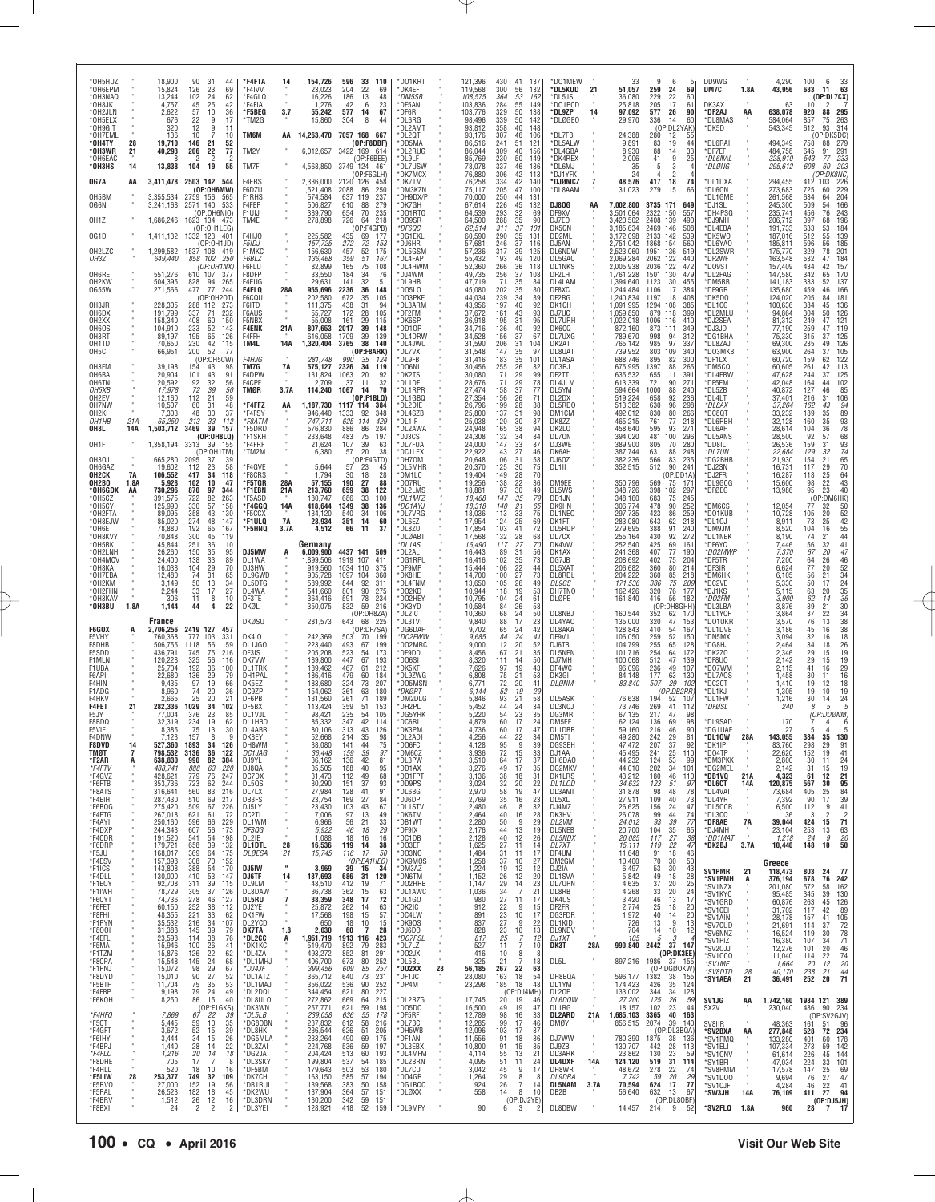| *OH5HUZ<br>*OH6EPM<br>*OH3NAQ<br>*OH8JK<br>*OH2JLN<br>*OH5ELX<br>*OH9GIT<br>*OH7EML<br>*OH4TY<br>*OH3WR<br>*OH6EAC<br>*ОНЗНS<br>OG7A              | 28<br>21<br>14<br>AA    | 18,900<br>90<br>31<br>15,824<br>126<br>23<br>13,244<br>102<br>$^{24}_{25}$<br>4,757<br>45<br>57<br>10<br>2,622<br>22<br>676<br>9<br>320<br>12<br>9<br>136<br>10<br>19,710<br>146<br>21<br>40,293<br>206<br>22<br>8<br>13,838<br>104<br>19<br>3,411,478 2503 142                                                                                               | *F4FTA<br>-44<br>69<br>*F4IVV<br>62<br>*F4GLQ<br>42<br>*F4FIA<br>36<br>*F5BEG<br>17<br>*TM2G<br>11<br>TM6M<br>10<br>52<br>TM2Y<br>77<br>TM7F<br>55<br>F4ERS<br>544                                                                        | 3.7<br>AA                                                          | 154,726<br>23,023<br>16,226<br>1,276<br>55,242<br>15,860<br>2,336,000                                                            | 596<br>33 110<br>204<br>22<br>69<br>186<br>48<br>13<br>6<br>23<br>42<br>577<br>14<br>67<br>304<br>8<br>44<br>14,263,470 7057 168<br>-667<br>(OP:FBDBF)<br>6.012.657 3422 169 614<br>(OP:F6BFF)<br>4,568,850 3749 124 46<br>(OP:F6GLH)<br>2120 126<br>458                                          | *D01KRT<br>*DK4EF<br>*DM5SB<br>*DF5AN<br>*DF6RI<br>*DL6RG<br>*DL2AMT<br>*DL2QT<br>*DD5MA<br>*DL2RUG<br>*DI 91 F<br>*DL7USW<br>*DK7MCX<br>*DK7TM |    | 121,396<br>119,568<br>108,575<br>103,836<br>103,776<br>98,496<br>93,812<br>93,176<br>86.516<br>86,044<br>85,769<br>78,078<br>76,880<br>76,258 | 430<br>300<br>364<br>284<br>329<br>339<br>358<br>307<br>241<br>309<br>$\frac{230}{337}$<br>306<br>334 | 41<br>137<br>132<br>56<br>$\begin{array}{c} 53 \\ 55 \end{array}$<br>162<br>149<br>50<br>138<br>50<br>142<br>40<br>148<br>106<br>46<br>121<br>51<br>40<br>156<br>50<br>149<br>46<br>136<br>42<br>113<br>42<br>140 | *DO1MEW<br>*DL5KUD<br>*DL5JS<br>*DO1PCD<br>*DL9ZP<br>*DLØGEO<br>*DL7FB<br>*DL5ALW<br>*DL4GBA<br>*DK4REX<br>*DL6MJ<br>*DJ1YFK<br>*DJØMCZ | 21<br>14<br>$\overline{7}$ | 33<br>51,057<br>36,080<br>25,818<br>97,092<br>29,970<br>24,388<br>9,891<br>8,930<br>2,006<br>35<br>24<br>48,576                                       | 9<br>6<br>259<br>69<br>24<br>229<br>$^{22}_{17}$<br>60<br>205<br>61<br>577<br>26<br>90<br>336<br>14<br>60<br>(OP:DL2YAK)<br>280<br>12<br>55<br>19<br>44<br>83<br>88<br>14<br>33<br>25<br>$\frac{9}{3}$<br>41<br>5<br>$\overline{2}$<br>417<br>74<br>18                                               | DD9WG<br>DM7C<br>DK3AX<br>*DF2AJ<br>*DL8MAS<br>*DK5D<br>*DL6RAI<br>*DF7EF<br>*DL6NAL<br>*DLØNG<br>*DL1DXA                              | 1.8A<br>AA                           | 4,290<br>43,956<br>63<br>638,078<br>584,064<br>543,345<br>494,349<br>484,758<br>328.910<br>295,612<br>294,455                               | 100<br>6<br>$\frac{33}{63}$<br>683<br>11<br>(OP:DL7CX)<br>920<br>88<br>295<br>857<br>75<br>263<br>314<br>612<br>93<br>P:DK5DC)<br>$\frac{279}{291}$<br>758<br>88<br>645<br>91<br>233<br>203<br>543<br>77<br>60<br>608<br>(OP:DK8NC)<br>226<br>412<br>103                                                         |
|---------------------------------------------------------------------------------------------------------------------------------------------------|-------------------------|---------------------------------------------------------------------------------------------------------------------------------------------------------------------------------------------------------------------------------------------------------------------------------------------------------------------------------------------------------------|-------------------------------------------------------------------------------------------------------------------------------------------------------------------------------------------------------------------------------------------|--------------------------------------------------------------------|----------------------------------------------------------------------------------------------------------------------------------|---------------------------------------------------------------------------------------------------------------------------------------------------------------------------------------------------------------------------------------------------------------------------------------------------|-------------------------------------------------------------------------------------------------------------------------------------------------|----|-----------------------------------------------------------------------------------------------------------------------------------------------|-------------------------------------------------------------------------------------------------------|-------------------------------------------------------------------------------------------------------------------------------------------------------------------------------------------------------------------|-----------------------------------------------------------------------------------------------------------------------------------------|----------------------------|-------------------------------------------------------------------------------------------------------------------------------------------------------|------------------------------------------------------------------------------------------------------------------------------------------------------------------------------------------------------------------------------------------------------------------------------------------------------|----------------------------------------------------------------------------------------------------------------------------------------|--------------------------------------|---------------------------------------------------------------------------------------------------------------------------------------------|------------------------------------------------------------------------------------------------------------------------------------------------------------------------------------------------------------------------------------------------------------------------------------------------------------------|
| OH5BM<br>OG6N<br>OH1Z<br>OG1D<br>OH2LZC<br>OH3Z<br>OH6RE<br>OH <sub>2</sub> KW                                                                    |                         | (OP:0H6MW)<br>3,355,534<br>2759 156<br>2571 140<br>3,241,168<br>(OP:OH6NIO)<br>1,686,246<br>1623 134<br>(OP:OH1LEG)<br>1,411,132<br>1332 123<br>(OP:OH1JD)<br>1537 108 419<br>1,299,582<br>649,440<br>858 102<br>(OP:OH1NX)<br>551,276<br>610 107<br>504,395<br>828<br>94                                                                                     | F6DZU<br>565<br><b>F1RHS</b><br>F4FEP<br>533<br>F1UIJ<br>TM4E<br>473<br>401<br>F4HJ0<br><b>F5IDJ</b><br>F1MKC<br>250<br>F6BI 7<br>F6FLU<br>F8DFP<br>377<br>265<br>F4EUG                                                                   |                                                                    | 1,521,408<br>574,584<br>506,827<br>389,790<br>278,898<br>225,582<br>157,725<br>156,630<br>136,468<br>82,899<br>33,550<br>29,631  | 2088<br>86<br>250<br>237<br>637<br>119<br>610<br>88<br>279<br>70<br>235<br>654<br>726<br>218<br>64<br>(OP:FAGPB)<br>435<br>69<br>177<br>$272\,$<br>$^{72}_{52}$<br>153<br>457<br>175<br>51<br>359<br>167<br>75<br>165<br>108<br>184<br>141<br>76<br>$\begin{array}{c} 34 \\ 32 \end{array}$<br>51 | *DM3KZN<br>*DH9DX/P<br>*DK7GH<br>*DO1RTO<br>*DO9SR<br>*DF6QC<br>*DG1EKL<br>*DJ6HR<br>*DL5GSM<br>*DL4FAP<br>*DL4HWM<br>DJ4WM<br>*DL9HB           |    | 75,117<br>70,000<br>67,614<br>64,539<br>64,500<br>62,514<br>60,590<br>57,681<br>57,236<br>55,432<br>52,360<br>49,735<br>47,719                | 205<br>250<br>226<br>293<br>288<br>311<br>290<br>246<br>317<br>193<br>266<br>$\frac{256}{171}$        | 47<br>100<br>131<br>44<br>45<br>132<br>$\frac{32}{35}$<br>69<br>90<br>37<br>101<br>35<br>131<br>37<br>116<br>39<br>125<br>49<br>120<br>36<br>118<br>$\substack{37\\35}$<br>108<br>84                              | *DL8AAM<br>DJ80G<br>DF9XV<br>DJ7E0<br>DK5QN<br>DD2ML<br>DJ5AN<br><b>DL6NDW</b><br>DL5GAC<br><b>DL1NKS</b><br>DF2LH<br>DL4LAM            | AA                         | 31,023<br>7,002,800<br>3,501,064<br>3,420,502<br>3,185,634<br>3,172,098<br>2,751,042<br>2,523,060<br>2.069.284<br>2,005,938<br>1,761,228<br>1,394,640 | 279<br>66<br>15<br>3735 171<br>649<br>2322<br>150<br>557<br>2408<br>139<br>490<br>2469 146<br>508<br>2133 142<br>539<br>1868<br>560<br>154<br>1951<br>136<br>519<br>2062 122<br>440<br>2036<br>122<br>472<br>1501<br>$\frac{130}{130}$<br>479<br>1123<br>455                                         | *DL6ON<br>*DL1GME<br>*DJ1SL<br>*DH4PSG<br>*DJ9MH<br>*DL4EBA<br>*DK5W0<br>*DL6YAO<br>*DL2SWR<br>*DF2WF<br>*DO9ST<br>*DL2FAG<br>*DM5BB   |                                      | 273,683<br>261,568<br>245,300<br>235,741<br>206,712<br>191,733<br>187,016<br>185,811<br>175,770<br>163,548<br>157,409<br>147,580<br>141,183 | 229<br>725<br>60<br>204<br>634<br>64<br>509<br>166<br>54<br>$\frac{243}{196}$<br>76<br>456<br>397<br>68<br>633<br>$\frac{184}{139}$<br>53<br>512<br>55<br>$\frac{185}{201}$<br>596<br>56<br>329<br>78<br>532<br>184<br>157<br>170<br>137<br>47<br>434<br>42<br>$\frac{342}{333}$<br>$\frac{65}{52}$              |
| 0G55W<br>OH3JR<br>OH6DX<br>OH <sub>2</sub> XX<br>OH6OS<br>OH3RT<br>OH1TD<br>OH <sub>5</sub> C<br>OH3FM<br>OH6BA                                   |                         | 271,566<br>477<br>77<br>(OP:0H20T)<br>228,305<br>288 112<br>191,799<br>337<br>71<br>158,340<br>408<br>60<br>104,910<br>233<br>$\substack{52\\65}$<br>195<br>89,197<br>42<br>70.650<br>230<br>66,951<br>200<br>52<br>(OP:0H5CW)<br>39,198<br>154<br>43<br>20,904<br>101<br>43                                                                                  | 244<br><b>F4FLQ</b><br>F6CQL<br>F6ITD<br>273<br>232<br>F6AUS<br>F5NBX<br>150<br>143<br><b>F4ENK</b><br>126<br>F4FFH<br>115<br>TM4L<br>77<br><b>F4HJG</b><br>TM7G<br>98<br>91<br>F4DPW                                                     | 28A<br>21A<br><b>14A</b><br>7A                                     | 955,696<br>202,580<br>111,375<br>55,727<br>55,008<br>807,653<br>616,058<br>1,320,404<br>281,748<br>575,127<br>131,824            | 2236<br>36<br>148<br>105<br>672<br>35<br>31<br>94<br>438<br>172<br>28<br>105<br>29<br>161<br>115<br>39<br>2017<br>148<br>1709<br>39<br>139<br>38<br>3765<br>140<br>(OP:F8ARK)<br>990<br>35<br>124<br>2326<br>34<br>119<br>1063<br>20<br>92                                                        | *D05L0<br>*DO3PKE<br>*DL3ARM<br>*DF2FM<br>*DK6SP<br>*DD10P<br>*DL4DRW<br>*DL4JWU<br>*DL7VX<br>*DL9FB<br>*DO6NI<br>*DK2TS                        |    | 45,080<br>44,034<br>43,956<br>37,672<br>36,918<br>34.716<br>34,528<br>31.590<br>31,548<br>31.416<br>30,456<br>30,080                          | 202<br>239<br>197<br>161<br>195<br>136<br>156<br>206<br>147<br>183<br>255<br>171                      | 35<br>80<br>34<br>89<br>40<br>92<br>43<br>93<br>31<br>95<br>40<br>$\frac{92}{67}$<br>37<br>31<br>104<br>35<br>97<br>35<br>101<br>26<br>82<br>29<br>99                                                             | DF8XC<br>DF2RG<br>DK1QH<br>DJ7UC<br>DL7URH<br>DK6CQ<br>DL7UXG<br>DK2AT<br>DL8UAT<br>DL1ASA<br>DC3RJ<br>DF2TT                            |                            | 1,244,484<br>1,240,834<br>1,091,995<br>1,059,850<br>1,022,018<br>872,160<br>789,670<br>765,142<br>739,952<br>688,746<br>675,995<br>635,532            | 1106<br>117<br>384<br>408<br>1197 118<br>1294<br>108<br>385<br>879 118<br>399<br>1006<br>116<br>410<br>873<br>349<br>111<br>312<br>998<br>94<br>97<br>985<br>337<br>803<br>109<br>340<br>895<br>82<br>300<br>1397<br>88<br>265<br>655<br>391<br>111                                                  | *DF9GR<br>*DK5DQ<br>*DL1CG<br>*DL2MLU<br>*DJ2SEA<br>*DJ3JD<br>*DG1BHA<br>*DL8ZAJ<br>*DO3MKB<br>*DF1LX<br>*DM5CQ<br>*DL4EBW             |                                      | 135,680<br>124,020<br>100,636<br>94,864<br>81,312<br>77,190<br>75,330<br>69,300<br>63,900<br>60,720<br>60,605<br>47,628                     | 459<br>166<br>181<br>46<br>205<br>84<br>384<br>45<br>136<br>126<br>304<br>50<br>249<br>47<br>$\frac{121}{119}$<br>259<br>315<br>47<br>37<br>235<br>126<br>105<br>105<br>122<br>113<br>49<br>264<br>37<br>159<br>62<br>261<br>42<br>244<br>37                                                                     |
| OH6TN<br>OH5XB<br>OH <sub>2</sub> EV<br>OH7NW<br>OH2KI<br>OH1HB<br>OH8L<br>OH1F<br>OH3OJ<br>OH6GAZ                                                | 21A<br>14A<br><b>7A</b> | 20,592<br>92<br>32<br>72<br>17.978<br>39<br>112<br>21<br>12.160<br>10,507<br>60<br>31<br>48<br>30<br>7,303<br>65,250<br>213<br>33<br>1,503,712<br>3469<br>39<br>(OP:0H8LQ)<br>1,358,194<br>3313<br>39<br>(OP:OH1TM)<br>665.280<br>2095<br>37<br>19,602<br>112<br>23                                                                                           | 56<br>F4CPF<br>50<br>TMØR<br>59<br>48<br>*F4FFZ<br>37<br>*F4FSY<br>*F8ATM<br>112<br>157<br>*F5DRD<br>*F1SKH<br>*F4FRF<br>155<br>*TM2M<br>139<br>58<br>*F4GVE<br>*F8CRS                                                                    | 3.7A<br>AA                                                         | 2,709<br>114,240<br>1,187,730<br>946,440<br>747,711<br>576,830<br>233,648<br>21,624<br>6,380<br>5,644                            | 37<br>11<br>32<br>70<br>1067<br>14<br>(OP:F1BLQ)<br>1117 114<br>384<br>1333<br>92<br>348<br>625<br>114<br>429<br>886<br>284<br>86<br>75<br>483<br>197<br>$\frac{39}{20}$<br>107<br>63<br>57<br>38<br>(OP:FAGTD)<br>57<br>23<br>45<br>30                                                           | *DL1DF<br>*DL1RPR<br>*DL1GBQ<br>*DL2DIE<br>*DL4SZB<br>*DL1IF<br>*DL2AWA<br>*DJ3CS<br>*DL7FUA<br>*DC1LEX<br>*DH70M<br>*DL5MHR<br>*DM1LC          |    | 28,676<br>27,474<br>27,354<br>26,796<br>25,800<br>25,038<br>24,948<br>24,308<br>24,000<br>22,922<br>20,648<br>20,370                          | 171<br>$\frac{158}{156}$<br>199<br>137<br>120<br>165<br>132<br>147<br>143<br>106<br>125               | 29<br>78<br>$\frac{37}{26}$<br>77<br>7.<br>28<br>88<br>98<br>31<br>30<br>87<br>38<br>94<br>84<br>34<br>$\frac{33}{27}$<br>87<br>46<br>58<br>31<br>30<br>75<br>70                                                  | DL4JLM<br>DL5YM<br>DL2DX<br>DL5RD0<br>DM1CM<br>DK8ZZ<br>DK2L0<br>DL70N<br>DJ3WE<br>DK6AH<br>DJ60Z<br>DL1II                              |                            | 613,339<br>594,664<br>519,224<br>513,382<br>492,012<br>465,215<br>458,640<br>394,020<br>389,900<br>387,744<br>382,236<br>352,515                      | 721<br>90<br>271<br>$\substack{1000 \\ 658}$<br>$\frac{88}{92}$<br>240<br>236<br>630<br>96<br>298<br>830<br>266<br>80<br>761<br>77<br>218<br>595<br>93<br>271<br>481<br>100<br>296<br>805<br>280<br>70<br>631<br>88<br>248<br>566<br>83<br>235<br>512<br>90<br>241                                   | *DF5EM<br>*DL5ZB<br>*DL4LT<br>*DL8AX<br>*DC8QT<br>*DL6RBH<br>*DL6AH<br>*DL5ANS<br>*DD8IL<br>*DL7UN<br>*DG2BHB<br>*DJ2SN<br>*DJ2FR      |                                      | 42,048<br>40,872<br>37,401<br>37,264<br>33,232<br>32,128<br>28,614<br>28,500<br>26,536<br>22,684<br>21,930<br>16,731                        | $\begin{array}{r} 125 \\ 102 \\ 85 \\ 106 \\ 94 \\ 89 \\ 93 \\ 78 \end{array}$<br>164<br>44<br>$\frac{127}{216}$<br>46<br>31<br>162<br>43<br>$35\,$<br>189<br>160<br>35<br>36<br>104<br>92<br>57<br>68<br>93<br>74<br>159<br>31<br>32<br>129<br>21<br>65<br>70<br>64<br>43<br>154<br>117<br>29                   |
| OH <sub>2</sub> CK<br>OH2BO<br>*OH6GDX<br>*OH5CZ<br>*OH5CY<br>*OH2FTA<br>*OH8EJW<br>$*$ OH6E<br>*OH8KVY<br>*OH5BK<br>*OH2LNH<br>*OH4MCV<br>*OH8KA | 1.8A<br>AA              | 106,552<br>417<br>34<br>5,928<br>102<br>10<br>730,296<br>870<br>97<br>391,575<br>722<br>82<br>$\frac{57}{43}$<br>125.990<br>$\begin{array}{c} 330 \\ 358 \end{array}$<br>89,095<br>85,020<br>274<br>48<br>192<br>78,880<br>65<br>45<br>70,848<br>300<br>251<br>36<br>45,844<br>150<br>35<br>26,260<br>$\substack{33 \\ 29}$<br>24,400<br>138<br>16,038<br>104 | 118<br>47<br>*F5TGR<br>344<br>*F1EBN<br>263<br>*F5ASD<br>158<br>*F4GGQ<br>130<br>*F5CCX<br>147<br>*F1ULQ<br>167<br>*F5HNQ<br>119<br>110<br>DJ5MW<br>95<br>89<br>DL1WA<br>70<br>DJ3HW                                                      | 28A<br>21A<br>14A<br><b>7A</b><br>3.7A<br>A                        | 1,794<br>57,155<br>213,760<br>180,747<br>418,644<br>134,120<br>28,934<br>4,512<br>Germany<br>6,009,900<br>1.899.506<br>919,560   | 18<br>28<br>190<br>27<br>88<br>659<br>38<br>122<br>686<br>33<br>100<br>1349<br>$\frac{38}{34}$<br>136<br>540<br>106<br>351<br>14<br>60<br>66<br>37<br>11<br>4437 141<br>509<br>1919 107<br>411<br>1034<br>110<br>375                                                                              | *DO7RU<br>*DL2LMS<br>*DL1MFZ<br>*DO1AYJ<br>*DL7VRG<br>*DL6EZ<br>*DL8ZU<br>*DLØABT<br>*DL1AS<br>*DL2AL<br>*DG1RPU<br>*DF9MP                      |    | 19,404<br>19,256<br>18,881<br>18,468<br>18,318<br>18,036<br>17,954<br>17,854<br>17,568<br>16,490<br>16,443<br>16,416<br>15,444                | 149<br>138<br>97<br>147<br>140<br>113<br>124<br>103<br>132<br>117<br>89<br>102<br>106                 | $^{28}_{22}$<br>36<br>30<br>49<br>35<br>79<br>$\substack{21\\33}$<br>$\frac{65}{75}$<br>25<br>69<br>41<br>72<br>28<br>68<br>27<br>70<br>31<br>56<br>$\frac{35}{22}$<br>73<br>44                                   | DM9EE<br>DL5WS<br>DD1JN<br>DK9HN<br>DL1NEO<br>DK1FT<br>DL5RDP<br>DL7CX<br>DK4VW<br>DK1AX<br>DG7JB<br>DL5XAT                             |                            | 350,796<br>348,726<br>348,160<br>306,774<br>297,735<br>283,080<br>279,695<br>255,164<br>252,540<br>241,368<br>208,692<br>206,682                      | (OP:DD1A<br>569<br>75<br>17 <sup>1</sup><br>398<br>102<br>297<br>683<br>75<br>245<br>478<br>$\begin{array}{c} 90 \\ 86 \end{array}$<br>252<br>259<br>423<br>643<br>62<br>218<br>388<br>240<br>91<br>430<br>92<br>272<br>425<br>69<br>161<br>407<br>77<br>190<br>402<br>75<br>204<br>80<br>214<br>360 | *DL9GCG<br>*DFØEG<br>*DM6CS<br>*DO1KUB<br>*DL10J<br>*DM9JM<br>*DL1NEK<br>*DF6YC<br>*DO2MWR<br>*DF5TR<br>*DF3IR                         |                                      | 16,287<br>15,600<br>13,986<br>12,054<br>10,728<br>8,911<br>8,520<br>8,190<br>7,446<br>7,370<br>7,200<br>6,624                               | $\frac{25}{22}$<br>118<br>98<br>40<br>23<br>95<br>(OP:DM6HK)<br>50<br>52<br>52<br>42<br>55<br>44<br>41<br>77<br>32<br>20<br>105<br>73<br>25<br>16<br>104<br>74<br>21<br>32<br>56<br>67<br>20<br>47<br>$\substack{26 \\ 20}$<br>64<br>77                                                                          |
| *OH7EBA<br>*OH2KM<br>*OH2FHN<br>*OH3KAV<br>*OH3BU<br>F6GOX<br>F5VHY<br>F8DHB<br>F5SDD<br>F1MLN                                                    | 1.8A                    | 31<br>12,480<br>74<br>50<br>3,149<br>13<br>2,244<br>33<br>17<br>306<br>11<br>8<br>1,144<br>44<br>4<br>France<br>2419 127 457<br>2,706,256<br>777<br>760,368<br>103<br>1118<br>56<br>506,755<br>75<br>436,791<br>745<br>325<br>120,228<br>56                                                                                                                   | 65<br>DL9GWD<br>34<br>DL5DTG<br>27<br>DL4WA<br>10<br>DF3TE<br>22<br>DKØL<br>DKØSU<br><b>DK410</b><br>331<br>159<br>DL1JG0<br>216<br>DF3IS<br>DK7VW<br>116                                                                                 |                                                                    | 905,728<br>589,992<br>541,660<br>364,416<br>350,075<br>281,573<br>242,369<br>223,440<br>205,208<br>189,800                       | 1097 104<br>360<br>844<br>92<br>311<br>801<br>90<br>275<br>78<br>591<br>234<br>832<br>59<br>216<br>(OP:DH8ZA)<br>643<br>225<br>68<br>(OP:DF7SA)<br>503<br>70<br>199<br>199<br>493<br>67<br>523<br>173<br>54<br>447<br>67<br>193                                                                   | *DK8HE<br>*DL4FNM<br>*DO2KD<br>*DO2HEY<br>*DK3YD<br>*DL2IC<br>*DL3TVI<br>*DG6DAF<br>*DO2FWW<br>*DO2MRC<br>*DF9DD<br>*DO6SI                      |    | 14,700<br>13,650<br>10,944<br>10,795<br>10,584<br>10,360<br>9,840<br>9,702<br>9.685<br>9,000<br>8,456<br>8,320                                | 100<br>105<br>118<br>104<br>84<br>68<br>88<br>65<br>84<br>112<br>67<br>111                            | 27<br>73<br>26<br>49<br>53<br>19<br>24<br>61<br>26<br>58<br>50<br>24<br>17<br>$^{23}_{42}$<br>24<br>24<br>41<br>20<br>52<br>21<br>35<br>50<br>14                                                                  | DL8RDL<br>DL9GS<br>DH7TNO<br>DLØPE<br>DL8NBJ<br>DL4YA0<br>DL8AKA<br>DF9VJ<br>DJ6TB<br>DL5NEN<br>DJ7MH                                   |                            | 204,222<br>171,536<br>162,426<br>161,840<br>160,544<br>135,000<br>128,843<br>106,050<br>104,799<br>101,716<br>100,068                                 | 360<br>$\frac{85}{75}$<br>218<br>386<br>209<br>76<br>320<br>177<br>416<br>56<br>182<br>(OP:DH8GHH)<br>352<br>62<br>170<br>$\frac{47}{54}$<br>320<br>410<br>$\frac{153}{167}$<br>259<br>52<br>150<br>255<br>128<br>65<br>254<br>64<br>172<br>512<br>47<br>139                                         | *DM6HK<br>*DC2VE<br>*DJ1KS<br>*DO2FM<br>*DL3LBA<br>*DL1YCF<br>*DO1UKR<br>*DL1DVE<br>*DN5MX<br>*DG8HJ<br>*DK2Z0<br>*DF8U0               |                                      | 6.105<br>5,330<br>5.115<br>3,900<br>3,876<br>3,864<br>3,570<br>3,186<br>3,094<br>2,464<br>2,346<br>2,142                                    | 46<br>52<br>34<br>24<br>35<br>36<br>36<br>21<br>56<br>50<br>17<br>63<br>20<br>62<br>14<br>30<br>34<br>38<br>38<br>38<br>18<br>26<br>19<br>39<br>21<br>37<br>22<br>$\frac{13}{16}$<br>$^{76}_{45}$<br>32<br>16<br>18<br>34<br>29<br>15<br>19<br>29<br>15                                                          |
| F1UBA<br>F6API<br>F4HIN<br>F1ADG<br>F4HKV<br><b>F4FET</b><br>F5JY<br>F8BDQ<br>F5VIF<br>F4DNW<br><b>F8DVD</b><br>TMØT                              | 21<br>14<br>7           | 36<br>25,704<br>192<br>22,680<br>136<br>29<br>9,435<br>97<br>19<br>74<br>20<br>8,960<br>2,665<br>25<br>20<br>282,336<br>1029<br>34<br>77,004<br>376<br>23<br>234<br>19<br>32.319<br>75<br>13<br>8.385<br>34<br>527,360<br>1893<br>798,532<br>3136<br>36                                                                                                       | 100<br><b>DL1TRK</b><br>79<br>DH1PAL<br>66<br>DK5EZ<br>DC9ZP<br>36<br>21<br>DF6PB<br>102<br>DF5BX<br>85<br>DL1VJL<br>62<br>DI 1HBD<br>30<br>DL4ABR<br><b>IJK8FY</b><br>126<br>DH8WM<br>122<br>DC1JAG                                      |                                                                    | 189,462<br>186,416<br>183,680<br>154,062<br>131,560<br>113,424<br>98,421<br>85,332<br>80,106<br>52.bb8<br>38,080<br>36,448       | 467<br>61<br>212<br>479<br>60<br>184<br>73<br>324<br>207<br>361<br>63<br>180<br>261<br>71<br>189<br>359<br>153<br>51<br>235<br>54<br>105<br>347<br>42<br>114<br>313<br>43<br>126<br>214<br>35<br>ч۲<br>141<br>44<br>75<br>159<br>39<br>97                                                         | *DK5KF<br>*DL9ZWG<br>*DO5MSN<br>*DKØPT<br>*DM2DLG<br>*DH2PL<br>*DG5YHK<br>*DC6RI<br>*DK3PM<br>DI 2AD.<br>*DO6FC<br>*DM6CZ                       |    | 7,626<br>6,808<br>6,771<br>6.144<br>5,846<br>5.452<br>5,220<br>4,879<br>4.736<br>4.256<br>4,128<br>3,936                                      | 97<br>75<br>72<br>52<br>93<br>44<br>54<br>60<br>60<br>44<br>95<br>72                                  | 19<br>43<br>53<br>21<br>20<br>41<br>19<br>29<br>21<br>58<br>34<br>24<br>35<br>23<br>17<br>24<br>17<br>47<br>$\frac{22}{9}$<br>39<br>15                                                                            | DF4WC<br>DK3GI<br>DLØNM<br>DL5ASK<br>DL3NCJ<br>DG3MR<br>DM5EE<br>DL1DBR<br>DM5 LL<br>DG9SEH<br>DJ1AA                                    |                            | 96,096<br>84,148<br>83,840<br>76,638<br>73,746<br>67,135<br>62,124<br>59,160<br>49.28U<br>47,472<br>45,495                                            | 236<br>49<br>107<br>177<br>63<br>29<br>130<br>507<br>102<br>(OP:DB2RR<br>194<br>52<br>107<br>269<br>41<br>112<br>217<br>47<br>98<br>136<br>98<br>69<br>216<br>46<br>90<br>$\frac{29}{37}$<br>8<br>207<br>92<br>241<br>25<br>110                                                                      | *DO7WM<br>*DL7AOS<br>*DC2CT<br>*DL1KJ<br>*DL1FW<br>*DFØSL<br>*DL9SAD<br>*DG1UAE<br>'UL1UW<br>*DK1IP<br>*D04TP                          | 28A                                  | 2,115<br>1,458<br>1,410<br>1,305<br>1,216<br>240<br>170<br>27<br>143,055<br>83,760<br>22,620                                                | 29<br>16<br>18<br>41<br>16<br>30<br>11<br>19<br>12<br>19<br>10<br>19<br>24<br>30<br>14<br>5<br>8<br>5<br>DDØNM)<br>(OP.<br>4<br>$\overline{4}$<br>5<br>35<br>130<br>384<br>298<br>29<br>91<br>152<br>19<br>41                                                                                                    |
| *F2AR<br>*F4FTV<br>*F4GVZ<br>*F6FTB<br>*F8ATS<br>*F4EIH<br>*F6BQG<br>*F4ETG<br>*F4AYI<br>*F4DXP<br>*F4CDR<br>*F6DRP                               | A                       | 990<br>82<br>638,830<br>488,741<br>888<br>63<br>779<br>76<br>428,621<br>723<br>353,736<br>62<br>560<br>83<br>316,641<br>287,430<br>510<br>69<br>275,420<br>509<br>67<br>267,018<br>621<br>61<br>250,160<br>596<br>66<br>607<br>244,343<br>56<br>191,520<br>541<br>54<br>179,721<br>658<br>39                                                                  | 304<br>DJ9YL<br>220<br>DJ8QA<br>247<br>DC7DX<br>DL50S<br>244<br>216<br>DL7LX<br>217<br>DB3FS<br>226<br>DJ5LY<br>172<br>DC2TL<br>229<br>DL1WM<br>173<br>DF3QG<br>198<br>DL2IE<br>132<br>DL1DTL                                             | $\alpha$<br>28                                                     | 36,162<br>35,505<br>31,473<br>30,290<br>27,984<br>23,754<br>23,430<br>7,006<br>6,966<br>5,922<br>1,088<br>16,536                 | 42<br>136<br>81<br>188<br>40<br>95<br>112<br>49<br>68<br>37<br>93<br>151<br>91<br>128<br>41<br>27<br>169<br>84<br>103<br>43<br>67<br>97<br>13<br>49<br>56<br>21<br>33<br>29<br>46<br>18<br>18<br>16<br>16<br>119 14<br>38<br>17<br>.50                                                            | *DL3PW<br>*DD1AX<br>*D01FPT<br>*DD9PS<br>*DL6BG<br>*DJ6DP<br>*DL1STV<br>*DK6TM<br>*DB1WT<br>*DF9IX<br>*DC1DB<br>*DO3EF                          |    | 3,510<br>3,276<br>3,136<br>3,024<br>2,970<br>2,769<br>2,480<br>2,464<br>2,280<br>2,176<br>2,128<br>1,625                                      | 64<br>49<br>38<br>32<br>58<br>35<br>46<br>40<br>50<br>44<br>40<br>27                                  | $\frac{33}{37}$<br>17<br>17<br>35<br>18<br>31<br>20<br>22<br>19<br>$^{47}_{23}$<br>16<br>8<br>32<br>28<br>16<br>29<br>9<br>13<br>19<br>12<br>26<br>11<br>14                                                       | DH6DA0<br>DG2MKV<br>DK1LRS<br>DL1LOD<br>DL3AMI<br>DL5XL<br>DJ4MZ<br>DK3HV<br>DL2VM<br>DL5NEB<br>DL5NDX<br>DL7XT                         |                            | 44,232<br>44,010<br>43,212<br>34,632<br>31,878<br>27,911<br>26,625<br>26,078<br>24,012<br>20,700<br>20,085<br>15,111                                  | 124<br>99<br>53<br>202<br>34<br>101<br>180<br>46<br>110<br>123<br>51<br>97<br>98<br>48<br>78<br>73<br>109<br>40<br>156<br>24<br>47<br>99<br>44<br>74<br>93<br>39<br>77<br>35<br>104<br>65<br>27<br>117<br>38<br>22<br>119<br>47                                                                      | *DM3PKK<br>*DG2MEL<br>*DB1VQ<br>*DL6CT<br>*DL4VAI<br>*DL4YR<br>*DL5OCR<br>*DL3CQ<br>*DF8AE<br>*DJ4MH<br>*DD1MAT<br>*DK2BJ              | 21A<br>14A<br>7A<br>$\alpha$<br>3.7A | 2,800<br>2,142<br>4,323<br>120,875<br>73,684<br>7,392<br>6,500<br>36<br>39,044<br>23,104<br>1,218<br>10,440                                 | 24<br>30<br>11<br>19<br>15<br>31<br>12<br>21<br>61<br>95<br>567<br>30<br>$\frac{84}{39}$<br>405<br>25<br>90<br>17<br>41<br>112<br>9<br>$\overline{c}$<br>3<br>$\overline{\phantom{a}}$<br>71<br>424<br>15<br>63<br>253<br>13<br>20<br>24<br>9<br>$\overline{50}$<br>148<br>10                                    |
| *F5JU<br>*F4ESV<br>*F1ICS<br>*F4DLL<br>*F1E0Y<br>*F1IWH<br>*F6CYT<br>*F6FET<br>*F8FHI<br>*F1PYN<br>*F800I<br>*F4EFL<br>*F5MA<br>*F1TZM            |                         | 168,017<br>369<br>308<br>$^{64}_{70}$<br>157,398<br>143,808<br>388<br>54<br>130,000<br>410<br>53<br>92,708<br>311<br>39<br>37<br>78,729<br>305<br>74,736<br>278<br>46<br>38<br>60,150<br>252<br>221<br>33<br>48,355<br>216<br>34<br>35,532<br>31,388<br>145<br>39<br>23,598<br>114<br>38<br>26<br>15,946<br>100<br>22<br>15,876<br>126                        | $\frac{175}{152}$<br>DLØESA<br>170<br>DJ5IW<br><b>DJ6TF</b><br>147<br>115<br>DL9LM<br>126<br>DL8DAW<br>127<br><b>DL5RU</b><br>112<br>DJ2YE<br>62<br>DK1FW<br>107<br>DL2YCD<br>79<br>DK7TA<br>76<br>*DL2CC<br>41<br>*DK1KC<br>62<br>*DL4ZA | 21<br>$\mathbf{u}$<br>14<br>$\overline{1}$<br>$\alpha$<br>1.8<br>Ą | 15,745<br>3,969<br>187,693<br>48,510<br>36,738<br>38,359<br>25,872<br>17,568<br>650<br>2,030<br>1,951,719<br>519,470<br>493,272  | 116<br>(OP:EA1HEO)<br>39<br>15<br>-34<br>686<br>120<br>31<br>412<br>19<br>71<br>15<br>362<br>63<br>348<br>17<br>72<br>262<br>$^{14}_{15}$<br>$\frac{63}{57}$<br>198<br>18<br>10<br>15<br>60<br>$\overline{7}$<br>28<br>1913 116<br>423<br>892<br>79<br>283<br>852<br>81<br>291                    | *DO3NO<br>*DK9MOS<br>*DM3AZ<br>*DN6TM<br>*DO2HRB<br>*DL1AWC<br>*DL1GO<br>*DK2IC<br>*DC4LW<br>*DK90S<br>*DJ6D0<br>*DO7PSL<br>*DL7LZ<br>*DO2JX    |    | 1,484<br>1,258<br>1,224<br>1,152<br>1,147<br>1,036<br>980<br>912<br>891<br>837<br>828<br>817<br>527<br>416                                    | $\frac{31}{37}$<br>19<br>26<br>29<br>34<br>27<br>$^{22}_{23}$<br>27<br>23<br>25<br>11<br>10           | $\frac{17}{27}$<br>11<br>10<br>12<br>12<br>12<br>20<br>$\frac{23}{21}$<br>$\frac{14}{7}$<br>11<br>17<br>9<br>15<br>17<br>10<br>9<br>22<br>10<br>13<br>$\overline{7}$<br>12<br>7<br>10<br>8<br>-8                  | DF4UM<br>DM2GM<br>DJ2IA<br>DL1SVA<br>DL7UPN<br>DL8RB<br>DK4US<br>DF2FR<br>DG3FDR<br>DL1KID<br>DL9NDV<br>DJ1XT<br>DK3T                   | 28A                        | 11,648<br>10,400<br>6,497<br>5,842<br>4,635<br>4,268<br>3,420<br>2,774<br>1,972<br>726<br>704<br>105                                                  | $\substack{18\\30}$<br>$\frac{91}{70}$<br>46<br>50<br>53<br>30<br>43<br>49<br>18<br>28<br>37<br>20<br>25<br>20<br>24<br>33<br>46<br>13<br>17<br>25<br>18<br>$^{20}_{20}$<br>14<br>40<br>9<br>13<br>13<br>14<br>10<br>12<br>5<br>$\boldsymbol{\beta}$<br>990,840 2442 37 147<br>(OP:DK3EE)            | <b>SV1PMR</b><br>*SV1PMH<br>*SV1NZX<br>*SV1KYC<br>*SV1GRD<br>*SV1CEI<br>*SV1AIN<br>*SV7CUD<br>*SV6NNZ<br>*SV1PIZ<br>*SV20JJ<br>*SV10CQ | 21<br>A                              | Greece<br>118,473<br>376,194<br>201,080<br>95,485<br>60,876<br>31,702<br>28,178<br>21,691<br>16,524<br>16,380<br>12,276<br>11,040           | 803<br>24<br>- 77<br>76<br>242<br>678<br>572<br>58<br>162<br>130<br>345<br>39<br>$\frac{126}{89}$<br>263<br>117<br>$^{45}_{42}$<br>$\begin{array}{r} 105 \\ 72 \\ 78 \\ 71 \end{array}$<br>157<br>41<br>114<br>37<br>119<br>30<br>34<br>107<br>101<br>20<br>$\begin{array}{c} 46 \\ 74 \\ 20 \end{array}$<br>114 |
| *F8CPA<br>*F1PNJ<br>*F8DYD<br>*F5BTH<br>*F4FBP<br>*F6KOH<br>*F4HFQ<br>*F5CT<br>*F4GFT<br>*F6IHY<br>*F4BPJ                                         |                         | 15,548<br>145<br>24<br>15,072<br>98<br>$\frac{29}{27}$<br>$\overline{90}$<br>15,010<br>11,704<br>75<br>35<br>79<br>24<br>9,198<br>8,250<br>86<br>15<br>(OP:FTGKS)<br>7,869<br>67<br>22<br>$10^{-}$<br>5,445<br>$\begin{array}{c} 59 \\ 52 \end{array}$<br>3,672<br>15<br>34<br>15<br>3,444<br>28<br>1,440<br>14                                               | 68<br>*DL1MHJ<br>$^{67}_{52}$<br>*DJ4JF<br>*DL1ATZ<br>53<br>*DL1MAJ<br>49<br>*DL2DQL<br>40<br>*DL8ULO<br>*DK3WN<br>39<br>$*$ DL5LB<br>$\begin{array}{c} 35 \\ 39 \end{array}$<br>*DG8OBN<br>*DL8HK<br>26<br>*DG5MLA<br>22<br>*DL3ZAI      |                                                                    | 406,700<br>399,456<br>365,712<br>356,022<br>344,454<br>272,862<br>257,771<br>239,058<br>237,832<br>236,544<br>233,264<br>224,768 | 673<br>80<br>252<br>$609$<br>$640$<br>$\frac{85}{73}$<br>$\frac{257}{231}$<br>536<br>90<br>252<br>621<br>80<br>227<br>669<br>64<br>215<br>621<br>59<br>198<br>636<br>55<br>178<br>612<br>$\frac{58}{51}$<br>216<br>626<br>205<br>490<br>69<br>175<br>536<br>59<br>197                             | *DL5BL<br>*DO2XX<br>*DF1JC<br>*DP4M<br>*DL2RZG<br>$*$ DO5DC<br>*DF5RF<br>*DL7BC<br>*DH5WB<br>*DF1AN<br>*DL3EBX                                  | 28 | 325<br>56,185<br>28,080<br>23,298<br>17,745<br>16,500<br>12,789<br>12,285<br>12,096<br>11,556<br>10,800                                       | 21<br>267<br>163<br>185<br>120<br>149<br>98<br>99<br>103<br>91<br>91                                  | 7<br>18<br>22<br>63<br>54<br>18<br>18<br>48<br>(OP:DJ4MH)<br>19<br>46<br>19<br>47<br>16<br>33<br>$\frac{46}{37}$<br>17<br>17<br>36<br>18<br>15<br>35                                                              | DL5L<br>DH8BQA<br>DL1YM<br>DL20E<br><b>DL6DQW</b><br>DL1RG<br>DL2ARD<br>DMØY<br>DJ7WW<br>DJ9ZB                                          | 21A                        | 596,177<br>174,423<br>133,002<br>27,200<br>18,157<br>1,685,103<br>856,515<br>780,390<br>130,707                                                       | 897,216 1986 37 155<br>(OP:DGØOKW)<br>1382 38 155<br>426<br>35<br>124<br>344<br>128<br>34<br>125<br>26<br>59<br>102<br>23<br>44<br>3365<br>40<br>163<br>2074<br>39<br>140<br>(OP:DL3BQA<br>1875<br>38<br>136<br>442<br>28<br>113                                                                     | *SV1ME<br>*SV8DTD<br>*SY1AEA<br>SV1JG<br>SX2V<br>SV8IIR<br>*SV2BXA<br>*SV1PMQ<br>*SV1ELI                                               | 28<br>21<br>AA<br>АA                 | 1,664<br>40,170<br>36,491<br>230,040<br>48,363<br>277,848<br>133,280<br>107,334                                                             | $^{22}_{12}$<br>20<br>21<br>$\frac{44}{71}$<br>238<br>252<br>20<br>1,742,160 1984 121 389<br>234<br>486<br>90<br>(OP:SV2GJV)<br>161<br>51<br>96<br>$\begin{array}{cc} 72 & 234 \\ 60 & 178 \end{array}$<br>528<br>401<br>273<br>59<br>142                                                                        |
| *F4FLO<br>*F8DHE<br>*F4HLL<br>*F5LIW<br>*F5RVO<br>*F5PAL<br>*F4BRV<br>*F8BXI                                                                      | 28                      | $20\,$<br>1,216<br>14<br>705<br>17<br>7<br>520<br>18<br>10<br>253,377<br>749<br>32<br>27,000<br>152<br>182<br>$\begin{array}{c} 19 \\ 18 \end{array}$<br>26,523<br>12<br>1,512<br>26<br>$\overline{2}$<br>$\sqrt{2}$<br>24                                                                                                                                    | 18<br>*DG2JA<br>8<br>*DL3SKY<br>16<br>*DF5BM<br>109<br>*DK7CH<br>*DB1RUL<br>$\frac{56}{45}$<br>*DK2WU<br>16<br>*DL3DRN<br>$\overline{2}$<br>*DL3YEI                                                                                       |                                                                    | 204,424<br>199,804<br>179,643<br>163,150<br>139,568<br>137,904<br>130,200<br>128,921                                             | $\frac{513}{537}$<br>60<br>193<br>54<br>185<br>503<br>53<br>180<br>57<br>585<br>194<br>383<br>364<br>$\frac{50}{57}$<br>158<br>151<br>342<br>59<br>151<br>418<br>52<br>159                                                                                                                        | *DL4MFM<br>*DL2BRN<br>*DL7CU<br>*D04GR<br>*DG1BQC<br>*DLØXX<br>*DL9MFY                                                                          |    | 4,114<br>4,095<br>3,042<br>1,264<br>924<br>558<br>90                                                                                          | 55<br>51<br>45<br>29<br>26<br>14<br>6                                                                 | 13<br>21<br>24<br>11<br>9<br>17<br>8<br>8<br>$\begin{array}{c} 7 \\ 8 \end{array}$<br>14<br>10<br>(OP:DJ2YE)<br>- 3<br>2                                                                                          | DL3ARK<br>DL4DXF<br>DH8WR<br>DL9DRA<br><b>DL5NAM</b><br>DB2B<br>DL8DBW                                                                  | 14A<br>3.7A                | 23,862<br>124,120<br>48,672<br>7,742<br>70,594<br>56,640<br>14,457                                                                                    | 130<br>23<br>59<br>519<br>31<br>114<br>278<br>22<br>-74<br>20<br>59<br>29<br><b>624</b><br>632<br>$\frac{17}{13}$<br>$\begin{array}{c} 77 \\ 67 \end{array}$<br>(OP:DL8OBF)<br>$214$ 9<br>52                                                                                                         | *SV10NV<br>*SY1BFI<br>*SV8PMM<br>*SV1D00<br>*SV1CJF<br>*SW3JH<br>*SV2FLQ                                                               | 14A<br>1.8A                          | 61,614<br>47,034<br>17,578<br>9,694<br>4,284<br>76,109<br>960                                                                               | 144<br>226<br>45<br>101<br>224<br>33<br>147<br>25<br>69<br>27<br>47<br>76<br>41<br>46<br>22<br>27<br>94<br>411<br>(OP:DJ5JH)<br>28<br>7 17                                                                                                                                                                       |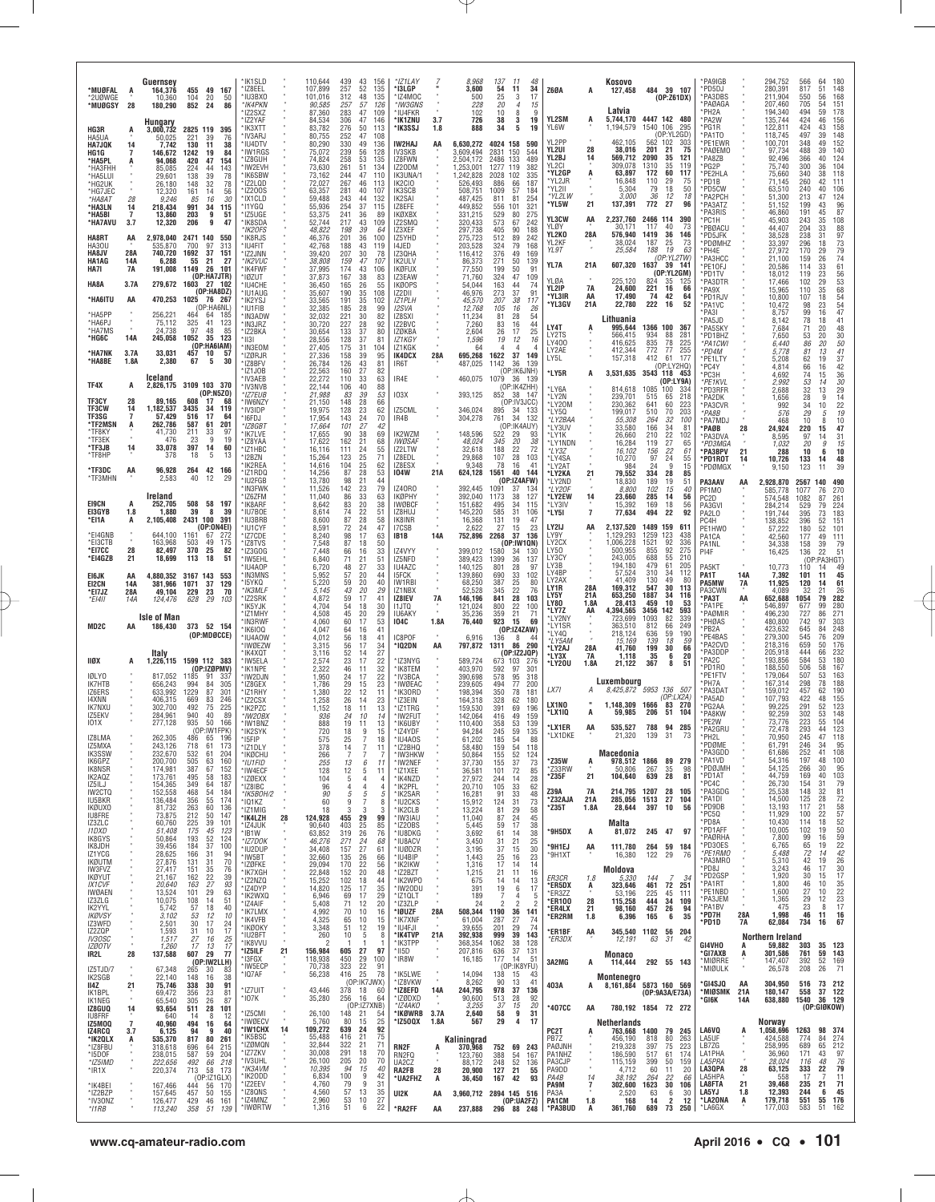| *MUØFAL                                     | A                          | Guernsey<br>455 49 167<br>164,376                                                                                           | 'IK1SLD<br>*IZ8EEL                       |    | 110,644<br>439<br>107,899<br>257                                  | 43<br>156<br>52<br>135                                               | *IZ1LAY<br>*I3LGP                                           |           | 8,968<br>3,600                         | 137<br>54                   | -11<br>48<br>11<br>34                                | <b>Z60A</b>                           | A                    | Kosovo<br>127,458                        |                          | 484 39 107                                                                   | *PA9IGB<br>*PD5DJ                     |            | 294,752<br>280,391                       | 566<br>817                 | 64<br>180<br>51<br>148                                          |
|---------------------------------------------|----------------------------|-----------------------------------------------------------------------------------------------------------------------------|------------------------------------------|----|-------------------------------------------------------------------|----------------------------------------------------------------------|-------------------------------------------------------------|-----------|----------------------------------------|-----------------------------|------------------------------------------------------|---------------------------------------|----------------------|------------------------------------------|--------------------------|------------------------------------------------------------------------------|---------------------------------------|------------|------------------------------------------|----------------------------|-----------------------------------------------------------------|
| *2UØWGE<br>*MUØGSY                          | 28                         | 104<br>10,360<br>20<br>50<br>180,290<br>852<br>86<br>24<br>Hungary                                                          | 'IU3BXO<br>*IK4PKN<br>*IZ2SXZ<br>*IZ2YAF |    | 312<br>101,016<br>90,585<br>257<br>283<br>87,360<br>84,534<br>306 | 48<br>135<br>57<br>126<br>47<br>109<br>47<br>146                     | *IZ4MOC<br>*IW3GNS<br>*IU4FKR<br>*IK1ZNU                    | 3.7       | 500<br>228<br>102<br>726               | 25<br>20<br>10<br>38        | 17<br>3<br>15<br>$\overline{4}$<br>8<br>g<br>3<br>19 | YL2SM                                 | A                    | Latvia<br>5,744,170                      | 4447 142 480             | (OP:Z61DX)                                                                   | *PA3DBS<br>*PAØAGA<br>*PH2A<br>*PA2W  |            | 211,904<br>207,460<br>194,340<br>135,744 | 550<br>705<br>494<br>424   | 56<br>168<br>151<br>54<br>178<br>59<br>156<br>46                |
| HG3R<br>HA5UA<br><b>HA7JQK</b>              | A<br>14                    | 2825 119 395<br>3,000,732<br>221<br>50,025<br>39<br>76<br>130<br>11<br>38<br>7.742                                          | *IK3XTT<br>*IV3ARJ<br>'IU4DTV            |    | 83,782<br>276<br>252<br>80,755<br>330<br>80,290                   | 50<br>113<br>47<br>108<br>49<br>136                                  | *IK3SSJ<br>IW2HAJ                                           | 1.8<br>AA | 888<br>6,630,272                       | 34<br>4024 158              | 5<br>19<br>590                                       | YL6W<br>YL2PP                         |                      | 1,194,579<br>462,105                     | 1540 106<br>562 102      | 295<br>(OP:YL2GD)<br>303                                                     | *PG1R<br>PA1TO<br>PE1EWR              |            | 122,811<br>118,745<br>100,701            | 424<br>497<br>348          | 158<br>43<br>148<br>39<br>49<br>152                             |
| HG1G<br>*HA5PL<br>*HA3FHH                   | 7<br>A                     | 1242<br>19<br>84<br>146.672<br>420<br>47<br>94,068<br>154<br>224<br>44<br>143<br>85.085                                     | 'IW1RGS<br>*IZ8GUH<br>*IW2EVH            |    | 239<br>75,072<br>258<br>74,824<br>261<br>73,630                   | 56<br>128<br>53<br>135<br>51<br>134                                  | IV3SKB<br>IZ8FWN<br>IZ20DM                                  |           | 3,609,494<br>2,504,172<br>1,253,001    | 2831<br>2486<br>1277        | 150<br>544<br>133<br>489<br>119<br>382               | YL2UI<br>YL2BJ<br>YL2CI               | 28<br>14             | 38,016<br>569,712<br>309,078             | 201<br>2090<br>1310      | 21<br>75<br>35<br>121<br>35<br>119                                           | *PAØEMO<br>PA8ZB<br>*PG2P             |            | 97,734<br>92,496<br>75,740               | 488<br>366<br>300          | 140<br>39<br>40<br>124<br>36<br>104                             |
| *HA5LUI<br>*HG2UK<br>*HG7JEC                |                            | 138<br>39<br>78<br>29.601<br>78<br>26,180<br>148<br>32<br>12,320<br>14<br>$\frac{56}{30}$<br>161                            | *IK6SBW<br>*IZ2LQD<br>*IZ200S            |    | 244<br>73,162<br>72,027<br>267<br>63,357<br>281                   | 47<br>110<br>46<br>113<br>40<br>107                                  | IK3UNA/1<br>IK2CIO<br>IK3SCB                                |           | 1,242,828<br>526,493<br>508,751        | 2028<br>886<br>1009         | 102<br>335<br>66<br>187<br>57<br>184                 | *YL2GP<br>*YL2JR<br>*YL2II<br>*YL2LW  | ņ                    | 63,897<br>16,848<br>5,304                | 172<br>110<br>79         | 60<br>117<br>29<br>75<br>18<br>50<br>18                                      | PE2HLA<br>*PD1B<br>*PD5CW             |            | 75,660<br>71,145<br>63,510               | 340<br>260<br>240          | 38<br>118<br>42<br>111<br>40<br>106                             |
| *НА8АТ<br>*HA3LN<br>*HA5BI                  | 28<br>14<br>$\overline{7}$ | 9,246<br>85<br>16<br>218,434<br>991<br>34<br>115<br>203<br>9<br>13,860<br>51                                                | *IX1CLD<br>*11YGQ<br>*IZ5UGE             |    | 59,488<br>243<br>55,936<br>254<br>241<br>53,375                   | 44<br>132<br>37<br>115<br>36<br>-89                                  | IK2SAI<br>IZ8EFE<br>IKØXBX                                  |           | 487,425<br>449,852<br>331,215          | 811<br>556<br>529           | 81<br>254<br>321<br>101<br>80<br>275                 | *YL5W<br>YL3CW                        | 21<br>AA             | 3,000<br>137,391<br>2,237,760            | 36<br>772<br>2466 114    | 12<br>27<br>96<br>390                                                        | *PA2PCH<br>*PA3ATZ<br>PA3RIS<br>PC1H  |            | 51,300<br>51,152<br>46,860<br>45,903     | 213<br>199<br>191<br>243   | 124<br>47<br>43<br>96<br>87<br>45<br>35<br>108                  |
| *HA7AVU<br>HA8RT                            | 3.7<br>AA                  | 12,320<br>206<br>9<br>47<br>2,978,040<br>2471 140<br>550                                                                    | *IK8SDA<br>*IK2OFS<br>*IK8RJS            |    | 217<br>52,744<br>48,822<br>198<br>201<br>46,376                   | 43<br>109<br>39<br>64<br>36<br>100                                   | IZ2SMQ<br>IZ3XEF<br>IZ5YHD                                  |           | 320,433<br>297,738<br>275,723          | 573<br>405<br>512           | 67<br>242<br>90<br>188<br>89<br>242                  | YLØY<br>YL2KO<br>YL2KF                | 28A                  | 30,171<br>576,940<br>38,024              | 117<br>1419<br>187       | 40<br>73<br>36<br>146<br>25<br>73                                            | *PBØACU<br>*PD5JFK<br>*PDØMHZ         |            | 44,407<br>38,528<br>33,397               | 204<br>238<br>296          | 88<br>33<br>31<br>97<br>18                                      |
| HA30U<br>HA8JV<br>HA1AG                     | 28A<br>14A                 | 535,870<br>700<br>97<br>313<br>1692<br>37<br>740,720<br>151<br>6,288<br>55<br>27<br>21                                      | *IU4FIT<br>*IZ2JNN<br>*IK2VUC            |    | 188<br>42,768<br>207<br>39,420<br>38,808<br>159                   | 43<br>119<br>30<br>78<br>47<br>107                                   | 14JED<br>IZ30HA<br>IK2ULV                                   |           | 203,528<br>116,412<br>86,373           | 324<br>376<br>271           | 79<br>168<br>49<br>169<br>50<br>139                  | YL 9T<br>YL7A                         | 21A                  | 25,584<br>607,320                        | 188<br>1637              | 63<br>19<br>(OP:YL2TW)<br>- 39<br>-141                                       | *PH4E<br>*PA3HCC<br>*PE1OFJ           |            | 27,972<br>21,100<br>20,586               | 170<br>159<br>114          | $\frac{73}{79}$<br>29<br>74<br>26<br>61<br>33                   |
| HA7I<br>HA8A                                | 7A<br>3.7A                 | 191,008<br>1149<br>26<br>101<br>(OP:HA7JTR)<br>279,672 1603 27 102<br>(DP:HA8DZ)                                            | *IK4FWF<br>*IØZUT<br>*IU4CHE             |    | 37,995<br>174<br>167<br>37,873<br>165<br>36,450<br>190            | 43<br>106<br>38<br>83<br>26<br>55<br>35<br>108                       | IKØFUX<br>IZ3EAW<br>IKØOPS                                  |           | 77,550<br>71,760<br>54,044<br>46,976   | 199<br>324<br>163<br>273    | 91<br>50<br>47<br>109<br>44<br>74<br>37<br>91        | <b>YLØA</b><br>YL2IP                  | 14<br><b>7A</b>      | 225.120<br>24,600                        | 824<br>221               | (OP:YL2GM)<br>35<br>-125<br>16<br>66                                         | PD1TV<br>*PA3DTR<br>*PA9X             |            | 18,012<br>17,466<br>15,965               | 119<br>102<br>110          | 56<br>53<br>68<br>$\frac{23}{29}$<br>35                         |
| *HA6ITU<br>*HA5PP                           | AA                         | 470,253<br>1025<br>76 267<br>(OP:HA6NL)<br>256,221<br>464<br>64<br>-185                                                     | *IU1AUG<br>*IK2YSJ<br>*IU1FIB<br>*IN3ADW |    | 35,607<br>33,565<br>191<br>32,385<br>185<br>221<br>32,032         | 35<br>102<br>28<br>99<br>30<br>82                                    | IZ2DII<br><b>IZ1PLH</b><br>I2SVA<br>IZ8SXI                  |           | 45,570<br>12,768<br>11,234             | 207<br>105<br>81            | 38<br>117<br>16<br>26<br>28<br>54                    | *YL3IR<br>*YL3GV                      | AA<br>21A            | 17,490<br>22,780                         | 74<br>222                | 42<br>64<br>16<br>52                                                         | *PD1RJV<br>*PA1VC<br>PA3I             |            | 10,800<br>10,472<br>8,757                | 107<br>98<br>99            | $\frac{54}{54}$<br>18<br>23<br>47<br>16                         |
| *HA6PJ<br>*HA7MS<br>*HG6C                   | 14A                        | 75,112<br>325<br>41<br>123<br>24,738<br>97<br>48<br>-85<br>1052<br>35<br>245,058<br>123                                     | *IN3JRZ<br>*IZ2BKA<br>*1131              |    | 227<br>30,720<br>133<br>30,654<br>28,556<br>128                   | 28<br>92<br>37<br>80<br>37<br>81                                     | IZ2BVC<br><b>IZØKBA</b><br>IZ1KGY                           |           | 7,260<br>2.604<br>1,596                | 83<br>26<br>19              | 44<br>16<br>25<br>17<br>12<br>16                     | LY4T<br>LY2TS                         | A                    | Lithuania<br>995,644<br>566,415          | 1366 100<br>934          | 367<br>88<br>281                                                             | PA5JD<br>*PA5SKY<br>*PD1BHZ           |            | 8,142<br>7,684<br>7,650                  | 78<br>71<br>53             | 41<br>18<br>48<br>20<br>20<br>30                                |
| *HA7NK<br>*HA8BE                            | 3.7A<br>1.8A               | (OP:HA6IAM)<br>33,031<br>457<br>10<br>57<br>2,380<br>67<br>5<br>30                                                          | *IN3EOM<br>*IZØRJR<br>*IZ8BFV            |    | 175<br>27,405<br>27,336<br>158<br>26,784<br>126                   | 31<br>104<br>39<br>95<br>81                                          | IZ1KGK<br>IK4DCX<br>IR6T                                    | 28A       | 64<br>695,268<br>487,025               | 4<br>1622<br>1142           | $\Delta$<br>37<br>149<br>36<br>139                   | LY400<br>LY2AE<br>LY5L                |                      | 416,625<br>412,344<br>157,318            | 835<br>772<br>412        | 78<br>225<br>77<br>255<br>61<br>177<br>(OP:LY2HQ)                            | *PA1CWI<br>*PD4M<br>*PE1LTY           |            | 6,440<br>5,778<br>5,208                  | 86<br>81<br>62             | 50<br>20<br>41<br>13<br>$\frac{37}{42}$<br>19                   |
| TF4X                                        | А                          | Iceland<br>3109 103 370<br>2,826,175                                                                                        | *IZ1JOB<br>*IV3AEB<br>*IV3NVB            |    | 22,563<br>160<br>22,272<br>110<br>22,144<br>106                   | $\frac{43}{27}$<br>82<br>33<br>63<br>40<br>88                        | IR4E                                                        |           | 460,075                                | 1079                        | (OP:IK6JNH)<br>36 139<br>(OP:IK4ZHH)                 | *LY5R<br>*LY6A                        | A                    | 3,531,635<br>814,618                     | 3543 118<br>1085         | 453<br>(DP:LY9A)<br>100<br>334                                               | *PC4Y<br>PC3H<br>*PE1KVL<br>*PD3RFR   |            | 4,814<br>4,692<br>2,992<br>2.688         | 66<br>74<br>53             | 16<br>$\begin{array}{c} 36 \\ 30 \end{array}$<br>15<br>14<br>13 |
| TF3CY<br><b>TF3CW</b>                       | 28<br>14                   | (0P: N5Z0)<br>89.165<br>608<br>17<br>68<br>1,182,537<br>3435<br>34<br>119                                                   | *IZ7EUB<br>'IW6NZY<br>*IV3IDP            |    | 21,988<br>21,150<br>148<br>128<br>19,975                          | 39<br>53<br>83<br>28<br>66<br>23<br>62                               | <b>103X</b><br>IZ5CML                                       |           | 393,125<br>346,024                     |                             | 852 38 147<br>(OP:IV3JCC)<br>895 34 133              | *LY2N<br>*LY20M<br>*LY50              |                      | 239,701<br>230,362<br>199,017            | 515<br>641<br>510        | 65<br>218<br>60<br>223<br>70<br>203                                          | *PA2DK<br>*PA3CVR<br>*PA8B            |            | 1,656<br>992<br>576                      | $\frac{32}{28}$<br>34      | $\frac{29}{14}$<br>9<br>$\frac{22}{19}$<br>10<br>10<br>5        |
| TF3SG<br>*TF2MSN<br>*TF8KY                  | 7<br>A                     | 57,429<br>516<br>17<br>64<br>262,786<br>587<br>61<br>201<br>211<br>41,730<br>$\frac{33}{9}$<br>97<br>23<br>19<br>476        | 'I6FDJ<br>*IZ8GBT<br>*IK7LVE             |    | 17,954<br>143<br>101<br>17,664<br>17,655                          | 24<br>70<br>27<br>42<br>90<br>38<br>69                               | IR4B<br>IK2WZM                                              |           | 304,278<br>148,596                     | 761<br>522                  | 34<br>132<br>(OP:IK4AUY)<br>29<br>93                 | *LY2BAA<br>*LY3UV<br>*LY1K            |                      | 55,308<br>33,580<br>26,660               | 264<br>166<br>210        | 32<br>100<br>$\frac{34}{22}$<br>81<br>102                                    | PA7MDJ<br>*PAØB<br>*PA3DVA            | 28         | 468<br>24,924<br>8,595                   | $^{29}_{10}$<br>220<br>97  | 8<br>47<br>15<br>31<br>14                                       |
| *TF3EK<br>*TF3JB<br>*TF8HP                  | 14                         | 33,078<br>397<br>14<br>60<br>5<br>18<br>378<br>13                                                                           | *IZ8YAA<br>*IZ1HBC<br>* 12BZN            |    | 17,622<br>162<br>16,116<br>111<br>15,264<br>123                   | 21<br>68<br>24<br>55<br>25<br>71                                     | <b>IWØSAF</b><br>IZ2LTW<br>IZ8EDL                           |           | 48,024<br>32,618<br>29,868             | 345<br>188<br>107           | 38<br>20<br>72<br>22<br>28<br>103                    | *LY1NDN<br>*LY3Z<br>*LY4SA            |                      | 16,284<br>16,102<br>10,270               | 119<br>156<br>97         | $\frac{27}{22}$<br>65<br>61<br>24<br>$\begin{array}{c} 55 \\ 15 \end{array}$ | *PD3MGA<br>*PA3BPV<br>*PD1ROT         | 21<br>14   | 1,032<br>288<br>10,726                   | 20<br>10<br>133            | 15<br>9<br>10<br>6<br>48<br>14                                  |
| *TF3DC<br>*TF3MHN                           | AA                         | 96,928<br>264<br>42<br>166<br>2,583<br>40<br>29<br>12                                                                       | *IK2REA<br>*IZ1RDQ<br>*IU2FGB<br>*IN3FWK |    | 14,616<br>104<br>14,256<br>13,780<br>142<br>11,526                | 25<br>62<br>28<br>87<br>53<br>98<br>21<br>44<br>79<br>23             | IZ8ESX<br>104W<br><b>IZ40R0</b>                             | 21A       | 9,348<br>624,128<br>392,445            | 78<br>1561<br>1091          | 16<br>41<br>40<br>144<br>(OP:IZ4AFW)<br>37<br>-134   | *LY2AT<br>*LY2KA<br>*LY2ND<br>*I Y20F | 21                   | 984<br>79,552<br>18,830                  | 24<br>334<br>189<br>102  | 9<br>28<br>85<br>19<br>51<br>15                                              | *PDØMGX<br>PA3AAV                     | AA         | 9,150<br>,928,870                        | 123<br>2567                | 39<br>11<br>140<br>490                                          |
| E19CN<br>EI3GYB                             | A<br>1.8                   | Ireland<br>58 197<br>252,705<br>508<br>39<br>1,880<br>8<br>-39                                                              | *IZ6ZFM<br>*IK8ARF<br>*IU7BOF            |    | 11,040<br>8,642<br>8,614                                          | 86<br>33<br>63<br>20<br>83<br>38<br>22<br>74<br>51                   | <b>IKØPHY</b><br><b>IWØBCF</b><br>IZ8HUJ                    |           | 392.040<br>151,682<br>145,220          | 1173<br>495<br>585          | 38<br>127<br>34<br>115<br>31<br>106                  | *LY2EW<br>*LY3IV<br>*LY5I             | 14<br>$\overline{7}$ | 8,800<br>23,660<br>15,392<br>77,634      | 285<br>169<br>494        | 40<br>14<br>56<br>18<br>56<br>22<br>92                                       | PF1MO<br>PC2D<br>PA3GVI<br>PA2LO      |            | 585,778<br>574,548<br>284,214<br>191,744 | 1077<br>1082<br>529<br>395 | 270<br>76<br>87<br>261<br>79<br>224<br>73<br>183                |
| *EI1A<br>*EI4GNB                            | А                          | 2,105,408<br>2431 100<br>-391<br>(OP:ON4EI)<br>644,100<br>1161<br>67<br>-272                                                | *IU3BRB<br>*IU1CYF<br>*IZ7CDE            |    | 8,600<br>8,591<br>8,240                                           | 28<br>87<br>58<br>72<br>24<br>47<br>17<br>98<br>63                   | IK8INR<br>I7CSB<br>IB1B                                     | 14A       | 16,368<br>2.622<br>752,896             | 131<br>27<br>2268           | 19<br>47<br>23<br>15<br>37<br>136                    | LY2IJ<br>LY9Y                         | AA                   | 2,137,520<br>1,129,293                   | 1489<br>1259             | 159<br>611<br>123<br>438                                                     | PC4H<br>PE1HW0<br>PA1CA               |            | 138,852<br>57,222<br>42,560              | 396<br>180<br>177          | 52<br>151<br>52<br>101<br>49<br>111                             |
| *EI3CTB<br>*EI7CC<br>*EI4GZB                | 28<br>21                   | 163,968<br>49<br>503<br>175<br>82,497<br>370<br>25<br>82<br>18,699<br>113<br>18<br>51                                       | *IZ8TVS<br>*IZ3GOG<br>*IW5EHL            |    | 7,548<br>7,448<br>6,840                                           | 87<br>18<br>50<br>66<br>16<br>33<br>71<br>21<br>51                   | IZ4VYY<br>IZ5NFD                                            |           | 399,012<br>389,423                     | 1580<br>1399                | (OP:IW1QN)<br>34<br>130<br>36<br>137                 | LY2CX<br>LY50<br>LY3CY                |                      | .006,228<br>500.955<br>243.005           | 1521<br>855<br>688       | 92<br>336<br>$\substack{92\\55}$<br>275<br>210                               | PA1NL<br>PI4F                         |            | 34,338<br>16,425                         | 158<br>136                 | 79<br>39<br>22<br>51<br>(OP:PA3HGT)                             |
| E16JK<br>EI2CN                              | AA<br>14A                  | 3167 143<br>4,880,352<br>553<br>129<br>37<br>381,966<br>1071                                                                | 'IU4AOP<br>*IN3MNS<br>*15YKQ             |    | 6,720<br>5,952<br>5,220                                           | 27<br>48<br>33<br>57<br>20<br>44<br>59<br>20<br>40                   | IU4AZC<br><b>ISFCK</b><br>IW1RBI                            |           | 140,125<br>139,860<br>68,250           | 801<br>690<br>387           | 28<br>97<br>33<br>102<br>25<br>80                    | LY3B<br>LY4BP<br>LY2AX<br>LY1R        | 28A                  | 194,180<br>57,524<br>41,409<br>169.312   | 479<br>310<br>130<br>547 | 61<br>205<br>34<br>112<br>49<br>80<br>30<br>113                              | PA5KT<br>PA1T<br>PA5MW                | 14A<br>7A  | 10,773<br>7,392<br>11,925                | 110<br>101<br>120          | 14<br>49<br>45<br>-11<br>14<br>61                               |
| *EI7JZ<br>$*$ FI4II                         | 28A<br>14A                 | 49,104<br>229<br>$\frac{23}{29}$<br>70<br>628<br>124,476<br>103                                                             | *IK3MLF<br>*IZ2SRK<br>*IK5YJK<br>*IZ1MHY |    | 5.145<br>4,872<br>4,704<br>4,508                                  | 43<br>20<br>29<br>59<br>17<br>41<br>18<br>54<br>30<br>20<br>45<br>29 | IZ1NBX<br>IZ8IEV<br>11JTQ<br>IU6AKY                         | 7A        | 52,528<br>146,196<br>121,024<br>35,236 | 345<br>841<br>800<br>359    | 22<br>76<br>28<br>103<br>22<br>100<br>21<br>71       | LY5Y<br><b>LY80</b><br>*LY7Z          | 21A<br>1.8A<br>AA    | 653,250<br>28,413<br>4,394,565           | 1887<br>459<br>3456 142  | 34<br>116<br>10<br>53<br>593                                                 | PA3CWN<br>*РАЗТ<br>PA1PE<br>*PAØMIR   | AA         | 4,089<br>652,688<br>546,897<br>496,230   | 32<br>1054<br>677<br>727   | 26<br>21<br>282<br>79<br>280<br>99<br>86<br>271                 |
| MD2C                                        | AA                         | <b>Isle of Man</b><br>186,430<br>373 52 154<br>(OP:MDØCCE)                                                                  | *IN3RWF<br>*IK6IOQ<br>*IU4AOW            |    | 4,060<br>4,047<br>4,012                                           | 53<br>60<br>17<br>16<br>41<br>64<br>18<br>56<br>41                   | 104C<br>IC8POF                                              | 1.8A      | 76,440<br>6,916                        | 923<br>136                  | 69<br>15<br>(OP:IZAZAW)<br>8<br>44                   | *LY2NY<br>*LY1SR<br>*LY40             |                      | 723,699<br>363,510<br>218.124            | 1093<br>812<br>636       | 82<br>339<br>249<br>66<br>59<br>190                                          | <b>PHØAS</b><br>*PB2A<br>PE4BAS       |            | 480,800<br>423,632<br>279,300            | 742<br>645<br>545          | $303\,$<br>97<br>248<br>84<br>76<br>209                         |
| ligx                                        | A                          | Italy<br>1,226,115 1599 112 383                                                                                             | *IWØEZW<br>'IK4XQT<br>*IW5ELA            |    | 3,315<br>3,116<br>2,574                                           | 56<br>17<br>34<br>27<br>52<br>14<br>23<br>17<br>22                   | *IQ2DN<br>'IZ3NYG                                           | AA        | 797,872<br>589,724                     | 1311<br>673 103             | 86<br>290<br>(OP:IZ2JQP)<br>-276                     | *LY5AM<br>*LY2AJ<br>*LY3X<br>*LY20U   | 28A<br>7A<br>1.8A    | 15,169<br>41,760<br>1,118<br>21,122      | 139<br>199<br>35<br>367  | 18<br>59<br>30<br>66<br>20<br>6<br>8<br>51                                   | *PA2CVD<br>*PA3DDF<br>PA2C            |            | 218,316<br>205,918<br>193,856            | 659<br>444<br>584          | 50<br>176<br>66<br>232<br>180<br>53                             |
| <b>IØLYO</b><br>IK7HTB                      |                            | $(OP:IZ\mathcal{Q}PMV)$<br>1185<br>817,052<br>91<br>337<br>656,243<br>994<br>-84<br>305                                     | *IK1NPE<br>'IW2DJN<br>*IZ8GEX            |    | 2,322<br>1,950<br>1,786                                           | 32<br>46<br>11<br>17<br>22<br>24<br>23<br>29<br>15                   | *IK8TEM<br>*IV3BCA<br>*IWØEAC                               |           | 403,970<br>390,698<br>239,605          | 592<br>578<br>494           | 301<br>97<br>95<br>318<br>77<br>200                  | LX7I                                  |                      | Luxembourg<br>8,425,872 5953 136 507     |                          |                                                                              | *PD1R0<br>*PE1FTV<br>®PH7A            |            | 188,550<br>179,064<br>167,314            | 506<br>507<br>298          | 167<br>58<br>163<br>53<br>78<br>188                             |
| IZ6ERS<br>14XNN<br><b>IK7NXU</b><br>IZ5EKV  |                            | 633,992<br>1229<br>87<br>301<br>83<br>406,315<br>669<br>246<br>492<br>75<br>225<br>302,700<br>40<br>940<br>89<br>284,961    | *IZ1RHY<br>*IZ2CSX<br>*IK2PZC            |    | 1,380<br>1,258<br>1,152                                           | 22<br>12<br>11<br>26<br>14<br>23<br>18<br>11<br>13                   | *IK30RD<br>* IZ3EIN<br>*IZ1TRG                              |           | 198,394<br>164,318<br>159,530          | 350<br>328<br>391           | 181<br>78<br>62<br>180<br>69<br>196                  | LX1NO<br>*LX1IQ                       | A                    | 1,148,309<br>59,985                      | 1666<br>206              | (OP: LX2A)<br>83 270<br>51<br>-104                                           | *PA3DAT<br>*PA5AD<br>PG2AA<br>*PA8KW  |            | 159,012<br>107,793<br>99,225<br>92,259   | 457<br>422<br>291<br>302   | 190<br>62<br>155<br>48<br>123<br>52<br>53<br>148                |
| 101X<br>IZ8LMA                              |                            | 277,128<br>935<br>50<br>166<br>(OP:IW1FPK)<br>262.305<br>486<br>65<br>196                                                   | *IW20BX<br>*IW1BNZ<br>*IK2SYK<br>'I5FIP  |    | 936<br>888<br>720<br>575                                          | 24<br>10<br>14<br>19<br>13<br>-11<br>18<br>9<br>15<br>25<br>18       | *IW2FUT<br>*IK6UBY<br>*IZ4YDF<br>IU4A0S                     |           | 142,064<br>110,400<br>94,284<br>61.202 | 416<br>358<br>245<br>185    | 49<br>159<br>53<br>139<br>59<br>135<br>54<br>88      | *LX1ER<br>'LX1DKE                     | AA                   | 535,527<br>21,320                        | 788<br>139               | 94<br>285<br>31                                                              | PF2W<br>*PA2GRU<br>PH2L               |            | 73,776<br>72.478<br>70.950               | 223<br>293<br>245          | 55<br>104<br>44<br>123<br>47<br>118                             |
| IZ5MXA<br>IK3SSW<br>IK6GPZ                  |                            | 718<br>243,126<br>61<br>173<br>204<br>232,670<br>532<br>61<br>200,700<br>505<br>63<br>160                                   | *IZ1DLY<br>*IKØCHU<br>*IU1FID            |    | 378<br>266<br>255                                                 | 14<br>7<br>11<br>7<br>7<br>7<br>13<br>6<br>11                        | *IZ2BHQ<br>*IW3HKW<br>*IW2NEF                               |           | 58,480<br>50,864<br>37,730             | 159<br>155<br>155           | 54<br>118<br>$\frac{52}{37}$<br>124<br>73            | *Z35W                                 | A                    | Macedonia<br>978,512                     | 1866                     | 89<br>279                                                                    | *PDØME<br>*PA3GDD<br>*PA1VD           |            | 61,791<br>61,686<br>54,316               | 246<br>252<br>197          | 34<br>95<br>41<br>108<br>48<br>100<br>95                        |
| IK8NSR<br>IK2AQZ<br>IZ5ILJ                  |                            | 387<br>152<br>174,981<br>67<br>173,761<br>58<br>183<br>495<br>187<br>154,365<br>349<br>64                                   | *IW4ECF<br>*IZØEXX<br>*IZ8IBC            |    | 128<br>104<br>96                                                  | 12<br>5<br>11<br>5<br>4<br>4<br>$\overline{4}$<br>4                  | *IZ1XEE<br>*IK4NZD<br>*IK2PFL                               |           | 36,581<br>27,972<br>20,710             | 101<br>244<br>105           | 72<br>85<br>14<br>28<br>33<br>62                     | *Z33RW<br>*Z35F                       | 21                   | 50.806<br>104,640                        | 267<br>639               | 35<br>98<br>28<br>81                                                         | *PDØJMH<br>*PD1AT<br>*PC4C            |            | 54,125<br>44,759<br>26,730               | 266<br>169<br>154          | 30<br>103<br>40<br>79<br>31                                     |
| IW2CTQ<br>IU5BKR<br><b>IKØUXO</b>           |                            | 152,558<br>468<br>54<br>184<br>136,484<br>174<br>356<br>55<br>81,732<br>263<br>60<br>136                                    | *IK5B0H/2<br>* IQ1KZ<br>*IZ1MIG          |    | 90<br>60<br>18                                                    | 5<br>5<br>5<br>9<br>7<br>8<br>3<br>3<br>3                            | *IK2SAR<br>*IU2CKS<br>*IK2CLB                               |           | 16,281<br>15,912<br>13,224             | 91<br>124<br>81             | 33<br>48<br>31<br>73<br>29<br>58                     | Z39A<br>*Z32AJA<br>*Z35T              | 7A<br>21A<br>1.8A    | 214,795<br>285,056<br>28,644             | 1207<br>1513<br>397      | 28<br>105<br>27<br>104<br>10<br>56                                           | *PA3GDG<br>*PA1DI<br>*PD9DB<br>*PC5Q  |            | 25,538<br>14,500<br>13,193<br>11,929     | 148<br>125<br>117<br>100   | 81<br>32<br>28<br>72<br>58<br>57<br>21<br>22                    |
| IU8FRE<br>IZ3ZLC<br><b>I1DXD</b><br>IK8GYS  |                            | 212<br>50<br>73,875<br>147<br>60,760<br>$^{225}_{175}$<br>39<br>101<br>45<br>51,408<br>123<br>52<br>50,864<br>193<br>124    | *IK4LZH<br>*IZ4JUK<br>*IB1W              | 28 | 124,928<br>455<br>90,640<br>403<br>319<br>63,852                  | 29<br>99<br>25<br>85<br>26<br>76                                     | *IW3IAU<br>*IZ20BS<br>*IU8DKG                               |           | 11,040<br>5,445<br>3,692               | 87<br>59<br>61              | 24<br>45<br>17<br>38<br>38<br>14                     | *9H5DX                                | A                    | Malta<br>81,072                          | 245 47                   | 97                                                                           | *PD8A<br>*PD1AFF<br>*PAØRHA           |            | 10,430<br>10,005<br>7,800                | 114<br>102<br>99           | $\frac{52}{50}$<br>18<br>19<br>16                               |
| IK8JDH<br>IZ1YCG<br><b>IKØUTM</b>           |                            | 37<br>39,456<br>184<br>100<br>28,625<br>166<br>31<br>94<br>70<br>27,876<br>131<br>31                                        | *IZ7DOK<br>*IU2DUP<br>*IW5BT<br>*IZØFKE  |    | 271<br>46,276<br>34,408<br>157<br>32,660<br>135<br>170<br>29,094  | 24<br>68<br>27<br>61<br>26<br>66<br>22<br>56                         | *IU8ACV<br>*IUØDZR<br>*IU4BIP<br>*IK2IKW                    |           | 3,450<br>3,195<br>1,443<br>1,316       | 31<br>37<br>25<br>17        | 25<br>21<br>30<br>15<br>23<br>16<br>14<br>-14        | *9H1EJ<br>*9H1XT                      | AA                   | 111,780<br>16,380                        | 264 59<br>122            | 184<br>29<br>76                                                              | *PD30ES<br>*PE1RMO<br>*PA3MRO         |            | 6,765<br>5,488<br>5,310                  | 65<br>72<br>42             | 59<br>22<br>42<br>26<br>30<br>77<br>35<br>22<br>19<br>14<br>19  |
| IW3FVZ<br><b>IKØYUT</b><br><b>IX1CVF</b>    |                            | 27,417<br>151<br>35<br>76<br>21,167<br>162<br>$\frac{22}{27}$<br>$\begin{array}{c} 39 \\ 93 \end{array}$<br>20,640<br>163   | *IK7XGH<br>*IZ2NZQ<br>*IZ4DYP            |    | 22,848<br>152<br>15,252<br>102<br>14,820<br>125                   | 20<br>48<br>18<br>44<br>17<br>35                                     | *IZ2BZT<br>*IK2WP0<br>*IW20DU                               |           | 1,215<br>675<br>391                    | 21<br>14<br>19              | 11<br>16<br>13<br>14<br>6<br>17                      | ER3CR<br>*ER5DX                       | 1.8<br>Ą             | Moldova<br>5,330<br>323,646              | 144<br>461               | $\overline{7}$<br>-34<br>72<br>251                                           | *PD8J<br>*PD2GSP<br>*PA1RT            |            | 3,243<br>1,920<br>1,800                  | 46<br>30<br>46             | 17<br>15<br>10                                                  |
| <b>IWØAEN</b><br>IZ3ZLG<br>IK2YYL           |                            | 13,524<br>101<br>29<br>63<br>10,075<br>108<br>14<br>51<br>40<br>5,742<br>57<br>18                                           | *IK2WXQ<br>*IZ4AIF<br>*IK7LMX            |    | 6,946<br>71<br>5,408<br>4,992                                     | 17<br>29<br>69<br>12<br>20<br>70<br>10<br>16                         | *IZ1QLT<br>*IZ3ZLP<br>*IØUZF                                | 28A       | 189<br>24<br>508,344                   | 7<br>$\overline{2}$<br>1190 | 4<br>-5<br>$\overline{2}$<br>2<br>36<br>141          | *ER3ZZ<br>*ER100<br>*ER4LX            | 28<br>21             | 53,196<br>115,258<br>98,160              | 225<br>444<br>457        | 45<br>111<br>34<br>109<br>26<br>94                                           | *PE1NBD<br>*PA3JEM<br>*PA1BV<br>*PD7H | 28A        | 1,600<br>1,365<br>475<br>1,998           | 27<br>29<br>23<br>46       | 10<br>$^{23}_{17}$<br>12<br>-8<br>11<br>16                      |
| IKØVSY<br>IZ3WFD<br>IZ2ZQP<br><b>IV30SC</b> |                            | 3,102<br>53<br>12<br>10<br>2,501<br>30<br>17<br>24<br>17<br>1,593<br>10<br>31<br>27<br>1,517<br>16<br>25                    | *IK4VFB<br>*IKØOKY<br>*IU2BFT            |    | 4,325<br>3,348<br>260                                             | 65<br>10<br>15<br>12<br>51<br>19<br>10<br>5<br>8                     | *IK7XNF<br>*IU4FJI<br>*IK4TVP                               | 21A       | 61,004<br>39,655<br>392,938            | 287<br>201<br>999           | 27<br>74<br>29<br>74<br>39<br>143                    | *ER2RM<br>*ER1BF<br>*ER3DX            | 1.8<br>AA            | 6,396<br>345,540<br>12,191               | 165<br>1102<br>63        | 6<br>35<br>56 204<br>- 31<br>42                                              | *PD1D                                 | 7A         | 62,084<br>Northern Ireland               | 734                        | 67<br>16                                                        |
| <b>IZØOTV</b><br>IR2L                       | 28                         | 17<br>17<br>13<br>1,260<br>607<br>29<br>137,588<br>77<br>(OP:IW2LLH)                                                        | *IK8VVU<br>*IZ5ILF<br>*I3FGX             | 21 | 156,984<br>605<br>118,938<br>450                                  | 27<br>97<br>29<br>100                                                | *IK3TPP<br>$*$ II5D<br>*IR8W                                |           | 368,354<br>207,816<br>16,185           | 1062<br>636<br>177          | 38<br>128<br>37<br>131<br>14<br>51                   | 3A2MG                                 | A                    | Monaco<br>114,444                        |                          | 292 55 143                                                                   | GI4VHO<br><b>GI7AXB</b><br>*MIØRRE    | А<br>A     | 59,882<br>301,586<br>147,407             | 303<br>761<br>392          | 123<br>35<br>59<br>143<br>52<br>169                             |
| IZ5TJD/7<br>IK2SGB<br>II4Z                  | 21                         | 67,348<br>265<br>30<br>83<br>22,140<br>148<br>38<br>16<br>75,746<br>338<br>30<br>91                                         | *IW5ECP<br>*IQ7AF<br>*IZ7UIT             |    | 70,738<br>323<br>56,238<br>416<br>43,446                          | 22<br>91<br>25<br>78<br>(OP:IK7JWX)<br>378 18<br>60                  | *IK5LWE<br>*IZ8VKW<br>*IZ8EFD                               | 14A       | 14,094<br>8,262<br>244,795             | 138<br>90<br>978            | (OP:IK8YFU)<br>15<br>43<br>41<br>13<br>37<br>136     | 403A                                  | A                    | Montenegro<br>8,161,884 5873 160 569     |                          |                                                                              | *MIØULK<br>*GI4SJQ                    | AA         | 26,578<br>304,950                        | 208<br>516                 | 71<br>26<br>73 212                                              |
| IK1BPL<br>IK1NEG<br>IZ8GUQ<br>IU8FRF        | 14                         | 69,472<br>$\substack{23 \\ 26}$<br>356<br>81<br>65,540<br>305<br>-87<br>511<br>28<br>101<br>93,654<br>8<br>12<br>640<br>-14 | *107K<br>*IZ5CMI                         |    | 256<br>35,280<br>26,100<br>148                                    | 16<br>64<br>(OP:IZ7XNB)<br>21<br>54                                  | *IZØDXD<br>*IZ4AKO<br>*IKØWRB                               | 3.7A      | 90,600<br>3,255<br>2,640               | 513<br>37<br>58             | 28<br>92<br>15<br>20<br>9<br>31                      | *407CC                                | AA                   | 780,192 1854 72 272                      |                          | (OP:9A3A/E73A)                                                               | *MIØSMK<br>*GI6K                      | 21A<br>14A | 180,147<br>638,880 1540 36 129           | 558                        | 37 122<br>(OP:GIØKOW)                                           |
| IZ5MOQ<br>IZ4RCQ<br>*IK2QLX                 | $\overline{7}$<br>3.7<br>А | 40,960<br>494<br>16<br>64<br>9<br>40<br>6,125<br>-94<br>817<br>80<br>535,370<br>261                                         | *IWØECV<br>*IW1CHX<br>*IK5BSC            | 14 | 5,760<br>639<br>109,272<br>416<br>55,488                          | 80<br>15<br>25<br>92<br>24<br>75<br>21                               | *IZ5OQX                                                     | 1.8A      | 567<br>Kaliningrad                     | 29                          | 4<br>17                                              | PC <sub>2</sub> T<br>PB7Z             | A                    | <b>Netherlands</b><br>763,668<br>456,190 | 1400<br>818              | 79<br>245<br>80<br>263                                                       | LA6VQ<br>LA5UF                        | Ą          | Norway<br>1,058,696<br>424,588           | 1263<br>774                | 98<br>374<br>274<br>84                                          |
| *IZ8FBU<br>*I5DOF<br>*IZ5IMD                |                            | 318,618<br>64<br>215<br>696<br>238,015<br>59<br>587<br>204<br>66<br>492<br>218<br>222,656                                   | *IZØMQN<br>* IZ7ZKV<br>*IV3UHL           |    | 322<br>32,844<br>30,008<br>291<br>205<br>26,100                   | 21<br>71<br>18<br>70<br>20<br>70                                     | RN <sub>2F</sub><br>RN2FQ<br>UA <sub>2</sub> C <sub>Z</sub> | A         | 370,968<br>123,760<br>88,172           | 752<br>388<br>248           | 69 243<br>54<br>167<br>52<br>136                     | PAØJNH<br>PA1NHZ<br>PA3CJP            |                      | 219,328<br>186,590<br>115,159            | 397<br>517<br>399        | 75<br>223<br>61<br>174<br>$\frac{50}{11}$<br>159                             | LB7ZG<br>LA1PHA<br><i>LA5PRA</i>      |            | 258,995<br>36,960<br>28,024              | 689<br>171<br>116          | 65<br>212<br>$\frac{97}{76}$<br>43<br>48                        |
| *IR1X<br>*IK4BEI                            |                            | 713<br>58<br>220,374<br>173<br>(OP:IZ1GLX)<br>167,466<br>444<br>56<br>170                                                   | *IK3AVM<br>*IK2ODD<br>*IZ2EEV            |    | 10,395<br>100<br>6,834<br>4,760                                   | 15<br>94<br>40<br>$\overline{9}$<br>42<br>79<br>9<br>31              | RA2FB<br>*UA2FHZ                                            | 28<br>A   | 20,900<br>36,450                       | 127<br>167                  | 21<br>55<br>93<br>42                                 | PA9DD<br>PA4B<br><b>PA9M</b>          | 14<br>7              | 4.712<br>38,192<br>302,600               | 60<br>264<br>1623        | 20<br>22<br>66<br>30<br>106                                                  | LA3QPA<br>LA5HPA<br>LA8FTA            | 28<br>21   | 63,125<br>558<br>39,468                  | 333<br>17<br>235           | 79<br>22<br>11<br>21<br>71                                      |
| *IZ2BZP<br>*IV30NZ<br>$*$ I1RB              |                            | 157,645<br>457<br>155<br>50<br>126,477<br>429<br>46<br>161<br>113,240<br>358<br>51<br>139                                   | *IZ8QNS<br>*IZ4MNZ<br>*IWØRTW            |    | 4,560<br>2,960<br>1,316                                           | 57<br>13<br>35<br>27<br>53<br>10<br>22<br>51<br>6                    | UI2K<br>*RA2FF                                              | AA<br>AA  | 3,960,712 2894 145 516<br>237,888      |                             | (OP:UAZFZ)<br>296 88 248                             | PA3A<br>PA1CM<br>*PA3BUD              | 1.8<br>А             | 2,520<br>168<br>361,760                  | 63<br>14<br>689          | 30<br>6<br>12<br>$\overline{2}$<br>73<br>250                                 | LA5YJ<br>*LA20NA<br>*LA6GX            | 1.8<br>A   | 12,393<br>179,718<br>177,003             | 244<br>551<br>583          | 45<br>6<br>176<br>55<br>51 162                                  |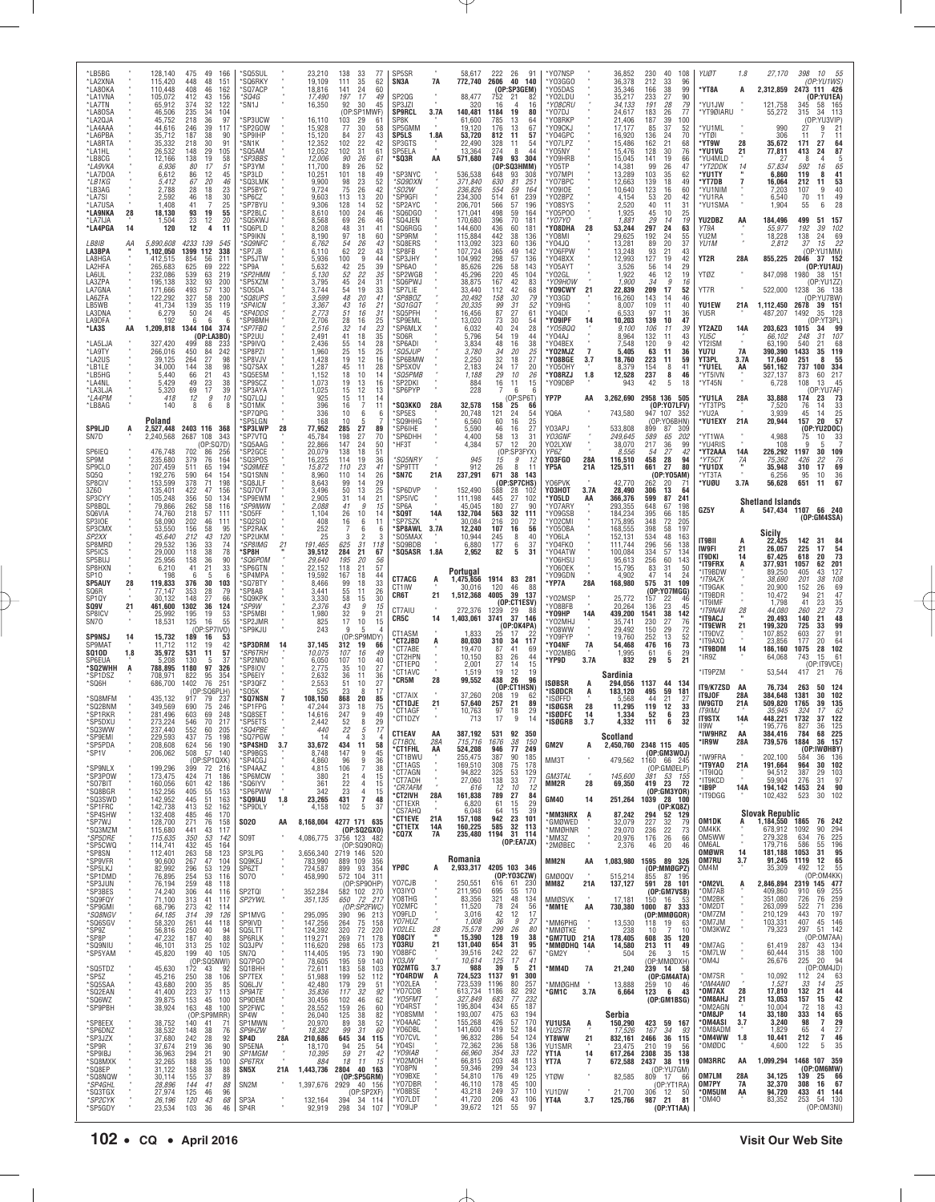| *LB5BG<br>*LA2XNA<br>*LA80KA               |          | 128,140<br>115,420<br>110,448    | 475<br>49<br>166<br>448<br>48<br>151<br>408<br>46<br>162                                | 'SQ5SUL<br>'SQ6RKY<br>'SQ7ACP              |                         | 23,210<br>19,109<br>18.816    | 138<br>$\frac{33}{35}$<br>77<br>62<br>111<br>24<br>60<br>141                     | SP5SR<br>SN3A                              | 7A                   | 58,617<br>772,740                  | 222<br>2606           | 26<br>91<br>40<br>140<br>(OP:SP3GEM)                          | *Y07NSP<br>*Y03GG0<br>*Y05DAS                |                       | 36,852<br>36,378<br>35,346          | 230<br>40<br>212<br>33<br>166<br>38                              | 108<br>96<br>99                 | YUØT<br>*YT8A                            | 1.8<br>A                | 27,170<br>2,312,859                                 | 398<br>10<br>55<br>(OP:YU1WS)<br>2473 111 426                                                                             |
|--------------------------------------------|----------|----------------------------------|-----------------------------------------------------------------------------------------|--------------------------------------------|-------------------------|-------------------------------|----------------------------------------------------------------------------------|--------------------------------------------|----------------------|------------------------------------|-----------------------|---------------------------------------------------------------|----------------------------------------------|-----------------------|-------------------------------------|------------------------------------------------------------------|---------------------------------|------------------------------------------|-------------------------|-----------------------------------------------------|---------------------------------------------------------------------------------------------------------------------------|
| *LA1VNA<br>'LA7TN<br>*LA8OSA               |          | 105,072<br>65,912<br>46,506      | 412<br>$\begin{array}{c} 43 \\ 32 \end{array}$<br>156<br>122<br>374<br>34<br>235<br>104 | *SQ4G<br>'SN1J                             |                         | 17,490<br>16,350              | 197<br>17<br>49<br>92<br>30<br>45<br>(OP:SP1MWF)                                 | SP2QG<br>SP3JZI<br><b>SP9RCL</b>           | 3.7A                 | 88,477<br>140,481                  | 752<br>16<br>1184     | 21<br>16<br>19<br>80                                          | *Y02LDU<br>*Y08CRU<br>'Y07DJ                 |                       | 35,217<br>34,133<br>24,617          | 233<br>27<br>191<br>28<br>183<br>26                              | 90<br>79<br>77                  | *YU1JW<br>*YT9ØIARU                      |                         | 121,758<br>55,272                                   | (OP:YU1EA)<br>345<br>58 165<br>34 113<br>315                                                                              |
| LA2QJA*<br>*LA4AAA<br>LA6PBA               |          | 45,752<br>44,616<br>35,712       | 218<br>36<br>97<br>39<br>246<br>117<br>187<br>38<br>90                                  | 'SP3UCW<br>'SP2GOW<br>'SP9IHP              |                         | 16,110<br>15,928<br>15,120    | 103<br>29<br>61<br>30<br>77<br>58<br>84<br>27<br>43                              | SP8K<br>SP5GMM<br><b>SP5LS</b>             | 1.8A                 | 61,600<br>19,120<br>53,720         | 785<br>176<br>812     | 13<br>64<br>13<br>67<br>11<br>57                              | Y08RKP<br>'Y09CKJ<br>Y04GPC                  |                       | 21,406<br>17,177<br>16,920          | 187<br>39<br>85<br>37<br>136<br>24                               | 100<br>52<br>70                 | *YU1ML<br>'YTØI                          |                         | 990<br>306                                          | (OP:YU3VIP)<br>2 <sup>i</sup><br>27<br>9<br>11<br>11                                                                      |
| *LA8RTA<br>'LA1HL<br>*LB8CG                |          | 35,332<br>26,532<br>12,166       | 30<br>218<br>91<br>148<br>29<br>105<br>19<br>138<br>58                                  | 'SN1K<br>'SQ5AM<br><i><b>SP3BBS</b></i>    |                         | 12,352<br>12,052<br>12,006    | 22<br>102<br>42<br>102<br>31<br>61<br>26<br>90<br>61                             | SP3GTS<br>SP5ELA<br>'SQ3R                  | AA                   | 22,490<br>13,364<br>571,680        | 328<br>274<br>749     | 54<br>11<br>8<br>44<br>93<br>304                              | *Y07LPZ<br>*Y05NY<br>Y09HRB                  |                       | 15,486<br>15,476<br>15,045          | 21<br>162<br>128<br>30<br>141<br>19                              | 68<br>76<br>66                  | *YT9W<br>*YU1VG<br>'YU4MLD               | 28<br>21                | 35,672<br>77,811<br>2                               | 64<br>171<br>27<br>87<br>413<br>8                                                                                         |
| *LA9VKA<br>LA7DOA*<br>*LB1KG               |          | 6,936<br>6,612<br>5,412          | 80<br>17<br>51<br>86<br>12<br>45<br>67<br>20<br>46                                      | 'SP3YM<br>'SP3LD<br>'SQ3LMK                |                         | 11,700<br>10,251<br>9,900     | 26<br>89<br>52<br>101<br>18<br>49<br>98<br>23<br>52                              | SP3NYC<br><i>*SQ9DXN</i>                   |                      | 536,538<br>371,840                 | (OP<br>648<br>630     | SQ3HMM)<br>93<br>308<br>81<br>251                             | 'Y05TP<br>'Y07MPI<br>'Y07BPC                 |                       | 14,381<br>13,289<br>12,663          | 99<br>26<br>35<br>103<br>139<br>18                               | 47<br>62<br>49                  | *YT2DDK<br>*YU1TY<br>*YT7DB              | 14                      | 57,834<br>6,860<br>16,064                           | $\frac{5}{65}$<br>592<br>16<br>$\frac{41}{53}$<br>119<br>8<br>212<br>11                                                   |
| *LB3AG<br>*LA7SI<br>*LA7USA                |          | 2.788<br>2,592<br>1.408          | 28<br>18<br>23<br>30<br>46<br>18<br>41<br>$\overline{7}$<br>25                          | SP5BYC<br>'SP6CZ<br>'SP7BYU                |                         | 9,724<br>9,603<br>9,306       | 75<br>26<br>42<br>113<br>13<br>20<br>128<br>14<br>52                             | 'SO2W<br>'SP9GFI<br>SP2AYC                 |                      | 236,826<br>234,300<br>206,701      | 554<br>514<br>566     | 59<br>164<br>61<br>239<br>57<br>196                           | Y09I0E<br>*Y02BPZ<br>*Y08SYS                 |                       | 10,640<br>4,154                     | 123<br>16<br>53<br>20<br>40<br>11                                | 60<br>42<br>31                  | 'YU1NIM<br>*YU1RA<br>*YU1SMA             |                         | 7,203<br>6,540<br>1,904                             | $\frac{40}{49}$<br>107<br>9<br>70<br>11<br>28<br>55<br>6                                                                  |
| *LA9NKA<br>LA7IJA<br>*LA4PGA               | 28<br>14 | 18,130<br>1,504<br>120           | 93<br>23<br>12<br>19<br>55<br>20<br>12<br>4<br>11                                       | 'SP2BLC<br>SQ5KWJ<br>'SQ6PLD               |                         | 8,610<br>8,568<br>8,208       | 100<br>$^{24}_{26}$<br>46<br>69<br>46<br>48<br>31<br>41                          | `SQ6DGO<br>SQ4JEN<br>'SQ6RGG               |                      | 171,041<br>170,680<br>144,600      | 498<br>396<br>436     | 59<br>164<br>70<br>181<br>60<br>181                           | *Y05P00<br>'YO7YO<br>*Y08DHA                 | 28                    | $2,520$<br>1,925<br>1,881<br>53,244 | 45<br>10<br>29<br>14<br>297<br>24                                | 25<br>19<br>63                  | YU2DBZ<br>YT9A                           | AA                      | 184,496<br>55,977                                   | 499<br>51<br>157<br>102<br>192<br>39                                                                                      |
| LB8IB<br>LA3BPA                            | АA       | 5,890,608<br>1,102,050           | 4233<br>139<br>545<br>1399<br>112<br>338                                                | <b>SP9IKN</b><br><i>'SQ9NFC</i><br>SP7JB   |                         | 8,190<br>6,762<br>6,110       | 97<br>18<br>60<br>54<br>26<br>43<br>62<br>43                                     | SP9RM<br>SQ8ERS<br>SP8FB                   |                      | 115,884<br>113,092<br>107,724      | 442<br>323<br>365     | 38<br>136<br>60<br>136<br>49<br>142                           | *Y08MI<br>*Y04JQ<br>*Y06FPW                  |                       | 29,625<br>13,281<br>13,248          | 192<br>$\begin{array}{c} 24 \\ 20 \end{array}$<br>89<br>93<br>21 | 55<br>37<br>43                  | YU2M<br>YU1M                             |                         | 18,228<br>2.812                                     | 138<br>69<br>24<br>$\overline{22}$<br>15<br>37<br>(OP:YU1MM)                                                              |
| LA8HGA<br>LA2HFA<br>LA6UL                  |          | 412,515<br>265,683<br>232,086    | 211<br>854<br>56<br>625<br>69<br>222<br>63<br>219<br>539                                | SP5JTW<br>'SP9A<br><i><b>SP2HMN</b></i>    |                         | 5,936<br>5,632<br>5,130       | $\frac{22}{9}$<br>100<br>44<br>$^{42}_{52}$<br>$\frac{25}{22}$<br>24<br>39<br>35 | SP3JHY<br>SP6A0<br>SP2WGB                  |                      | 104,992<br>85,626<br>45,296        | 298<br>226<br>220     | 57<br>136<br>58<br>143<br>45<br>104                           | *Y04BXX<br>*Y05AYT<br>YO2GL                  |                       | 12,993<br>3,526<br>1,922            | 19<br>127<br>56<br>14<br>46<br>12                                | 42<br>29<br>19                  | YT2R<br>YTØZ                             | 28A                     | 855,225<br>847,098                                  | 37 152<br>2046<br>(OP:YU1AU<br>1980<br>38 151                                                                             |
| LA3ZPA<br>LA7GNA<br>LA6ZFA                 |          | 195,138<br>171,666<br>122,292    | 332<br>93<br>200<br>493<br>57<br>130<br>58<br>327<br>200                                | SP5XZM<br>SO5DA<br>*SQ8UPS                 |                         | 3,795<br>3,744<br>3,599       | 45<br>31<br>54<br>19<br>33<br>48<br>20<br>41                                     | 'SQ6PWJ<br>SP7LIE<br><i>*SP8BOZ</i>        |                      | 38,875<br>33,440<br>20,492         | 167<br>112<br>158     | 42<br>83<br>42<br>68<br>79<br>30                              | *Ү09Н0W<br>*Y09CWY<br>*Y03GD                 | 21                    | 1,900<br>22,839<br>16,260           | 34<br>17<br>209<br>143<br>14                                     | 9<br>16<br>52<br>46             | YT7R                                     |                         | 522,000 1238                                        | P:YU1ZZ<br>36 138<br>(OP:YU7BW                                                                                            |
| LB5WB<br>LA3DNA<br>LA9DFA                  |          | 41,734<br>6,279<br>192           | 139<br>35<br>119<br>50<br>24<br>45<br>6<br>6<br>6                                       | <i><b>SP4ICN</b></i><br>*SP4DDS<br>'SP9BMH |                         | 3,367<br>2,773<br>2,706       | $^{43}_{51}$<br>16<br>21<br>16<br>31<br>28<br>16<br>25                           | 'SQ1GQT<br>SQ5PFH<br>SP9EML                |                      | 20,335<br>16,456<br>13,020         | $\frac{99}{87}$<br>73 | 31<br>52<br>$\overline{27}$<br>61<br>30<br>54                 | 'Y09HG<br>*Y04DI<br>*Y09IPF                  | 14                    | 8,007<br>6,533<br>10,203            | 109<br>11<br>97<br>11<br>139<br>10                               | 40<br>36<br>47                  | YU1EW<br>YU5R                            | 21A                     | 1,112,450<br>487,207                                | 2678<br>39 151<br>128<br>1492<br>35<br>(OP:YT3PL)                                                                         |
| *LA3S<br>LA5LJA*                           | AA       | 1,209,818<br>327,420             | 1344 104<br>374<br>(OP:LA3BO)<br>499<br>88<br>233                                       | *SP7FBQ<br>SP2UU<br>SP9IVQ                 |                         | 2,516<br>2,491<br>2,436       | $\frac{32}{41}$<br>14<br>$\frac{23}{35}$<br>18<br>28<br>14                       | 'SP6MLX<br>S06R<br>'SP6ADI                 |                      | 6,032<br>5,796<br>3,834            | $^{40}_{54}$<br>48    | $^{24}_{19}$<br>28<br>44<br>38<br>16                          | *Y05BQQ<br>*Y04AJ<br>*Y04BEX                 |                       | 9,100<br>8,964<br>7,548             | 106<br>11<br>132<br>11<br>120<br>9                               | 39<br>43<br>42                  | <b>YT2AZD</b><br>YU5C<br>YT2ISM          | 14A                     | 203,623<br>66,102<br>63,190                         | 99<br>1015<br>34<br>10 <sub>i</sub><br>248<br>540<br>68<br>21                                                             |
| LA9TY<br>*LA2US<br>'LB1LE                  |          | 266,016<br>39,125<br>34,000      | 450<br>242<br>84<br>264<br>27<br>98<br>144<br>38<br>98                                  | SP8PZI<br>SP8VJV<br>SQ7SAX                 |                         | 1,960<br>1,428<br>1,287       | $\frac{55}{25}$<br>15<br>25<br>19<br>12<br>16<br>45<br>11<br>28                  | <i><b>SQ5JUP</b></i><br>'SP6BMW<br>SP5XOV  |                      | 3,780<br>2,250<br>2,183            | 34<br>32<br>24        | 20<br>25<br>27<br>18<br>17<br>20                              | *Y02MJZ<br>*Y08BGE<br>'Y050HY                | $\overline{7}$<br>3.7 | 5,405<br>18,760<br>8,379            | 63<br>11<br>223<br>11<br>154                                     | 36<br>59<br>8<br>41             | YU7U<br>YT3PL<br>*YU1EL                  | <b>7A</b><br>3.7A<br>AA | 390,390<br>17,640<br>561,162                        | 1433<br>119<br>35<br>55<br>251<br>8<br>737<br>334<br>100                                                                  |
| *LB5HG<br>LA4NL*<br>'LA3LJA                |          | 5,440<br>5,429<br>5,320          | 66<br>21<br>43<br>49<br>23<br>38<br>17<br>69<br>39                                      | 'SQ5ESM<br>'SP9SCZ<br>'SP3AYA              |                         | 1,152<br>1,073<br>1,025       | 10<br>18<br>14<br>19<br>13<br>16<br>13<br>15                                     | <i>*SQ5PMB</i><br>'SP2DKI<br>SP6PYP        |                      | 1,188<br>884<br>228                | $29\,$<br>16<br>7     | 10<br>26<br>$\begin{array}{c} 15 \\ 6 \end{array}$<br>11<br>6 | *Y08RZJ<br>*Y09DBP                           | 1.8                   | 12,528<br>943                       | 237<br>42<br>5                                                   | 46<br>8<br>18                   | *YT5IVN<br>*YT45N                        |                         | 327,137<br>6,728                                    | 217<br>873<br>60<br>108<br>13<br>45<br>(OP:YU7AF)                                                                         |
| *LA4PM<br>*LB8AG                           |          | 418<br>140                       | 12<br>9<br>10<br>8<br>8<br>6                                                            | 'SQ7LQJ<br>'SO1MK<br>'SP7QPG               |                         | 925<br>396<br>336             | $\frac{12}{11}$<br>14<br>15<br>16<br>$\overline{7}$<br>11<br>10<br>6<br>6        | <b>'SQ3KKO</b><br>SP5ES                    | 28A                  | 32,578<br>20,748                   | 158<br>121            | (OP:SP6T)<br>25<br>66<br>24<br>54                             | YP7P<br>YQ6A                                 | AA                    | 3,262,690<br>743,580                | 2958 136 505<br>947 107                                          | (OP:YO7LFV)<br>352              | *YU1LA<br>*YT3TPS<br>*YU2A               | 28A                     | 33,888<br>7,520<br>3,939                            | 174<br>73<br>33<br>76<br>14<br>45<br>14                                                                                   |
| <b>SP9LJD</b><br>SN7D                      | A        | Poland<br>2,527,448<br>2,240,568 | 2403 116 368<br>2687<br>108<br>343                                                      | SP5LGN<br><b>SP3LWP*</b><br>'SP7VTQ        | 28                      | 168<br>77,952<br>45,784       | 10<br>5<br>285<br>27<br>89<br>27<br>198<br>70                                    | SQ9HHG<br>'SP6IHE<br>'SP6DHH               |                      | 6,560<br>5,590<br>4,400            | 60<br>46<br>58        | 16<br>25<br>27<br>16<br>13<br>31                              | Y03APJ<br>Y03GNF                             |                       | 533,808<br>249,645                  | (OP:YO6BHN)<br>899<br>87<br>589<br>65                            | 309<br>202                      | 'YU1EXY<br>'YT1WA                        | 21A                     | 20,944<br>4,988                                     | $\frac{25}{57}$<br>157<br>20<br>(OP)<br>YU2DOC)<br>75<br>10<br>33                                                         |
| SP6IEQ<br>SP9M                             |          | 476,748<br>235,680               | (0P:SQ7D)<br>702<br>86<br>256<br>379<br>76<br>164                                       | 'SQ5AAG<br>SP2GCE<br>'SQ3POS               |                         | 22,866<br>20,079<br>16,225    | 147<br>24<br>50<br>138<br>18<br>51<br>19<br>114<br>36                            | 'HF3T<br><i><b>SQ5NRY</b></i>              |                      | 4,384<br>945                       | 57<br>(OP)<br>15      | 20<br>12<br>:SP3FYX)<br>9<br>12                               | YO2LXW<br>YP6Z<br>Y03FGO                     | 28A                   | 38,070<br>8,556<br>116,510          | 217<br>36<br>27<br>.54<br>28<br>458                              | 99<br>42<br>94                  | *YU4RIS<br>'YT2AAA<br>*YT5CT             | 14A<br>7A               | 108<br>226,292<br>75,362                            | 1197<br>30<br>109<br>76<br>426<br>22                                                                                      |
| SP9CLO<br>SQ5Q<br>SP8CIV                   |          | 207,459<br>192,276<br>153,599    | 511<br>65<br>194<br>64<br>590<br>154<br>378<br>71<br>198                                | <i>*SQ9MEE</i><br>SQ1SNN<br>SQ8JLF         |                         | 15,872<br>8,960<br>8,643      | 23<br>110<br>41<br>26<br>110<br>14<br>99<br>29<br>14                             | SP9TTT<br>'SN7C                            | 21A                  | 912<br>237,291                     | 26<br>671             | 8<br>11<br>38<br>143<br>(OP:SP7CHS)                           | YP5A<br>Y06PVK                               | 21A                   | 125,511<br>42,770                   | 661<br>27<br>262<br>20                                           | 80<br>(OP:YO5AM)<br>71          | *YU1DX<br>'YT3TA<br>'YUØU                | 3.7A                    | 35,948<br>6,256<br>56,628                           | 310<br>17<br>69<br>36<br>95<br>10<br>67<br>651<br>11                                                                      |
| 3Z60<br>SP3CYY<br>SP8BQL                   |          | 135,401<br>105,248<br>79,866     | 422<br>47<br>156<br>50<br>356<br>134<br>262<br>58<br>116                                | 'SQ70VT<br>'SP9EWM<br>*SP9NWN              |                         | 3,496<br>2,905<br>2,088       | 50<br>13<br>25<br>31<br>14<br>21<br>41<br>9<br>15                                | 'SP6DVP<br>'SP5IVC<br>SP <sub>6</sub> A    |                      | 152,490<br>111,198<br>45,045       | 588<br>445<br>180     | 28<br>102<br>27<br>102<br>27<br>90                            | <b>Ү03НОТ</b><br>*Y05LD<br>*Y07ARY           | 3.7A<br>AA            | 28,490<br>366,376<br>293,355        | 306<br>13<br>599<br>87<br>67<br>648                              | 64<br>241<br>198                |                                          |                         | <b>Shetland Islands</b>                             |                                                                                                                           |
| SQ6VIA<br>SP3IOE<br>SP3CMX                 |          | 74,760<br>58,090<br>53,550       | 57<br>218<br>111<br>202<br>46<br>111<br>156<br>58<br>95                                 | 'SO5FF<br>SQ2SIQ<br>'SP2RAK                |                         | 1,104<br>408<br>252           | 26<br>10<br>14<br>16<br>6<br>11<br>6                                             | 'SQ9T<br>SP7SZK<br>'SP8AWL                 | 14A<br>3.7A          | 132,704<br>30.084<br>12,240        | 563<br>216<br>107     | 32<br>111<br>20<br>72<br>16<br>56                             | *Y09GSB<br>*Y02CMI<br>*Y050BA                |                       | 184,234<br>175,895<br>168,555       | 395<br>66<br>348<br>72<br>398<br>58                              | 185<br>205<br>197               | GZ5Y                                     |                         |                                                     | 547,434 1107 66 240<br>(OP:GM4SSA)                                                                                        |
| SP2XX<br>SP8MRD<br>SP5ICS                  |          | 45,640<br>29,532<br>29,000       | 212<br>43<br>120<br>33<br>136<br>74<br>38<br>118<br>78                                  | SP2UKM<br>*SP8IMG<br>'SP8H                 | $\frac{21}{1}$          | 25<br>191,465<br>39,512       | $\overline{\phantom{a}}$<br>3<br>31<br>625<br>118<br>21<br>284<br>67             | S05MAX<br>'SQ9BDB<br>'SQ5ASR               | 1.8A                 | 10,944<br>6,880<br>2,952           | 245<br>177<br>82      | 8<br>40<br>37<br>6<br>5<br>31                                 | YO6LA<br>*Y04FK0<br>*Y04ATW                  |                       | 152,131<br>111,744<br>100,084       | 534<br>48<br>296<br>56<br>334<br>57                              | 163<br>138<br>134               | IT9BII<br>IW9FI                          | A<br>21                 | Sicily<br>22,425<br>26,057                          | 142<br>31<br>54<br>225<br>17                                                                                              |
| SP5BUJ<br>SP8HXN<br>SP10                   |          | 25,956<br>6,210<br>198           | $\frac{36}{21}$<br>158<br>90<br>41<br>33<br>5<br>6<br>6                                 | <i>*SQ6POM</i><br>SP6GTN<br>'SP4MPA        |                         | 29,640<br>22,152<br>19,592    | 195<br>$^{20}_{21}$<br>$\frac{56}{57}$<br>118<br>18<br>167<br>44                 |                                            |                      | Portugal                           |                       |                                                               | *Y06HSU<br>*Y060EK<br>*Y09GDN                |                       | 95,613<br>15,795<br>4,902           | 256<br>60<br>31<br>83<br>47<br>14                                | 143<br>50<br>24                 | IT9DKI<br>'IT9FRX<br>'IT9BDW             | 14<br>A                 | 67,425<br>377,931<br>89,250                         | 73<br>618<br>20<br>201<br>1057<br>62<br>127<br>405<br>43                                                                  |
| <b>SP5AUY</b><br>SQ6R<br>SP1QY             | 28       | 119,833<br>77,147<br>30,132      | 30<br>376<br>103<br>28<br>353<br>79<br>148<br>27<br>66                                  | SQ7BTY<br>SP8AB<br>SQ9KPK                  |                         | 8,466<br>3,441<br>3,330       | 99<br>18<br>33<br>55<br>26<br>11<br>58<br>15<br>30                               | CT7ACG<br>CT1IW<br>CR6T                    | A<br>21              | 1,475,656<br>30,016<br>1,512,368   | 1914<br>120<br>4005   | 83<br>281<br>46<br>88<br>39<br>137                            | *YP7A<br>*Y02MSF                             | 28A                   | 168,980<br>25,772                   | 575<br>31<br>(OP:YO7MGG)<br>157<br>22                            | 109<br>46                       | *IT9AZK<br>'IT9GAK<br>'IT9BDR            |                         | 38,690<br>20,900<br>10,472                          | $\begin{array}{r} 108 \\ 69 \\ 47 \\ 35 \\ 73 \\ \textbf{48} \end{array}$<br>201<br>38<br>152<br>26<br>$^{21}_{23}$<br>94 |
| SQ9V<br>SP8ICV<br>SN70                     | 21       | 461,600<br>25,992<br>18,531      | 1302<br>36<br>124<br>195<br>19<br>53<br>125<br>55<br>16                                 | *SP9W<br>*SP5MBI<br>'SP2JMR                |                         | 2,376<br>1,980<br>825         | 43<br>$\boldsymbol{g}$<br>15<br>32<br>9<br>21<br>17<br>10<br>15                  | CT7AIU<br>CR5C                             | 14                   | 272.376<br>1,403,061               | 1239<br>3741          | (OP:CT1ESV)<br>29<br>88<br>37<br>146                          | *Y08BFB<br>*YO9HP<br>YO2MHJ                  | 14A                   | 20,264<br>439,200<br>35,741         | 23<br>136<br>1541<br>38<br>27<br>230                             | 45<br>142<br>76                 | 'IT9IMF<br>*IT9NAN<br>'IT9ACJ            | 28                      | 1,798<br>44,080<br>20,493                           | 41<br>22<br>260<br>21<br>140                                                                                              |
| <b>SP9NSJ</b><br><b>SP9MAT</b>             | 14       | 15,732<br>11,712                 | :SP7IV0)<br>189<br>16<br>53<br>112<br>19<br>42                                          | 'SP9KJU<br>'SP3DRM                         |                         | 243<br>37,145                 | 9<br>(OP)<br>SP9MDY)<br>312<br>19<br>66                                          | CT1ASM<br><b>CT2JBD</b>                    | Ą                    | 1,833<br>80,030                    | 25<br>310             | (OP:OK4PA)<br>17<br>34<br>117                                 | *Y08WW<br>'Y09FYP<br>*Y04NF                  | 7A                    | 29,492<br>19,760<br>54,468          | 29<br>150<br>13<br>252<br>476<br>16                              | 72<br>$\frac{52}{73}$           | 'IT9EWR<br>'IT9DVZ<br>'IT9AXQ            | 21                      | 199,320<br>107,852<br>23,856                        | 99<br>725<br>33<br>91<br>603<br>27<br>$\frac{64}{102}$<br>177<br>20                                                       |
| <b>SQ10D</b><br>SP6EUA<br>'SQ2WHH          | 1.8<br>A | 35,972<br>5,208<br>788,895       | 57<br>531<br>11<br>130<br>37<br>-5<br>1180<br>97<br>326                                 | <i><b>SP6TRH</b></i><br>'SP2NNO<br>'SP8IOV |                         | 10,075<br>6,050<br>2,775      | 49<br>107<br>16<br>107<br>10<br>40<br>35<br>10<br>27                             | CT7ABE<br>CT2HPN<br>°CT1EPQ<br>°CT1AVC     |                      | 19,470<br>10,150<br>2,001<br>1,519 | 87<br>83<br>27<br>19  | 41<br>69<br>26<br>44<br>14<br>15<br>12<br>19                  | Y02MBG<br>*YP9D                              | 3.7A                  | 1,995<br>832                        | 61<br>29                                                         | $\frac{29}{21}$<br>6<br>5       | *IT9BDM<br>IR9Z<br>'IT9PZM               | 14                      | 186,160<br>64,068<br>53,544                         | 1075<br>28<br>61<br>743<br>15<br>(OP: IT9VCE)<br>7 21 76<br>417                                                           |
| *SP1DSZ<br>'SQ6H                           |          | 708,971<br>686,700               | 822<br>95<br>354<br>251<br>1402<br>76<br>(OP)<br>:SQ6PLH                                | *SP6EIY<br>SP3QFZ<br>'SO5K                 |                         | 2,632<br>2,553<br>525         | 36<br>51<br>11<br>36<br>10<br>23<br>8<br>17                                      | 'CR5M<br>CT7AIX                            | 28                   | 99,552<br>37,260                   | 438<br>208            | 26<br>96<br>(OP:CT1HSN)                                       | ISØBSR<br>*ISØDCR                            | A<br>A                | Sardinia<br>294,056<br>183,120      | 1137<br>44<br>59<br>495                                          | 134<br>181                      | IT9/K7ZSD<br>IT9JOF                      | AA<br>28A               | 76,734<br>384,648                                   | 263<br>124<br>102<br>1381<br>30                                                                                           |
| 'SQ8MFM<br>'SQ2BNM<br>SP1RKR               |          | 435,132<br>349,569<br>281,496    | 917<br>79<br>237<br>246<br>690<br>75<br>603<br>69<br>248                                | 'SQ7NSN<br>'SP1FPG<br>'SQ8SET              | $\overline{7}$          | 108,150<br>47,244<br>14,616   | 868<br>20<br>85<br>75<br>373<br>18<br>9<br>49<br>247                             | <b>'CT1DJE</b><br>°CT1AGF<br>*CT1DZY       | 21                   | 57,640<br>10,763<br>713            | 257<br>97<br>17       | 19<br>62<br>89<br>21<br>29<br>18<br>9<br>14                   | 'ISØFFD<br>*ISØGSR<br>*ISØDFC                | 28<br>14              | 5,568<br>11,295<br>1,334            | 44<br>21<br>119<br>12<br>52                                      | 27<br>33<br>23<br>6             | IW9GTD<br><b>IT9IMJ</b><br><b>IT9STX</b> | 21A<br>14A              | 509,820<br>35.945<br>448,221                        | 1765<br>39<br>135<br>$-62$<br>122<br>324<br>17<br>1732<br>37                                                              |
| *SP5DXU<br>*SO3WW<br>'SP9EMI               |          | 273,224<br>237.440<br>229,593    | 70<br>217<br>546<br>552<br>205<br>60<br>437<br>75<br>198                                | 'SP5ETS<br>*SO4PBF<br>'SQ7PGW              |                         | 2,442<br>14                   | 29<br>52<br>8<br>3<br>$\Delta$<br>$\boldsymbol{\vartriangle}$                    | CT1EAV<br>CT1BOL                           | ΑA<br>28A            | 387,192<br>715,716                 | 531<br>1676           | 92<br>350<br>38<br>150                                        | *ISØGRB                                      | 3.7                   | 4,332<br>Scotland                   | 111                                                              | 32<br>6                         | II9W<br>'IW9HRZ<br>'IR9W                 | AA<br>28A               | 195.776<br>384.416<br>739,576                       | 125<br>827<br>36<br>784<br>68 225<br>36 157<br>1884                                                                       |
| *SP5PDA<br>*SP1V                           |          | 208,608<br>206,062               | 624<br>56<br>190<br>57<br>508<br>140<br>(OP:SP1QXK)                                     | 'SP4SHD<br><i><b>SP9BGS</b></i><br>*SP4CGJ | 3.7                     | 33,672<br>8,748<br>4,860      | 434<br>11<br>58<br>147<br>45<br>9<br>96<br>9<br>36                               | *CT1FHL<br>*CT1BWU<br>*CT1AGS              | AA                   | 524,208<br>255,475<br>169,510      | 946<br>387<br>308     | 77<br>249<br>90<br>185<br>178                                 | GM2V<br>MM3T                                 | A                     | 2,450,760<br>479,562                | 2348 115 405<br>(OP:GM3WOJ)<br>1160 66 245                       |                                 | *IW9FRA<br>*IT9YAO                       |                         | 202.100<br>191,664                                  | (OP:IWØHBY)<br>584<br>36<br>136<br><b>102</b><br>964<br>30                                                                |
| 'SP9NLX<br>'SP3POW<br>*SO7BIT              |          | 199,296<br>173,475<br>160,056    | 399<br>72<br>216<br>424<br>71<br>186<br>601<br>42<br>186                                | 'SP4AAZ<br>*SP6MCW<br>'SQ6IYV              |                         | 4,815<br>380<br>361           | 106<br>$\overline{7}$<br>38<br>21<br>4<br>15<br>22<br>15<br>$\overline{4}$       | °CT7AGN<br>°CT7ADH<br><i><b>CR7AFM</b></i> |                      | 94,822<br>27,060<br>616            | 325<br>138<br>12      | $^{75}_{53}$<br>129<br>33<br>77<br>10<br>12                   | <b>GM3TAL</b><br>MM2R                        | 28                    | 145,600<br>69,350                   | (OP:GMØELP)<br>381<br>419 23 72                                  | 53 155                          | 'IT9IQQ<br>*IT9KCD<br>*IB9P              | 21A<br>14A              | 94,512<br>59,904<br>194,142                         | 387<br>103<br>29<br>97<br>276<br>31<br>1453<br>90<br>24                                                                   |
| *SQ8BGR<br>'SQ3SWD<br>'SP1FRC              |          | 152,256<br>142,952<br>142,738    | 405<br>$\frac{55}{51}$<br>153<br>445<br>163<br>52<br>413<br>162                         | 'SP6PWW<br>'SQ9IAU<br>*SP9DLY              | 1.8                     | 342<br>23,265<br>4,158        | 23<br>4<br>15<br>431<br>7<br>48<br>102<br>5<br>37                                | 'CT2IVH<br>°CT1EXR<br><b>CS7AHQ</b>        | 28A                  | 161,838<br>6,820<br>6,048          | 789<br>61<br>-64      | 27<br>84<br>29<br>15<br>39<br>15                              | <b>GM40</b>                                  | 14                    | 251,264                             | (OP:GM3YOR)<br>1039 28 100                                       | (OP:KQ8Z)                       | *IT9DGG                                  |                         | 102,432                                             | 102<br>523<br>30                                                                                                          |
| *SP4SHW<br>'SP7WJ<br>'SQ3MZM               |          | 132,408<br>128,700<br>115,680    | 46<br>485<br>170<br>271<br>76<br>158<br>441<br>43<br>117                                | <b>SO20</b>                                | AA                      | 8,168,004                     | 4277 171 635<br>(0P:SQ2GXO)                                                      | <b>'CT1EVE</b><br>*CT1ETX<br>*CQ7X         | 21A<br>14A<br>7A     | 157,108<br>160,225<br>235,480      | 942<br>585<br>1194    | 23<br>101<br>32<br>113<br>31 114                              | *MM3NRX<br>*GMØWED<br>*MMØHNR                | A                     | 87,242<br>32,079<br>29,070          | 294<br>227<br>32<br>236<br>22                                    | 52 129<br>79<br>73              | OM1DK<br>OM4KK                           | A                       | <b>Slovak Republic</b><br>1,184,550 1865<br>678,912 | 76 242<br>1092<br>90<br>294                                                                                               |
| *SP5DRE<br>*SP5CWQ<br>'SP8SN               |          | 115,635<br>114,741<br>112,401    | 350<br>53<br>142<br>432<br>45<br>164<br>58<br>263<br>123                                | SO <sub>9</sub> T<br>SP3LPG                |                         | 4,086,775<br>3,656,340        | 3756 123 482<br>(0P:SQ90RQ)<br>2719 146 520                                      |                                            |                      |                                    |                       | (OP:EA7JX)                                                    | *MM3Z<br>*2MØBEC                             |                       | 20,976<br>2,376                     | 26<br>176<br>46<br>20                                            | 66<br>46                        | OM5WW<br>OM6AL<br>OMØWR                  | 14                      | 279,328<br>179,716<br>181,188                       | 76<br>225<br>634<br>196<br>586<br>55<br>31<br>95<br>1053                                                                  |
| *SP9VFR<br>*SP5LKJ<br>'SP1DMD              |          | 90,600<br>82,992<br>76,895       | 267<br>47<br>104<br>296<br>53<br>129<br>254<br>53<br>116                                | SQ9KEJ<br>SP6ZT<br>S070                    | à,<br>$\epsilon$        | 783,990<br>724,587<br>458,990 | 889 109<br>356<br>899 93<br>354<br>572 104 311                                   | YPØC                                       | А                    | Romania<br>2,933,317               |                       | 4205 103 346<br>(0P:Y03CZW)                                   | MM2N<br><b>GMØOQV</b>                        | AA                    | 1,083,980<br>515,214                | 1595 89 326<br>(OP:MMØGPZ)<br>855                                | 87 195                          | OM7RU<br>OM4M                            | 3.7                     | 91,245<br>35,309                                    | 65<br>1119<br>12<br>55<br>492<br>12<br>(OP:OM4KK)                                                                         |
| 'SP3JUN<br>'SP3BES<br>*SQ9FQY              |          | 76,194<br>74,240<br>71,100       | 259<br>48<br>118<br>306<br>44<br>116<br>313<br>41<br>117                                | SP2TQI<br>SP2YWL                           |                         | 352,284<br>351,135            | (OP:SP90HP)<br>582 102 270<br>650 72<br>217                                      | Y07CJB<br>Y03IYO<br>Y08THG                 | $\alpha$             | 250,551<br>211,950<br>83,356       | 616<br>695<br>321     | 61 230<br>170<br>55<br>48<br>134                              | MM8Z<br><b>MMØSVK</b>                        | 21A<br>×              | 137,127<br>17.181                   | 591<br>(OP:GM7VSB)<br>16<br>150                                  | 28 101<br>-53                   | 'OM2VL<br>*OM7AB<br>*OM2BK               | Ą                       | 2.846.894<br>409,860<br>351,080                     | 2319 145 477<br>910<br>255<br>259<br>69<br>726<br>76                                                                      |
| *SP9GMI<br>*SQ8NGV<br>*SQ6SGV              |          | 68,796<br>64,185<br>58,320       | 273<br>42<br>114<br>314<br>39<br>126<br>261<br>44<br>118                                | SP1MVG<br><b>SP9IVD</b>                    |                         | 295,095<br>147,256            | (OP:SP2FWC)<br>390<br>96<br>213<br>264<br>75<br>158                              | Y02MFC<br>Y09FLD<br>Y07HUZ                 |                      | 11,520<br>3,016<br>1,008           | 78<br>42<br>36        | 24<br>56<br>12<br>17<br>9<br>27                               | *MM1E<br>*MM6PHG                             | AA                    | 730,380<br>13,530                   | 1000 87<br>(OP:MMØGOR)<br>118<br>19                              | 333<br>63                       | OM2DT<br>*OM7ZM<br>OM7JM                 |                         | 263,099<br>210,129<br>103,331                       | 522<br>71<br>236<br>443<br>70<br>197<br>407<br>45 146                                                                     |
| 'SP9Z<br>*SP8P<br>'SQ9NIU                  |          | 56,816<br>47,232<br>46,101       | 40<br>250<br>94<br>88<br>40<br>187<br>313<br>25<br>102                                  | SQ5LTT<br>SP6RLK<br>SQ3JPV                 |                         | 124,392<br>119,271<br>116,620 | 72<br>320<br>220<br>269<br>178<br>71<br>298<br>65<br>173                         | Y02LEL<br>Y08CIY<br>Y03RU                  | $\frac{28}{1}$<br>21 | 75,578<br>15,390<br>131,040        | 299<br>128<br>654     | 26<br>80<br>19<br>38<br>31<br>95                              | *MMØTKE<br><b>"GM7TUD 21A</b><br>*MMØDHQ 14A |                       | 238<br>178,405<br>14,580            | $\overline{7}$<br>10<br>608<br>213<br>11                         | 10<br>35 120<br>49              | *OM3KWZ<br>*OM7AG                        |                         | 79,323<br>61,419                                    | 51 142<br>297<br>(OP:OM7AA)<br>287<br>43<br>134                                                                           |
| *SP5YAM<br>'SQ5TDZ                         |          | 45,820<br>45,630                 | 40<br>199<br>105<br>(OP:SQ5NWI)<br>172<br>43<br>-92                                     | SN7Q<br>SQ7PG0<br>SQ1BHH                   |                         | 114,405<br>78,605<br>72,611   | 195<br>73<br>190<br>195<br>59<br>140<br>183<br>58<br>103                         | Y08BFC<br>Y03JW<br>YO2MTG                  | 3.7                  | 39,516<br>10,614<br>988            | 242<br>125<br>39      | 22<br>67<br>17<br>41<br>5<br>21                               | *GM2Y<br>*MM4D                               | 7A                    | 504<br>21,240                       | 3<br>-26<br>(OP:MMØDXH)<br>239 14                                | 15<br>-58                       | *OM7LW<br>OM4J                           |                         | 60,444<br>26,676                                    | 315<br>38<br>100<br>94<br>225<br>20<br>(OP:OM4JD)                                                                         |
| *SP5Z<br>*SQ5SAA<br>*SQ2EAN                |          | 45,216<br>43,680<br>41,400       | 250<br>38<br>106<br>200<br>35<br>85<br>223<br>37<br>113                                 | SP7TEX<br>SQ6LJV<br><i>SP9ATE</i>          |                         | 51,988<br>42,480<br>35,836    | 52<br>199<br>112<br>179<br>29<br>-51<br>117<br>32<br>92                          | *Y04RDW<br>YO2LEA<br>'Y07CDB               | A                    | 724,523<br>723,539<br>613,734      | 1137<br>1196<br>1186  | 91<br>300<br>257<br>80<br>292<br>$\frac{82}{77}$              | *MMØGHM<br>*GM1C                             | 19<br>3.7A            | 13,888<br>6,664                     | (OP:GM4ATA)<br>259 10<br>123<br>6                                | -46<br>43                       | 'OM7SR<br>*OM4ANO<br>'OM7AX              | $\alpha$<br>28          | 10,092<br>1,521<br>17,810                           | 112<br>63<br>-24<br>33<br>14<br>132<br>21                                                                                 |
| 'SQ6WZ<br>*SP9PBH                          |          | 39,875<br>38,924                 | 153<br>45<br>100<br>163<br>48<br>100<br>(OP:SP9MRR)                                     | SP9DEM<br>SP2FWC<br>SP4W                   |                         | 30,456<br>28,552<br>26,040    | 102<br>46<br>62<br>26<br>159<br>60<br>125<br>38<br>82                            | *Y05FMT<br>*Y04RST<br>*Y08SMM              |                      | 327,849<br>195,804<br>193,007      | 683<br>434<br>475     | 232<br>65<br>187<br>63<br>194                                 |                                              |                       | Serbia                              | (OP:GM1BSG)                                                      |                                 | <b>UHA8MO</b> *<br>'OM2AGN<br>*OM8JP     | $^{21}$<br>14           | 13,053<br>10,004<br>33,180                          | $\frac{25}{44}$<br>$\frac{42}{43}$<br>$\frac{43}{65}$<br>157<br>15<br>18<br>-72<br>333<br>14                              |
| *SP8EEX<br><i><b>SP6DNZ</b></i><br>*SP3JZX |          | 38,752<br>38,532<br>37,680       | 140<br>41<br>7.<br>148<br>38<br>76<br>242<br>28<br>92                                   | SP1MWN<br><b>SP9HZW</b><br>SP4D            | 28A                     | 20,970<br>18,382<br>210,686   | 89<br>38<br>52<br>99<br>31<br>60<br>34<br>645<br>115                             | 'Y04AAC<br>*Y06DBL<br>'Y07CVL              |                      | 155,268<br>141,600<br>96,832       | 426<br>419<br>286     | 57<br>170<br>52<br>184<br>54<br>124                           | <b>YU1USA</b><br>YU2STR<br>YT8WW             | Ą<br>21               | 150,290<br>17,526<br>832,161        | 423<br>167<br>34<br>2466<br>36                                   | 59 167<br>93<br>115             | 'OM4ASI<br>*OM8ADM<br>*OM4WW             | 3.7<br>1.8              | 3,240<br>1,829<br>10,441                            | 29<br>98<br>$\overline{7}$<br>27<br>65<br>4<br>46<br>212<br>$\overline{7}$                                                |
| *SP9R<br>'SP9IBJ<br>'SQ8MXK                |          | 37,674<br>36,963<br>32,265       | 219<br>36<br>90<br>21<br>90<br>294<br>188<br>35<br>100                                  | SP5ENA<br>SP1MGM<br><b>SP6TRX</b>          | $\boldsymbol{\epsilon}$ | 18,170<br>10,395<br>884       | 25<br>94<br>54<br>59<br>21<br>42<br>11<br>18<br>15                               | *Y04SI<br>*YO9IAB<br>YO2MOH                |                      | 72,362<br>66,960<br>66,815         | 236<br>354<br>203     | 58<br>136<br>33<br>122<br>48<br>113                           | YU1SMR<br>YT1A<br>YT7A                       | 14<br>7               | 23,475<br>617,264<br>672,588        | 210<br>19<br>2308<br>2437                                        | 56<br>35 138<br>38 119          | *OMØDC<br><b>OM3RRC</b>                  | AA                      | 4,600<br>1,099,294                                  | 35<br>122<br>5<br>1468 107 359                                                                                            |
| *SQ8EP<br>*SQ8NQW<br>*SP4GHL               |          | 31,122<br>30,114<br>28,896       | 38<br>158<br>88<br>37<br>89<br>155<br>41<br>88<br>144                                   | SN5X<br>SN <sub>2</sub> M                  | 21A                     | 1,443,736<br>1,397,676        | 40<br>2804<br>163<br>(OP:SP5GRM)<br>2929<br>-40 - 156                            | *Y08PN<br>'Y09BXE<br>'YO7DBR               |                      | 59,346<br>54,810<br>46,110         | 299<br>176<br>178     | 34<br>123<br>49<br>125<br>45<br>100                           | <b>YTØW</b>                                  | ×                     | 82,585                              | 809 17                                                           | (OP:YU7GM)<br>-66<br>(OP:YT1RA) | OM7LM<br>OM7PY                           | 28A<br>7A               | 34,125<br>32,370                                    | (OP:OM6MW)<br>25 66<br>139<br>67<br>308<br>16                                                                             |
| *SQ3TGX<br>*SP2CYK<br>*SP5GDY              |          | 27,974<br>26,196<br>23.534       | 125<br>46<br>96<br>120<br>43<br>68<br>103<br>36<br>46                                   | SP3A<br>SP4R                               |                         | 132,164<br>92.919             | (OP:SP2XF)<br>394 34 114<br>298<br>-34<br>107                                    | 'Y08BSE<br>*Y07LDT<br>*Y09IJP              |                      | 43,218<br>41,720<br>39,672         | 249<br>206<br>121     | 37<br>110<br>43<br>106<br>97<br>55                            | YU1DW<br>YT4A                                | 3.7                   | 21,700<br>125,766                   | 306<br>987 21                                                    | 12 50<br>81<br>(OP:YT1AA)       | *OM5UM<br>*0M40                          | AA                      | 94,720<br>83,352                                    | 433<br>41 144<br>54 130<br>253<br>(OP:OM3NI)                                                                              |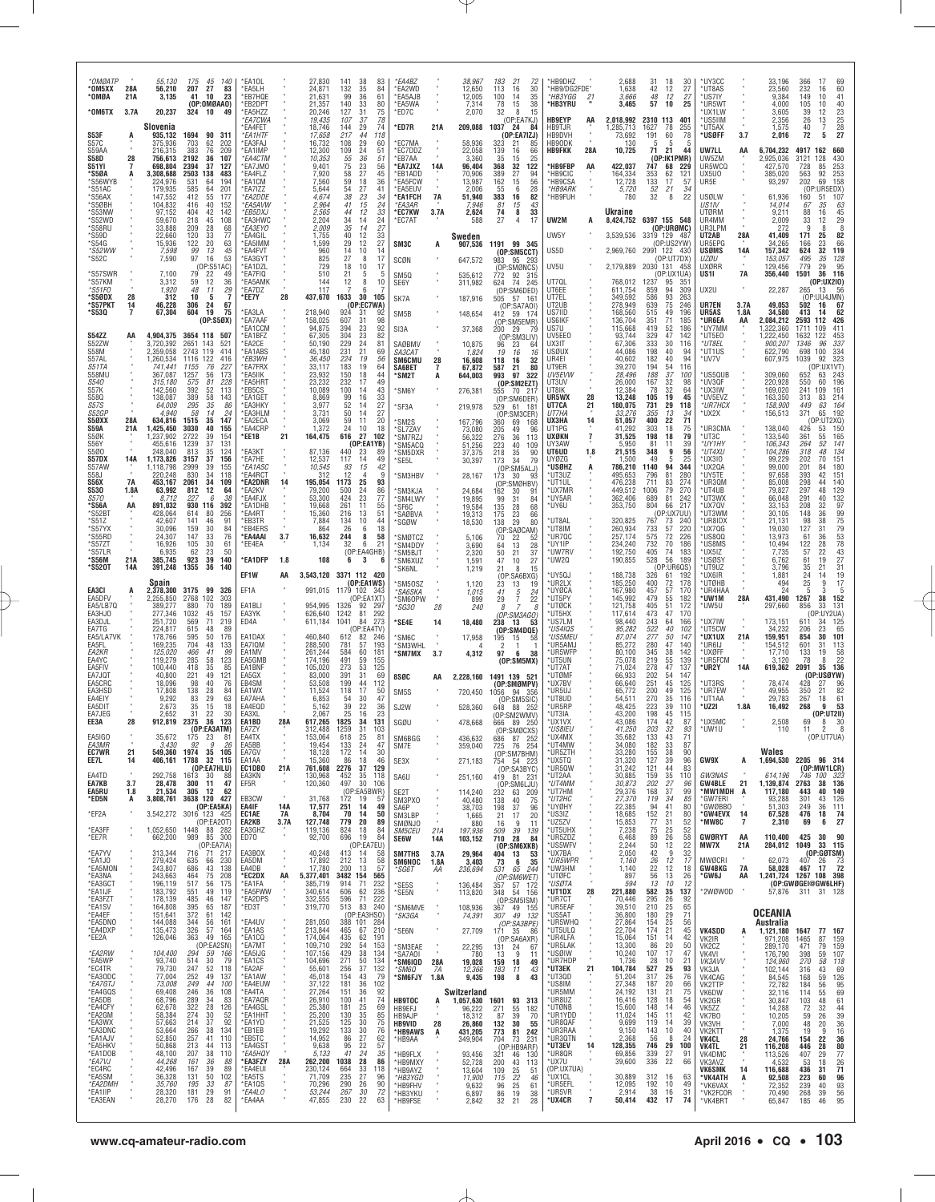| *OMØATP<br>*OM5XX<br>*OMØA<br>*OM6TX                  | 28A<br>21A<br>3.7A | 55,130<br>56,210<br>3,135<br>20,237                      | 45<br>140<br>175<br>207<br>27<br>83<br>41<br>10<br>23<br>(OP:OMBAAO)<br>324<br>49<br>10                  | *EA10L<br>*EA5LH<br>*EB7HQE<br>*EB2DPT<br>*EA5HZZ<br>*EA7CWA |                   | 27,830<br>24,871<br>21,631<br>21,357<br>20,246<br>19,435 | 38<br>83<br>141<br>35<br>132<br>84<br>99<br>36<br>61<br>140<br>33<br>80<br>127<br>31<br>75<br>78<br>107<br>37     | *EA4BZ<br>*EA2WD<br><b>EASAJB</b><br>*EA5WA<br>'ED7C          |                      | 38,967<br>12,650<br>12,005<br>7,314<br>2,070       | 183<br>21<br>72<br>30<br>113<br>16<br>100<br>35<br>14<br>38<br>78<br>15<br>32<br>8<br>15<br>(OP:EA7KJ)                           | *HB9DHZ<br>*HB9/DG2FDE"<br>*HB3YGG<br>*HB3YRU<br><b>HB9EYP</b> | $\frac{21}{1}$<br>AA  | 2,688<br>1,638<br>3,666<br>3,465<br>2,018,992       | 31<br>42<br>48<br>57<br>2310 113     | 18<br>30<br>27<br>12<br>12<br>27<br>25<br>10<br>401                                          | *UY3CC<br>*UT8AS<br>*US7IY<br>*UR5WT<br>'UX1LW<br>*US5IIM        |                            | 33.196<br>23,560<br>9,384<br>4,000<br>3.605<br>2,356    | 366<br>232<br>149<br>105<br>39<br>26  | $\begin{array}{c} 69 \\ 60 \end{array}$<br>17<br>16<br>10<br>41<br>40<br>10<br>$\frac{23}{25}$<br>12<br>13 |
|-------------------------------------------------------|--------------------|----------------------------------------------------------|----------------------------------------------------------------------------------------------------------|--------------------------------------------------------------|-------------------|----------------------------------------------------------|-------------------------------------------------------------------------------------------------------------------|---------------------------------------------------------------|----------------------|----------------------------------------------------|----------------------------------------------------------------------------------------------------------------------------------|----------------------------------------------------------------|-----------------------|-----------------------------------------------------|--------------------------------------|----------------------------------------------------------------------------------------------|------------------------------------------------------------------|----------------------------|---------------------------------------------------------|---------------------------------------|------------------------------------------------------------------------------------------------------------|
| S53F<br>S57C<br>S59AA<br><b>S58D</b>                  | 28                 | Slovenia<br>935,132<br>375,936<br>216,315<br>756,613     | 90 311<br>1694<br>703<br>62<br>202<br>383<br>209<br>76<br>2192<br>36<br>107                              | <b>FA4FFT</b><br>*EA1HTF<br>*EA3FAJ<br>*EA1IMP<br>*EA4CTM    |                   | 18,746<br>17,658<br>16,732<br>12,300<br>10,353           | 144<br>29<br>74<br>217<br>44<br>118<br>29<br>108<br>60<br>24<br>109<br>51<br>55<br>36<br>51                       | *ED7R<br>*EC7MA<br>*EC7DDZ<br>*EB7AA                          | 21A                  | 209,088<br>58,936<br>22,058<br>3,360               | 1037<br>24<br>84<br>(OP:EA7IZJ)<br>323<br>21<br>85<br>139<br>66<br>16<br>35<br>15<br>25                                          | HB9TJR<br>HB9DVH<br>HB9ODK<br><b>HB9FKK</b>                    | 28A                   | 1,285,713<br>73,692<br>130<br>10,725                | 1627<br>191<br>-5<br>71              | 78<br>255<br>78<br>60<br>5<br>-5<br>21<br>44<br>(OP:IK1PMR)                                  | *UT5AX<br>*USØFF<br>UW7LL<br>UW5ZM                               | 3.7<br>AA                  | 1.575<br>2,016<br>6,704,232<br>2,925,036                | 40<br>$\overline{72}$<br>4917<br>3121 | $\overline{7}$<br>$\frac{28}{27}$<br>5<br>162<br>660<br>128<br>430                                         |
| S51YI<br>*S5ØA<br>`S56WYB<br>*S51AC<br>*S56AX         | 7<br>A             | 698,804<br>3,308,688<br>224,976<br>179,935<br>147,552    | 37<br>2394<br>127<br>2503<br>138<br>483<br>531<br>585<br>194<br>64<br>64<br>201<br>412<br>55<br>177      | `EA7JMO<br>'EA4FLZ<br>*EA1CM<br>*EA7IZZ<br>*EA2DDE           |                   | 9,401<br>7,920<br>7,560<br>5,644<br>4.674                | 75<br>$\frac{23}{27}$<br>$\overline{56}$<br>58<br>45<br>$18$<br>59<br>36<br>27<br>54<br>41<br>$23\,$<br>38<br>34  | *EA7JXZ<br>'EB1ADD<br>*EA5FCW<br>*EA5EUV<br><b>EA1FCH</b>     | 14A<br>7A            | 96,404<br>70,906<br>13,987<br>2,006<br>51,940      | 32<br>122<br>368<br>389<br>27<br>94<br>162<br>$\frac{56}{28}$<br>$\begin{array}{c} 15 \\ 6 \end{array}$<br>55<br>82<br>383<br>16 | *HB9FBP<br>*HB9CIC<br>*HB9CSA<br>*HB9ARK<br>*HB9FUH            | AA                    | 422,037<br>164,334<br>12,728<br>5,720<br>780        | 747<br>353<br>$\frac{133}{52}$<br>32 | 68<br>-229<br>62<br>121<br>$\frac{17}{21}$<br>57<br>34<br>22<br>8                            | UR5WCQ<br>UX5U0<br>UR5E<br>USØLW                                 |                            | 427,570<br>385,020<br>93,297<br>61,936                  | 728<br>563<br>202<br>160              | 253<br>85<br>253<br>158<br>92<br>69<br>(OP:UR5EDX)<br>107<br>-51                                           |
| *S5ØBH<br>*S53NW<br>*S52WD<br>*S58RU<br>`S59D         |                    | 104,832<br>97,152<br>59,670<br>33.888<br>22,660          | 152<br>416<br>40<br>404<br>42<br>142<br>108<br>218<br>45<br>209<br>28<br>68<br>120<br>33<br>77           | *EA5AVW<br>*EB5DXJ<br>*EA3HWC<br>*EA3EYO<br>*EA4GIL          |                   | 2,964<br>2,565<br>2,204<br>2,009<br>1,755                | 15<br>24<br>41<br>44<br>12<br>33<br>34<br>14<br>24<br>$\frac{27}{33}$<br>35<br>14<br>12<br>40                     | *EA3AR<br>*EC7KW<br>*EC7AT                                    | 3.7A                 | 7,946<br>2,624<br>588<br>Sweden                    | 81<br>15<br>43<br>33<br>74<br>8<br>27<br>$\overline{4}$<br>17                                                                    | UW2M<br>UW5Y                                                   | A                     | Ukraine<br>8,424,752<br>3.539.536                   | 3319 129                             | 6397 155 548<br>(OP:URGMC)<br>-48                                                            | US1IV<br>UTØRM<br>UR4MM<br>UR3LPM<br>UT2AB                       | 28A                        | 14,014<br>9.211<br>2,009<br>272<br>41,409               | 67<br>88<br>33<br>-9<br>171           | 35<br>63<br>$45$<br>$29$<br>$8$<br>$82$<br>16<br>12<br>8<br>25                                             |
| *S54G<br><i>*S52WW</i><br>*S52C<br>*S57SWR            |                    | 15,936<br>7,590<br>7,100                                 | 122<br>20<br>$^{63}_{45}$<br>$\overline{gg}$<br>13<br>97<br>16<br>53<br>(OP:S5<br>IAC)<br>79<br>22<br>49 | *EA5IMM<br>*EA4FVT<br>*EA3GYT<br>*EA1DZL<br>*EA7FIQ          |                   | 1,599<br>960<br>825<br>729<br>510                        | 12<br>29<br>$\frac{27}{14}$<br>10<br>14<br>27<br>8<br>17<br>10<br>18<br>17<br>21<br>5<br>5                        | SM3C<br>SCØN<br>SM5Q                                          | А                    | 907,536<br>647,572                                 | 1191 99 345<br>(OP:SM5CCT)<br>983<br>95 293<br>(OP:SMØNCS)                                                                       | US5D<br>UV5U                                                   |                       | 2,969,760 2991 122 430<br>2,179,889                 | 2030 131                             | (OP:US2YW)<br>(OP:UT7DX<br>- 458<br>(OP:UX1UA)                                               | UR5EPG<br>usøms<br>uzøu<br>UXØRR<br>US1I                         | 14A<br><b>7A</b>           | 34.265<br>157,342<br>153,057<br>129,456<br>356,440      | 166<br>624<br>495<br>779<br>1501      | $\frac{23}{32}$<br>$\frac{66}{119}$<br>35<br>128<br>29<br>95<br>36<br>116                                  |
| *S57KM<br>*S51F0<br>*S5ØDX<br>*S57PKT<br>*S53Q        | 28<br>14<br>7      | 3,312<br>1,920<br>312<br>46,228<br>67,304                | 12<br>36<br>59<br>48<br>11<br>29<br>$\overline{7}$<br>10<br>-5<br>306<br>24<br>67<br>604<br>19<br>75     | *EA5AMK<br>EA7DZ*<br>*EE7Y<br>*EA3LA                         | 28                | 144<br>117<br>437,670<br>218.940                         | $\overline{8}$<br>12<br>10<br>6<br>30<br>1633<br>105<br>(OP:EC7WA)<br>924<br>31                                   | SE6Y<br>SK7A                                                  |                      | 535,612<br>311,982<br>187,916                      | 772<br>92 315<br>74<br>624<br>245<br>(OP:SM6DED)<br>505<br>57 161<br>(OP:SA7AOI)                                                 | UT70L<br>UT6EE<br>UT7EL<br>UT2UB<br>US7IID                     |                       | 768,012<br>611,754<br>349,592<br>278,949<br>168,560 | 1237<br>859<br>586<br>639<br>515     | -95<br>$35^{\circ}$<br>94<br>309<br>93<br>263<br>75<br>246<br>49<br>196                      | UX2U<br>UR7EN<br>UR5AS                                           | 3.7A<br>1.8A               | 22,287<br>49,053<br>34,580                              | 265<br>502<br>413                     | (0P:UX2I0)<br>13<br>56<br>(OP:UU4JMN)<br>16<br>67<br>62<br>14                                              |
| S54ZZ<br>S52ZW                                        | AA                 | 4,904,375<br>3.720.392                                   | (0P:S50X)<br>3654 118<br>507<br>2651<br>143<br>521                                                       | *EA7AAF<br><b>EA1CCM</b><br>*EA1BFZ<br>EA2CE*                |                   | 158,025<br>94,875<br>67,305<br>50,190                    | 92<br>98<br>607<br>31<br>394<br>23<br>92<br>304<br>23<br>82<br>$\frac{24}{21}$<br>229<br>231<br>81                | SM5B<br>SI3A<br>SAØBMV                                        |                      | 148,654<br>37,368<br>10,875                        | 412 59 174<br>(OP:SM5EMR)<br>200<br>29<br>79<br>(OP:SM3LIV)<br>96<br>23                                                          | US6IKF<br>US7U<br>UV5EE0<br>UX3IT                              |                       | 136,704<br>115,668<br>93,744<br>67,306              | 351<br>419<br>329<br>333             | 71<br>185<br>52<br>186<br>47<br>142<br>30<br>116                                             | *UR6EA<br>*UY7MM<br>*UT5E0<br>*UT8EL                             | AA                         | 2,084,212<br>322,360<br>,222,450<br>900,207             | 2593<br>1711<br>1632<br>1346          | 112<br>426<br>411<br>109<br>453<br>122<br>337<br>96                                                        |
| S58M<br>S57AL<br>S51TA<br>S58MU<br><i>S540</i>        |                    | 2,359,058<br>1,260,534<br>741,441<br>367,087<br>315,180  | 2743<br>119<br>414<br>1116<br>122<br>416<br>76<br>227<br>1155<br>1257<br>56<br>173<br>228<br>575<br>81   | *EA1ABS<br>*EB3WH<br>*EA7FRX<br>*EA5IIK<br>*EA5HRT           |                   | 45,180<br>36,450<br>33,117<br>23,932<br>23,232           | 69<br>$\frac{224}{183}$<br>19<br>56<br>19<br>64<br>150<br>18<br>44<br>232<br>17<br>49                             | SA3CAT<br><b>SM6CMU</b><br>SA6BET<br>'SM2T                    | 28<br>$\overline{7}$ | 1,824<br>16,608<br>67,872<br>644,003               | 19<br>16<br>16<br>118<br>16<br>32<br>587<br>21<br>80<br>993<br>97<br>322<br>(OP:SM2EZT)                                          | USØUX<br>UR4EI<br>UT9ER<br>UV5EVW<br>UT3UV                     |                       | 44,086<br>40,602<br>39,270<br>28,496<br>26,000      | 198<br>182<br>194<br>188<br>167      | 40<br>94<br>40<br>94<br>54<br>116<br>37<br>100<br>32<br>98                                   | *UT1US<br>*UV7V<br>US5QUB<br><b>UV3QF</b>                        |                            | 622,790<br>607,975<br>309,060<br>220,928                | 698<br>1039<br>652<br>550             | 334<br>100<br>323<br>92<br>(OP:UX1VT)<br>63<br>243<br>196<br>60                                            |
| S57K<br>S580<br><b>S57S</b><br><i>S52GF</i><br>S5ØXX  | 28A                | 142,560<br>138,087<br>64,009<br>4.940<br>634,816         | 392<br>52<br>113<br>389<br>58<br>143<br>295<br>86<br>35<br>14<br>58<br>24<br>147<br>1515<br>35           | *EB5CS<br>*EA1GET<br>*EA3HKY<br>*EA3HLM<br>*EA2ECA           |                   | 10,089<br>8,869<br>3,977<br>3,731<br>3,069               | 100<br>43<br>14<br>99<br>33<br>16<br>52<br>14<br>27<br>27<br>50<br>14<br>59<br>11<br>20                           | *SM6Y<br>*SF3A<br>*SM2S                                       |                      | 276,381<br>219,978<br>167,796                      | 555<br>70 217<br>(OP:SM6DER)<br>529<br>61<br>- 181<br>(OP:SM3CER)<br>360<br>69<br>168                                            | UT8IK<br>UR5WX<br>UT7CA<br><b>IJT7HA</b><br>UX3HA              | 28<br>$^{21}$<br>14   | 12,384<br>13,248<br>180,075<br>33,276<br>51,057     | 78<br>105<br>731<br>355<br>400       | 32<br>64<br>19<br>45<br>29<br>118<br>13<br>34<br>22<br>71                                    | <b>UX3IW</b><br>*UV5EVZ<br>*UR7HCX<br>'UX2X                      |                            | 169,020<br>163,350<br>158,900<br>156,513                | 241<br>313<br>449<br>371              | 109<br>161<br>214<br>83<br>63<br>164<br>192<br>65<br>(0P:UT2XQ)                                            |
| <b>S59A</b><br>S5ØK<br><b>S56Y</b><br>S5Ø0<br>S57DX   | 21A<br>14A         | 1,425,450<br>,237,902<br>455,616<br>248,040<br>1,173,826 | 3030<br>40<br>155<br>2722<br>39<br>154<br>1239<br>37<br>131<br>813<br>35<br>124<br>3157<br>37<br>156     | *EA4CRF<br>*EE1B<br>*EA3KT<br><b>EA7HE</b>                   | 21                | 1,372<br>164,475<br>87,136<br>12,537                     | 24<br>10<br>18<br>616<br>27<br>102<br>(DP:EA1YB)<br>440<br>23<br>89<br>117<br>14<br>49                            | *SL7ZAY<br>'SM7RZJ<br>*SM5ACQ<br>'SM5DXR<br>'SE5L             |                      | 73,080<br>56,322<br>51,256<br>37,375<br>30,397     | 205<br>49<br>96<br>276<br>36<br>113<br>223<br>40<br>109<br>218<br>35<br>90<br>79<br>173<br>34                                    | UT1PG<br>UXØKN<br>UY3AW<br>UT6UD<br>UY07G                      | $\overline{7}$<br>1.8 | 41.292<br>31,525<br>5.950<br>21,515<br>1.500        | 303<br>198<br>81<br>348<br>49        | 18<br>75<br>79<br>18<br>39<br>11<br>9<br>56<br>5<br>25                                       | UR3CMA<br>*UT3C<br>*UY1HY<br>*UT4XU<br>UX3IO                     |                            | 138,040<br>133,540<br>106,343<br>104,286<br>99.229      | 426<br>361<br>264<br>318<br>202       | 150<br>53<br>165<br>55<br>141<br>52<br>134<br>48<br>151<br>70                                              |
| S57AW<br>S58J<br>S56X<br><b>S530</b><br><i>S570</i>   | 7A<br>1.8A         | 1,118,798<br>220.248<br>453,167<br>63,992<br>8.712       | 2999<br>39<br>155<br>830<br>34<br>118<br>2061<br>34<br>109<br>812<br>12<br>64<br>227<br>6<br>38          | *EA1ASC<br><b>EA4RCT</b><br>*EA2DNR<br>*EA2KV<br>*EA4FJX     | 14                | 10,545<br>312<br>195,054<br>79,200<br>53,300             | 42<br>93<br>15<br>12<br>$\overline{4}$<br>q<br>1173<br>25<br>93<br>86<br>500<br>24<br>424<br>23<br>77             | 'SM3HBV<br><b>SM3KJA</b><br>*SM4LWY                           |                      | 28,167<br>24,684<br>19,895                         | (OP:SM5ALJ)<br>173<br>30<br>93<br>(OP:SMØHBV)<br>162<br>30<br>91<br>99<br>31<br>84                                               | *USØHZ<br>*UT3UZ<br>*UT1UL<br>*UX7MR<br>*UY5AR                 | A                     | 786,210<br>495,653<br>476.238<br>449,512<br>362,406 | 1140<br>796<br>711<br>1006<br>689    | 94<br>344<br>$\begin{array}{c} 81 \\ 83 \end{array}$<br>280<br>274<br>79<br>270<br>81<br>242 | *UX2QA<br>*UY5TE<br>*UR3QM<br>*UT4UB<br>'UT3WX                   |                            | 99,000<br>97,658<br>85,008<br>79,827<br>66,048          | 201<br>393<br>298<br>297<br>291       | 180<br>84<br>42<br>151<br>140<br>44<br>48<br>129<br>132<br>40                                              |
| * S56A<br>*S52BT<br>S51Z<br>*S57YX<br>*S55RD          | AA                 | 891,032<br>428.064<br>42,607<br>30,096<br>24,307         | 930<br>392<br>116<br>614<br>80<br>256<br>91<br>141<br>46<br>159<br>30<br>84<br>147<br>33<br>76           | *EA1DHB<br>*EA4RT<br>*EB3TR<br>*EB4ERS<br>*EA4AAI            | 3.7               | 19,668<br>15,360<br>7,884<br>864<br>16,632               | 261<br>55<br>11<br>51<br>216<br>13<br>134<br>10<br>44<br>26<br>6<br>18<br>244<br>8<br>58                          | *SF6C<br><i><b>SAØBVA</b></i><br>'SGØW<br><b>SMØTCZ</b>       |                      | 19,584<br>19,313<br>18,530<br>5,106                | 135<br>28<br>68<br>175<br>23<br>66<br>29<br>80<br>138<br>(OP)<br>:SAØCAM)<br>22<br>70<br>52                                      | *UY6U<br>*UT8AL<br>*UT8IM<br>*UR7QC                            |                       | 353,750<br>320,825<br>260,934<br>257,174            | 804<br>767<br>733<br>575             | 217<br>66<br>(OP:UX7UU)<br>73<br>240<br>57<br>220<br>72<br>226                               | UX7QV<br>™UT3WM<br>'UR8IDX<br>*UX7QG<br>*US8QQ                   |                            | 33,153<br>30,105<br>21,131<br>19,030<br>13,973          | 208<br>148<br>98<br>127<br>61         | 32<br>97<br>99<br>75<br>79<br>53<br>78<br>78<br>43<br>36<br>38<br>31<br>36                                 |
| *S57ZT<br>*S57LR<br>*S56M<br>*S520T                   | 21A<br>14A         | 16,926<br>6,935<br>385,745<br>391,248                    | 105<br>30<br>61<br>62<br>23<br>50<br>923<br>39<br>140<br>1355<br>36<br>140                               | *EE4EA<br>*EA1DFP<br>EF1W                                    | 1.8<br>AA         | 1,134<br>108                                             | 32<br>6<br>21<br>(OP:EA4GHB)<br>3<br>6<br>6<br>3,543,120 3371 112 420                                             | *SM4DDY<br>'SM5BJT<br>*SM6XUZ<br>'SK6NL                       |                      | 3,690<br>2,320<br>1,591<br>1,219                   | 28<br>64<br>13<br>21<br>$\frac{37}{27}$<br>50<br>47<br>10<br>21<br>15<br>8<br>(OP:SA6BXG)                                        | *UY1IP<br>*UW7RV<br>UW2Q<br>*UY5QJ                             |                       | 234,240<br>192,750<br>190,855<br>188,738            | 732<br>405<br>528<br>326             | 70<br>186<br>74<br>183<br>56<br>189<br>(OP:UR6QS)<br>61<br>-192                              | <b>US8MS</b><br>'UX5IZ<br><b>USØSY</b><br>*UT9UZ<br><b>UX6IR</b> |                            | 10,494<br>7,735<br>6,762<br>3,796<br>1,881              | $\frac{122}{57}$<br>61<br>35          | 28<br>22<br>19<br>27<br>31<br>21<br>14                                                                     |
| EA3CI<br>EA5DFV<br><b>EA5/LB70</b><br>EA3HJ0          | A                  | Spain<br>2,378,300<br>2,255,850<br>389,277<br>277,346    | 3175<br>99<br>326<br>2768<br>102<br>303<br>189<br>880<br>70<br>1032<br>45<br>157                         | EF1A<br>EA1BL<br>EA3YK                                       |                   | 991,015<br>954,995<br>626,640                            | (OP:EA1WS)<br>1179 102 343<br>(OP:EA1XT)<br>1326<br>92<br>297<br>1242<br>81<br>292                                | 'SM50SZ<br>*SA6SKA<br>'SM60PW<br>*SG30                        | 28                   | 1,120<br>1,015<br>899<br>240                       | 23<br>13<br>19<br>41<br>5<br>24<br>22<br>$^{29}_{\phantom{1}8}$<br>7<br>7<br>(OP:SM3AGO)                                         | *UR2LX<br>*UYØCA<br>*UT5PY<br>*UTØCK<br>*UT5HX                 |                       | 185,250<br>167,980<br>145,992<br>121,758<br>117,614 | 400<br>457<br>479<br>405<br>473      | 72<br>178<br>$\substack{57 \\ 55}$<br>170<br>182<br>51<br>172<br>47<br>170                   | *UTØHB<br>*UR4HAA<br>*UW1M<br>'UW5U                              | 28A                        | 494<br>24<br>431,490<br>297,660                         | $^{24}_{25}$<br>5<br>1267<br>856      | $\frac{19}{17}$<br>9<br>5<br>3<br>38<br>152<br>33<br>131<br>P:UY2UA)                                       |
| EA3DJL<br>EA7TG<br>EA5/LA7VK<br>EA5FL<br><i>EA2KR</i> |                    | 251,720<br>224,817<br>178,766<br>169,235<br>125,020      | 569<br>71<br>219<br>615<br>48<br>-89<br>595<br>50<br>176<br>704<br>48<br>133<br>466<br>41<br>99          | ED4A<br>EA1DAX<br>EA7IQM<br>EA1MV                            |                   | 611,184<br>460,840<br>288,500<br>261,244                 | 1041<br>84<br>273<br>(OP:EA4TV)<br>612<br>82<br>246<br>781<br>57<br>193<br>584<br>60<br>181                       | 'SE4E<br>'SM6C<br><b>SM3WHL</b><br>'SM7MX                     | 14<br>3.7            | 18,480<br>17,958<br>4,312                          | 238<br>13<br>53<br>(OP:SM4DQE)<br>195<br>15<br>-58<br>$\overline{2}$<br>$\overline{1}$<br>97<br>6<br>38                          | *US7LM<br>*US4IQS<br>US5MEU<br>*UR5AMJ<br>*UR5WFP              |                       | 98,440<br>95,282<br>87,074<br>85,272<br>80,100      | 243<br>522<br>277<br>280<br>345      | 64<br>166<br>40<br>102<br>50<br>147<br>47<br>140<br>38<br>142                                | <b>UX7IW</b><br><b>UT5CW</b><br>*UX1UX<br>*UR6IJ<br>*UXØFF       | 21A                        | 173,151<br>34,232<br>159,951<br>154,512<br>17,710       | 611<br>206<br>854<br>601<br>133       | 34<br>125<br>65<br>23<br>30<br>101<br>31<br>113<br>58<br>19                                                |
| EA4YC<br>EA5FIV<br>EA7JQT<br>EA5CRC<br>EA3HSD         |                    | 119,279<br>100,440<br>40,800<br>18,096<br>17,808         | 285<br>58<br>123<br>418<br>35<br>85<br>221<br>49<br>121<br>98<br>40<br>76<br>138<br>28<br>84             | FA5GMP<br>EA1BNF<br>FA5GX<br>EB4SM<br>EA1WX                  |                   | 174,196<br>105,020<br>83,000<br>53,508<br>11,524         | 491<br>59<br>155<br>53<br>273<br>125<br>391<br>31<br>69<br>199<br>44<br>112<br>118<br>17<br>50                    | 8SØC                                                          | AA                   | 2,228,160                                          | (OP:SM5MX)<br>1491 139 521<br>(OP:SMØMPV)                                                                                        | *UT5UN<br>*UT7AT<br>*UTØMF<br>*UX7BV<br>*UR5UJ                 |                       | 75,078<br>71,024<br>66.933<br>66,640<br>65,772      | 219<br>278<br>202<br>251<br>200      | 55<br>139<br>47<br>137<br>54<br>147<br>45<br>125<br>125<br>49                                | <b>UR5FCM</b><br>*UR2Y<br><b>UT3RS</b><br><b>UR7EW</b>           | 14A                        | 3.120<br>619,362<br>78,474<br>49,955                    | 78<br>2091<br>428<br>350              | 22<br>8<br>35<br>136<br>(OP:USØYW)<br>96<br>21<br>82                                                       |
| EA4EIY<br>EA5DIT<br>EA7JEG<br>EE3A                    | 28                 | 9,292<br>2,673<br>2,652<br>912,819                       | 83<br>29<br>63<br>35<br>15<br>18<br>22<br>31<br>30<br>36<br>123<br>2375<br>(OP:EA3ATM)                   | EA7AHA<br>FA4FOD<br>EA3XL<br>EA1BD                           | 28A               | 6,853<br>5,162<br>2,067<br>617,265                       | 47<br>54<br>30<br>$\substack{39\\25}$<br>22<br>$\begin{array}{c} 36 \\ 23 \end{array}$<br>16<br>1825<br>34<br>131 | SM <sub>5</sub> S<br>SJ2W<br>SGØU                             |                      | 720,450<br>528,360<br>478,668                      | 1056 94 356<br>(OP:SM5SIC)<br>648<br>88 252<br>(OP:SM2WMV)<br>666 89 250                                                         | ®UT8UD<br>*UR5RP<br>*UT3IA<br>*UX1VX                           |                       | 54,511<br>48.425<br>43.200<br>43,086                | 270<br>223<br>198<br>174             | 35<br>116<br>39<br>110<br>45<br>115<br>42<br>87                                              | *UT1AA<br>*UZ2I<br>*UX5MC                                        | 1.8A                       | 29,783<br>16,492<br>2,508                               | 267<br>268<br>69                      | 61<br>18<br>q<br>53<br>(OP:UT2II)<br>8<br>-30                                                              |
| EA5IGO<br>EA3MR<br><b>EC7WR</b><br>EE7L               | 21<br>14           | 35,672<br>3,430<br>549,360<br>406,161                    | 175<br>23<br>81<br>$\boldsymbol{g}$<br>92<br>26<br>1974<br>35<br>105<br>32<br>1788<br>115                | EA7ZY<br>EA4TX<br>EA5BB<br>EA7GV<br>EA1AA                    |                   | 312,488<br>153,064<br>19,454<br>18,128<br>15,360         | 1259<br>31<br>103<br>618<br>25<br>81<br>133<br>24<br>47<br>172<br>14<br>30<br>18<br>46<br>86                      | SM6BGG<br>SM7E<br>SE3X                                        |                      | 436,632<br>359,040<br>271,183                      | (OP:SMØCXS)<br>87<br>252<br>686<br>725<br>76 254<br>(OP:SM7BHM)<br>754 54 223                                                    | *US8IEU<br>UX4MX<br>*UT4MW<br>*UR5ZTH<br>*UX5TQ                |                       | 41.250<br>35,682<br>34,080<br>33,280<br>31,320      | 203<br>133<br>182<br>155<br>127      | 32<br>93<br>43<br>71<br>33<br>87<br>38<br>90<br>39<br>96                                     | *UW1U<br>GW9X                                                    | A                          | 110<br>Wales<br>1,694,530                               | 11                                    | (OP:UT7UA)<br>2205 96 314                                                                                  |
| EA4TD<br>EA7KB<br><b>EA5RU</b><br>*ED5N               | 3.7<br>1.8<br>A    | 292,758<br>28,478<br>21,534<br>3,808,761                 | (OP:EA7HLU)<br>1613 30<br>-88<br>300<br>11<br>47<br>305<br>12<br>62<br>3638 120 427                      | EC1DB0<br>EA3KN<br>EF5R<br>EB3CW                             | 21A               | 761,608<br>130,968<br>120,360<br>31,768                  | 2276<br>37<br>129<br>452<br>35<br>118<br>497<br>30<br>106<br>(OP:EA5BWR)<br>172<br>19<br>57                       | SA6U<br>SE <sub>2</sub> T<br>SM3PX0                           |                      | 251,160<br>114,240<br>40,480                       | (OP:SA3BYC)<br>419 81 231<br>(OP:SM6LJU)<br>232<br>63 209<br>138<br>40<br>75                                                     | *UR5QW<br>*UT2AA<br>*UT4MM<br>*UT7HM<br>*UT2HC                 |                       | 31,242<br>30,885<br>30,873<br>29,376<br>27,370      | 121<br>159<br>202<br>168<br>119      | 83<br>44<br>35<br>110<br>27<br>96<br>37<br>99<br>34<br>85                                    | GW3NAS<br><b>GW4BLE</b><br><b>MW1MDH</b><br>*GW7ERI              | 21<br>A                    | 614,196<br>1,139,874<br>117,180<br>93,288               | 2763<br>443<br>301                    | (OP:MW1LCR)<br>746 100 323<br>136<br>38<br>149<br>40<br>43<br>126                                          |
| *EF2A<br>*EA3FF<br>*EE7R                              |                    | 3,542,272<br>1,052,650<br>662,200                        | (OP:EA5KA)<br>3016 123 425<br>(OP:EA2OT)<br>1448 88 282<br>989 85 300                                    | EA4IF<br>EC1AE<br>EA2KB<br>EA3GHZ<br>ED70                    | 14A<br>7A<br>3.7A | 17,577<br>8,704<br>127,748<br>119,136<br>92,700          | 49<br>251<br>14<br>70<br>14<br>50<br>779<br>20<br>89<br>824<br>18<br>84<br>696<br>19<br>84                        | SA6P<br>SM3LBP<br>SMØNJO<br>SM5CEU<br><b>SE6W</b>             | 21A<br>14A           | 38,703<br>1,665<br>880<br>197.936<br>103,152       | 198<br>37<br>96<br>20<br>21<br>17<br>16<br>9<br>11<br>509<br>39<br>139<br>$\overline{84}$<br>710 28                              | *UYØHY<br>*US3IZ<br>*UZ5ZV<br>*UT5UHX<br>*UR5ZDZ               |                       | 22,385<br>18,685<br>15,853<br>7,238<br>6,468        | 94<br>152<br>77<br>75<br>89          | $\frac{41}{21}$<br>80<br>80<br>$\frac{31}{25}$<br>$\frac{52}{52}$<br>26<br>58                | *GWØBBO<br>*GW4EVX<br>*MW8C<br>GWØRYT                            | 14<br>$\overline{7}$<br>AA | 51,303<br>67,528<br>2,310<br>110,400                    | 249<br>476<br>69<br>425               | 111<br>36<br>18<br>74<br>27<br>6<br>30<br>90                                                               |
| *EA7YV<br>*EA1JO<br>*EA5MON<br>*EA3NA                 |                    | 313,344<br>279,424<br>243,807<br>243,663                 | (OP:EA7IA)<br>716<br>71 217<br>635<br>66<br>230<br>686<br>138<br>43<br>464<br>75<br>208                  | EA3BOX<br>EA5DM<br>EA4DB<br>*EC2DX                           | AA                | 40,248<br>17,892<br>17,780<br>5,377,401                  | (OP:EA7EU)<br>413<br>14<br>58<br>58<br>212<br>13<br>13<br>57<br>200<br>3482 154<br>565                            | <b>SM7THS</b><br><b>SM6NOC</b><br>*SG6T                       | 3.7A<br>1.8A<br>ΑA   | 29,964<br>3,403<br>236,694                         | (OP:SM6XKB)<br>404<br>13<br>53<br>73<br>35<br>6<br>531<br>65 244<br>(OP:SM6WET)                                                  | *US5WFV<br>*UX7BA<br>*UR5WPR<br>*UW3HM<br>*UTØFC               |                       | 2,244<br>2,050<br>1,160<br>1,140<br>897             | 50<br>42<br>$26\,$<br>22<br>56       | 12<br>22<br>9<br>32<br>12<br>17<br>12<br>18<br>13<br>26                                      | <b>MW7X</b><br>MWØCRI<br>GW4BKG<br>*GW6J                         | 21A<br><b>7A</b><br>AA     | 284,012<br>62,073<br>58,028<br>1,241,724                | 1049<br>407<br>467                    | 33 115<br>(OP:GØTSM)<br>- 26<br>$\frac{73}{72}$<br>17<br>1267 108 398                                      |
| *EA3GCT<br>*EA1IJF<br>*EA3FZT<br>*EA1SV<br>*EA4EF     |                    | 196,119<br>183,792<br>178,139<br>164,808<br>151,641      | 517<br>56<br>175<br>49<br>551<br>119<br>485<br>46<br>147<br>395<br>65<br>187<br>372<br>61<br>142         | *EA1FA<br>*EA5FWW<br>*EA2DPS<br>*ED3T                        |                   | 385,719<br>340,614<br>332,555<br>319,770                 | 914<br>71<br>232<br>606<br>62<br>236<br>596<br>71<br>222<br>513 83<br>240<br>(OP:EA3HSO)                          | *SE5S<br>*SE5N<br>*SM6MVE<br>*SK3GA                           |                      | 136,484<br>113,820<br>108,936<br>74,391            | 57 172<br>357<br>348 54 156<br>(OP:SM5ISM)<br>367 49 155<br>307 49 132                                                           | *USØTA<br>*UT1DX<br>*UR7CT<br>*UR5EAF<br>*US5AT                | 28                    | 594<br>221,880<br>70,446<br>39,510<br>36,800        | 13<br>582<br>295<br>210<br>180       | 10<br>12<br>35<br>137<br>26<br>92<br>25<br>65<br>29<br>71                                    | *2WØWOD                                                          |                            | <b>OCEANIA</b>                                          |                                       | (OP:GWØGEI@GW6LHF)<br>57,876 311 31 128                                                                    |
| *EA5DNO<br>*EA4DXP<br>*EE2A<br>*EA2RW                 |                    | 144,088<br>135,473<br>126,046<br>104,400                 | 344<br>56<br>161<br>326<br>57<br>164<br>363<br>49<br>165<br>(OP:EA2SN)<br>294<br>59 166                  | *EA4UV<br>*EA1AS<br>*EA1CQ<br>*EA7MT<br>*EA5IJG              |                   | 281,050<br>213,844<br>174,064<br>109,710<br>107,156      | 388 101 284<br>465<br>67<br>210<br>435<br>292<br>62<br>191<br>54<br>153<br>429<br>38<br>134                       | *SE6N<br>*SM3EAE<br>*SA7AOI                                   |                      | 27,709<br>22,295<br>780                            | (OP:SA3BPE)<br>171 35<br>86<br>(OP:SA6AXR)<br>131<br>24<br>67<br>9<br>13<br>11                                                   | *UR5WHQ<br>*UT5ULQ<br>*UR4LFA<br>*UR5LAK<br>*USØIW             |                       | 27,864<br>22,704<br>15,064<br>13,300<br>10,240      | 154<br>174<br>151<br>86<br>107       | $\frac{25}{21}$<br>56<br>45<br>42<br>14<br>20<br>50<br>17<br>47                              | VK4SDD<br>VK2IR<br>VK2CZ<br>VK4VI                                | Ą                          | Australia<br>1,121,180<br>971,208<br>289,170<br>176,790 | 1647<br>1465<br>471<br>398            | 77<br>167<br>87<br>159<br>79<br>159<br>107<br>59                                                           |
| *EA5WP<br>*EC4TR<br>*EA3ODC<br>*EA7GTJ<br>*EA4GQS     |                    | 93,740<br>79,730<br>77,004<br>73,008<br>69,408           | 514<br>30<br>79<br>247<br>52<br>118<br>252<br>49<br>137<br>249<br>44<br>100<br>246<br>36<br>108          | *EA1CS<br>*EA2AF<br>*EA1AW<br>*EA4EUW<br>*EA4TA              |                   | 104,696<br>55,601<br>45,018<br>37,122<br>27,264          | 271<br>50<br>134<br>256<br>132<br>37<br>154<br>43<br>79<br>181<br>36<br>102<br>151<br>92<br>36                    | *SM6IQD<br>*SM6Q<br>*SM6FJY                                   | 28A<br>7A<br>1.8A    | 19,028<br>12,366<br>9,435<br>Switzerland           | 159<br>49<br>18<br>183<br>43<br>11<br>198<br>43<br>8                                                                             | *UR7HDP<br>*UT3EK<br>*UT3QD<br>*US8IM<br>*UR5MM                | 21                    | 1,736<br>104,784<br>51,204<br>27,348<br>24,192      | 28<br>527<br>317<br>187<br>131       | 10<br>21<br>25<br>93<br>76<br>26<br>20<br>66<br>21<br>75                                     | VK3AVV<br>VK3JA<br>VK4CAG<br>VK2TTP<br>VK6DW                     |                            | 124,960<br>102,144<br>84,545<br>72,782<br>32,116        | 270<br>316<br>168<br>184<br>114       | 58<br>118<br>43<br>$\frac{69}{126}$<br>59<br>$\frac{95}{69}$<br>56<br>55                                   |
| *EA5DB<br>*EA4CFY<br>*EA2GM<br>*EA3WX<br>*EA3DNC      |                    | 68,796<br>62,678<br>58,384<br>57,663<br>53,664           | 289<br>34<br>83<br>322<br>28<br>126<br>274<br>30<br>52<br>214<br>37<br>92<br>266<br>38<br>134            | *EA7AQR<br>*EA4GSL<br>*EA1HHT<br>*FA1YD<br>*EB1EB            |                   | 26,910<br>25,380<br>25,200<br>21,525<br>19,292           | 100<br>41<br>74<br>181<br>25<br>69<br>35<br>130<br>85<br>125<br>30<br>75<br>133<br>30<br>76                       | <b>HB9TOC</b><br>HB9EFJ<br>HB9AJP<br><b>HB9VID</b><br>*HB9AWS | Ą<br>28<br>A         | 1,057,630<br>96,222<br>18,312<br>26,860<br>431,205 | 1601<br>93 313<br>271<br>55<br>182<br>39<br>70<br>87<br>132<br>30<br>55<br>773<br>81<br>242                                      | *UR8UZ<br>*UTØNB<br>*UR1YDD<br>*UR8QAF<br>*UR3RAA              |                       | 16,416<br>15,600<br>11,024<br>9,699<br>9,150        | 128<br>148<br>145<br>119<br>143      | 54<br>18<br>14<br>46<br>11<br>42<br>39<br>14<br>10<br>40                                     | VK2GR<br>VK5ZZ<br>VK7B0<br>VK3VH<br>VK2KTT                       | $\epsilon$<br>$\epsilon$   | 30,847<br>14,288<br>10,205<br>7,000<br>1.375            | 103<br>72<br>59<br>48<br>19           | 61<br>48<br>44<br>32<br>$\frac{39}{36}$<br>26<br>20<br>9                                                   |
| *EA1AJV<br>*EA5HKV<br>*EA1DOB<br>*EA7VJ<br>*EC4RC     |                    | 52,850<br>50,868<br>48,100<br>44,268<br>42,496           | 257<br>41<br>110<br>213<br>44<br>113<br>207<br>38<br>110<br>161<br>36<br>88<br>167<br>89<br>39           | *EB5TC<br>*EA4GST<br>*EA5HQY<br>*EA3FZY<br>*EA4EUI           | 28A               | 14,952<br>9,638<br>5.133<br>262,200<br>230,124           | $\frac{27}{22}$<br>86<br>62<br>95<br>57<br>41<br>24<br>$\frac{35}{86}$<br>1038<br>28<br>664<br>33<br>118          | *HB9AA<br>*HB9FLX<br>*HB9MXY<br>*HB9AYZ                       |                      | 349,904<br>93,456<br>52,728<br>13,604              | 704<br>73<br>231<br>(OP:HB9ARF)<br>321<br>46<br>130<br>200<br>43<br>113<br>109<br>25<br>51                                       | *UR3QTN<br>*UT3EV<br>*UR8QR<br>*UX7U<br>(OP:UX7UA)             | 14                    | 2,368<br>128,355<br>69,856<br>39,600                | 56<br>746<br>339<br>336              | 8<br>24<br>29<br>100<br>$\frac{27}{22}$<br>91<br>66                                          | VK4CL<br>VK4TL<br>VK4DMC<br>VK3AVZ<br>VK6SMK                     | 28<br>21<br>14             | 24,766<br>116,208<br>113,526<br>4,532<br>116,688        | 154<br>446<br>407<br>53<br>436        | 16<br>36<br>80<br>77<br>22<br>28<br>29<br>18<br>26<br>71<br>31                                             |
| *EA5SM<br>*EA2DMH<br>*EA1IIP<br>*EA3EAN               |                    | 36,328<br>35,760<br>28,320<br>28,270                     | 131<br>50<br>102<br>195<br>33<br>87<br>181<br>29<br>91<br>176<br>28<br>82                                | *EA5TS<br>*EA1QS<br>*EA4LO<br>*EA4AA                         |                   | 71,709<br>70,296<br>53,244<br>47,855                     | 27<br>235<br>-96<br>290<br>90<br>26<br>267<br>72<br>30<br>230<br>22<br>63                                         | *HB3YGD<br>*HB9FHV<br>*HB3YKU<br>*HB9FSE                      |                      | 11,900<br>9,632<br>6,897<br>2,842                  | 115<br>22<br>46<br>25<br>96<br>61<br>38<br>86<br>19<br>32<br>28<br>21                                                            | *UX1CL<br>*UR5EFL<br>*UR5VR<br>*UX4CR                          | $\overline{7}$        | 30,889<br>12,095<br>2,914<br>50,414                 | 312<br>192<br>38<br>432              | 16<br>63<br>10<br>49<br>31<br>16<br>17<br>74                                                 | *VK4ATH<br>*VK6VAX<br>*VK2FCOR<br>*VK4BRT                        | A                          | 92,508<br>72,352<br>70,490<br>65,847                    | 223<br>239<br>268<br>185              | 60<br>96<br>$\frac{93}{56}$<br>40<br>39<br>95<br>46                                                        |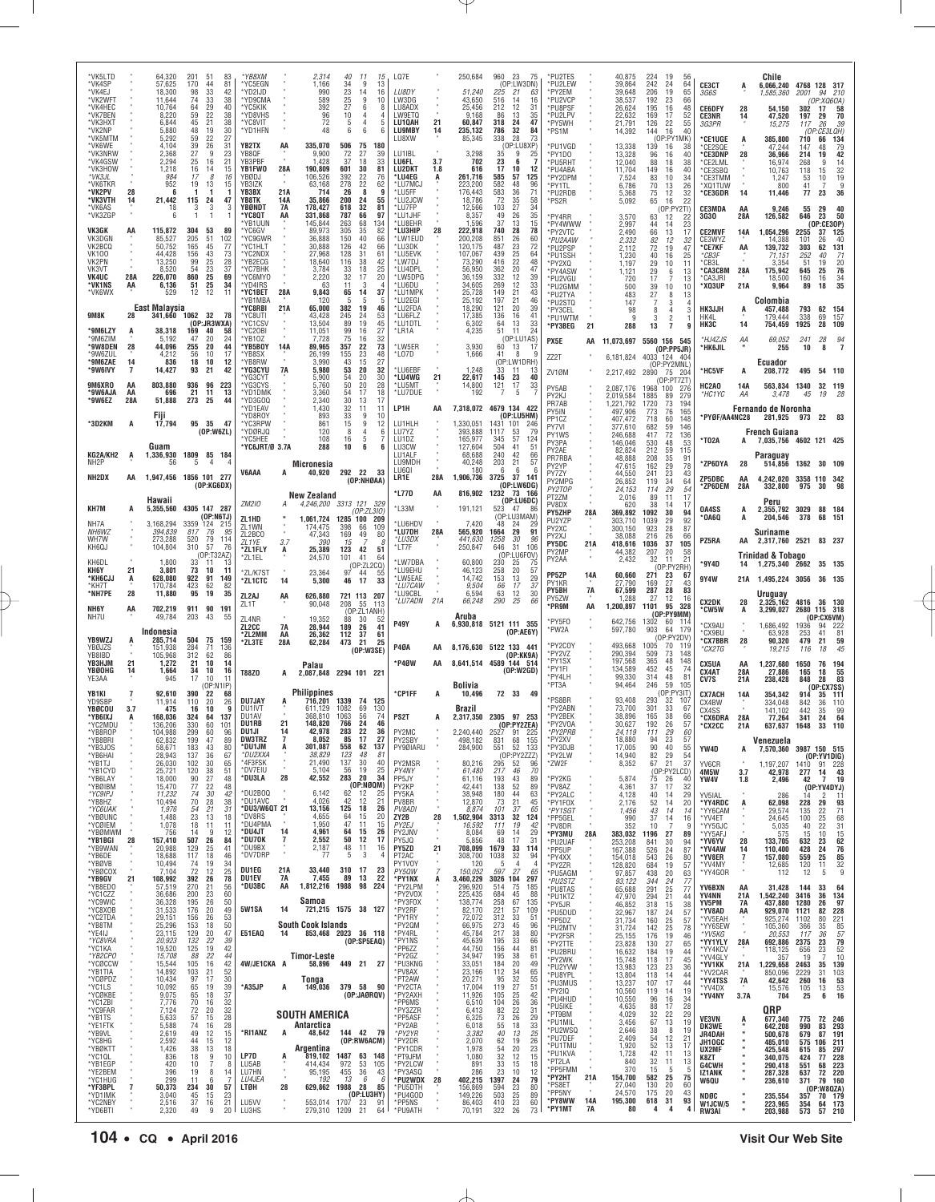| *VK5LTD<br>*VK4SP<br>*VK4EJ              |                            | 64,320<br>57,625<br>18,300           | 201<br>170<br>98           | -51<br>44<br>33              | 83<br>81<br>42                                      | *YB8XM<br>*YC5EGN<br>'YD2IJD                 |                        | 2,314<br>1,166<br>990                | 40<br>-11<br>15<br>34<br>9<br>13<br>23<br>14<br>16                                                     | LQ7E<br>LU8DY                          |                | 250,684<br>51,240                      | 960 23<br>-75<br>(OP:LW3DN)<br>225<br>-21<br>63                              |                                   | *PU2TES<br>*PU2LEW<br>*PY2EM             |                   | 40,875<br>39,864<br>39,648                   | 224<br>19<br>242<br>24<br>206<br>19                | 56<br>64<br>65           | CE3CT<br>3G6S                            | A                    | Chile<br>6,066,240 4768 128 317<br>1,585,360   | 2001                      | 210<br>94                                                 |
|------------------------------------------|----------------------------|--------------------------------------|----------------------------|------------------------------|-----------------------------------------------------|----------------------------------------------|------------------------|--------------------------------------|--------------------------------------------------------------------------------------------------------|----------------------------------------|----------------|----------------------------------------|------------------------------------------------------------------------------|-----------------------------------|------------------------------------------|-------------------|----------------------------------------------|----------------------------------------------------|--------------------------|------------------------------------------|----------------------|------------------------------------------------|---------------------------|-----------------------------------------------------------|
| *VK2WFT<br>*VK4HEC<br>*VK7BEN            |                            | 11,644<br>10,764<br>8,220            | 74<br>64<br>59             | 33<br>29<br>22               | 38<br>40<br>38                                      | *YD9CMA<br>*YC5KIK<br>*YD8VHS                |                        | 589<br>392<br>96                     | 25<br>9<br>10<br>27<br>6<br>-8<br>10<br>4                                                              | LW3DG<br>LU8ADX<br>LW9ETQ              |                | 43,650<br>25,456<br>9,168              | 516<br>14<br>16<br>212<br>12<br>31<br>86<br>13<br>35                         |                                   | *PU2VCF<br>*PU8PSF<br>*PU2LPV            |                   | 38,537<br>26,624<br>22,632                   | 192<br>23<br>195<br>16<br>17<br>169                | 66<br>48<br>52           | <b>CE6DFY</b><br><b>CE3NR</b>            | 28<br>14             | 54,150<br>47,520                               | 302<br>197                | (OP:XQ6OA)<br>58<br>17<br>70<br>29                        |
| *VK3HXT<br>*VK2NP<br>*VK5MTM<br>*VK6WE   |                            | 6.844<br>5,880<br>5.292<br>4.104     | 45<br>48<br>59<br>39       | 21<br>19<br>22<br>26         | 38<br>30<br>27<br>31                                | *YC8VIT<br>*YD1HFN<br>YB2TX                  | AA                     | 72<br>48<br>335,070                  | 5<br>4<br>5<br>6<br>6<br>506<br>75<br>180                                                              | LU10AH<br><b>LU9MBY</b><br>LU8XW       | 21<br>14       | 60,847<br>235,132<br>85,345            | 318<br>47<br>24<br>786<br>32<br>84<br>338<br>28<br>73<br>(OP:LU8XP)          | *PS1M                             | *PY5WH<br>*PU1VGD                        |                   | 21,791<br>14,392<br>13,338                   | 22<br>126<br>16<br>144<br>(OP:PY1<br>139<br>16     | 55<br>40<br>(MK<br>38    | 3G3PR<br>*CE1UGE<br>CE2SQE               | A                    | 15,275<br>385,800<br>47.244                    | 117<br>710<br>147         | 26<br>39<br>(OP:CE3LQH)<br>66<br>134                      |
| *VK3NRW<br>*VK4GSW<br>*VK3HOW            |                            | 2,368<br>2,294<br>1,218              | 27<br>25<br>16             | 9<br>16<br>14                | 23<br>21<br>15                                      | YB8QF<br>YB3PBF<br>YB1FW0                    | 28A                    | 9,900<br>1,428<br>190,809            | 27<br>72<br>39<br>37<br>18<br>33<br>30<br>601<br>81                                                    | LU1IBL<br>LU6FL<br><b>LU2DKT</b>       | 3.7<br>1.8     | 3,298<br>702<br>616                    | 35<br>9<br>25<br>23<br>6<br>17<br>10<br>12                                   |                                   | *PY1DO<br>*PU5RHT<br>*PU4ABA             |                   | 13,328<br>12,040<br>11,704                   | 96<br>16<br>18<br>88<br>149<br>16                  | 40<br>38<br>40           | *CE3DNP<br>'CE2LML<br>*CE3SBQ            | 28                   | 36,966<br>16,974<br>10,763                     | 214<br>268<br>118         | $\frac{79}{42}$<br>48<br>19<br>9<br>$\frac{14}{32}$<br>15 |
| *VK3JL<br>*VK6TKR<br>*VK2PV              | 28                         | 984<br>952<br>6                      | 17<br>19                   | 8<br>13                      | 16<br>15                                            | YBØDJ<br>YB3IZK<br>YB3BX                     | 21A                    | 106,526<br>63,168<br>714             | 392<br>22<br>76<br>278<br>22<br>62<br>8<br>26<br>q                                                     | *LU4EG<br>*LU7MCJ<br>*LU5FF            |                | 261,716<br>223,200<br>176,443          | 585<br>57<br>125<br>582<br>48<br>96<br>583<br>36<br>71                       | *PY1TL                            | *PY2DPM<br>*PU2RDB                       |                   | 7,524<br>6,786<br>5,368                      | 10<br>83<br>70<br>13<br>12<br>75                   | 34<br>26<br>32           | *CE3TMM<br>*XQ1TUW<br>*CE3GDR            | 14                   | 1,247<br>800<br>11,446                         | 53<br>41<br>77            | 19<br>10<br>9<br>7<br>23<br>36                            |
| *VK3VTH<br>*VK6AS<br>*VK3ZGP             | 14                         | 21,442<br>18<br>6                    | 115<br>3<br>$\overline{1}$ | 24<br>3<br>$\mathbf{1}$      | 47<br>3                                             | YB8TK<br>YBØNDT<br>'YC8QT                    | 14A<br>7A<br>ΑA        | 35,866<br>178,427<br>331,868         | 200<br>24<br>55<br>618<br>32<br>81<br>787<br>66<br>97                                                  | *LU2JCW<br>*LU7FP<br>*LU1JHF           |                | 18,786<br>12,566<br>8,357              | 72<br>35<br>58<br>34<br>103<br>27<br>35<br>49<br>26                          | *PS2R                             | *PY4RR                                   |                   | 5,092<br>3,570                               | 16<br>65<br>63<br>12                               | 22<br>(OP:PY2TI)<br>22   | CE3MDA<br><b>3G30</b>                    | AA<br>28A            | 9,246<br>126,582                               | 55<br>646                 | 29<br>$\begin{array}{c} 40 \\ 50 \end{array}$<br>23       |
| VK3GK<br>VK3DGN                          | AA                         | 115,872<br>85,527                    | 304<br>205                 | 53<br>51                     | 89<br>102                                           | *YB1UUN<br>*YC6GV<br>*YC9GWR                 |                        | 145,844<br>89,973<br>36,888          | 263<br>68<br>134<br>305<br>35<br>82<br>150<br>40<br>66                                                 | *LU8EHR<br>*LU3HIP<br>*I W1FUD         |                | 1.596<br>222,918<br>200,208            | 37<br>13<br>15<br>740<br>28<br>78<br>851<br>26<br>60                         |                                   | *PY4WWW<br>*PY2VTC<br>*PU2AAW            |                   | 2,997<br>2,490<br>2.332                      | 44<br>14<br>13<br>66<br>12<br>82                   | 23<br>17<br>32           | <b>CE2MVF</b><br>CE3WYZ                  | 14A                  | 1,054,296<br>14,388                            | 2255<br>101               | (0P:CE3OP)<br>37<br>125<br>26<br>40                       |
| VK2BCQ<br><b>VK100</b><br>VK2PN<br>VK3VT |                            | 50,752<br>44.428<br>13,250<br>8,520  | 165<br>156<br>99<br>54     | 45<br>43<br>25<br>23         | 77<br>73<br>$\begin{array}{c} 28 \\ 37 \end{array}$ | *YC1HLT<br>*YC2NDX<br>*YB2ECG<br>*YC7BHK     |                        | 30,888<br>27,968<br>18,640<br>3,784  | 126<br>42<br>66<br>128<br>31<br>61<br>116<br>38<br>$\begin{array}{c} 42 \\ 25 \end{array}$<br>33<br>18 | *LU3DK<br>*LU5EVK<br>*LW7DJ<br>*LU4DPL |                | 120,175<br>107,067<br>73,290<br>56,950 | 72<br>487<br>23<br>439<br>25<br>64<br>416<br>$^{22}_{20}$<br>48<br>47<br>362 |                                   | *PU2PSP<br>*PU1SSH<br>*PY2XQ             |                   | 2.112<br>1,230<br>1,197                      | 72<br>19<br>16<br>40<br>29<br>10                   | 47<br>25<br>11           | *CE7KF<br>*CB3F<br>*CB3L                 | AA<br>28A            | 139,732<br>71,151<br>3.354<br>175,942          | 303<br>252<br>51<br>645   | 131<br>62<br>40<br>71<br>19<br>$\frac{20}{76}$            |
| <b>VK4UC</b><br>*VK1NS<br>*VK6WX         | 28A<br>AA                  | 226,070<br>6,136<br>529              | 860<br>51<br>12            | 25<br>25<br>12               | 69<br>34<br>11                                      | *YC6MYO<br>*YD4IRS<br>*YC1BET                | 28A                    | 2,220<br>63<br>9,843                 | 32<br>17<br>20<br>3<br>11<br>65<br>14<br>37                                                            | *LW5DPG<br>*LU6DU<br>*LU1MPK           |                | 36,159<br>34,605<br>25,728             | 12<br>332<br>39<br>269<br>12<br>33<br>149<br>21<br>43                        |                                   | *PY4ASW<br>*PU2VGU<br>*PU2GMM<br>*PU2TYA |                   | 1,121<br>720<br>500<br>483                   | 29<br>6<br>17<br>7<br>39<br>10<br>27<br>8          | 13<br>13<br>10<br>13     | *CA3CBM<br><b>CA3JRI</b><br>*XQ3UP       | 21A                  | 18,500<br>9,964                                | 160<br>89                 | 25<br>$\frac{34}{35}$<br>16<br>18                         |
| 9M8K                                     | 28                         | East Malaysia<br>341,660             | 1062                       | 32                           | 78                                                  | *YB1MBA<br>*YC8RBI<br>*YC8UTI                | 21A                    | 120<br>65,000<br>43,428              | 5<br>-5<br>-5<br>382<br>19<br>46<br>245<br>24<br>53                                                    | *LU2EGI<br>*LU2FDA<br>*LU6FLZ          |                | 25,192<br>18,290<br>17,385             | 21<br>46<br>197<br>39<br>121<br>20<br>136<br>16<br>41                        |                                   | *PU2STQ<br>*PY3CEL<br>*PU1WTM            |                   | 147<br>98<br>-9                              | 7<br>3<br>8<br>4<br>3<br>$\overline{2}$            | 3                        | HK3JJH<br>HK4L                           | A                    | Colombia<br>457,488<br>179,444                 | 793<br>338                | 62<br>154<br>157<br>69                                    |
| *9M6LZY<br>*9M6ZIM                       |                            | 38,318<br>5,192                      | 169<br>47                  | (OP:JR3WXA)<br>40<br>20      | 58<br>-24                                           | *YC1CSV<br>*YC2OBI<br>*YB10Z                 |                        | 13,504<br>11,051<br>7.728            | 19<br>45<br>89<br>27<br>99<br>16<br>75<br>16<br>32                                                     | *LU1DTL<br>*LR1A                       |                | 6,302<br>4,235                         | $\frac{33}{24}$<br>13<br>64<br>51<br>11<br>(OP:LU1AS)                        | PX5E                              | *PY3BEG                                  | 21<br>AA          | 288<br>11,073,697 5560 156 545               | 7<br>13                                            |                          | HK3C<br>*HJ4ZJS                          | 14<br>АA             | 754,459<br>69,052                              | 1925<br>241               | 28<br>109<br>94<br>28                                     |
| *9W8DEN<br>*9W67UL<br>*9M6ZAE<br>*9W6IVY | 28<br>14<br>$\overline{7}$ | 44,096<br>4,212<br>836               | 255<br>56<br>18            | 20<br>10<br>10<br>21         | 44<br>17<br>12<br>42                                | *YB5BOY<br>*YB8SX<br>*YB8RW<br>*YG3CYU       | 14A<br><b>7A</b>       | 89,965<br>26,199<br>3,990<br>5,980   | 357<br>22<br>73<br>23<br>48<br>155<br>43<br>15<br>27<br>53<br>20<br>32                                 | *LW5ER<br>*LO7D<br>*LU6EBF             |                | 3,930<br>1,666<br>1.248                | 60<br>13<br>-17<br>41<br>8<br>q<br>(OP:LW1DRH)<br>33<br>11<br>-13            | ZZ2T                              |                                          |                   | 6,181,824                                    | (OP:PP5JR)<br>4033 124 404<br>(OP:PY2MNL)          |                          | *HK6JIL                                  |                      | 255<br>Ecuador                                 | 10                        | 8                                                         |
| 9M6XRO<br>*9W6AJA                        | AA<br>AA                   | 14,427<br>803,880<br>696             | 93<br>936<br>21            | 96<br>11                     | 223<br>13                                           | 'YG3CY1<br>*YG3CYS<br>*YD1DMK                |                        | 5,900<br>5,760<br>3,360              | 54<br>20<br>$\begin{array}{c} 30 \\ 28 \end{array}$<br>50<br>20<br>17<br>54<br>18                      | *LU4WG<br>*LU5MT<br>*LU7DUE            | 21             | 22,617<br>14,800<br>192                | 145<br>23<br>40<br>33<br>121<br>17<br>5<br>7                                 | ZV1ØM<br>PY5AB                    |                                          |                   | 2,217,492<br>2,087,176                       | 2890 75 204<br>1968<br>100                         | (OP:PT7ZT)<br>-276       | *HC5VF<br>HC2AO<br>*HC1YC                | A<br>14A<br>ΑA       | 208,772<br>563,834 1340<br>3,478               | 495<br>45                 | 54 110<br>32 119<br>19                                    |
| *9W6EZ                                   | 28A                        | 51,888<br>Fiji                       | 273                        | 25                           | 44                                                  | *YD3GOQ<br>*YD1EAV<br>*YD8ROY                |                        | 2,340<br>1,430<br>893                | 30<br>13<br>17<br>32<br>11<br>11<br>33<br>9<br>10                                                      | LP1H                                   | ΑA             | 7,318,072                              | 4679 134 422<br>(OP:LU5HM)                                                   | PY2KJ<br>PR7AB<br>PY5IN<br>PP1CZ  |                                          |                   | 2,019,584<br>1,221,792<br>497,906<br>407,472 | 1885<br>89<br>1720<br>73<br>773<br>76<br>718<br>60 | 279<br>194<br>165<br>148 | *PYØF/AA4NC28                            |                      | Fernando de Noronha<br>281.925                 | 973                       | 22<br>- 83                                                |
| *3D2KM                                   | A                          | 17,794                               |                            | 95 35<br>(OP:W6ZL)           | - 47                                                | *YC3RPW<br>*YDØRJQ<br>'YC5HFF                |                        | 861<br>120<br>108                    | 15<br>9<br>12<br>8<br>6<br>16<br>5                                                                     | LU1HLH<br>LU7YZ<br>LU1DZ               |                | 1,330,051<br>393,888<br>165,977        | 1431 101<br>-246<br>1117<br>53<br>79<br>57<br>124<br>345                     | PY7VI<br>PY1WS<br>PY3PA           |                                          |                   | 377,610<br>246,688<br>146,046                | 59<br>682<br>72<br>417<br>530<br>48                | 146<br>136<br>53         | *T02A                                    | A                    | <b>French Guiana</b><br>7,035,756 4602 121 425 |                           |                                                           |
| KG2A/KH2<br>NH <sub>2</sub> P            | A                          | Guam<br>1,336,930<br>56              | 1809<br>-5                 | 85 184                       |                                                     | *YC6JRT/Ø 3.7A                               |                        | 288<br>Micronesia                    | 10<br>6                                                                                                | LU3CW<br>LU1ALF<br>LU9MDH<br>LU601     |                | 127,604<br>68,688<br>40,248<br>180     | 504<br>41<br>51<br>240<br>42<br>66<br>203<br>21<br>57<br>6<br>6<br>-6        | PY2AE<br>PR7RBA<br>PY2YP          |                                          |                   | 82,824<br>48,888<br>47,615                   | 212<br>59<br>208<br>35<br>162<br>29                | 115<br>91<br>78          | *ZP6DYA                                  | 28                   | Paraguay<br>514,856                            |                           | 1362 30 109                                               |
| NH2DX                                    | AA                         | 1,947,456 1856 101 277               |                            | (OP:KG6DX)                   |                                                     | V6AAA                                        |                        | 40,920                               | 292 22<br>-33<br>(OP:NHGAA)                                                                            | LR1E<br>*L77D                          | 28A<br>ΑA      | 1,906,736<br>816,902                   | 3725<br>37<br>141<br>(OP:LW6DG)<br>1232<br>73<br>- 166                       | PY7ZY<br>PY2TOF                   | PY2MPG                                   |                   | 44,550<br>26,852<br>24,153                   | 241<br>23<br>34<br>119<br>29<br>114                | 43<br>64<br>54           | ZP5DBC<br>*ZP6DEM                        | AA<br>28A            | 4.242.020 3358 110 342<br>332,800              | 975                       | 30<br>98                                                  |
| KH7M                                     |                            | Hawaii<br>5,355,560                  |                            | 4305 147 287<br>(OP:NGTJ)    |                                                     | ZM210<br>ZL1HD                               | А                      | New Zealand                          | 4,246,200 3313 121 329<br>(OP:ZL310)<br>1,061,724 1285 100<br>209                                      | $*$ L33M                               |                | 191,121                                | (OP:LU6DC)<br>523<br>47<br>86<br>(OP:LU3MAM)                                 | PT2ZM<br>PV8DX<br>PY5ZHP          |                                          | 28A               | 2,016<br>620<br>369,892                      | 89<br>11<br>38<br>14<br>1092<br>30                 | 17<br>17<br>94           | 0A4SS<br>'0A6Q                           | А<br>A               | Peru<br>2,355,792 3029<br>204,546              | 378                       | 88<br>184<br>68<br>- 151                                  |
| NH7A<br>NH6WZ<br>WH7W                    |                            | 3,168,294<br>394,839<br>273,288      | 3359 124<br>817<br>520     | 76<br>79                     | 215<br>95<br>114                                    | ZL1WN<br>ZL2BCO                              | 3.7                    | 174,475<br>47,343<br>390             | 398<br>66<br>109<br>169<br>49<br>80<br>15                                                              | *LU6HDV<br>*LU7DH<br>*LU3DX            | 28A            | 7,420<br>565,920<br>441,630            | 48<br>-24<br>29<br>29<br>91<br>1664<br>30<br>1258<br>96                      | PU2YZP<br>PY2XC<br>PY2XJ<br>PY5DC |                                          | 21A               | 303,710<br>300,150<br>38,088<br>418,616      | 1039<br>29<br>923<br>28<br>216<br>26<br>1036<br>37 | 92<br>87<br>66<br>105    | PZ5RA                                    | AA                   | Suriname<br>2,317,760 2521 83 237              |                           |                                                           |
| KH6QJ<br>KH6DL<br>KH6Y                   | 21                         | 104,804<br>1,800<br>3,801            | 310<br>33<br>73            | 57<br>(OP:T32AZ)<br>11<br>10 | 76<br>13<br>11                                      | ZL1YE<br>*ZL1FLY<br>*ZL1EL                   | А                      | 25,389<br>24,570                     | 123<br>42<br>51<br>101<br>41<br>64<br>(OP:ZL2CO)                                                       | *LT7F<br>*LW7DBA<br>*LU9EHU            |                | 250,847<br>60,800<br>46,123            | 646<br>31<br>106<br>(OP:LU6FOV)<br>230<br>25<br>75<br>258<br>20<br>57        | PY2MP<br>PY2AA                    |                                          |                   | 44,382<br>2,432                              | 207<br>20<br>32<br>11<br>(OP:PY2RH)                | 58<br>21                 | *9Y4D                                    | 14                   | Trinidad & Tobago<br>1,275,340 2662            |                           | 35 135                                                    |
| *KH6CJJ<br>*KH7T<br>*NH7PE               | Á<br>28                    | 628,080<br>170,784<br>11,880         | 922<br>423<br>95           | 91<br>62<br>19               | 149<br>82<br>35                                     | *ZL/K7ST<br>*ZL1CTC                          | 14                     | 23,364<br>5,300                      | 97<br>44<br>55<br>46<br>17<br>33                                                                       | *LW5EAE<br>*LU7CAW<br>*LU9CBL          |                | 14,742<br>9.504<br>6,594               | 153<br>13<br>29<br>3i<br>66<br>17<br>63<br>12<br>30                          | PP5ZP<br>PY1KR<br>PY5BH           |                                          | 14A<br>7A         | 60,660<br>27,790<br>67,599                   | 271<br>23<br>169<br>27<br>287<br>28                | 67<br>43<br>83           | 9Y4W                                     |                      | 21A 1,495,224 3056<br>Uruguay                  |                           | 36 135                                                    |
| NH6Y<br>NH7U                             | AA                         | 702,219<br>49,784                    | 911<br>203                 | 90<br>43                     | 191<br>55                                           | ZL2AJ<br>ZL1T<br>ZL4NR                       | AA                     | 626,880<br>90,048<br>19,352          | 721 113 207<br>208<br>55<br>- 113<br>(OP:ZL1ANH)<br>88<br>30<br>-52                                    | *LU7ADN                                | 21A            | 66,248<br>Aruba                        | 290<br>25<br>66                                                              | PY5ZW<br>*PR9M<br>*PY5F0          |                                          | AA                | 1,288<br>1,200,897                           | 27<br>12<br>95<br>1101<br>(OP:PY9MM)               | 16<br>328                | <b>CX2DK</b><br>*CW5W                    | 28<br>A              | 2,325,162<br>3,299,027                         | 4816                      | 36 130<br>2680 115 318<br>(OP: CX6VM)                     |
| YB9WZJ                                   |                            | Indonesia<br>285,714                 | 504                        | 75                           | 159                                                 | ZL2CC<br>*ZL2MM<br>*ZL3TE                    | <b>7A</b><br>AA<br>28A | 28,944<br>26,362<br>62,284           | 189<br>26<br>41<br>112<br>37<br>61<br>473<br>21<br>25                                                  | <b>P49Y</b>                            | A              |                                        | 6,930,818 5121 111 355<br>(OP:AE6Y)                                          | *PW2A                             | 'PY2COY                                  |                   | 642,756<br>597,780<br>493,668                | 1302<br>903<br>64<br>(OP:PY2DV)<br>1005<br>70      | 60 114<br>179<br>119     | <b>CX9AU</b><br>*CX9BU<br><b>'CX7BBR</b> | 28                   | 1,686,492<br>63,928<br>90,320                  | 1936<br>253<br>479        | 94 222<br>81<br>41<br>59<br>21                            |
| YBØJZS<br>YB8IBD<br>YB3HJM<br>YBØOHG     | 21                         | 151,938<br>105,968<br>1,272<br>1,664 | 284<br>312<br>21<br>34     | 71<br>62<br>10<br>10         | 136<br>86<br>14<br>16                               |                                              |                        | Palau                                | (OP:W3SE)                                                                                              | <b>P40A</b><br>*P4ØW                   | AA<br>AA       |                                        | 8,176,630 5122 133 441<br>(OP:KK9A)<br>8,641,514 4589 144 514<br>(OP: W2GD)  | *PY1FI                            | *PY2VZ<br>*PY1SX                         |                   | 290,394<br>197,568<br>134,589                | 509<br>73<br>365<br>48<br>452<br>45                | 148<br>148<br>74         | *CX2TG<br>CX5UA                          | AA                   | 19,215<br>1,237,680                            | 116<br>1650               | 18<br>194<br>76                                           |
| YE3AA<br>YB1KI                           | 14                         | 945<br>92,610                        | 17<br>390                  | 10<br>(OP:N1IP)<br>22        | 68                                                  | T88Z0                                        | A                      | Philippines                          | 2.087.848 2294 101 221                                                                                 | *CP1FF                                 |                | Bolivia<br>10,496                      | 72 33 49                                                                     | *PT3A                             | *PY4LH                                   |                   | 99,330<br>94,464                             | 314<br>48<br>246<br>59                             | 81<br>105<br>(OP:PY3IT)  | CX4AT<br>CV7S<br><b>CX7ACH</b>           | 28A<br>21A<br>14A    | 27,886<br>238,428<br>354,342                   | 165<br>848<br>914         | 55<br>83<br>18<br>28<br>(OP:CX7SS)<br>111<br>35           |
| YD9SBP<br>YBØCOU<br>*YB6IXJ              | 3.7<br>A                   | 11,914<br>475<br>168,036             | 110<br>16<br>324           | 20<br>10<br>64               | 26<br>9<br>137                                      | DU7JAY<br>DU1IVT<br>DU1AV                    |                        | 716,201<br>611.129<br>368,810        | 1339 74<br>125<br>69<br>1082<br>130<br>1063<br>56<br>74                                                | PS <sub>2</sub> T                      | A              | Brazil                                 | 2,317,350 2305 97 253                                                        |                                   | *PS8BR<br>*PY2ABN<br>*PY2BEK             |                   | 93,408<br>73,700<br>38,896                   | 293<br>32<br>301<br>33<br>165<br>38                | 107<br>67<br>66          | CX4BW<br>CX4SS<br>*CX6DRA                | 28A                  | 334,048<br>141.102<br>77,264                   | 842<br>442<br>341         | 36<br>110<br>99<br>35<br>24<br>64                         |
| *YC2MDU<br>Y BOKUI<br>*YB8BRI            |                            | 136,206<br>104.988<br>62,832         | 330<br>299<br>199          | 60<br>υo<br>47               | 101<br>.YC<br>89                                    | <b>DU1RB</b><br>DU1JI<br><b>DW3TRZ</b>       | 21<br>$\overline{7}$   | 148,820<br>42.978<br>8,052           | 766<br>46<br>24<br>22<br>283<br>17<br>85<br>27                                                         | PY2MC<br>PY2SBY                        |                | 2,240,440<br>498,182                   | (OP:PY2ZEA)<br>2527<br>91<br>22<br>831<br>68<br>155                          |                                   | *PY2VOA<br>PY2PRB<br>*PY2XV              |                   | 30,627<br>24,119<br>18,880                   | 192<br>26<br>29<br>111<br>23<br>94                 | 57<br>60<br>57           | *CX2CC                                   | 21A                  | 637,637<br>Venezuela                           | 1648                      | 110<br>33                                                 |
| *YB3JOS<br>*YB6HAI<br>*YB1TJ<br>*YB1CYD  |                            | 58,671<br>28,943<br>26,030<br>25,721 | 183<br>137<br>102<br>120   | 43<br>36<br>30<br>38         | 80<br>67<br>65<br>51                                | *DU1JM<br>*DU2XXA<br>*4F3FSK<br>*DV7EIU      | Ą                      | 301,087<br>38,829<br>21,490<br>5,104 | 558<br>62<br>137<br>123<br>48<br>81<br>137<br>30<br>40<br>56<br>19<br>25                               | PY9ØIARU<br>PY2MSR<br>PY4NY            |                | 284,900<br>80,216<br>61,480            | 52<br>133<br>551<br>(OP:PY2ZZZ)<br>295<br>52<br>96<br>217<br>70<br>46        | *ZW2F                             | *PY3DJB<br>*PY2LW                        |                   | 17,005<br>14,940<br>8,352                    | 90<br>40<br>82<br>29<br>67<br>21<br>(OP:PY2)       | 55<br>54<br>37<br>CD)    | YW4D<br>YV6CR                            | A                    | 7,570,360<br>1.197.207                         |                           | 3987 150 515<br>(OP:YV1DIG)<br>1410 91 228                |
| *YB6LAY<br>*YBØIBM<br>*YC9IPJ            |                            | 18,000<br>15,470<br>11,232           | 90<br>77<br>74             | 27<br>22<br>30               | 48<br>48<br>42                                      | *DU3LA<br>*DU2BOQ                            | 28                     | 42,552<br>6,142                      | 283<br>20<br>34<br>(OP:NGQM)<br>62<br>12<br>25                                                         | PP5JY<br>PY2KP<br>PY5KA                |                | 61,116<br>42,441<br>38,948             | 193<br>43<br>89<br>89<br>138<br>52<br>180<br>44<br>63                        |                                   | *PY2KG<br>*PV8AZ<br>*PY2ALC              |                   | 5,874<br>4,361<br>4,128                      | 75<br>26<br>37<br>17<br>40<br>14                   | 40<br>32<br>29           | 4M5W<br>YW4V<br>YV5IAL                   | 3.7<br>1.8           | 42,978<br>2,496<br>286                         | 277<br>42                 | 43<br>14<br>19<br>7<br>(0P:YV4DYJ)<br>$1^{\circ}$<br>2    |
| *YB8HZ<br>*YC6UAK<br>*YBØUNC             |                            | 10,494<br>1,976<br>1,488             | 70<br>54<br>23             | 28<br>21<br>13               | 38<br>31<br>18                                      | *DU1AVC<br>*DU3/W6QT 21<br>*DV8RS<br>*DU4PMA |                        | 4,026<br>13,156<br>4,655             | 42<br>12<br>21<br>125<br>18<br>26<br>20<br>64<br>15                                                    | PV8BR<br>PV8ADI<br>ZY2B                | 28             | 12,870<br>8.874<br>1,502,904           | 73<br>21<br>45<br>101<br>37<br>65<br>3313<br>32<br>124                       |                                   | *PY1F0X<br>*PY1SGT<br>*PP5GEL            |                   | 2,176<br>1,456<br>990                        | 52<br>14<br>43<br>14<br>37<br>14                   | 20<br>14<br>16           | *YY4RDC<br>*YY6CAM<br>*YV4ET             | A                    | 62,098<br>29,574<br>24,645                     | 228<br>135<br>100         | 29<br>93<br>22<br>71<br>25<br>68                          |
| *YCØIEM<br>*YBØMWM<br>*YB1BGI<br>*YB9WAN | 28                         | 1,078<br>756<br>157,410<br>20,988    | 18<br>14<br>507<br>129     | 11<br>-9<br>26<br>25         | 11<br>12<br>84<br>41                                | *DU4JT<br>*DU70K<br>*DU9BX                   | 14<br>$\frac{7}{4}$    | 1.950<br>4,961<br>2,552<br>2,187     | 11<br>47<br>15<br>64<br>15<br>26<br>50<br>12<br>17<br>48<br>11<br>16                                   | PY2EJ<br>PY2JNV<br>PY5JQ<br>PY5ZD      | $\alpha$<br>21 | 16,592<br>8,084<br>5.856<br>708,099    | 111<br>19<br>42<br>29<br>69<br>14<br>48<br>17<br>31<br>1679<br>33<br>114     |                                   | *PV8DR<br>*PY3MU<br>*PU2UAF              | 28A               | 352<br>383,032<br>253,208                    | 10<br>7<br>1196<br>27<br>841<br>30                 | 9<br>89<br>94            | *YY5GJC<br>*YY5AFJ<br>*YV6YV             | 28                   | 5,035<br>575<br>133,705                        | 40<br>15<br>632           | 31<br>22<br>10<br>15<br>23<br>62                          |
| *YB6DE<br>*YBØVB<br>*YBØCOX              |                            | 18,688<br>10,494<br>7,104            | 117<br>74<br>72            | 18<br>19<br>12               | 46<br>34<br>25                                      | *DV7DRP<br>DU1EG                             | 21A                    | 77<br>33,440                         | 5<br>3<br>310<br>-17<br>23                                                                             | PT2AC<br>PY1V0Y<br>PY50W               | 7              | 308,700<br>120<br>150,052              | 1038<br>32<br>94<br>$\overline{4}$<br>-5<br>4<br>597<br>27<br>65             | *PP5UP                            | *PY4XX<br>*PY2ZR<br>*PU5AGM              |                   | 167,388<br>154,018<br>128,820                | 526<br>24<br>543<br>26<br>684<br>19                | 87<br>80<br>57           | *YV4AW<br>*YV8ER<br>*YV4MY<br>*YY4GOR    | 14<br>$\overline{1}$ | 110,400<br>157,080<br>12,685<br>112            | 428<br>559<br>120<br>12   | 76<br>24<br>25<br>85<br>32<br>11<br>5<br>9                |
| *YB9GV<br>*YB8EDO<br>*YC1CZZ             | 21                         | 108,992<br>57,519<br>36,686          | 392<br>270<br>200          | 26<br>21<br>23               | 78<br>56<br>60                                      | DU1EV<br>*DU3BC                              | 7A<br>AA               | 7,455<br>1,812,216 1988              | 89<br>22<br>13<br>98<br>224                                                                            | *PY1NX<br>*PY2LPM<br>*PY2V0X           | A              | 3,460,229<br>296,920<br>225,435        | 3026 104<br>297<br>75<br>514<br>185<br>684<br>45<br>88                       |                                   | *PU2STZ<br>*PU8TAS<br>*PU1KTZ            |                   | 97,857<br>93,122<br>65,688<br>47,970         | 438<br>20<br>344<br>24<br>291<br>25<br>294<br>21   | 63<br>77<br>-77<br>44    | <b>YV6BXN</b><br><b>YV4NN</b>            | AA<br>21A            | 31,428<br>1,542,240                            | 144<br>3416               | 33<br>64<br>134<br>36                                     |
| *YC9WIC<br>*YC8XOB<br>*YC2TDA            |                            | 36,328<br>31,533<br>29,151           | 195<br>176<br>156          | 26<br>20<br>26               | 50<br>49<br>53                                      | 5W1SA                                        | 14                     | Samoa                                | 721,215 1575 38 127                                                                                    | *PY3FOX<br>*PY2RF<br>*PY1RY            |                | 138,774<br>82,170<br>72,072            | 258<br>135<br>67<br>221<br>57<br>109<br>312<br>33<br>51                      |                                   | *PY5JR<br>*PU5DUD<br>*PP5DZ              |                   | 46,852<br>32,967<br>31,734                   | 318<br>15<br>187<br>24<br>160<br>25                | 38<br>57<br>57           | <b>YV5PM</b><br>*YV8AD<br>*YV5EAH        | 7A<br>AA             | 437,880<br>929,070<br>925,274                  | 1280<br>1121<br>1102      | 97<br>26<br>228<br>82<br>80<br>221                        |
| *YB8TM<br>*YE4IJ<br>*YC8VRA<br>*YC1KA    |                            | 25,296<br>23,115<br>20,923<br>19,520 | 153<br>129<br>132<br>125   | 18<br>20<br>22<br>19         | 50<br>47<br>39<br>42                                | <b>E51EAQ</b>                                | 14                     | <b>South Cook Islands</b>            | 853,468 2023 36 118<br>(OP:SP5EAQ)                                                                     | *PY2QM<br>*PY4RL<br>*PY1NS<br>*PP6ZZ   |                | 66,975<br>45,784<br>45,639<br>44,750   | 273<br>45<br>96<br>217<br>38<br>80<br>195<br>33<br>66<br>156<br>44<br>81     |                                   | *PU2MTV<br>*PY2FSR<br>*PY2TTE            |                   | 31,724<br>25,155<br>23,828                   | 142<br>25<br>176<br>19<br>130<br>27                | 78<br>46<br>65           | *YY6SEW<br>*YV5KG<br>*YY1YLY<br>*YY4KCV  | 28A                  | 105,360<br>20,553<br>692,886                   | 366<br>117<br>2375<br>656 | 85<br>35<br>57<br>36<br>79<br>23<br>52<br>23              |
| *YB2CPO<br>*YCØCCW<br>*YB1TIA            |                            | 15,708<br>15,544<br>14,892           | 88<br>105<br>103           | 22<br>16<br>21               | 44<br>42<br>52                                      | 4W/JE1CKA A                                  |                        | Timor-Leste<br>58,896                | 449 21 27                                                                                              | *PY2GZ<br>*PU3KNG<br>*PV8AX            |                | 34,947<br>33,051<br>23,166             | 195<br>38<br>61<br>184<br>20<br>49<br>112<br>34<br>65                        |                                   | *PU2BRU<br>*PY2WK<br>*PU2YVW             |                   | 16,632<br>15,748<br>13,983                   | 184<br>19<br>118<br>17<br>123<br>23                | 44<br>45<br>36           | *YV4GLY<br>*YV1KK<br>*YV2CAR             | 21A                  | 118,125<br>357<br>1,229,658<br>850,096         | 19<br>2463<br>2229        | 10<br>139<br>35<br>103<br>31                              |
| *YCØPDZ<br>*YC1LS<br>*YCØKBE             |                            | 10,434<br>10,092<br>9,075            | 97<br>65<br>65             | 17<br>19<br>18               | 30<br>39<br>37                                      | *A35JP                                       | A                      | Tonga<br>149,036                     | 379 58 90<br>(OP:JAØRQV)                                                                               | *PT2AW<br>*PY2CTA<br>*PY2AXH           |                | 20,271<br>17,004<br>11,926             | 32<br>95<br>55<br>119<br>27<br>51<br>42<br>105<br>25                         | *PY2IQ                            | *PU8YPL<br>*PU3MUS<br>*PU4HUD            |                   | 13,804<br>13,237<br>10,560<br>10,550         | 118<br>14<br>107<br>17<br>119<br>14<br>16<br>96    | 44<br>44<br>19<br>34     | *YY4TSS<br>*YV4DX<br>*YV4NY              | 7A<br>3.7A           | 42,642<br>15,576<br>704                        | 260<br>105<br>25          | 53<br>16<br>$\frac{53}{16}$<br>13<br>6                    |
| *YC1ZBI<br>*YC9FAR<br>*YB1TS             |                            | 7,776<br>7,124<br>5,633              | 70<br>72<br>57<br>74       | 16<br>20<br>15               | 32<br>32<br>28<br>28                                |                                              |                        | SOUTH AMERICA<br>Antarctica          |                                                                                                        | *PP6MS<br>*PY3ZZR<br>*PP5ASF           |                | 6,510<br>6,413<br>6,325                | 26<br>104<br>36<br>22<br>82<br>31<br>29<br>26<br>73<br>33                    |                                   | *PU5IKE<br>*PT9BM<br>*PU1MIL             |                   | 4,635<br>4,029<br>3,456                      | 88<br>17<br>32<br>22<br>13<br>67                   | 28<br>29<br>19           | <b>VE3VN</b>                             | Ĥ                    | QRP<br>677,340                                 | 775                       | 72<br>246<br>$83\quad 293$                                |
| *YE1FTK<br>*YB9VL<br>*YC8HG<br>*YBØKTT   |                            | 5,588<br>2,619<br>2,592<br>1,426     | 49<br>44<br>38             | 16<br>12<br>15<br>13         | 15<br>12<br>18                                      | *RI1ANZ                                      | A                      | 48,642<br>Argentina                  | 144 42 79<br>(OP:RW6ACM)                                                                               | *PY2AB<br>*PY2YR<br>*PY2DR<br>*PY1CDR  |                | 6,018<br>3,382<br>2,070<br>1.978       | 55<br>18<br>25<br>40<br>13<br>62<br>19<br>26<br>54<br>20<br>23               |                                   | *PU2WSQ<br>*PU7DEF<br>*PU1TMU            |                   | 2,646<br>2,409<br>1,920                      | 8<br>38<br>12<br>54<br>52<br>13                    | 19<br>21<br>17           | DK3WE<br>JR4DAH<br>JH10GC<br>UX2MF       | ×                    | 642,208<br>500,678<br>485,010<br>425,548       | 990<br>679<br>575<br>615  | 87<br>191<br>106 211<br>85 297                            |
| *YC1QL<br>*YB1EGP<br>*YE2BEM             |                            | 836<br>420<br>396                    | 18<br>10<br>19             | 9<br>-7<br>8                 | 10<br>-8<br>14                                      | LP7D<br>LU5AB<br>LU7HN                       |                        | 819,102<br>414,434<br>95,195         | 1487 63<br>148<br>972<br>53<br>105<br>455<br>36<br>43                                                  | *PT9JFM<br>*PY2LCW<br>*PY3ASQ          |                | 1,080<br>891<br>286                    | 32<br>12<br>15<br>33<br>15<br>18<br>10<br>23<br>12                           |                                   | *PU1KVA<br>*PT2LA<br>*PP5FMM             |                   | 1,728<br>840<br>370                          | 42<br>11<br>32<br>11<br>15<br>5                    | 13<br>13                 | K8ZT<br>G4CWH<br><b>IZ1ANK</b>           | ×                    | 340,075<br>290,418<br>287,328                  | 424<br>551<br>637         | 77 228<br>68<br>223<br>72 220                             |
| *YC1HUG<br>*YF3BPL<br>*YD1IMK            |                            | 299<br>50,373<br>3,040               | 11<br>234<br>45            | 6<br>30<br>15                | 57<br>23                                            | <i>LU4JEA</i><br>LTØH                        | 28                     | 192<br>629,862                       | 13<br>6<br>6<br>1988<br>28<br>85<br>(OP:LU3HY)                                                         | *PU2WDX<br>*PU5DTH<br>*PU4GOD          | 28             | 402,215<br>156,869<br>149,226          | 1397<br>79<br>24<br>594<br>23<br>80<br>503<br>25<br>89                       | *PS8ET                            | *PY2HT<br>*PP5NY                         | 21A<br><b>14A</b> | 154,700<br>27,040<br>24,570                  | 582<br>25<br>130<br>20<br>175<br>20                | 75<br>60<br>43           | W6QU<br><b>NDØC</b>                      |                      | 236,610<br>235,554                             | 371<br>357                | 79 160<br>(0P:W8QZA)<br>70 179                            |
| *YC2NBY<br>*YD6BTI                       |                            | 2,516<br>2,320                       | 37<br>49                   | 16<br>9                      | 21<br>20                                            | LU5VV<br>LU3HS                               |                        | 553,014<br>279,310                   | 1707<br>23<br>91<br>1209<br>21<br>64                                                                   | *PP5NS<br>*PU9ATH                      |                | 86,403<br>70,191                       | 410<br>23<br>60<br>322<br>26<br>73                                           | *PY1MT                            | *PY8WW                                   | 7A                | 195,300<br>80                                | 618<br>31<br>4<br>4                                | 93<br>4                  | W1JCW/5<br><b>RW3AI</b>                  |                      | 223,965<br>203,988                             | 354<br>573                | 64 173<br>57 210                                          |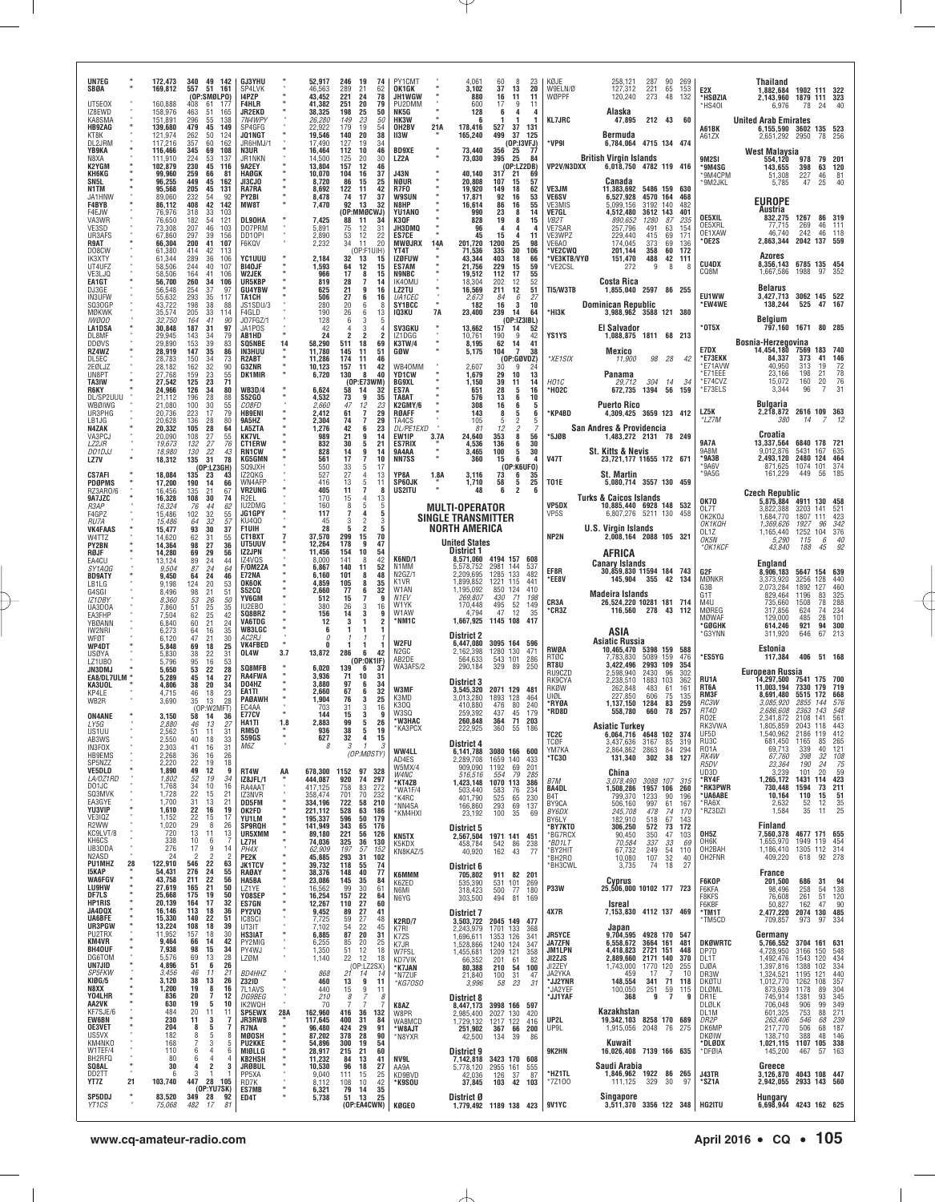| UN7EG<br>SBØA<br>UT5E0X<br>IZ8EWD<br>KA8SMA                        |    | 172,473<br>169,812<br>160,888<br>158,976<br>151,891                | 340<br>49<br>142<br>557<br>51<br>161<br>(OP:SMØLPO)<br>408<br>61<br>-177<br>463<br>51<br>165<br>296<br>55<br>138                                   | <b>GJ3YHU</b><br>SP4LVK<br>14PZP<br><b>F4HLR</b><br><b>JR2EKD</b><br>7N4WPY |          | 52,917<br>46.563<br>43,452<br>41.382<br>38,325<br>26,280 | 246<br>19<br>74<br>289<br>62<br>21<br>221<br>24<br>78<br>79<br>251<br>20<br>198<br>50<br>25<br>23<br>149<br>50          | PY1CM <sub>1</sub><br>OK1GK<br><b>JH1WGW</b><br>PU2DMM<br>NK5G<br>HK3W                   |                                            | 4.061<br>3.102<br>880<br>600<br>128                   | 60<br>8<br>37<br>13<br>16<br>11<br>17<br>9<br>6<br>4<br>-1                    | 23<br>20<br>11<br>11<br>4        | KØJE<br>W9ELN/Ø<br>WØPPF<br><b>KL7JRC</b>                                   | 258,121<br>127,312<br>120,240<br>Alaska<br>47,895                                  | 287<br>221 65<br>273<br>212 43 60                             | 90<br>- 48                       | 269<br>153<br>132                             | E2X<br>*HSØZIA<br>*HS40I                         | Thailand<br>1,882,684<br>2,143,960 1879 111 323<br>6,976<br><b>United Arab Emirates</b> | 1902 111 322<br>78                   | 24                         |                                     |
|--------------------------------------------------------------------|----|--------------------------------------------------------------------|----------------------------------------------------------------------------------------------------------------------------------------------------|-----------------------------------------------------------------------------|----------|----------------------------------------------------------|-------------------------------------------------------------------------------------------------------------------------|------------------------------------------------------------------------------------------|--------------------------------------------|-------------------------------------------------------|-------------------------------------------------------------------------------|----------------------------------|-----------------------------------------------------------------------------|------------------------------------------------------------------------------------|---------------------------------------------------------------|----------------------------------|-----------------------------------------------|--------------------------------------------------|-----------------------------------------------------------------------------------------|--------------------------------------|----------------------------|-------------------------------------|
| <b>HB9ZAG</b><br>KT8K<br>DL2JRM                                    |    | 139,680<br>121,974<br>117,216                                      | 149<br>479<br>45<br>50<br>262<br>124<br>357<br>60<br>162                                                                                           | SP4GFG<br>JQ1NGT<br>JR6HMJ/                                                 |          | 22.922<br>19,546<br>17,490                               | 179<br>19<br>54<br>20<br>38<br>140<br>127<br>19<br>34                                                                   | OH2BV<br><b>II3W</b>                                                                     | 21A                                        | 178,416<br>165,240                                    | 527<br>37<br>37<br>499                                                        | 131<br>-125<br>(OP:13VFJ)        | *VP9I                                                                       | Bermuda<br>6,784,064 4715 134 474                                                  |                                                               |                                  |                                               | A61BK<br>A61ZX                                   | 6,155,590 3602 135 523<br>2,651,292 2950                                                |                                      | 78                         | -256                                |
| YB9KA<br>N8XA<br>K2YGM<br><b>КН6КG</b><br>SN <sub>5L</sub><br>N1TM |    | 116,466<br>111,910<br>102.879<br>99,960<br>96.255<br>95,568        | 345<br>69<br>108<br>224<br>53<br>137<br>230<br>45<br>116<br>259<br>66<br>81<br>449<br>$\begin{array}{c} 45 \\ 45 \end{array}$<br>162<br>205<br>131 | N3UR<br>JR1NKN<br>9A2EY<br>HAØGK<br>JI3CJ0<br>RA7RA                         |          | 16.464<br>14,500<br>13.804<br>10,070<br>8.720<br>8,692   | 112<br>10<br>46<br>125<br>20<br>30<br>157<br>12<br>46<br>104<br>16<br>37<br>86<br>15<br>25<br>42<br>122<br>11           | <b>BD9XE</b><br>LZ2A<br>J43N<br><b>NØUR</b><br>R7F0                                      |                                            | 73,440<br>73,030<br>40,140<br>20.808<br>19.920        | 356<br>-25<br>395<br>25<br>(OP:LZ2DB)<br>317<br>21<br>107<br>15<br>149<br>18  | - 77<br>84<br>69<br>57<br>62     | VP2V/N3DXX<br>VE3JM                                                         | <b>British Virgin Islands</b><br>6,018,750 4782 119 416<br>Canada<br>11,383,692    | 5486 159                                                      |                                  | 630                                           | 9M2SI<br>*9M4SG<br>'9M4CPM<br>'9M2JKL            | <b>West Malaysia</b><br>554,120<br>143,655<br>51,308<br>5,785                           | 978<br>398<br>227<br>47              | 79 201<br>63<br>46<br>25   | 120<br>81<br>40                     |
| JA1HNW<br>F4BYB<br>F4EJW<br>VA3WR<br>VE3SD<br>UR3AFS<br>R9AT       |    | 89,060<br>86,112<br>76,976<br>76,650<br>73,308<br>67,860<br>66,304 | 232<br>54<br>92<br>42<br>408<br>142<br>318<br>33<br>103<br>54<br>121<br>182<br>207<br>46<br>103<br>39<br>297<br>156<br>200<br>41<br>107            | PY2BI<br><b>MW8T</b><br>DL90HA<br>D07PRM<br>DD10PI<br>F6KQV                 |          | 8,478<br>7,470<br>7,425<br>5,891<br>2,890<br>2,232       | 74<br>17<br>37<br>92<br>13<br>32<br>(OP:MMØCWJ)<br>88<br>11<br>34<br>12<br>75<br>31<br>12<br>53<br>22<br>34<br>20<br>11 | <b>W9SUN</b><br>N8HP<br><b>YU1ANO</b><br>K3QF<br>JH3DMQ<br><b>ES7CE</b><br><b>MWØJRX</b> | 14A                                        | 17,871<br>16.614<br>990<br>828<br>96<br>45<br>201,720 | 92<br>16<br>86<br>16<br>23<br>8<br>19<br>8<br>4<br>4<br>15<br>4<br>25<br>1200 | 53<br>55<br>14<br>15<br>11<br>98 | <b>VE6SV</b><br>VE3MIS<br>VE7GL<br>VB2T<br><b>VE7SAR</b><br>VE3WPZ<br>VE6AO | 6,527,928<br>5,099,156<br>4,512,480<br>890,652<br>257,796<br>229,440<br>174.045    | 4570 164<br>3192 140<br>3612 143<br>1280<br>491<br>415<br>373 | 87<br>63<br>69<br>69             | 468<br>482<br>401<br>235<br>154<br>171<br>136 | OE5XIL<br>OE5XRL<br>OE1XAW<br>*OE2S              | <b>EUROPE</b><br>Austria<br>832,275<br>77,715<br>46.740<br>2,863,344                    | 1267<br>269<br>242<br>2042 137 559   | 86 319<br>46 111<br>46 118 |                                     |
| DO8CW<br>IK3XTY<br>UT4UFZ<br>VE3LJQ                                |    | 61,380<br>61,344<br>58,506<br>58,506                               | 42<br>414<br>-113<br>289<br>36<br>106<br>244<br>40<br>107<br>164<br>41<br>106                                                                      | YC1UUU<br>BI40JF<br><b>W2JEK</b>                                            |          | 2,184<br>1,593<br>966                                    | (OP:F1UIH)<br>32<br>13<br>15<br>64<br>12<br>15<br>17<br>8<br>15                                                         | YT4T<br><b>IZØFUW</b><br><b>ES7AM</b><br><b>N9NBC</b>                                    |                                            | 71.536<br>43,344<br>21.756<br>19,512                  | 30<br>335<br>403<br>18<br>229<br>15<br>112<br>17                              | 106<br>66<br>59<br>55            | <b>VE2CWO</b><br>'VE3KTB/VYØ<br>*VE2CSL                                     | 201.144<br>151,470<br>272                                                          | 358<br>488<br>9                                               | 60<br>42<br>8                    | 172<br>111<br>-8                              | <b>CU4DX</b><br>CQ8M                             | Azores<br>8,356,143 6785 135 454<br>1,667,586                                           | 1988                                 | 97                         | -352                                |
| EA1GT<br>DJ3GE<br><b>IN3UFW</b><br>SQ30GP                          |    | 56.700<br>56,548<br>55,632<br>43.722                               | 260<br>34<br>106<br>254<br>37<br>97<br>293<br>$\frac{35}{38}$<br>117<br>198<br>88                                                                  | UR5KBP<br><b>GU4YBW</b><br>TA1CH<br>JS1SDU/3                                |          | 819<br>625<br>506<br>280                                 | 28<br>$\overline{7}$<br>14<br>21<br>9<br>16<br>$\frac{27}{20}$<br>6<br>$\begin{array}{c} 16 \\ 8 \end{array}$<br>6      | IK40MU<br><b>LZ2TU</b><br>UA1CEC<br>SY1BCC                                               | $\mathbf{u}$                               | 18.304<br>16,569<br>2,673<br>182                      | 12<br>202<br>12<br>211<br>84<br>$\frac{6}{3}$<br>16                           | 52<br>51<br>$\frac{27}{10}$      | TI5/W3TB                                                                    | Costa Rica<br>1,855,040 2597 86 255<br><b>Dominican Republic</b>                   |                                                               |                                  |                                               | EU1WW<br>*EW4WE                                  | <b>Belarus</b><br>3,427,713 3062 145 522<br>138,244                                     | 525                                  | 47 167                     |                                     |
| <b>MØKWK</b><br><i><b>IWØQO</b></i><br><b>LA1DSA</b><br>DL8MF      |    | 35,574<br>32,750<br>30,848<br>29,945                               | 205<br>33<br>114<br>41<br>164<br>.90<br>187<br>31<br>97<br>34<br>79<br>143                                                                         | F4GLD<br>J07FGZ/1<br>JA1POS<br>AB1HD                                        |          | 190<br>128<br>42<br>24                                   | 26<br>13<br>6<br>3<br>2<br>-2                                                                                           | IQ3KU<br><b>SV3GKU</b><br>IZ1DGG                                                         | 7A                                         | 23,400<br>13,662<br>10,761                            | 239<br>14<br>(0P:IZ3IBL)<br>157<br>14<br>9<br>190                             | 64<br>52<br>42                   | *НІЗК<br>YS1YS                                                              | 3,988,962 3588 121 380<br>El Salvador<br>1,088,875 1811 68 213                     |                                                               |                                  |                                               | * 0T5X                                           | Belgium<br>797,160 1671 80 285                                                          |                                      |                            |                                     |
| DDØVS<br>RZ4WZ<br>DL5EC<br>2EØLJZ<br>UN8PT                         |    | 29,890<br>28,919<br>28,783<br>28,182<br>27,768                     | 153<br>39<br>83<br>35<br>147<br>86<br>150<br>34<br>73<br>$\frac{32}{23}$<br>90<br>162<br>159<br>55                                                 | SQ5NBE<br>IN3HUU<br>R2ABT<br>G3ZNR<br><b>DK1MIR</b>                         | 14       | 58,290<br>11,780<br>11,286<br>10,123<br>6,720            | 69<br>511<br>18<br>145<br>11<br>51<br>174<br>11<br>46<br>42<br>157<br>11<br>130<br>8<br>40                              | <b>K3TW/4</b><br>GØW<br>WB40MM<br>YD1CW                                                  |                                            | 8,195<br>5,175<br>2.607<br>1,679                      | 62<br>14<br>104<br>7<br>$(0P:6BVDZ)$<br>30 9 24<br>29<br>10                   | 41<br>38<br>13                   | *XE1SIX                                                                     | Mexico<br>11,900<br>Panama                                                         | 98 28                                                         |                                  | 42                                            | E7DX<br>*E73EKK<br>*E71AVW<br>*E71EEE            | Bosnia-Herzegovina<br>14,454,180 7569<br>84,337<br>40,950<br>23,166                     | 373<br>313<br>198                    | 183<br>41<br>19<br>21      | 740<br>146<br>72<br>$\frac{78}{76}$ |
| TA3IW<br>R6KY<br>DL/SP2UUU<br>WBØIWG                               |    | 27.542<br>24,966<br>21.112<br>21,080                               | 125<br>23<br>71<br>126<br>34<br>80<br>196<br>28<br>88<br>30<br>100<br>55                                                                           | <b>WB3D/4</b><br><b>S52GO</b><br><i>CO8FD</i>                               |          | 6,624<br>4,532<br>2,660                                  | (OP:E73WM)<br>58<br>14<br>32<br>73<br>9<br>35<br>47<br>12<br>23                                                         | <b>BG9XL</b><br>ES7A<br>TA8AT<br>K2GMY/6                                                 |                                            | 1.150<br>651<br>576<br>308                            | 39<br>11<br>28<br>5<br>13<br>6<br>16<br>6                                     | 14<br>16<br>10<br>5              | HO1C<br>*H02C                                                               | 29.712<br>672,735 1394 56<br><b>Puerto Rico</b>                                    | 304 14                                                        |                                  | -34<br>159                                    | *E74CVZ<br>*E73ELS                               | 15,072<br>3,344<br>Bulgaria                                                             | 160<br>96                            | 20<br>7                    | 31                                  |
| UR3PHG<br>LB1JG<br>N4ZAK                                           |    | 20,736<br>20,628<br>20,332                                         | 223<br>17<br>79<br>136<br>$^{28}_{28}$<br>80<br>105<br>64                                                                                          | <b>HB9ENI</b><br>9A5HZ<br>LA5ZTA                                            |          | 2.412<br>2,304<br>1,276                                  | $\overline{7}$<br>61<br>29<br>74<br>7<br>29<br>42<br>6<br>23                                                            | <b>RØAFF</b><br>TA4CS<br><i>DL/PE1EXD</i>                                                |                                            | 143<br>105<br>81                                      | 8<br>$\frac{5}{2}$<br>2<br>12                                                 | 6                                | KP4BD*                                                                      | 4,309,425 3659 123 412<br>San Andres & Providencia                                 |                                                               |                                  |                                               | LZ5K<br>*LZ7M                                    | 2,218,872<br>380                                                                        | 2616 109 363<br>14                   |                            |                                     |
| VA3PCJ<br>LZ2JR<br>DO1DJJ<br><b>LZ7V</b>                           |    | 20,090<br>19,673<br>18,980<br>18,312                               | 27<br>108<br>55<br>132<br>27<br>76<br>22<br>43<br>130<br>31<br>135<br>78                                                                           | <b>KK7VL</b><br><b>CT1ERW</b><br><b>RN1CW</b><br><b>KG5GMN</b>              |          | 989<br>832<br>828<br>561                                 | 21<br>9<br>14<br>30<br>5<br>21<br>14<br>9<br>14<br>17<br>7<br>10                                                        | EW1IP<br><b>ES7RIX</b><br><b>9A4AA</b><br><b>NN7SS</b>                                   | 3.7A<br>$\mathbf{u}$                       | 24,640<br>4,536<br>3,465<br>360                       | $\bf8$<br>353<br>136<br>6<br>5<br>100<br>15<br>6                              | 56<br>30<br>30<br>4              | *5JØB<br><b>V47T</b>                                                        | 1,483,272 2131 78 249<br>St. Kitts & Nevis<br>23,721,177 11655 172 671             |                                                               |                                  |                                               | 9A7A<br>9A8M<br>*9A3B                            | Croatia<br>13,337,564<br>9,012,876<br>2,493,120                                         | 6840 178 721<br>5431<br>2480 124     | 167                        | 635<br>464                          |
| <b>CS7AFI</b><br><b>PDØPMS</b>                                     |    | 18.084<br>17,200                                                   | (OP:LZ3GH)<br>135<br>23<br>43<br>190<br>14<br>66                                                                                                   | SQ9JXH<br>IZ20KG<br>WN4AFF                                                  |          | 550<br>527<br>416                                        | 33<br>5<br>17<br>27<br>$^{13}_{11}$<br>$\overline{4}$<br>13<br>5                                                        | YP8A<br>SP60JK                                                                           | 1.8A                                       | 3,116<br>1,710                                        | (OP:K6UFO)<br>73<br>6<br>5<br>58                                              | 35<br>25                         | <b>T01E</b>                                                                 | St. Martin<br>5,080,714 3557 130 459                                               |                                                               |                                  |                                               | *9A6V<br>*9A5G                                   | 871,625<br>161,229                                                                      | 1074 101<br>449                      | 56                         | 374<br>185                          |
| RZ3AR0/6<br>9A7JZC<br>R3AP<br>F4GPZ                                |    | 16,456<br>16,328<br>16,324<br>15,486                               | 135<br>21<br>67<br>30<br>108<br>74<br>76<br>44<br>62<br>32<br>102<br>55                                                                            | <b>VR2UNG</b><br>R <sub>2FI</sub><br>IU2DMG<br>JG1GPY                       |          | 405<br>170<br>160<br>117                                 | 11<br>7<br>8<br>$\overline{4}$<br>13<br>15<br>5<br>5<br>7<br>4                                                          | US2ITU<br>5                                                                              | <b>MULTI-OPERATOR</b>                      | 48                                                    | 6<br>2                                                                        | 6                                | VP5DX<br>VP <sub>5</sub> S                                                  | <b>Turks &amp; Caicos Islands</b><br>10,885,440 6928 148 532<br>6,807,276 5211 130 |                                                               |                                  | 458                                           | <b>OK70</b><br>OL7T                              | <b>Czech Republic</b><br>5,875,884 4911 130<br>3,822,388                                | 3203 141                             |                            | - 458<br>521                        |
| <i>RU7A</i><br><b>VK4FAAS</b><br>W4TTZ                             |    | 15,486<br>15,477<br>14,620                                         | 32<br>64<br>57<br>30<br>93<br>37<br>62<br>31<br>55                                                                                                 | KU400<br>F1UIH<br>CT1BXT                                                    |          | 45<br>28<br>37,570                                       | 3<br>5<br>70<br>299<br>-15                                                                                              |                                                                                          | <b>SINGLE TRANSMITTER</b><br>NORTH AMERICA |                                                       |                                                                               |                                  | NP <sub>2N</sub>                                                            | <b>U.S. Virgin Islands</b><br>2,008,164 2088 105 321                               |                                                               |                                  |                                               | OK2KOJ<br>OK1KQH<br>OL1Z<br>ОК5N                 | 1,684,770<br>1,369,626<br>1,165,440<br>5,290                                            | 1807<br>1927<br>1252 104<br>115      | 111<br>96<br>6             | 423<br>342<br>376<br>40             |
| <b>PY2BN</b><br>RØJF<br>EA4CU<br>SY1AQG<br><b>BD9ATY</b>           |    | 14,364<br>14,280<br>13,124<br>9,504<br>9,450                       | 27<br>36<br>98<br>69<br>29<br>56<br>89<br>24<br>44<br>24<br>87<br>64<br>24<br>46<br>64                                                             | UT5UUV<br>IZ2JPN<br>IZ4VQS<br><b>F/OM2ZA</b><br>E72NA                       |          | 12,264<br>11,456<br>8,000<br>6.867<br>6,160              | 178<br>9<br>47<br>154<br>10<br>54<br>42<br>141<br>8<br>140<br>52<br>-11<br>48<br>101<br>8                               | K6ND/1<br>N1MM<br>N2GZ/1                                                                 | <b>United States</b><br>District 1         | 5,578,752<br>2.209.695                                | 8,571,060 4194 157 608<br>2981<br>144<br>1285 133                             | 537<br>482                       | EF8R                                                                        | AFRICA<br><b>Canary Islands</b><br>30,859,830 11594 184 743                        |                                                               |                                  |                                               | *OK1KCF<br>G2F                                   | 43,840<br>England<br>8,906,183                                                          | 188<br>5647 154 639                  | 45                         | 92                                  |
| LB1LG<br>G4SGI<br>IZ1DBY                                           |    | 9.198<br>8,496<br>8.360                                            | 124<br>20<br>53<br>21<br>98<br>-51<br>53<br>26<br>50                                                                                               | <b>OK6OK</b><br><b>S52CQ</b><br>YV6GM                                       |          | 4.859<br>2,660<br>512                                    | 105<br>8<br>35<br>77<br>32<br>6<br>15<br>9<br>-7                                                                        | K1VR<br>W1AN<br>N <sub>1EV</sub><br>W1YK                                                 |                                            | 1,899,852<br>1,195,092<br>269,807<br>170,448          | 1221 115<br>850 124<br>71<br>430<br>52<br>495                                 | 441<br>410<br>198<br>149         | *EE8V<br>CR3A                                                               | 145,904 355 42 134<br><b>Madeira Islands</b><br>26,524,220 10281 181 714           |                                                               |                                  |                                               | MØNKR<br>G3B<br>G1T<br>M4U                       | 3,373,920<br>2,073,284<br>829,464<br>735,660                                            | 3256<br>1892<br>1196<br>1508         | 128<br>127<br>83<br>78     | 440<br>460<br>325<br>288            |
| UA3DOA<br>EA3FHP<br>YBØANN<br>IW2NRI                               |    | 7,860<br>7,504<br>6,840<br>6,273                                   | 25<br>51<br>35<br>62<br>25<br>42<br>21<br>60<br>24<br>16<br>64<br>35                                                                               | IU2EB0<br>SQ8BRZ<br><b>VA6TDG</b><br><b>WB3LGC</b>                          |          | 380<br>156<br>12<br>6                                    | 26<br>3<br>16<br>14<br>3<br>9<br>1                                                                                      | W1AW<br>*NM1C                                                                            |                                            | 4,794<br>1,667,925                                    | 47<br>12<br>1145 108                                                          | 35<br>417                        | °CR3Z                                                                       | 116,560 278 43<br>ASIA                                                             |                                                               |                                  | 112                                           | MØREG<br><b>MØWAF</b><br>*GØGHK                  | 317,856<br>129,000<br>614,246                                                           | 624<br>485<br>921                    | 74<br>28<br>94             | 234<br>101<br>300                   |
| WFØT<br>WP4DT<br>USØYA                                             |    | 6.120<br>5,848<br>5,830                                            | 47<br>21<br>30<br>69<br>18<br>25<br>38<br>22<br>31                                                                                                 | AC2RJ<br><b>VK4FBED</b><br>OL4W                                             | 3.7      | $\theta$<br>n<br>13,872                                  | -1<br>286<br>6<br>42                                                                                                    | W2FU<br>N <sub>2</sub> GC<br>AB2DE                                                       | <b>District 2</b>                          | 6,447,080<br>2,162,398<br>564,633                     | 3095 164 596<br>1280 130<br>543 101                                           | 471<br>286                       | <b>RWØA</b><br>RTØC                                                         | Asiatic Russia<br>10,465,470 5398 159 588<br>7,783,830                             | 5089 159                                                      |                                  | 476                                           | *G3YNN<br>*ES5YG                                 | 311,920<br>Estonia<br>117,384                                                           | 646<br>406                           | 67<br>51 168               | 213                                 |
| LZ1UB0<br>JN3DMJ<br>EA8/DL7ULM<br>KA3UOL                           |    | 5,796<br>5,650<br>5,289<br>4,806                                   | 95<br>16<br>53<br>22<br>53<br>28<br>45<br>14<br>27<br>20<br>38<br>34                                                                               | SQ8MFB<br><b>RA4FWA</b><br>D04HZ                                            |          | 6,020<br>3.936<br>3,880                                  | (OP:OK1IF)<br>139<br>6<br>37<br>71<br>10<br>-31<br>97<br>34<br>6                                                        | WA3AFS/2                                                                                 | District 3                                 | 290,184                                               | 329 89                                                                        | 250                              | RT8U<br>RU9CZD<br>RK9CYA                                                    | 3.422.496<br>2,598,940<br>2.238.510                                                | 2993 109<br>2430<br>1883 103                                  | 96                               | 354<br>302<br>362                             | RU1A<br>RT <sub>6</sub> A                        | European Russia<br>14,297,500 7541<br>11.003.194                                        | 7330 179                             | 175                        | - 700<br>719                        |
| KP4LE<br>WB2R                                                      |    | 4,715<br>3.690                                                     | 46<br>18<br>23<br>35<br>28<br>13<br>(OP:W2MFT)                                                                                                     | EA1TI<br><b>PAØAWH</b><br>FC4AA                                             |          | 2.660<br>1,904<br>703                                    | 32<br>67<br>6<br>76<br>3<br>25<br>31<br>3<br>16                                                                         | W3MF<br>K3MD<br>K30Q<br>W3SQ                                                             |                                            | 3,545,320<br>3,013,280<br>410.880<br>259,392          | 2071 129 481<br>1893<br>128<br>80<br>476<br>437<br>45                         | 464<br>240<br>179                | RKØW<br>บเตเ<br>*RYØA<br>*RD8D                                              | 262,848<br>227.850<br>1,137,150<br>558,780                                         | 483<br>606<br>1284<br>660                                     | 61<br>75<br>83<br>78             | 161<br>135<br>259<br>257                      | RM3F<br>RC3W<br>RT4D                             | 8,691,480<br>3.085.920<br>2,686,608                                                     | 5515<br>2855 144<br>2363             | 172<br>143                 | 668<br>576<br>548                   |
| <b>ON4ANE</b><br>LY5G<br>US1UU<br>AB3WS                            |    | 3,150<br>2,880<br>2,562<br>2,550                                   | 58<br>14<br>36<br>46<br>13<br>27<br>31<br>51<br>11<br>40<br>33<br>18                                                                               | <b>E77CV</b><br>HA1TI<br><b>RM50</b><br><b>S59GS</b>                        | 1.8      | 144<br>2.883<br>936<br>627                               | 15<br>3<br>9<br>99<br>5<br>26<br>38<br>19<br>5<br>32<br>$\overline{a}$<br>15                                            | 'W3HAC<br>*КАЗРСХ                                                                        |                                            | 260,848<br>222,925                                    | 71<br>364<br>360<br>55                                                        | 203<br>186                       | TC <sub>2C</sub>                                                            | <b>Asiatic Turkey</b>                                                              | 4648 102 374                                                  |                                  |                                               | <b>R02E</b><br>RK3VWA<br>UF5D                    | 2,341,872<br>1,805,859<br>.540.962                                                      | 2108 141<br>2043<br>2186 119         | 118                        | 561<br>443<br>412                   |
| IN3FOX<br><b>HB9EMS</b><br>SP5NZZ                                  |    | 2,303<br>2,268<br>2.220                                            | 41<br>16<br>31<br>26<br>36<br>16<br>$\frac{22}{49}$<br>19<br>18                                                                                    | M6Z                                                                         |          | 8                                                        | 3<br>$\overline{1}$<br>3<br>(OP:MØSTY)                                                                                  | WW4LL<br>AD4ES<br>W5MX/4                                                                 | District 4                                 | 6,141,788<br>2,289,708<br>909,090                     | 3080 166 600<br>1659 140<br>1192<br>69                                        | 433<br>201                       | TCØF<br>YM7KA<br><b>'TC30</b>                                               | 3,437,636<br>2,864,862 2863<br>131,340                                             | 3167<br>302                                                   | 85<br>84<br>38                   | 319<br>294<br>127                             | RU3C<br><b>R01A</b><br>RK4W<br>R5DV              | 681,450<br>69,713<br>67,760<br>23,364                                                   | 1165<br>339<br>398<br>190            | 85<br>40<br>32<br>24       | 265<br>121<br>108                   |
| <b>VE5DLD</b><br>LA/0Z1RD<br>DO1JC<br>SQ3MVK                       |    | 1,890<br>1,802<br>1,768<br>1,728                                   | 12<br>9<br>52<br>19<br>34<br>34<br>10<br>16<br>22<br>15<br>21                                                                                      | RT4W<br>IZ8JFL/1<br>RA4AAT                                                  | AA       | 444,087<br>417,125                                       | 678,300 1152 97<br>328<br>920<br>74<br>297<br>758<br>272<br>83                                                          | W4NC<br>*KT4ZB<br>*WA1F/4                                                                |                                            | 516,516<br>1,423,148<br>503,440                       | 554<br>79<br>1070 113<br>583<br>76                                            | 285<br>386<br>234                | B7M<br><b>BA4DL</b>                                                         | <b>China</b><br>3,078,490<br>1,508,286                                             | 3088 107<br>1957 106                                          |                                  | 315<br>260                                    | UD3D<br>*RY4F<br>*RK3PWR                         | 3,239<br>1,265,172<br>730,448                                                           | 101<br>1431<br>1594                  | 20<br>114<br>73            | $\frac{75}{75}$<br>423<br>211       |
| EA3GYE<br>YU3VIP<br>VE3IQZ                                         |    | 1,700<br>1,610<br>1,152                                            | 31<br>13<br>21<br>22<br>16<br>19<br>22<br>15<br>17                                                                                                 | IZ3NVR<br><b>DD5FM</b><br>OK2FD<br>YU1LM                                    |          | 358,474<br>334,196<br>221,112<br>195,337                 | 701<br>70<br>232<br>722<br>210<br>58<br>528<br>63<br>186<br>596<br>50<br>179                                            | *K4RC<br>*NN4SA<br>*KM4HXI                                                               |                                            | 401,790<br>166,860<br>23,192                          | 525<br>65<br>69<br>293<br>100<br>35                                           | 230<br>137<br>69                 | B <sub>4</sub> T<br>BY9CA<br>BY6DX<br>BY6LY                                 | 799,370<br>506,160<br>245,708<br>182,910                                           | 1233<br>997<br>478<br>518                                     | 90<br>61<br>74<br>67             | 196<br>167<br>170<br>143                      | *UA6ABE<br>*RA6X<br>*RZ3DZI                      | 10,164<br>2,632<br>1,584                                                                | 110<br>$\frac{52}{35}$               | 15<br>12<br>11             | 51<br>$\frac{35}{25}$               |
| R2WW<br>KC9LVT/8<br>KH6CS<br>UB3DDA<br>N2ASD                       |    | 1,020<br>720<br>338<br>276<br>24                                   | $\frac{29}{13}$<br>8<br>26<br>11<br>13<br>10<br>7<br>6<br>17<br>9<br>14<br>$\overline{2}$<br>$\overline{2}$<br>$\overline{\phantom{a}}$            | <b>SP9RQH</b><br>UR5XMM<br>LZ7H<br>PH4X                                     |          | 141,949<br>89,180<br>74,036<br>62.909                    | 343<br>65<br>176<br>221<br>56<br>126<br>36<br>325<br>130<br>197<br>57<br>152                                            | KN5TX<br>K5KDX<br>KN8KAZ/5                                                               | District 5                                 | 2,567,504<br>458,784<br>40,920                        | 1971 141 451<br>542<br>86<br>162<br>43                                        | 238<br>-77                       | <b>BY7KTO</b><br>*BG7RCX<br>*BD1LT<br>*BY2HIT                               | 306,250<br>90,450<br>70,584<br>67,732                                              | 572<br>350<br>337<br>249                                      | $\frac{73}{2}$<br>47<br>33<br>54 | 172<br>103<br>69<br>110                       | OH <sub>5</sub> Z<br>OH <sub>6</sub> K<br>OH2BAH | Finland<br>7,560,378<br>1,655,970<br>1,186,410                                          | 4677 171 655<br>1949<br>1305 112 314 | 119                        | 454                                 |
| <b>PU1MHZ</b><br>15KAP<br><b>WA6FGV</b>                            | 28 | 122,910<br>54,431<br>43,758                                        | 22<br>546<br>63<br>276<br>24<br>55<br>211<br>22<br>56                                                                                              | PE2K<br><b>JK1TCV</b><br>RAØAY<br>HA5BA                                     |          | 45,885<br>39,732<br>38,376<br>23,086                     | 293<br>31<br>102<br>118<br>55<br>74<br>40<br>77<br>148<br>145<br>35<br>84                                               | <b>K6MMM</b><br>K6ZED                                                                    | District 6                                 | 705,802<br>535,390                                    | 911 82 201<br>531 101                                                         | 269                              | *BH2RO<br>*BH3CWL                                                           | 10,080<br>3,735<br>Cyprus                                                          | 107<br>74                                                     | 32<br>18                         | 40<br>27                                      | OH2FNR<br>F6KOP                                  | 409,220<br>France<br>201,500                                                            | 618<br>686                           | 92 278<br>31               | 94                                  |
| LU9HW<br>DF7LS<br><b>HP1RIS</b>                                    |    | 27,619<br>25,668<br>20,139                                         | 21<br>50<br>165<br>175<br>19<br>50<br>164<br>17<br>32                                                                                              | LZ1YE<br>Y08SEP<br>ES7GN                                                    |          | 16,562<br>16,254<br>12,267                               | 99<br>$\frac{30}{22}$<br>61<br>157<br>64<br>110<br>60                                                                   | N6MI<br>N6YG                                                                             |                                            | 318,423<br>303,500                                    | 500<br>77<br>494<br>81                                                        | 180<br>169                       | <b>P33W</b>                                                                 | 25.506.000 10102 177 723<br>Isreal                                                 |                                                               |                                  |                                               | F6KFA<br>F8KFS<br>F6KBF                          | 98,496<br>76,608<br>50,827                                                              | 258<br>261<br>162                    | 54<br>51<br>47             | 138<br>120<br>90                    |
| JA4DQX<br><b>UA6BFE</b><br>UR3PGW<br>PU2TRX                        |    | 16,146<br>15,330<br>13,224<br>11.952                               | 113<br>18<br>36<br>140<br>22<br>51<br>108<br>18<br>39<br>157<br>18<br>30                                                                           | PY2VQ<br>IC8SCI<br>UT3IT<br><b>HS3IAT</b>                                   |          | 9,452<br>7,725<br>7,102<br>6,885                         | 89<br>27<br>41<br>59<br>27<br>48<br>$\frac{22}{20}$<br>54<br>45<br>87<br>31                                             | K2RD/7<br>K7RI                                                                           | <b>District 7</b>                          | 3,503,722<br>2,243,979                                | 2045 149 477<br>1701<br>133                                                   | 368                              | <b>4X7R</b><br><b>JR5YCE</b>                                                | 7,153,830 4112 137 469<br>Japan<br>9,704,595 4928 170 547                          |                                                               |                                  |                                               | *TM1T<br>*TM5CD                                  | 2,477,220<br>709,857<br>Germany                                                         | 2074 130<br>973                      | 97                         | 485<br>334                          |
| KM4VR<br>BH40UF<br>DG6TOM                                          |    | 9,464<br>7,938<br>5,576                                            | 66<br>14<br>42<br>98<br>15<br>34<br>69<br>13<br>28                                                                                                 | PY2MIG<br>PY4WJ<br>LZØM                                                     |          | 6,255<br>1,350<br>1,140                                  | 85<br>20<br>25<br>12<br>18<br>51<br>22<br>12<br>18                                                                      | K7ZS<br>K7JR<br>W7FSL<br>KD7VIK                                                          |                                            | 1,696,611<br>1,528,866<br>1,455,681<br>66,352         | 1353 126<br>1240<br>124<br>1209 121<br>201<br>61                              | 341<br>347<br>358<br>82          | <b>JA7ZFN</b><br><b>JM1LPN</b><br>JI2ZJS                                    | 6,558,672<br>4,418,823<br>2,889,660                                                | 3664 161<br>2721 151<br>2171 140                              |                                  | 481<br>448<br>370                             | <b>DKØWRTC</b><br>DP7D<br>DL1T                   | 5,766,552<br>4,728,950<br>1,492,476                                                     | 3704 161 631<br>3166<br>1543 120     | 150                        | 548<br>$\frac{434}{334}$            |
| UN7JID<br><i>SP5FKW</i><br><b>KIØG/5</b><br>N8XX                   |    | 4,896<br>3,456<br>3,120<br>1,200                                   | 51<br>6<br>26<br>46<br>11<br>21<br>38<br>13<br>26<br>19<br>8<br>16                                                                                 | <b>BD4HHZ</b><br><b>Z32ID</b><br>7L1AVS                                     |          | 868<br>460<br>440                                        | (OP: LZ2SX)<br>21<br>14<br>14<br>9<br>13<br>11<br>15<br>9<br>11                                                         | *K7JAN<br>*N7ZUF<br>*KG70S0                                                              |                                            | 80,388<br>21,840<br>3,996                             | 54<br>210<br>31<br>100<br>23<br>58                                            | 100<br>47<br>31                  | JI2ZEY<br>JA2YKA<br>*JJ2YNR<br>JA2YEF                                       | 1,743,000<br>459<br>148,554<br>100,050                                             | 1770 120<br>17<br>341<br>251                                  | -7<br>71                         | 255<br>10<br>118<br>115                       | <b>DJØA</b><br>DR3W<br><b>DKØTU</b><br>DLØML     | 1,397,816<br>1,324,521<br>1,012,770<br>873,639                                          | 1388<br>1195 121<br>1262 108<br>1178 | 102<br>89                  | 440<br>357<br>304                   |
| Y04LHR<br>AA2VK<br>KF7SJE/6                                        |    | 836<br>630<br>484                                                  | 20<br>12<br>7<br>$\begin{array}{c} 19 \\ 20 \end{array}$<br>5<br>10<br>11<br>11                                                                    | <i>DG9BEG</i><br>IK2WQH<br><b>SP5EWX</b>                                    | 28A      | 210<br>70<br>162,960                                     | δ<br>8<br>7<br>132<br>416<br>36                                                                                         | K8AZ<br>W8PR                                                                             | <b>District 8</b>                          | 8,447,173<br>2,985,400                                | 3998 166 597<br>2027 130                                                      | 420                              | 'JJ1YAF                                                                     | 368<br>Kazakhstan                                                                  | 9                                                             | $\frac{59}{7}$                   | 9                                             | DR1E<br>DLØLK<br>DL1M                            | 745,914<br>706,048<br>601,325                                                           | 1381<br>906<br>753                   | 93<br>99<br>88             | 345<br>349<br>271                   |
| EW6BN<br><b>OE3VET</b><br>US5VX<br>KM4NKO                          |    | 230<br>204<br>182<br>168                                           | 11<br>3<br>7<br>8<br>5<br>7<br>8<br>5<br>8<br>3<br>5                                                                                               | JR3RWB<br>R7NA<br><b>MØOSH</b><br><b>PU2KKE</b>                             | $\alpha$ | 117,645<br>96,480<br>87,202<br>54,896                    | 31<br>400<br>84<br>29<br>424<br>91<br>378<br>28<br>90<br>300<br>19<br>54                                                | WA8MCD<br>*W8AJT<br>*N8YXR                                                               |                                            | 1,729,132<br>251,902<br>42,500                        | 1217 122<br>367<br>66<br>134<br>39                                            | 416<br>200<br>-86                | UP2L<br>UP9L                                                                | 19,342,103 8258 170 689<br>1,915,056 2048 76<br>Kuwait                             |                                                               |                                  | 275                                           | DR2P<br>DK6MP<br>DKØIW<br>*DLØDX                 | 263,406<br>217,770<br>138,710<br>1,021,115 1107 105 338                                 | 546<br>506<br>388                    | 68<br>68<br>48             | 239<br>187<br>146                   |
| W1TEF/4<br>BH2RFQ<br>SQ8AL                                         |    | 110<br>80<br>30                                                    | 6<br>4<br>6<br>$\overline{4}$<br>6<br>2<br>3<br>4                                                                                                  | MIØLLG<br><b>KB2HSH</b><br><b>JRØBUL</b>                                    |          | 28,917<br>11,232<br>10,530                               | 215<br>21<br>60<br>84<br>13<br>41<br>96<br>18<br>27                                                                     | NV9L<br>AA9A                                                                             | District 9                                 | 7,142,818<br>5,778,120                                | 3423 170 608<br>2955 161                                                      | 555                              | 9K2HN                                                                       | 16,026,408 7139 166 635<br>Saudi Arabia                                            |                                                               |                                  |                                               | *DFØIA                                           | 145,200<br>Greece                                                                       | 467                                  | 57                         | 163                                 |
| DD2TT<br>YT7Z<br>SP5DDJ                                            | 21 | 6<br>103,740<br>83,520                                             | 28<br>447<br>105<br>(OP:YU7SK)<br>349 28<br>92                                                                                                     | PP5XA<br>RD7K<br>ES7MB                                                      |          | 9,040<br>8,112<br>6,321                                  | 111<br>25<br>15<br>10<br>42<br>108<br>79<br>14<br>35                                                                    | KD9BVD<br><b>'K9SOU</b>                                                                  | District Ø                                 | 42,036<br>37,845                                      | 126<br>37<br>103<br>42                                                        | -87<br>103                       | *HZ1TL<br>*7Z100                                                            | 1,846,962 1922 86 265<br>111,125<br>Singapore                                      | 329                                                           | - 30                             | 97                                            | J43TR<br>*SZ1A                                   | 3,126,870 4043 108 447<br>2,942,055 2933 143 560                                        |                                      |                            |                                     |
| YT1CS                                                              |    | 75,068                                                             | 482<br>17<br>81                                                                                                                                    | ED4T                                                                        |          | 5,738                                                    | 25<br>51<br>13<br>(OP:EA4CWN)                                                                                           | KØGEO                                                                                    |                                            |                                                       | 1,779,492 1189 138 423                                                        |                                  | <b>9V1YC</b>                                                                | 3,511,370 3356 122 348                                                             |                                                               |                                  |                                               | HG2ITU                                           | Hungary<br>6,698,944 4243 162 625                                                       |                                      |                            |                                     |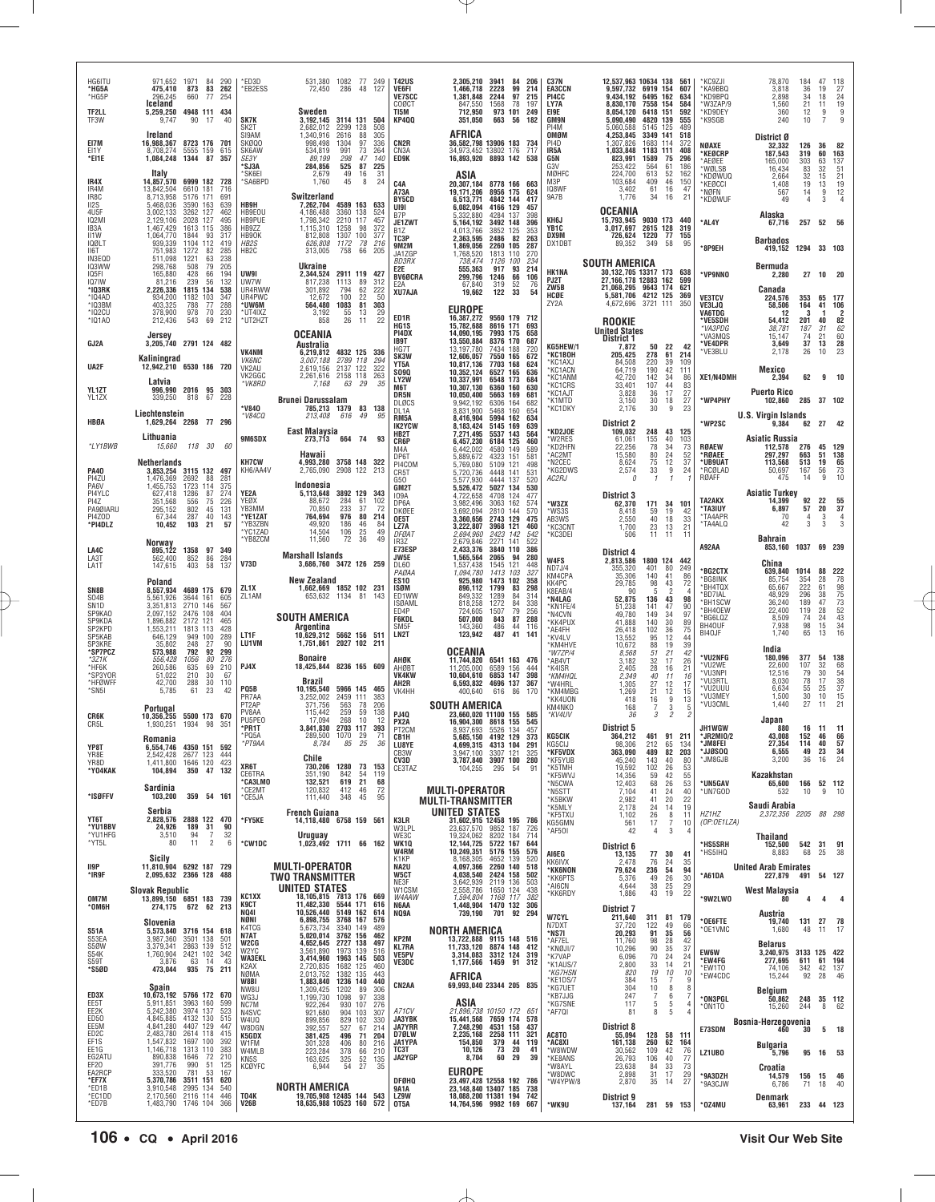| HG6ITU<br>*HG5A<br>*HG5P<br>TF2LL                 | 971,652 1971 84 290<br>83<br>262<br>475,410<br>873<br>296.245<br>660<br>77<br>254<br>Iceland<br>5,259,250<br>4948 111 434                     | *ED3D<br><b>EB2ESS</b>                      | 531.380<br>1082 77 249<br>72,450<br>286<br>48<br>127<br>Sweden                                                                                                | <b>T42US</b><br>VE6FI<br><b>VE7SCC</b><br>COØCT<br>TI5M | 2,305,210 3941<br>84 206<br>2228<br>99<br>1,466,718<br>214<br>1,381,848<br>2244<br>97<br>215<br>847,550<br>1568<br>78<br>197<br>712.950<br>973 101 249 | <b>C37N</b><br><b>EA3CCN</b><br>PI4CC<br>LY7A<br>EI9E | 12,537,963 10634 138<br>9,597,732 6919 154<br>9.434.192<br>8,830,170<br>8.054.120 | 6495 162<br>7558 154<br>6418 151                                                        | 561<br>607<br>634<br>584<br>592               | *KC9ZJI<br>*KA9BBQ<br>*KD9BPQ<br>*W3ZAP/9<br>*KD9DEY | 78,870<br>3,818<br>2.898<br>1,560<br>360  | 184<br>36<br>34<br>21<br>12                         | 47<br>19<br>18<br>11<br>9   | 118<br>27<br>$\begin{array}{c}\n24 \\ 19 \\ 9 \\ 9\n\end{array}$ |
|---------------------------------------------------|-----------------------------------------------------------------------------------------------------------------------------------------------|---------------------------------------------|---------------------------------------------------------------------------------------------------------------------------------------------------------------|---------------------------------------------------------|--------------------------------------------------------------------------------------------------------------------------------------------------------|-------------------------------------------------------|-----------------------------------------------------------------------------------|-----------------------------------------------------------------------------------------|-----------------------------------------------|------------------------------------------------------|-------------------------------------------|-----------------------------------------------------|-----------------------------|------------------------------------------------------------------|
| TF3W<br>EI7M                                      | 9,747<br>90 17<br>40<br>Ireland<br>16,988,367<br>8723 176 701                                                                                 | SK7K<br>SK <sub>2</sub> T<br>SI9AM<br>SKØQ0 | 3.192.145<br>3114 131 504<br>2.682.012<br>2299 128<br>508<br>2616<br>1,340,916<br>305<br>88<br>998,498<br>1304<br>97<br>336                                   | KP4QQ<br>CN2R                                           | 351,050<br>663 56<br>182<br>AFRICA<br>36,582,798 13906 183<br>734                                                                                      | <b>GM9N</b><br>PI4M<br>OMØM<br>PI4D                   | 5,090,490<br>5.060.588<br>4,253,845<br>1,307,826                                  | 4820 139<br>5145 125<br>3349 141<br>1683<br>114                                         | 555<br>489<br>518<br>372                      | *K9SGB                                               | 240<br>District Ø                         | 10                                                  | 7                           |                                                                  |
| EI1Y<br>*EI1E                                     | 5555 159<br>615<br>8,708,274<br>1,084,248<br>1344<br>87<br>357                                                                                | SK6AW<br>SE3Y<br>'SJ3A                      | 991<br>73<br>534,819<br>264<br>89,199<br>298<br>47<br>140<br>284,856<br>525<br>87 225                                                                         | CN <sub>3</sub> A<br>ED9K                               | 34,973,452 13802 176<br>717<br>16,893,920 8893 142<br>538                                                                                              | IR5A<br>G5N<br>G3V                                    | 1,033,848<br>823,991<br>253,422                                                   | 1183 111<br>1589<br>75<br>61<br>564                                                     | 408<br>296<br>186                             | NØAXE<br>*KEØCRP<br>*AEØEE<br>*WØLSB                 | 32,332<br>187,543<br>165,000<br>16,434    | 126<br>319<br>303<br>83                             | 36<br>60<br>63<br>32        | - 82<br>163<br>137<br>51                                         |
| IR4X<br>IR4M<br>IR8C                              | Italy<br>6999 182<br>14,857,570<br>728<br>13,842,504<br>6610 181<br>716<br>8,713,958<br>5176 171<br>691                                       | SK6EI<br>'SA6BPD                            | 2,679<br>49<br>31<br>16<br>1,760<br>8<br>24<br>45<br>Switzerland                                                                                              | C <sub>4</sub> A<br>A73A                                | ASIA<br>20,307,184<br>8778 166 663<br>19,171,206<br>8956 175<br>624                                                                                    | MØHFC<br>M3P<br>IQ8WF<br>9A7B                         | 224,700<br>103,684<br>3,402<br>1,776                                              | 613<br>52<br>46<br>409<br>61<br>16<br>34<br>16                                          | 162<br>150<br>47<br>21                        | *KDØWUQ<br>*KEØCCI<br>*NØFN                          | 2.664<br>1,408<br>567                     | $\frac{32}{19}$<br>14                               | $\frac{15}{13}$<br>9        | $\frac{21}{19}$<br>$\frac{12}{4}$                                |
| II2S<br>4U5F<br><b>IQ2MI</b>                      | 5,468,036<br>3590 163<br>639<br>3.002.133<br>3262 127<br>462<br>2,129,106<br>2028 127<br>495                                                  | HB9H<br>HB9E0U<br>HB9PUE                    | 4589 163<br>7,262,704<br>633<br>4.186.488<br>3360 138<br>524<br>1,798,342<br>2210 117<br>457                                                                  | <b>BY5CD</b><br>UI9I<br>B7P<br>JE1ZWT                   | 6,513,771<br>4842 144<br>417<br>6,082,094<br>4166 129<br>457<br>5,332,880<br>4284 137<br>398<br>5,164,192<br>3492 148<br>396                           | KH6J                                                  | OCEANIA<br>15,793,945                                                             | 9030 173                                                                                | -440                                          | *KDØWUF<br>*AL4Y                                     | 49<br>Alaska<br>67,716                    | 4<br>257                                            | 3<br>52                     | - 56                                                             |
| IB <sub>3</sub> A<br>II1W<br><b>IQØLT</b><br>II6T | 1,467,429<br>1613 115<br>386<br>1,064,770<br>1844<br>93<br>317<br>939,339<br>1104 112<br>419<br>285<br>751,983<br>82<br>1272                  | HB9ZZ<br>HB90K<br>HB2S<br>HB <sub>2</sub> C | 1,115,310<br>1258<br>98<br>372<br>1307<br>812,808<br>100<br>377<br>626,808<br>313,005<br>1172<br>$\begin{array}{c} 78 \\ 66 \end{array}$<br>216<br>205<br>758 | B1Z<br>TC3P<br><b>9M2M</b>                              | 4,013,766<br>3852<br>125<br>353<br>2,363,595<br>82<br>2486<br>263<br>1.869.056<br>2260 105<br>287<br>1813 110<br>270                                   | YB1C<br>DX9M<br>DX1DBT                                | 3,017,697<br>726,624<br>89,352                                                    | 2615 128<br>1220<br>-77<br>349<br>58                                                    | 319<br>155<br>95                              | *8P9EH                                               | <b>Barbados</b><br>419,152                | 1294                                                | 33 103                      |                                                                  |
| IN3EQD<br>IQ3WW<br>IQ5FI<br>IQ7IW                 | 511,098<br>63<br>238<br>1221<br>79<br>298,768<br>205<br>508<br>165,880<br>428<br>66<br>194<br>239<br>132<br>56                                | UW9I                                        | <b>Ukraine</b><br>2,344,524<br>2911 119 427                                                                                                                   | JA1ZGP<br><b>BD3RX</b><br>E2E<br><b>BV6ØCRA</b>         | 1,768,520<br>738,474<br>1126<br>100<br>234<br>555,363<br>917<br>93<br>214<br>299.796<br>66<br>1246<br>106                                              | <b>HK1NA</b><br>PJ2T                                  | <b>SOUTH AMERICA</b><br>30,132,705 13317 173<br>27,166,178 12883 162              |                                                                                         | 638<br>599                                    | *VP9NNO                                              | Bermuda<br>2,280                          |                                                     | 27 10 20                    |                                                                  |
| *IQ3RK<br>$*$ IQ4AD<br>$*$ IQ3BM                  | 81,216<br>2,226,336<br>1815 134<br>538<br>934,200<br>1182 103<br>347<br>403,325<br>788<br>77<br>288                                           | UW7W<br>UR4RWW<br>UR4PWC<br>*UW6M           | 817,238<br>1113<br>89<br>312<br>301,892<br>794<br>62<br>222<br>100<br>22<br>50<br>12,672<br>81<br>564,480<br>1083<br>303                                      | E <sub>2</sub> A<br>XU7AJA                              | 67,840<br>319<br>52<br>76<br>54<br>19,662<br>122<br>33<br><b>EUROPE</b>                                                                                | ZW5B<br>HCØE<br>ZY2A                                  | 21.068.295 9643 174<br>5,581,706 4212 125<br>4,672,696                            | 3721 111                                                                                | 621<br>369<br>350                             | <b>VE3TCV</b><br>VE3LJQ                              | Canada<br>224,576<br>58,506               | 353<br>164                                          | 65<br>41                    | - 177<br>106                                                     |
| *IQ2CU<br>*IQ1A0                                  | 378,900<br>978<br>70<br>230<br>543<br>212,436<br>69<br>212<br>Jersey                                                                          | *UT4IXZ<br>*UT2HZT                          | 3,192<br>55<br>13<br>29<br>22<br>858<br>26<br>11<br><b>OCEANIA</b>                                                                                            | ED1R<br>HG <sub>1</sub> S<br>PI4DX                      | 16,387,272<br>9560 179 712<br>15,782,688<br>8616 171<br>693<br>14,090,195<br>7993 175<br>658                                                           |                                                       | <b>ROOKIE</b><br><b>United States</b>                                             |                                                                                         |                                               | <b>VA6TDG</b><br>*VE5SDH<br>*VA3PDG                  | -12<br>54,412<br>38,781<br>15,147         | -3<br>201<br>187<br>74                              | -1<br>40<br>$\frac{31}{21}$ | 2<br>82<br>$62$<br>$60$                                          |
| GJ2A                                              | 3,205,740 2791 124 482<br>Kaliningrad                                                                                                         | <b>VK4NM</b><br><b>VK6NC</b>                | Australia<br>6.219.812 4832 125 336<br>3,007,188<br>2789 118<br>294                                                                                           | IB9T<br>HG7T<br>SK3W<br>YT5A                            | 13,550,884<br>8376 170<br>687<br>13,197,780<br>7434<br>188<br>720<br>12,606,057<br>7550<br>165<br>672<br>10,817,136<br>7703 168<br>624                 | KG5HEW/1<br>*KC1BOH<br>*KC1AXJ                        | District 1<br>7,872<br>205,425<br>84,508                                          | 50<br>-22<br>278<br>61<br>39<br>220                                                     | 42<br>214<br>109                              | *VE4DPR<br>*VE3BLU                                   | 3.649<br>2,178                            | 37<br>26                                            | 13<br>10                    | 28<br>23                                                         |
| UA2F<br>YL1ZT                                     | 12,942,210 6530 186 720<br>Latvia<br>996,990 2016 95 303                                                                                      | VK2AU<br>VK2GGC<br>*VK8RD                   | 2,619,156<br>2137 122<br>322<br>2,261,616 2158 118<br>263<br>7.168<br>63 29<br>35                                                                             | <b>SO9Q</b><br>LY2W<br>M6T                              | 10,352,124<br>6527 165<br>636<br>10,337,991<br>6548 173<br>684<br>10,307,130<br>6360 160<br>630                                                        | <b>KC1ACN</b><br>*KC1ANM<br><b>KC1CRS</b><br>'KC1AJT  | 64,719<br>42,720<br>33,401<br>3,828                                               | 190<br>42<br>142<br>34<br>107<br>44<br>17                                               | 111<br>86<br>83                               | XE1/N4DMH                                            | Mexico<br>2,394<br><b>Puerto Rico</b>     | 62                                                  | q                           | 10                                                               |
| YL1ZX<br>HBØA                                     | 67 228<br>339,250<br>818<br>Liechtenstein<br>1,629,264 2268 77 296                                                                            | <b>V840</b><br>*V84CQ                       | <b>Brunei Darussalam</b><br>785,213<br>83 138<br>1379<br>213,408<br>616<br>49<br>95                                                                           | DR5N<br>DLØCS<br>DL1A<br>RM <sub>5</sub> A              | 10,050,400<br>5663 169<br>681<br>9,942,192<br>6306<br>164<br>682<br>8.831.900<br>5468 160<br>654<br>8,416,904<br>5994 162<br>634                       | *K1MTD<br>*KC1DKY                                     | 3,150<br>2,176                                                                    | $\frac{36}{30}$<br>18<br>30<br>9                                                        | $\frac{27}{27}$<br>23                         | *WP4PHY                                              | 102,860<br><b>U.S. Virgin Islands</b>     | 285                                                 | 37 102                      |                                                                  |
| *LY1BWB                                           | Lithuania<br>15,660<br>118 30<br>60                                                                                                           | 9M6SDX                                      | <b>East Malaysia</b><br>273,713<br>664 74<br>93                                                                                                               | <b>IK2YCW</b><br>HB2T<br>CR6P<br>M4A                    | 8,183,424<br>5145 169<br>639<br>7.271.495<br>5537 143<br>564<br>6,457,230<br>6184 125<br>460<br>6,442,002<br>4580<br>149<br>589                        | *KD2JOE<br>'W2RES<br>*KD2HFN                          | <b>District 2</b><br>109,032<br>61,061<br>22,256                                  | 248<br>43<br>155<br>78<br>40                                                            | 125<br>103<br>73                              | *WP2SC<br>RØAEW                                      | 9.384<br><b>Asiatic Russia</b><br>112,578 | 62<br>276                                           | 27<br>45                    | 129                                                              |
| <b>PA40</b>                                       | <b>Netherlands</b><br>3,853,254 3115 132 497                                                                                                  | <b>KH7CW</b><br>KH6/AA4V                    | Hawaii<br>4,993,280<br>3758 148 322<br>2,765,090<br>2908 122 213                                                                                              | DP6T<br>PI4COM<br>CR5T                                  | 5,889,672<br>4323 151<br>581<br>5109 121<br>5,769,080<br>498<br>5,720,736<br>141<br>531<br>4448                                                        | *AC2MT<br>*N2CEC<br>*KG2DWS                           | 15,580<br>8,624<br>2,574<br>n                                                     | $\frac{34}{24}$<br>12<br>$\frac{80}{75}$<br>$9\,$<br>33<br>$\mathcal I$<br>$\mathbf{1}$ | $\frac{52}{37}$<br>24                         | *RØAEE<br>*UB9UAT<br>*RCØLAD<br>RØAFF                | 297,297<br>113,568<br>50,697<br>475       | 663<br>513<br>167<br>14                             | 51<br>19<br>56<br>9         | 138<br>65<br>$^{73}_{10}$                                        |
| PI4ZU<br>PA6V<br>PI4YLC<br>PI4Z                   | 1,476,369<br>2692<br>88<br>281<br>1,455,753<br>1723<br>375<br>114<br>627,418<br>1286<br>87<br>274<br>351,568<br>556<br>$\frac{75}{45}$<br>226 | YE2A<br>YEØX                                | Indonesia<br>3892 129 343<br>5,113,648<br>88,672<br>284<br>61<br>102                                                                                          | G50<br>GM2T<br>109A<br>DP6A                             | 4444 137<br>5,577,930<br>520<br>5,526,472<br>5027 134<br>530<br>4,722,658<br>4708 124<br>477<br>3,982,496<br>162<br>3063<br>574                        | AC2RJ<br>*W3ZX                                        | <b>District 3</b><br>62,370                                                       | 171<br>34                                                                               | 101                                           | TA2AKX                                               | <b>Asiatic Turkey</b><br>14,399           | 92                                                  | 22                          | 55                                                               |
| PA9ØIARU<br>PI4ZOD<br>*PI4DLZ                     | 802<br>295,152<br>131<br>67,344<br>287<br>40<br>143<br>103<br>10,452<br>21<br>57                                                              | YB3MM<br>*YE1ZAT<br>*YB3ZBN<br>*YC1ZAD      | 233<br>37<br>70.850<br>72<br>976<br>80<br>764,694<br>214<br>49,920<br>186<br>46<br>-84<br>14,504<br>49<br>106<br>25                                           | DKØEE<br>OE5T<br>LZ7A<br>DFØA1                          | 3,692,094<br>2810 144<br>570<br>3,360,656<br>2743 129<br>475<br>3,222,807<br>3968 121<br>460<br>2,694,960<br>2423<br>142<br>542                        | *WS3S<br>AB3WS<br>*КС3CNT<br>*KC3DEI                  | 8,418<br>2,550<br>1,700<br>506                                                    | 19<br>59<br>40<br>18<br>13<br>23<br>11<br>11                                            | 42<br>33<br>21<br>11                          | *TA3IUY<br>*TA4APR<br>*TA4ALQ                        | 6.897<br>70<br>42                         | 57<br>$\overline{4}$<br>3                           | 20<br>3<br>3                | 37<br>$\overline{4}$<br>3                                        |
| LA4C<br>LA3T                                      | Norway<br>895,122<br><b>1358</b><br>852<br>97 349<br>86<br>284<br>562,400                                                                     | 'YB8ZCM<br>V73D                             | 11,560<br>72<br>49<br>36<br><b>Marshall Islands</b>                                                                                                           | IR3Z<br>E73ESP<br>JW5E                                  | 2,679,846<br>2271 141<br>522<br>2,433,376<br>3840 110<br>386<br>1,565,564<br>2065<br>94<br>280                                                         | W4FS                                                  | District 4<br>2,813,586                                                           | 1800 124 442                                                                            |                                               | A92AA                                                | <b>Bahrain</b><br>853,160<br>China        | 1037                                                | 69 239                      |                                                                  |
| LA1T<br>SN8B                                      | 147,615<br>403<br>58<br>137<br>Poland<br>8,557,934<br>4689 175<br>679                                                                         | ZL1X                                        | 3,686,760 3472 126 259<br>New Zealand<br>1,662,669 1852 102 231                                                                                               | DL60<br>PAØAA<br>ES10<br><b>ISØM</b>                    | 121<br>1,537,438<br>1545<br>448<br>1.094.780<br>1413<br>103<br>327<br>1473 102<br>925,980<br>358<br>896,112<br>1799<br>83<br>298                       | ND7J/4<br>KM4CPA<br>KK4PC<br>K8EAB/4                  | 355,320<br>35,306<br>29,785<br>90                                                 | 80<br>401<br>41<br>140<br>98<br>43<br>-5<br>$\overline{\phantom{a}}$                    | 249<br>86<br>72                               | *BG2CTX<br>*BG8INK<br>*BH4TQX                        | 639,840 1014<br>85,754<br>65,667          | 354<br>222                                          | 88<br>28<br>61              | 222<br>78<br>98                                                  |
| SO <sub>4</sub> B<br>SN <sub>1</sub> D<br>SP9KA0  | 5,561,926<br>3644 161<br>605<br>3,351,813<br>2710 146<br>567<br>2,097,152<br>2476 108<br>404                                                  | ZL1AM                                       | 653,632 1134 81 143<br>SOUTH AMERICA                                                                                                                          | ED1WW<br><b>ISØAML</b><br>ED4P<br><b>F6KDL</b>          | 849,332<br>1289<br>84<br>314<br>818,258<br>1272<br>84<br>338<br>79<br>256<br>724,605<br>1507<br>507,000<br>843<br>87<br>288                            | *N4LAG<br>*KN1FE/4<br>*N4CVN                          | 52,875<br>51,238<br>49,780                                                        | 43<br>136<br>141<br>47<br>34<br>149                                                     | 98<br>90<br>97                                | *BD7IAL<br>*BH1SCW<br>*BH40EW<br>*BG6LQZ             | 48,929<br>36,240<br>22,400<br>8,509       | 296<br>189<br>119<br>74                             | 38<br>47<br>28<br>24        | 75<br>73<br>52<br>52<br>43<br>34                                 |
| SP9KDA<br>SP2KPD<br>SP5KAB<br>SP3KRE              | 1,896,882<br>2172 121<br>465<br>1,553,211<br>1813 113<br>428<br>646,129<br>949 100<br>289<br>35,802<br>248<br>27<br>90                        | LT1F<br>LU1VM                               | Argentina<br>10,629,312 5662 156 511<br>1,751,861 2027 102 211                                                                                                | SM <sub>5</sub> F<br>LN2T                               | 486<br>116<br>44<br>143,360<br>123,942<br>487<br>41<br>141                                                                                             | *KK4PUX<br>*AE4FH<br>*KV4LV<br>*KM4HVE                | 41,888<br>26,418<br>13,552<br>10,672                                              | 140<br>30<br>36<br>102<br>95<br>12<br>88<br>19                                          | 89<br>75<br>44<br>39                          | BH40UF<br>BI40JF                                     | 7,938<br>1,740                            | 98<br>65                                            | 15<br>13                    | 16                                                               |
| *SP7PCZ<br>$*3Z1K$<br>*HF6K<br>*SP3YOR            | 92<br>573,988<br>792<br>299<br>556.428<br>1056<br>80<br>276<br>69<br>260,586<br>635<br>210<br>210<br>51,022<br>30<br>-67                      | PJ4X                                        | <b>Bonaire</b><br>18,425,844 8236 165 609                                                                                                                     | AHØK<br>AHØBT<br>VK4KW                                  | <b>OCEANIA</b><br>11,744,820<br>6541 163 476<br>11,205,000<br>6589<br>156<br>444<br>6853 147<br>10,604,610<br>398                                      | *W7ZP/4<br>*AB4VT<br>*K4ISR<br>*KM4HQL                | 8,568<br>3,182<br>2,405<br>2,349                                                  | 51<br>21<br>32<br>17<br>$\frac{28}{40}$<br>$^{16}_{11}$                                 | 42<br>26<br>21<br>16                          | *VU2NFG<br>*VU2WE<br>*VU3NPI                         | India<br>180,096<br>22,600<br>12.516      | 377<br>107<br>79                                    | 54<br>32<br>30              | 138<br>68<br>54                                                  |
| *HFØWFF<br>*SN5I                                  | 288<br>30<br>42,700<br>110<br>5,785<br>23<br>42<br>61                                                                                         | PQ5B<br>PR7AA<br>PT <sub>2</sub> AP         | Brazil<br>5966 145 465<br>10,195,540<br>2459 111<br>3,252,002<br>383<br>563<br>78<br>206<br>371.756                                                           | AH2R<br>VK4HH                                           | 6,593,832<br>4696 137<br>367<br>400,640<br>616<br>86<br>170<br><b>SOUTH AMERICA</b>                                                                    | *W4HRL<br>*KM4MBG<br>KK4UON                           | 1,305<br>1,269<br>418                                                             | 27<br>12<br>21<br>12<br>16<br>9                                                         | 17<br>15<br>13                                | *VU3RTL<br>*VU2UUU<br>*VU3MEY<br>*VU3CML             | 8,030<br>6,634<br>1,500<br>1,440          | 78<br>$\begin{array}{c} 55 \\ 30 \end{array}$<br>27 | 17<br>$^{25}_{10}$<br>11    | $\overline{38}$<br>$\frac{37}{15}$<br>21                         |
| CR6K<br>CR5L                                      | Portugal<br>10,356,255 5500 173 670<br>1,930,251 1934 98<br>351                                                                               | PV8AA<br>PU5PE0<br>*PR1T                    | 259<br>59<br>138<br>115,442<br>268<br>17.094<br>10<br>-12<br>3,841,830<br>2703 117<br>393                                                                     | <b>PJ40</b><br>PX2A<br>PT <sub>2</sub> CM               | 23.660.020 11100 155<br>585<br>16,904,300 8618 155<br>545<br>8,937,693<br>5526<br>134<br>457                                                           | KM4NKO<br>*KV4UV                                      | 168<br>36<br>District 5                                                           | 3<br>7<br>3<br>$\overline{c}$                                                           | 5                                             | JH1WGW                                               | Japan<br>880                              | 16                                                  | 11                          | $-11$                                                            |
| YP8T<br>YR8E<br>YR8D                              | Romania<br>6,554,746 4350 151 592<br>2,542,428<br>2677 123<br>444                                                                             | PQ5A<br>'РТ9АА                              | 289,500<br>1070<br>29<br>71<br>8,784<br>85<br>- 25<br>36<br>Chile                                                                                             | CR1H<br>LU8YE<br>CB3W<br>CV3D                           | 5.685.150 4192 129<br>373<br>4,699,315<br>4313 104 291<br>3,947,100<br>3307 121<br>325<br>3,787,840 3907 100<br>280                                    | <b>KG5CIK</b><br>KG5CIJ<br>*KF5VDX<br>*KF5YUB         | 364,212<br>98,306<br>363,090<br>45,240                                            | 461 91 211<br>212<br>65<br>489<br>82<br>143<br>40                                       | 134<br>203<br>80                              | *JR2MI0/2<br>*JM8FEI<br>uugsoo*<br>*JM8GJB           | 43,008<br>27,354<br>6,555<br>3,200        | 152 46 66<br>114<br>49<br>36                        | 40<br>23<br>16              | 57<br>34<br>24                                                   |
| *Y04KAK                                           | 1,411,800 1646 120 423<br>104,894<br>350 47 132<br>Sardinia                                                                                   | XR6T<br>CE6TRA<br>*CA3LMO<br>*CE2MT         | 730,206 1280<br>73 153<br>351,190<br>842<br>54<br>119<br>132,521<br>619<br>21<br>68<br>412<br>72<br>120,832<br>46                                             | CE3TAZ                                                  | 104,255<br>91<br>295<br>54<br><b>MULTI-OPERATOR</b>                                                                                                    | *K5TMH<br>*KF5WVJ<br>*N5CWA                           | 19,592<br>14,356<br>12,403                                                        | 102<br>26<br>59<br>68<br>$\frac{42}{26}$                                                | 53<br>$\begin{array}{c} 55 \\ 53 \end{array}$ | *UN5GAV<br>*UN7GOD                                   | Kazakhstan<br>65,600<br>532               | 166                                                 | 52 112<br>9                 | 10                                                               |
| *ISØFFV<br>YT6T                                   | 359 54 161<br>103,200<br>Serbia<br>2.828.576 2888 122 470                                                                                     | *CE5JA                                      | 111,440<br>348<br>45<br>95<br><b>French Guiana</b>                                                                                                            |                                                         | <b>MULTI-TRANSMITTER</b><br>UNITED STATES                                                                                                              | *N5STT<br>*K5BKW<br>*K5MLY<br>*KF5TXU                 | 7,104<br>2,982<br>2,178<br>1,102                                                  | 41<br>24<br>41<br>20<br>24<br>14<br>26<br>8                                             | 40<br>22<br>19<br>11                          | HZ1HZ                                                | Saudi Arabia<br>2,372,356 2205            | 10                                                  | 88 298                      |                                                                  |
| *YU1BBV<br>*YU1HFG<br>*YT5L                       | 24,926<br>189<br>31<br>90<br>3,510<br>94<br>32<br>11<br>80<br>$\overline{2}$                                                                  | *FY5KE<br>6<br>*CW1DC                       | 14,118,480 6758 159 561<br><b>Uruguay</b><br>1.023.492 1711 66 162                                                                                            | K3LR<br>W3LPL<br>WE3C<br>WK1Q                           | 31,602,915 12458 195 786<br>23.637.570 9852 187<br>726<br>19,324,062<br>8202 184<br>714<br>12,144,725 5722 167<br>644                                  | KG5GMN<br>*AF50I                                      | 561<br>42<br>District 6                                                           | $\overline{7}$<br>17<br>3<br>4                                                          | 10<br>$\overline{4}$                          | (OP:OE1LZA)<br>*HS5SRH                               | <b>Thailand</b><br>152,500                | 542                                                 | 31                          | 91                                                               |
| II9P<br>*IR9F                                     | Sicily<br>11,810,904 6292 187 729<br>2,095,632 2366 128 488                                                                                   |                                             | <b>MULTI-OPERATOR</b>                                                                                                                                         | W4RM<br>K1KP<br>NA2U<br><b>W5CT</b>                     | 10,249,351<br>5176 155<br>576<br>8,168,305<br>4652 139<br>520<br>4,097,366<br>2260 140<br>518<br>4,038,540 2424 158<br>502                             | AI6EG<br>KK6IVX<br>*KK6NON                            | 13,135<br>2.478<br>79,624                                                         | 77<br>30<br>76<br>$^{24}_{\bf 54}$<br>236                                               | 41<br>35<br>94                                | *HS5IHQ<br>*A61DA                                    | 8,883<br><b>United Arab Emirates</b>      | 68                                                  | 25<br>54 127                | 38                                                               |
| OM7M                                              | <b>Slovak Republic</b><br>13,899,150 6851 183 739                                                                                             | KC1XX                                       | TWO TRANSMITTER<br>UNITED STATES<br>18,105,815 7813 176 669                                                                                                   | NE3F<br>W1CSM<br>W4AAW                                  | 3,642,939<br>2119 136<br>503<br>2,558,786<br>1650 124<br>438<br>1168 117<br>1.594.804<br>382                                                           | <b>KK6PTS</b><br>*AI6CN<br>*KK6RDY                    | 5,376<br>4,644<br>1,886                                                           | 49<br>$\frac{26}{25}$<br>38<br>43<br>19                                                 | $\begin{array}{c} 30 \\ 29 \end{array}$<br>22 | *9W2LW0                                              | 227,879<br>West Malaysia<br>80            | 491<br>4                                            | 4                           | 4                                                                |
| *ОМ6Н<br><b>S51A</b>                              | 274,175 672 62 213<br>Slovenia<br>3716 154 618<br>5,573,840                                                                                   | <b>K9CT</b><br><b>NQ41</b><br>NØNI<br>K4TCG | 11,482,330 5544 171 616<br>10,526,440<br>5149 162<br>614<br>6,898,755 3768 167<br>576<br>5,673,734<br>3340 149<br>489                                         | N6AA<br>NQ9A                                            | 1,448,904 1470 132 306<br>739,190<br>701 92 294<br>NORTH AMERICA                                                                                       | <b>W7CYL</b><br>N7DXT                                 | <b>District 7</b><br>211,640<br>37,720                                            | 311<br>81<br>122<br>49                                                                  | 179<br>66                                     | *OE6FTE<br>*OE1VMC                                   | Austria<br>19,740<br>1,680                | 131<br>48                                           | 27<br>11                    | 78<br>17                                                         |
| S53EA<br>S5ØW<br>S54K                             | 3501 138<br>501<br>3,987,360<br>2863 139<br>512<br>3,379,341<br>1,760,904 2421 102<br>342                                                     | N7AT<br>W2CG<br>W2YC<br><b>WA3EKL</b>       | 5,020,014 3762 156<br>462<br>4,652,645 2727 138<br>497<br>3,561,890<br>1973 139<br>516<br>3,414,960<br>1963 145<br>503                                        | KP2M<br><b>KL7RA</b><br><b>VE5PV</b>                    | 13,722,888 9115 148 516<br>11,733,120 8874 148 412<br>3,314,083 3312 124<br>319                                                                        | *NS7I<br>*AF7EL<br>*KNØJI/7<br>*K7VAP                 | 20,293<br>11,760<br>10,296<br>6,096                                               | 91<br>35<br>28<br>98<br>35<br>90<br>24<br>70                                            | 56<br>42<br>37<br>24                          | <b>EW6W</b><br>*EW4FG                                | <b>Belarus</b><br>3,240,975               | 3133 125 422<br>611 61 194                          |                             |                                                                  |
| S59T<br>*S5ØD                                     | 3,876<br>63<br>43<br>14<br>935<br>75<br>473,044<br>211                                                                                        | K2AX<br>NØMA<br>W8BI                        | 2,720,835<br>2,013,752<br>1,883,840<br>1682<br>125<br>460<br>1382<br>135<br>443<br>1236 140<br>440                                                            | VE3DC<br>CN <sub>2</sub> AA                             | 1,177,566 1459 91<br>312<br>AFRICA<br>69,993,040 23344 205 835                                                                                         | *K1AUS/7<br>*KG7HSN<br>KE1DS/7                        | 2,800<br>820<br>384                                                               | 33<br>14<br>19<br>10<br>$\overline{7}$<br>15                                            | 21<br>10<br>9                                 | *EW1TO<br>*EW4CDC                                    | 277,695<br>74,106<br>15,244               | 342<br>92                                           | 42 137<br>28                | 46                                                               |
| ED3X<br>EE5T<br>EE2K                              | Spain<br>10,673,192 5766 172 670<br>3963 160<br>5,911,851<br>599<br>5,242,380<br>3974 137<br>523                                              | NW8U<br>WG3J<br>NC7M<br>N4SVC               | 1,309,425<br>1202<br>89<br>306<br>1,199,730<br>97<br>338<br>1098<br>922,264<br>930 107<br>276<br>921,680<br>904 103<br>307                                    | A71CV                                                   | ASIA<br>21,896,738 10150 172 651                                                                                                                       | *KG7UET<br>*KB7JJG<br>*KG7SNE<br>*AF7QI               | 304<br>247<br>117<br>81                                                           | 8<br>10<br>$\,6\,$<br>$\overline{7}$<br>5<br>5<br>8<br>5                                | 8<br>-7                                       | *ON3PGL<br>*ON1TO                                    | Belgium<br>50,862<br>15,260               | 248<br>244                                          | 35 112<br>8                 | 62                                                               |
| ED50<br>EE5M<br>ED <sub>2</sub> C<br>EF1S         | 4,845,885 4132 130<br>515<br>4,841,280 4407 129<br>447<br>2,483,780 2614 118<br>415<br>1,547,832<br>1697 100<br>392                           | W4UQ<br>W8DGN<br>K5GDX                      | 829<br>899,856<br>102<br>330<br>527<br>392,557<br>214<br>67<br>496<br>381,425<br>71<br>204                                                                    | JA3YBK<br><b>JA7YRR</b><br>D7ØLW<br><b>JA1YPA</b>       | 15,441,568 7659 174 578<br>7,248,290<br>4531 158<br>437<br>2,235,168<br>2258 111<br>321<br>154,850<br>379 44<br>119                                    | AC8TO<br>*AC8XI                                       | District 8<br>55,094<br>161,138                                                   | 128<br>58 111<br>260<br>62                                                              | 164                                           | E73SDM                                               | Bosnia-Herzegovenia<br>460                | 30                                                  |                             | $5$ 18                                                           |
| EE1G<br>EG2ATU<br>EF20                            | 1,146,718<br>1313 110<br>383<br>890,838 1646<br>72<br>210<br>391,776<br>990<br>51<br>125                                                      | W1FM<br>W4MLB<br>KN5S<br><b>KCØYFC</b>      | 406<br>301,328<br>80<br>216<br>223,284<br>378<br>66<br>210<br>325<br>163,625<br>52<br>135<br>6,944<br>54<br>27<br>35                                          | тсзт<br>JA2YGP                                          | 73<br>10,126<br>20<br>41<br>60<br>29<br>39<br>8,704                                                                                                    | *W8WDW<br>*KE8ANS<br>*W8AYL                           | 30,562<br>26,793<br>23,638                                                        | 109<br>42<br>40<br>106<br>33<br>84                                                      | 76<br>77<br>73                                | LZ1UBO                                               | Bulgaria<br>5,796<br>Croatia              | 95                                                  | 16 53                       |                                                                  |
| EA2RCP<br>*EF7X<br>*ED1B<br>*EC1DD                | 781<br>53<br>333,520<br>167<br>3511 151<br>5,370,786<br>620<br>540<br>3,910,548<br>2995 134<br>2,170,560<br>2116 114<br>446                   | <b>T04K</b>                                 | NORTH AMERICA<br>19,705,908 12485 144 543                                                                                                                     | <b>DFØHQ</b><br>9A1A<br>LZ9W                            | <b>EUROPE</b><br>23,497,428 12558 192 786<br>23,148,840 13407 185 738<br>18,088,200 11381 194<br>742                                                   | *W8DWC<br>*W4YPW/8                                    | 2,898<br>2,870<br>District 9                                                      | 31<br>17<br>35<br>14                                                                    | 29<br>27                                      | *9A3DZH<br>*9A3CJW                                   | 14,579<br>6,786<br><b>Denmark</b>         | 156<br>71                                           | 15<br>18                    | - 46<br>40                                                       |
| *ED7B                                             | 1746 104<br>1,483,790<br>366                                                                                                                  | <b>V26B</b>                                 | 18,635,988 10523 160 572                                                                                                                                      | OT5A                                                    | 14,764,596 9982 169<br>667                                                                                                                             | *WK9U                                                 | 137,164                                                                           | 281 59 153                                                                              |                                               | *0Z4MU                                               | 63,961                                    | 233 44 123                                          |                             |                                                                  |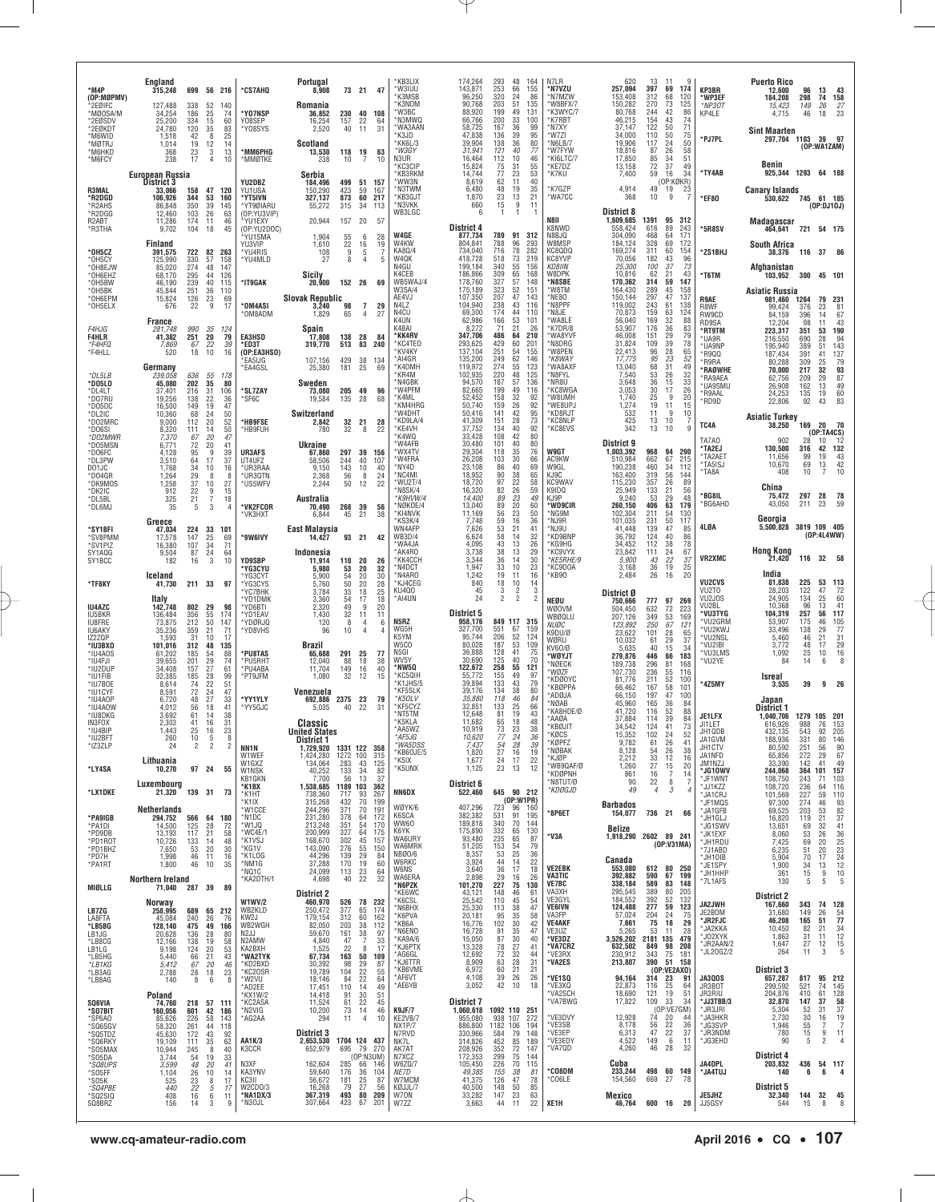| *M4P<br>(OP:MØPMV)                                   | England<br>315,248                     |                                                    | 699 56 216                                    |                                                     | *CS7AHQ                                         | Portugal<br>8,908                                  |                                    | 73 21 47                                    |                             | KB3LIX'<br>*W3IUU<br>*K3MSB                      | 174,264<br>143,871<br>96,250                  | 293<br>253<br>320                                 | 48<br>164<br>66<br>155<br>24<br>86                                     | N7LR<br>*N7VZU<br>*N7MZW                       | 620<br>257,094<br>153.408                  | 13<br>397<br>312                                          | 11<br>174<br>69<br>120<br>68                                  | 9                                     | KP3BR<br>*WP3EF                          | Puerto Rico<br>12.600<br>184,208                 | 96<br>298                         | 13<br>74                   | 43<br>158                                           |
|------------------------------------------------------|----------------------------------------|----------------------------------------------------|-----------------------------------------------|-----------------------------------------------------|-------------------------------------------------|----------------------------------------------------|------------------------------------|---------------------------------------------|-----------------------------|--------------------------------------------------|-----------------------------------------------|---------------------------------------------------|------------------------------------------------------------------------|------------------------------------------------|--------------------------------------------|-----------------------------------------------------------|---------------------------------------------------------------|---------------------------------------|------------------------------------------|--------------------------------------------------|-----------------------------------|----------------------------|-----------------------------------------------------|
| 2EØIFC<br>*MØ0SA/M<br>*2EØSDV<br>*2EØKDT             | 127,488<br>34,254<br>25,200<br>24,780  | 338<br>186<br>334<br>120                           | 52<br>25<br>15<br>$\frac{35}{8}$              | 140<br>74<br>60<br>83                               | *Y07NSP<br>Y08SEP<br>*Y08SYS                    | Romania<br>36,852<br>16.254<br>2,520               | 157<br>40                          | 230 40 108<br>22<br>11                      | 64<br>31                    | *K3NDM<br>*W3BC<br>*N3MWQ<br>*WA3AAN             | 90,768<br>88,920<br>66,766<br>58,725          | 203<br>199<br>200<br>167                          | 51<br>135<br>49<br>131<br>33<br>100<br>36<br>99                        | *W8BFX/7<br>*K3WYC/7<br>*K7RBT<br>*N7XY        | 150,282<br>80,768<br>46,215<br>37.147      | 270<br>244<br>154<br>122                                  | 73<br>125<br>42<br>43<br>50                                   | 86<br>74<br>$\frac{71}{75}$           | *NP30T<br>KP4LE                          | 15,423<br>4,715<br><b>Sint Maarten</b>           | 149<br>46                         | 26<br>18                   | $\frac{27}{23}$                                     |
| *M6WID<br>*MØTRJ<br>*M6HKD<br>*M6FCY                 | 1,518<br>1.014<br>368<br>238           | 42<br>19<br>$^{23}_{17}$                           | 12<br>3<br>$\overline{4}$                     | 25<br>14<br>13<br>10                                | *MM6PHG<br>*MMØTKE                              | <b>Scotland</b><br>13,530<br>238                   | 118<br>10                          | 19<br>-7                                    | 63<br>10                    | *K3JD<br>KK6L/3<br>*W3GY<br>N3UR                 | 47,838<br>39,904<br>31,941<br>16,464          | 136<br>138<br>121<br>112                          | 39<br>95<br>36<br>80<br>40<br>77<br>10<br>46                           | *W7ZI<br>*N6LB/7<br>*W7FYW<br>*KI6LTC/7        | 34,000<br>19,906<br>18,816<br>17,850       | 110<br>117<br>87<br>85                                    | 50<br>24<br>26<br>34                                          | 50<br>58<br>51                        | *PJ7PL                                   | 297,704 1103 39 97                               |                                   | (OP:WA1ZAM)                |                                                     |
|                                                      | <b>European Russia</b><br>District 3   |                                                    |                                               |                                                     | YU2DBZ                                          | Serbia<br>184,496                                  | 499                                | 51                                          | 157                         | *КСЗСІР<br>*KB3RKM<br>*WW3N<br>*N3TWM            | 15,824<br>14,744<br>8,619<br>6,480            | 75<br>77<br>62<br>48                              | 55<br>31<br>23<br>53<br>40<br>11<br>19<br>35                           | *KE7DZ<br>*K7KU<br>*K7GZP                      | 13,158<br>7,400<br>4,914                   | 72<br>59<br>49                                            | 37<br>16<br>(OP:KØKR)<br>19<br>23                             | 49<br>34                              | *TY4AB                                   | Benin<br>925,344 1293 64 188                     |                                   |                            |                                                     |
| R3MAL<br>*R2DGD<br>*R2AHS<br>*R2DGG                  | 33.066<br>106,926<br>86.848<br>12,460  | 158<br>344<br>350<br>103                           | 47<br>53<br>39<br>26                          | 120<br>160<br>145<br>63                             | YU1USA<br>*YT5IVN<br>*YT9ØIARU<br>(OP:YU3VIP)   | 150,290<br>327,137<br>55,272                       | 423<br>873<br>315 34               | 59<br>60 217                                | 167<br>- 113                | *KB3GJT<br>*N3VKK<br>WB3LGC                      | 1.870<br>660<br>6                             | 23<br>15<br>1                                     | 13<br>21<br>11<br>9<br>1                                               | *WA7CC                                         | 368<br>District 8                          | 10                                                        | 9                                                             |                                       | *EF80                                    | <b>Canary Islands</b><br>530,622 745 61 185      |                                   | (OP:DJ10J)                 |                                                     |
| R <sub>2</sub> ART<br>*R3THA                         | 11.286<br>9,702<br>Finland             | 174<br>104                                         | 11<br>18                                      | 46<br>45                                            | *YU1EXY<br>(OP:YU2DOC)<br>YU1SMA<br>YU3VIP      | 20,944<br>1.904<br>1,610                           | 157 20<br>55                       | -6                                          | -57<br>28<br>19             | W4GE<br>W4KW                                     | <b>District 4</b><br>877,734<br>804.841       | 789<br>788                                        | 91 312<br>293                                                          | N8II<br>K8NWD<br>N8BJQ<br>W8MSF                | 1,609,685<br>558.424<br>304,090<br>184.124 | 1391<br>616<br>468<br>328                                 | 95<br>312<br>89<br>243<br>64<br>171<br>69<br>172              |                                       | *5R8SV                                   | Madagascar<br>464,641<br><b>South Africa</b>     |                                   | 721 54 175                 |                                                     |
| *OH5CZ<br>*OH5CY<br>*OH8EJW                          | 391,575<br>125,990<br>85,020           | 722<br>330<br>274<br>295                           | 82<br>57<br>48                                | 263<br>158<br>147                                   | *YU4RIS<br>*YU4MLD                              | 108<br>27                                          | $\frac{22}{9}$<br>8                | $\begin{array}{c} 16 \\ 5 \end{array}$<br>4 | 5                           | KA80/4<br>W4QK<br>N4GU<br>K4CEB                  | 734,040<br>418,728<br>199.184<br>186,866      | 716<br>518<br>340<br>309                          | $\frac{96}{78}$<br>282<br>73<br>219<br>55<br>156<br>65<br>168          | KC8QDQ<br>KC8YVP<br>KD8IIN<br>W8DPK            | 169,274<br>70,056<br>25,300<br>10,816      | 311<br>182<br>100<br>62                                   | 60<br>154<br>43<br>37<br>21                                   | 96<br>73<br>43                        | *ZS1BHJ                                  | 38,376<br>Afahanistan                            | 116 37 86                         |                            |                                                     |
| *OH6EHZ<br>*OH5BW<br>*OH5BK<br>*OH6EPM               | 68.170<br>46,190<br>45,844<br>15,824   | 239<br>251<br>126                                  | 44<br>40<br>36<br>$_{9}^{23}$                 | 126<br>115<br>110<br>69                             | *IT9GAK                                         | Sicily<br>20,900<br><b>Slovak Republic</b>         | 152 26                             |                                             | 69                          | WB5WAJ/4<br>W3SA/4<br>AE4VJ                      | 178,760<br>175,189<br>107,350                 | 327<br>323<br>207                                 | 148<br>57<br>52<br>151<br>47<br>143                                    | *N8SBE<br>*W8TM<br>*NE80                       | 170,362<br>164,430<br>150,144              | 314<br>289<br>297                                         | 59<br>147<br>45<br>158<br>47<br>137                           |                                       | *T6TM<br><b>R9AE</b>                     | 103,952<br>Asiatic Russia<br>981,460 1264        | 300 45 101                        | 79                         | 231                                                 |
| *OH5ELX<br><i>F4HJG</i>                              | 676<br>France<br>281,748               | 22<br>990                                          | 35                                            | 17<br>124                                           | *OM4ASI<br>*OM8ADM                              | 3,240<br>1,829<br>Spain                            | 98<br>65                           | $\overline{7}$<br>4                         | 29<br>27                    | N4LZ<br>N4CU<br>K4UN<br>K4BAI                    | 104,940<br>69,300<br>62,986<br>8.272          | 238<br>174<br>166<br>71                           | 43<br>116<br>44<br>110<br>53<br>101<br>21<br>26                        | *N8PPF<br>*N8JE<br>*WA8LE<br>*K7DR/8           | 119,002<br>70,873<br>56,040<br>53.907      | 243<br>159<br>169<br>176                                  | 61<br>138<br>63<br>124<br>32<br>36                            | 88<br>83                              | R8WF<br>RW9CD<br>RD9SA<br>*RT9TM         | 99,424<br>84.159<br>12,204<br>223,317            | 376<br>396<br>98<br>351           | 23<br>14<br>11<br>53       | 81<br>67<br>43<br>190                               |
| <b>F4HLR</b><br>*F4HFQ<br>*F4HLL                     | 41.382<br>7,869<br>520                 | 251<br>67<br>18                                    | 20<br>22<br>10                                | 79<br>39<br>16                                      | <b>EA3HSD</b><br>*ED3T<br>(OP:EA3HSO)<br>EA5IJG | 17,808<br>319,770<br>107,156                       | 138 28<br>513<br>429               | 83 240<br>38                                | - 84<br>134                 | *KK4RV<br>*KC4TE0<br>*KV4KY<br>*AI4GR            | 347,706<br>293,625<br>137,104<br>135,200      | 486<br>429<br>251<br>$\frac{249}{274}$            | 64<br>210<br>60<br>201<br>54<br>155<br>146                             | *WA8YVF<br>*N8DRG<br>*W8PEN<br>*K8WAY          | 46,008<br>31,824<br>22,413<br>17.775       | 151<br>109<br>96                                          | 29<br>39<br>28                                                | 79<br>78<br>65                        | *UA9R<br>*UA9NP<br>*R9QQ<br>*R9RA        | 216,550<br>195,940<br>187,434<br>80,288          | 690<br>389<br>391<br>309          | 28<br>51<br>41<br>25       | 94<br>143<br>137<br>79                              |
| DLSLB<br>*DO5LO<br>*DL4LT                            | Germany<br>239,058<br>45,080<br>37,401 | 636<br>202<br>216                                  | 55<br>35<br>31                                | 178<br>80<br>106                                    | *EA4GSL<br>*SL7ZAY                              | 25,380<br>Sweden<br>73,080                         | 181<br>205 49                      | 25                                          | 69<br>96                    | *K4DMH<br>*KR4M<br>*N4GBK<br>*W4PFM              | 119.972<br>102,935<br>94,570<br>82,665        | 220<br>$\overline{187}$<br>199                    | $\substack{62 \\ 55}$<br>123<br>48<br>125<br>57<br>136<br>49<br>116    | *WA8AXF<br>*N8FYL<br>*NR8U<br><b>KC8WGA</b>    | 13,040<br>7,540<br>3,648<br>3,053          | $\begin{array}{c} 95 \\ 68 \end{array}$<br>53<br>36<br>30 | $\substack{23 \\ 31}$<br>26<br>15<br>17                       | $\substack{52\\49}$<br>32<br>33<br>26 | <b>*RAØWHE</b><br>*RA9AEA<br>*UA9SMU     | 70,000<br>62,756<br>26,908                       | 217<br>209<br>162                 | 32<br>29<br>13             | 93<br>87<br>49                                      |
| *D07RL<br>*DO5DC<br>*DL2IC                           | 19.256<br>16,500<br>10,360             | 138<br>149<br>68<br>112                            | 22<br>19<br>24<br>20                          | 36<br>47<br>$\begin{array}{c} 50 \\ 52 \end{array}$ | *SF6C                                           | 19,584<br>Switzerland                              | 135                                | 28                                          | 68                          | *K4ML<br>*KM4HRG<br>*W4DHT<br>*KD9LA/4           | 52,452<br>50,740<br>50,416<br>41,309          | 158<br>159<br>141<br>151                          | 32<br>92<br>26<br>92<br>42<br>95<br>28<br>73                           | *W8UMH<br>*WE8UPJ<br>*KD8RJT<br>*KC8NLP        | 1,740<br>1,274<br>532<br>425               | 25<br>19<br>11<br>13                                      | 9<br>11<br><b>q</b><br>10                                     | 20<br>15<br>10                        | *R9AAL<br>*RD9D                          | 24,253<br>22,806<br><b>Asiatic Turkey</b>        | 135<br>92                         | 19<br>43                   | 60<br>83                                            |
| *D02MRC<br>*DO6SI<br>*D02MWR<br>*DO5MSN              | 9,000<br>8,320<br>7,370<br>6,771       | 111<br>67<br>72                                    | 14<br>20<br>20                                | 50<br>47<br>41                                      | *HB9FSE<br>*HB9FUH                              | 2,842<br>780<br>Ukraine                            | 32                                 | 32 21<br>8                                  | 28<br>22                    | *KE4VH<br>*K4WQ<br>*W4AFB                        | 37,752<br>33,428<br>30.480                    | 134<br>108<br>101                                 | 92<br>40<br>80<br>42<br>40<br>80                                       | *KC8EVS                                        | 342<br>District 9                          | 13                                                        | 10                                                            | q                                     | TC4A<br>TA7A0<br>*TA2EJ                  | 38,250<br>902<br>130.500                         | 169<br>28<br>316                  | 20<br>(OP:TA4CS)<br>10     | - 70<br>12<br>42 132                                |
| *DO6FC<br>*DL3PW<br>DO1JC<br>*D04GR                  | 4.128<br>3,510<br>1,768<br>1,264       | 95<br>64<br>34<br>29                               | 9<br>17<br>10<br>8                            | 39<br>37<br>16<br>8                                 | UR3AFS<br>UT4UFZ<br>*UR3RAA<br>*UR3QTN          | 67.860<br>58,506<br>9,150<br>2,368                 | 244<br>143<br>56                   | 297 39 156<br>40<br>10<br>8                 | 107<br>40                   | *WX4TV<br>*W4FRA<br>*NY4D<br>*NC4MI              | 29,304<br>26,208<br>23,108<br>18,952          | 118<br>103<br>86<br>90                            | 35<br>76<br>30<br>66<br>40<br>69<br>$\frac{38}{22}$<br>65              | W9GT<br><b>AC9KW</b><br>W9GL<br>KJ9C           | 1,003,392<br>510.984<br>190,238<br>163,400 | 968<br>662<br>460<br>319                                  | 94<br>290<br>67<br>215<br>34<br>112<br>$\frac{56}{26}$<br>144 |                                       | *TA2AET<br>*TA5ISJ<br>*TA8A              | 11,656<br>10,670<br>408                          | 99<br>69<br>10                    | 19<br>13<br>$\overline{7}$ | $^{43}_{42}$<br>10                                  |
| *DK9MOS<br>*DK2IC<br>*DL5BL<br>*DL6MJ                | 1,258<br>912<br>325<br>35              | 37<br>22<br>21<br>5                                | 10<br>$\boldsymbol{9}$<br>$\overline{7}$<br>3 | 27<br>15<br>18<br>4                                 | *US5WFV<br>*VK2FCOR                             | 2,244<br>Australia<br>70,490                       | 50<br>268 39                       | 12                                          | $^{24}_{22}$<br>56          | *WU2T/4<br>*N8SK/4<br>*K9HVW/4<br>*NØKOE/4       | 18,720<br>16,320<br>14,400<br>13,040          | $\overline{97}$<br>82<br>89<br>89                 | 58<br>26<br>59<br>23<br>49<br>20<br>60                                 | <b>KC9WAV</b><br>K9IDQ<br>K.I9P<br>*WD9CIR     | 115,230<br>25,949<br>9,240<br>260,150      | 357<br>133<br>53<br>406                                   | 21<br>29<br>63<br>179                                         | 89<br>56<br>48                        | *BG8IL<br>`BG6AHD                        | China<br>75,472<br>43,050                        | 297<br>211                        | 28<br>23                   | 78<br>59                                            |
| *SY1BFI<br>*SV8PMM                                   | Greece<br>47,034<br>17.578             | $^{224}_{147}$                                     | $\begin{array}{c} 33 \\ 25 \end{array}$       | 101<br>69                                           | *VK3HXT<br>*9W6IVY                              | 6,844<br>East Malaysia<br>14,427                   | 45                                 | 21<br>93 21                                 | 38<br>42                    | *KI4NVK<br>*KS3K/4<br>WN4AFP<br><b>WB3D/4</b>    | 11,169<br>7,748<br>7,626<br>6,624             | 56<br>59<br>53<br>58                              | 23<br>50<br>16<br>36<br>21<br>41<br>32<br>14                           | *NG9M<br>*NJ9R<br>*NJ9U<br>*KD9BNP             | 102,304<br>101,035<br>41,448<br>36,792     | 211<br>231<br>139<br>124                                  | 54<br>130<br>50<br>117<br>47<br>40                            | 85<br>86                              | 4LØA                                     | Georgia<br>5,500,828                             | 3819 109 405                      | (0P:4L4WW)                 |                                                     |
| *SV1PIZ<br>SY1AQG<br>SY1BCC                          | 16,380<br>9,504<br>182                 | 107<br>87<br>16                                    | 34<br>24<br>3                                 | 71<br>64<br>10                                      | <b>YD9SBP</b><br><b>'YG3CYU</b>                 | Indonesia<br>11,914<br>5.980                       | 110 20                             | -20                                         | 26<br>32                    | *WA4JA<br>*AK4R0<br>*KK4CCH<br>*N4DCT            | 4.095<br>3,738<br>3.344<br>1,947              | 43<br>38<br>36<br>33                              | 13<br>26<br>13<br>29<br>30<br>14<br>10<br>23                           | *KG9HG<br>*KC9VYX<br>*KE5RHE/9<br>*KC9DOA      | 34.452<br>23,842<br>5,900<br>3,168         | 112<br>111<br>43<br>36                                    | 38<br>24<br>22<br>19                                          | 78<br>67<br>37<br>25                  | <b>VR2XMC</b>                            | <b>Hong Kong</b><br>21,420                       |                                   | 116 32 58                  |                                                     |
| *TF8KY                                               | Iceland<br>41,730                      | 211 33                                             |                                               | 97                                                  | *YG3CYT<br>*YG3CYS<br>*YC7BHK                   | 5,900<br>5,760<br>3,784                            | 53<br>54<br>50<br>33               | 20<br>$20\,$<br>$^{18}_{17}$                | 30<br>$\substack{28 \\ 25}$ | *N4ARO<br>*KJ4CEG<br>KU400                       | 1.242<br>840<br>45<br>24                      | 19<br>18<br>$\frac{3}{2}$                         | 16<br>11<br>10<br>14<br>3<br>$\frac{2}{2}$<br>$\mathfrak{p}$           | *KB90                                          | 2,484<br>District Ø                        | 26                                                        | 16                                                            | 20                                    | VU2CVS<br>VU2TO                          | India<br>81,838<br>28,203                        | 225<br>122                        | 53 113<br>47               | 72<br>60                                            |
| <b>IU4AZC</b><br>IU5BKR<br><b>IU8FRE</b>             | Italy<br>142,748<br>136,484<br>73,875  | 802<br>356<br>212                                  | 29<br>55<br>50                                | 98<br>174<br>147                                    | *YD1DMK<br>*YD6BTI<br>*YD1EAV<br>*YDØRJQ        | 3,360<br>2,320<br>1,430<br>120                     | 54<br>49<br>32<br>8                | 9<br>11<br>4                                | 18<br>20<br>11<br>6         | *AI4UN<br>N5RZ                                   | District 5<br>958,176                         |                                                   | 849 117 315                                                            | NEØU<br><b>WØOVM</b><br>WBØQLU<br><i>NUØC</i>  | 750,666<br>504,450<br>207,126<br>123,892   | 777<br>632<br>349<br>250                                  | 97<br>269<br>72<br>223<br>53<br>169<br>67<br>121              |                                       | VU2JOS<br>VU2BL<br>*VU3TYG<br>*VU2GRM    | 24,905<br>10,368<br>104,319<br>53,907            | 134<br>96<br>257<br>175           | 25<br>13<br>56<br>46       | 41<br>117<br>105                                    |
| <b>IU6AKY</b><br><b>17270P</b><br>*IU3BX0<br>*IU4A0S | 35,236<br>1,593<br>101,016<br>61,202   | 359<br>31<br>312<br>185                            | 21<br>10<br>48<br>54                          | 71<br>17<br>135<br>88                               | *YD8VHS<br>*PU8TAS                              | 96<br>Brazil<br>65,688                             | 10<br>291 25                       |                                             | -77                         | WG5H<br>K5YM<br>W5CO<br>N5GI                     | 327,700<br>95,744<br>80,028<br>36,888         | 551<br>206<br>187<br>128                          | 67<br>159<br>52<br>124<br>53<br>109<br>41<br>75                        | K9DU/Ø<br>WØRU<br>KV60/Ø<br>*WØYJT             | 23,622<br>10,032<br>5,635<br>279,876       | 101<br>61<br>40<br>446                                    | 28<br>29<br>15<br>183<br>66                                   | 65<br>37<br>34                        | *VU2KWJ<br>*VU2NSL<br>*VU2IBI<br>*VU3LMS | 33,496<br>5.460<br>3,772<br>1,092                | 138<br>46<br>48<br>25             | 29<br>21<br>17<br>10       | 77<br>$\frac{31}{29}$<br>$\frac{16}{8}$             |
| *IU4FJI<br>*IU2DUP<br>*IU1FIB<br>*IU7B0E             | 39,655<br>34.408<br>32,385<br>8.614    | 201<br>157<br>185<br>74                            | 29<br>27<br>28<br>22                          | 74<br>61<br>99<br>51                                | *PU5RHT<br>*PU4ABA<br>*PT9JFM                   | 12,040<br>11.704<br>1,080                          | 88<br>149<br>32                    | 18<br>16<br>12                              | 38<br>40<br>15              | WV <sub>5Y</sub><br>*NW5Q<br>*KC5QIH<br>*K1JHS/5 | 30.690<br>122,672<br>55,772<br>39,894         | 125<br>258<br>155<br>133                          | 40<br>70<br>55<br>121<br>49<br>97<br>43<br>79                          | *NØECK<br>*WØZF<br>*KDØOYC                     | 189,738<br>107,730<br>81,776               | 296<br>236<br>211                                         | 81<br>168<br>55<br>116<br>52<br>100                           |                                       | *VU2YE<br>*4Z5MY                         | 84<br>Isreal<br>3,535                            | 14<br>39                          | 6                          | $9$ 26                                              |
| *IU1CYF<br>*IU4AOP<br>*IU4AOW<br>*IU8DKG             | 8,591<br>6,720<br>4,012<br>3,692       | 72<br>48<br>56<br>61                               | 24<br>27<br>18<br>14                          | 47<br>33<br>41<br>38                                | *YY1YLY<br>*YY5GJC                              | Venezuela<br>692,886<br>5,035                      | 2375 23<br>40                      | 22                                          | 79<br>31                    | <b>KF5SLK</b><br>*K5OLV<br>*KF5CYZ<br>*NT5TM     | 39,176<br>35,880<br>32.851<br>12,648          | 134<br>118<br>133<br>81                           | 38<br>80<br>46<br>84<br>25<br>66<br>19<br>43                           | *KBØPPA<br>*ADØJA<br>*NØAB<br>*KA8HDE/Ø        | 66,462<br>66.150<br>45,960<br>41.720       | 167<br>197<br>165<br>116                                  | 58<br>101<br>47<br>100<br>36<br>52                            | 84<br>88                              |                                          | Japan<br>District 1                              |                                   |                            |                                                     |
| IN3FOX<br>*IU4BIP<br>*IU2BFT                         | 2,303<br>1,443<br>260                  | 41<br>25<br>$\begin{array}{c} 10 \\ 2 \end{array}$ | 16<br>16<br>$\frac{5}{2}$                     | 31<br>23<br>8                                       |                                                 | Classic<br><b>United States</b><br>District 1      |                                    |                                             |                             | *K5KLA<br>*AA5WZ<br>*AF5JG                       | 11,682<br>10,919<br>10,620                    | 65<br>73<br>77                                    | 18<br>48<br>23<br>38<br>24<br>36                                       | *AAØA<br>*KBØJIT<br>KØCS<br>*KØPFZ             | 37,884<br>34,542<br>15,352<br>9,782        | 114<br>124<br>102<br>61                                   | 39<br>41<br>24<br>26                                          | 84<br>73<br>52<br>41                  | JE1LFX<br>JI1LET<br>JH1QDB<br>JA1GVM     | 1,040,706<br>616,926<br>432,135<br>188,936       | 1279 105 201<br>988<br>543<br>331 | 76<br>92<br>80             | 153<br>205<br>146                                   |
| *IZ3ZLP<br>*LY4SA                                    | 24<br>Lithuania<br>10,270              |                                                    | 97 24                                         | 2<br>55                                             | NN1N<br>W1WEF<br>W1GXZ<br>W1NSK                 | 1,729,920<br>1,424,280<br>134,064<br>40,252        | 1331 122<br>1272 100<br>283<br>133 | 43                                          | 358<br>315<br>125<br>82     | *WA5DSS<br>KB6OJE/5<br>*K5IX<br>*K5UNX           | 7,437<br>1,820<br>1,677<br>1,125              | $\frac{54}{27}$<br>24<br>23                       | $2\bf{8}$<br>39<br>$\frac{16}{17}$<br>19<br>$\frac{22}{12}$<br>13      | *NØBAK<br>*KJØP<br>*WB9QAF/Ø                   | 8,128<br>2,212<br>1,260                    | 54<br>33<br>27                                            | 26<br>12<br>$\begin{array}{c} 15 \\ 7 \end{array}$            | 38<br>16<br>20                        | JH1CTV<br>JA1NFD<br>JM1NZJ<br>*JG10WV    | 80,592<br>65,856<br>33,390<br>244,068            | 251<br>272<br>142<br>364 101      | 56<br>29<br>41             | 90<br>67<br>49<br>157                               |
| *LX1DKE                                              | Luxembourg<br>21,320                   | 139 31                                             |                                               | 73                                                  | <b>KB1GKN</b><br>*K1BX<br>*K1HT<br>*K1IX        | 7,700<br>1,538,685 1189 103<br>738,360<br>315,268  | 56<br>717<br>432                   | $\frac{34}{13}$<br>93<br>70                 | 37<br>362<br>267<br>199     | NN6DX                                            | District 6<br>522,460                         |                                                   | 645 90 212<br>(OP:W1PR)                                                | *KDØPNH<br>N8TUT/Ø<br>*KDØGJD                  | 861<br>90<br>49                            | 16<br>22<br>4                                             | 8<br>3                                                        | 14<br>-7<br>4                         | *JF1WNT<br>*JJ1KZZ<br>*JA1CRJ<br>*JF1MQS | 108,750<br>108,720<br>101,569<br>97,300          | 243<br>236<br>227<br>274          | 71<br>64<br>59<br>46       | 103<br>116<br>110                                   |
| *PA9IGB<br>*PA1DI                                    | Netherlands<br>294,752<br>14,500       | 125                                                | 566 64 180<br>28                              | 72                                                  | *W1CCE<br>*N1DC<br>*W1JQ<br>*WC4E/1             | 244,296<br>231,280<br>213,248<br>200,999           | 371<br>378<br>351                  | 70<br>64<br>54<br>64                        | 191<br>172<br>170<br>175    | WØYK/6<br>K6SCA<br>WW60<br><b>K6YK</b>           | 407,296<br>382,382<br>189,818                 | 723<br>531<br>340                                 | 96<br>160<br>91<br>195<br>70<br>144                                    | *8P6ET                                         | Barbados<br>154,077<br>Belize              |                                                           | 736 21                                                        | 66                                    | *JA1GFB<br>*JH1GLJ<br>*JG1SWV            | 69,525<br>16,820<br>13,651                       | 203<br>119<br>69                  | 53<br>21<br>32             | $\begin{array}{c} 93 \\ 82 \\ 37 \end{array}$<br>41 |
| *PD9DB<br>*PD1R0T<br>*PD1BHZ<br>*PD7H                | 13,193<br>10,726<br>7,650<br>1,998     | 117<br>133<br>53<br>46                             | 21<br>14<br>20<br>11                          | 58<br>48<br>30<br>16                                | *K1VSJ<br>*KG1V<br>*K1LOG                       | 168,670<br>143,090<br>44,296                       | 327<br>302<br>276<br>139           | 45<br>55<br>29                              | 157<br>150<br>84            | WA6URY<br>WA6MRK<br>NBØ0/6<br>W6RKC              | 175,890<br>93,480<br>51,205<br>8,357<br>3,924 | $\frac{332}{235}$<br>153<br>53<br>44              | $^{65}_{65}$<br>130<br>87<br>54<br>79<br>25<br>36<br>14<br>22          | *V3A                                           | 1,918,290 2602 89 241<br>Canada            |                                                           | (0P:V31MA)                                                    |                                       | *JK1EXF<br>*JH1RDU<br>*7J1ABD<br>*JH10IB | 8,060<br>7,425<br>6,235<br>5,904                 | 53<br>69<br>51<br>70              | 26<br>20<br>20<br>17       | 36<br>25<br>23<br>24<br>12<br>10<br>5               |
| *PA1RT<br>MIØLLG                                     | 1,800<br>Northern Ireland<br>71,040    | 46<br>287 39                                       | 10                                            | 35<br>89                                            | *NM1G<br>*NQ1C<br>*KA2DTH/1                     | 37,288<br>24,099<br>4,698                          | 170<br>113<br>40                   | 19<br>$\frac{23}{22}$                       | 60<br>64<br>32              | <b>W6NS</b><br>WA6ERA<br>*N6PZK                  | 3,640<br>2,898<br>101,270                     | 36<br>29<br>227                                   | 17<br>18<br>16<br>26<br>75<br>130                                      | <b>VE2EBK</b><br><b>VA3TIC</b><br><b>VE7BC</b> | 553,080<br>392,882<br>338,184              | 612<br>590<br>589                                         | 80 250<br>67<br>199<br>83<br>148                              |                                       | *JE1SPY<br>*JH1HHP<br>*7L1AFS            | 1,900<br>361<br>130                              | 34<br>15<br>5                     | 13<br>9<br>5               |                                                     |
| LB7ZG<br>LA8FTA                                      | Norway<br>258,995<br>45,084            | 240                                                | 689 65 212<br>26                              | 76                                                  | <b>W1WV/2</b><br>WB2KLD<br>KW2J                 | <b>District 2</b><br>460,970<br>250,472<br>179,154 | 377<br>312                         | 526 78 232<br>65<br>60                      | 174<br>162                  | *KE6WC<br>*K6CSL<br>*N6BHX<br>*K6PVA             | 43,121<br>25,542<br>25,330<br>20,181          | 148<br>110<br>113<br>95                           | 46<br>61<br>54<br>45<br>47<br>38<br>35<br>58                           | VA3XH<br>VE3GYL<br><b>VE6IVN</b><br>VA3FP      | 295,545<br>184,552<br>124,488<br>57,024    | 389<br>392<br>277<br>204                                  | 205<br>80<br>52<br>132<br>59<br>123<br>24                     | 75                                    | <b>JA2JWH</b><br>JE2BOM<br>*JR2FJC       | <b>District 2</b><br>167,660<br>31,680<br>46,208 | 343<br>149<br>165                 | 74 128<br>26<br>51         | $\frac{54}{77}$                                     |
| *LB5BG<br>LB1JG<br>*LB8CG<br>LB1LG                   | 128,140<br>20,628<br>12,166<br>9,198   | 475<br>136<br>138<br>124                           | 49<br>28<br>19<br>20                          | 166<br>80<br>58<br>53                               | WB2WGH<br>N2JJ<br>N2AMW<br>KA2BXH               | 82,050<br>59,670<br>4,840<br>1,525                 | 203<br>161<br>47<br>22             | 38<br>38<br>7<br>8                          | 112<br>97<br>33<br>17       | *KB6A<br>*N6ENO<br>*KA9A/6<br>*KJ6PTX            | 16,776<br>16,728<br>15,050<br>13,328          | 102<br>91<br>87<br>$^{78}_{72}$                   | 30<br>42<br>35<br>47<br>30<br>40<br>$\frac{27}{32}$<br>$\frac{41}{44}$ | <b>VE4AKF</b><br>VE3UZ<br>*VE3DZ<br>*VA7CRZ    | 7,661<br>5,265<br>3,526,202<br>632,502     | 75<br>53<br>2181 135<br>849                               | 18<br>11<br>479<br>98<br>208                                  | 29<br>28                              | *JA2KKA<br>*JO2XYK<br>*JR2AAN/2          | 10,450<br>1,863<br>1,647                         | 82<br>$\frac{31}{27}$             | 21<br>11<br>12             | $\begin{array}{c} 34 \\ 12 \\ 15 \\ 5 \end{array}$  |
| *LB5HG<br>*LB1KG<br>*LB3AG<br>*LB8AG                 | 5,440<br>5,412<br>2,788<br>140         | 66<br>67<br>28<br>8                                | 21<br>20<br>18<br>6                           | 43<br>46<br>23<br>8                                 | *WA2TYK<br>*KD2BXD<br>*KC20SR<br>*W2VU          | 67,734<br>30,392<br>19,789<br>18,146               | 163<br>98<br>104<br>84             | 50<br>29<br>$\frac{22}{22}$                 | 109<br>87<br>55<br>64       | *AG6GL<br>*KJ6TTR<br>*KB6VME<br>*AF6VT           | 12,692<br>8,909<br>6,972<br>4,108             | 63<br>60<br>39                                    | 28<br>31<br>21<br>21<br>26<br>26                                       | *VE3RX<br>*VA2ES<br>*VE1SQ                     | 230,912<br>213,807<br>94,164               | 343<br>314 23                                             | 75<br>181<br>390 51 158<br>(0P:VE2AX0)                        | 91                                    | *JL2OGZ/2<br>JA3QOS                      | 264<br>District 3<br>657,287                     | 11<br>817                         | 3<br>95 212                |                                                     |
| <b>SQ6VIA</b>                                        | Poland<br>74,760                       |                                                    | 218 57 111                                    |                                                     | *AD2EE<br>*KX1W/2<br>*KC2ASA                    | 17,451<br>14,418<br>11,524                         | 110<br>91<br>61                    | 14<br>30<br>22                              | 49<br>51<br>45              | *AE6YB                                           | 3,052<br><b>District 7</b>                    | 42                                                | 10<br>18                                                               | *VE3XQ<br>*VA2SCH<br>*VA7BWG                   | 22,873<br>18,690<br>17,822                 | 116<br>121<br>109                                         | 25<br>19<br>33<br>(OP:VE7GM)                                  | 64<br>51<br>34                        | JR3BOT<br>JR3RIU<br>*JJ3TBB/3<br>*JR3JRI | 299,592<br>204,876<br>32,870<br>5,304            | 521<br>410<br>147<br>52           | 74<br>61<br>37<br>31       | 145<br>$\frac{128}{58}$<br>37                       |
| *SO7BIT<br>*SP6A0<br>*SQ6SGV<br>*SQ5TDZ              | 160,056<br>85,626<br>58,320<br>45,630  | 601<br>226<br>261<br>172                           | 42<br>58<br>44<br>43                          | 186<br>143<br>118<br>92                             | *N2VIG<br>*AG2AA                                | 10,200<br>294<br><b>District 3</b>                 | 73<br>11                           | 14<br>4                                     | 46<br>10                    | K9JF/7<br>KE2VB/7<br>NX1P/7<br>N7RVD             | 1,060,618<br>955,080<br>886,800<br>330,966    | 1092 110 251<br>938 107<br>1182 106<br>584<br>452 | 272<br>194<br>79<br>148                                                | *VE3DVY<br>*VE3SB<br>*VE3EP                    | 12,928<br>8,178<br>6,313                   | 74<br>56<br>47                                            | 20<br>22<br>22                                                | 44<br>36<br>37                        | *JA3HKR<br>*JG3SVP<br><b>JR3NDM</b>      | 2,730<br>1,946<br>780                            | 30<br>55<br>15                    | 16<br>7<br>9               | $\begin{array}{c} 19 \\ 7 \end{array}$<br>11        |
| *SQ6RKY<br>*S05MAX<br>*SO5DA<br>*SQ8UPS              | 19,109<br>10,944<br>3,744<br>3,599     | 111<br>245<br>54<br>48                             | 35<br>$^{\circ}$<br>19<br>20                  | 62<br>40<br>33<br>41                                | AA1K/3<br>K3CCR<br>N3XF                         | 2,653,530<br>652,979<br>162,604                    | 695 79<br>285                      | 1704 124 437<br>(OP: N3UM)<br>66 146        | 270                         | NK7L<br>AK7AT<br>N7XCZ<br>W6ZQ/7                 | 314,826<br>208,926<br>172,353<br>105,450      | 352<br>299<br>226<br>155                          | 85<br>189<br>72<br>147<br>144<br>75<br>70<br>115                       | *VE3EDY<br>*VA7QD                              | 4,522<br>4,260<br>Cuba                     | 149<br>46                                                 | 6<br>28                                                       | 11<br>32                              | *JG3EHD<br>JA4DPL                        | 90<br>District 4<br>203,832                      | 5<br>436                          | $\overline{c}$             | $\overline{4}$<br>54 117                            |
| *SO5FF<br>*S05K<br>*SQ4PBE<br>*SQ2SIQ                | 1,104<br>525<br>440<br>408             | 26<br>23<br>$\overline{22}$<br>16                  | 10<br>8<br>5                                  | 14<br>17<br>17<br>11                                | KA3YNV<br>KC3II<br>W2CDO/3<br>*NA1DX/3          | 59,640<br>56,672<br>16,268<br>367,319              | 176<br>181<br>79<br>493            | 36<br>25<br>27<br>80                        | 104<br>87<br>56<br>209      | NE7D<br>W7MCM<br>KØJJL/7<br>W70N                 | 49,385<br>41,375<br>40,500<br>33,282          | 126<br>148<br>147                                 | 38<br>81<br>47<br>78<br>$\frac{50}{23}$<br>85<br>63                    | *CO8DM<br>*CO6LE                               | 233,244<br>154,560<br>Mexico               | 669                                                       | 498 60 149<br>27                                              | 78                                    | *JA4TUJ<br>JE5JHZ                        | 140<br>District 5<br>32,340                      | 6<br>144                          | 6<br>32                    | $\overline{4}$<br>45                                |
| SQ8BRZ                                               | 156                                    | 14                                                 | $^6_3$                                        | 9                                                   | *N3OJL                                          | 307,664                                            | 423                                | 67                                          | 201                         | W7ZZ                                             | 3,663                                         | 44                                                | 11<br>22                                                               | XE1H                                           | 46,764                                     |                                                           | 600 16 20                                                     |                                       | JJ5GSY                                   | 544                                              | 15                                | 8                          | 8                                                   |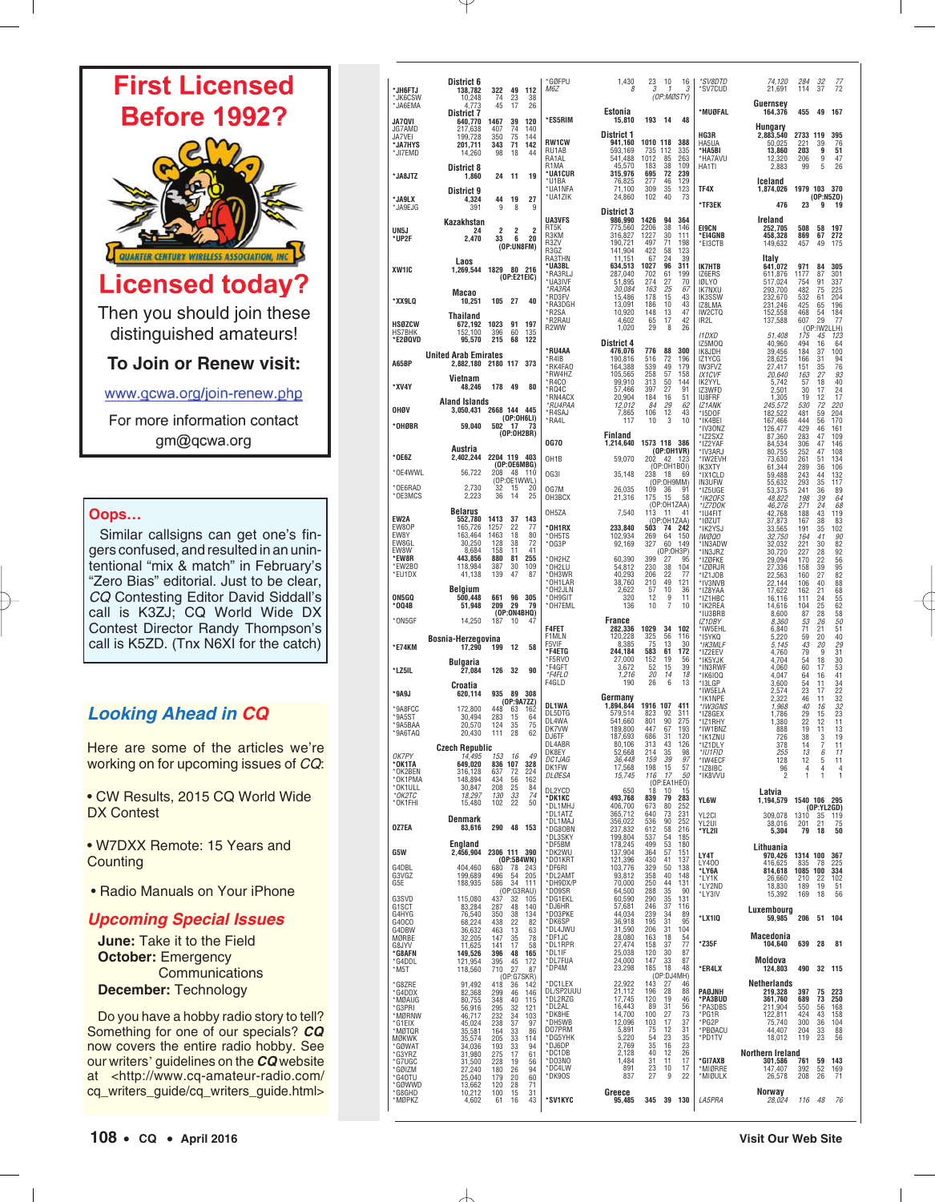

www.gcwa.org/join-renew.php

For more information contact gm@qcwa.org

## **Oops…**

Similar callsigns can get one's fingers confused, and resulted in an unintentional "mix & match" in February's "Zero Bias" editorial. Just to be clear, CQ Contesting Editor David Siddall's call is K3ZJ; CQ World Wide DX Contest Director Randy Thompson's call is K5ZD. (Tnx N6XI for the catch)

## **Looking Ahead in CQ**

Here are some of the articles we're working on for upcoming issues of CQ:

• CW Results, 2015 CQ World Wide DX Contest

• W7DXX Remote: 15 Years and **Counting** 

• Radio Manuals on Your iPhone

## **Upcoming Special Issues**

**June:** Take it to the Field **October:** Emergency **Communications December:** Technology

Do you have a hobby radio story to tell? Something for one of our specials? **CQ** now covers the entire radio hobby. See our writers' guidelines on the **CQ** website at <http://www.cq-amateur-radio.com/ cq\_writers\_guide/cq\_writers\_guide.html>

| *JH6FTJ<br>*JK6CSW                      | District 6<br>138,782<br>10,248                | 322<br>74            | 49<br>23                | 112<br>38                 | *GØFPU<br>M6Z                  | 1,430<br>8                      | 23<br>3           | 10<br>$\overline{1}$ | 16<br>3<br>(OP:MØSTY)   | *SV8DTD<br>*SV7CUD                      | 74.120<br>21,691                 | 284<br>114                  | 32<br>37             | 77<br>72          |
|-----------------------------------------|------------------------------------------------|----------------------|-------------------------|---------------------------|--------------------------------|---------------------------------|-------------------|----------------------|-------------------------|-----------------------------------------|----------------------------------|-----------------------------|----------------------|-------------------|
| $^{\star}$ JA6EMA<br>JA7QVI             | 4,773<br><b>District 7</b><br>640,770          | 45<br>1467           | 17<br>39                | 26<br>120                 | *ES5RIM                        | Estonia<br>15,810               | 193               | - 14                 | 48                      | *MUØFAL                                 | Guernsey<br>164,376              | 455                         | 49                   | 167               |
| JG7AMD<br>JA7VEI                        | 217,638<br>199,728                             | 407<br>350           | 74<br>75                | 140<br>144                | <b>RW1CW</b>                   | <b>District 1</b><br>941,160    | 1010 118          |                      | 388                     | HG3R<br>HA5UA                           | Hungary<br>2,883,540<br>50.025   | 2733 119<br>221             | 39                   | 395<br>76         |
| *JA7HYS<br>*JI7EMD                      | 201.711<br>14,260                              | 343<br>98            | 71<br>18                | 142<br>44                 | RU1AB<br>RA1AL                 | 593,169<br>541,488              | 735<br>1012       | 112<br>85            | 335<br>263              | *HA5BI<br>*HA7AVU                       | 13,860<br>12.320                 | 203<br>206                  | 9<br>9               | 51<br>47          |
| *JA8JTZ                                 | District 8<br>1,860                            | 24                   | 11                      | 19                        | R1MA<br>*UA1CUR<br>*U1BA       | 45,570<br>315.976<br>76,825     | 183<br>695<br>277 | 38<br>72<br>46       | 109<br>239<br>129       | HA1TI                                   | 2,883<br>Iceland                 | 99                          | 5                    | 26                |
| *JA9LX                                  | District 9<br>4,324                            | 44                   | 19                      | 27                        | *UA1NFA<br>*UA1ZIK             | 71,100<br>24,860                | 309<br>102        | 35<br>40             | 123<br>-73              | TF4X                                    | 1,874,026                        | 1979 103 370                | (0P: N5Z0)           |                   |
| *JA9EJG                                 | 391                                            | 9                    | 8                       | 9                         | <b>UA3VFS</b>                  | <b>District 3</b><br>986,990    | 1426              | 94                   | 364                     | *TF3EK                                  | 476<br>Ireland                   | 23                          | 9                    | 19                |
| UN5J<br>*UP2F                           | Kazakhstan<br>24<br>2.470                      | $\overline{2}$<br>33 | $\overline{c}$<br>6     | 2<br>20                   | RT5K<br>R3KM                   | 775,560<br>316,827              | 2206<br>1227      | 38<br>30             | 146<br>111              | <b>EI9CN</b><br>*EI4GNB                 | 252,705<br>458.328               | 508<br>869                  | 58<br>67             | 197<br>272        |
|                                         |                                                |                      |                         | (OP:UN8FM)                | R3ZV<br>R3GZ<br>RA3THN         | 190.721<br>141,904<br>11,151    | 497<br>422<br>67  | 71<br>58<br>24       | 198<br>123<br>39        | $*$ EI3CTB                              | 149.632<br>Italy                 | 457                         | 49                   | 175               |
| XW <sub>1IC</sub>                       | Laos<br>1,269,544 1829                         |                      |                         | 80 216<br>(OP:E21EIC)     | *UA3BL<br>*RA3RLJ              | 634,513<br>287,040              | 1027<br>702       | 96<br>61             | 311<br>199              | IK7HTB<br>IZ6ERS                        | 641,072<br>611,876               | 971<br>1177                 | 84<br>87             | 305<br>301        |
|                                         | Macao                                          |                      |                         |                           | *UA3IVF<br>*RA3RA<br>*RD3FV    | 51,895<br>30,084<br>15,486      | 274<br>163<br>178 | 27<br>25<br>15       | 70<br>67<br>43          | <b>IØLYO</b><br><b>IK7NXU</b><br>IK3SSW | 517,024<br>293.700<br>232,670    | 754<br>482<br>532           | 91<br>75<br>61       | 337<br>225<br>204 |
| *XX9LQ                                  | 10,251<br>Thailand                             | 105                  | - 27                    | 40                        | *RA3DGH<br>*R2SA               | 13,091<br>10,920                | 186<br>148        | 10<br>13             | 43<br>47                | IZ8LMA<br>IW2CTQ                        | 231,246<br>152,558               | 425<br>468                  | 65<br>54             | 196<br>184        |
| <b>HSØZCW</b><br><b>HS7BHK</b>          | 672,192<br>152.100                             | 1023<br>396          | 91<br>60                | 197<br>135                | *R2RAU<br>R2WW                 | 4,602<br>1.020                  | 65<br>29          | 17<br>8              | 42<br>26                | IR21<br>11DXD                           | 137,588<br>51,408                | 607<br>175                  | 29<br>(OP:IW2)<br>45 | 77<br>LLH)<br>123 |
| *E2ØQVD                                 | 95,570<br><b>United Arab Emirates</b>          | 215                  | 68                      | 122                       | *RU4AA                         | <b>District 4</b><br>476,076    | 776               | 88                   | 300                     | IZ5MOQ<br>IK8JDH                        | 40,960<br>39,456                 | 494<br>184                  | 16<br>37             | 64<br>100         |
| A65BP                                   | 2,882,180 2180 117 373                         |                      |                         |                           | *R4IB<br>*RK4FA0<br>*RW4HZ     | 190,816<br>164,388<br>105,565   | 516<br>539<br>258 | 72<br>49<br>57       | 196<br>179<br>158       | IZ1YCG<br>IW3FVZ<br><b>IX1CVF</b>       | 28,625<br>27,417<br>20,640       | 166<br>151<br>163           | 31<br>35<br>27       | 94<br>76<br>93    |
| *XV4Y                                   | Vietnam<br>48,246                              | 178                  | - 49                    | 80                        | *R4CO<br>*RQ4C<br>*RN4ACX      | 99,910<br>57,466<br>20,904      | 313<br>397<br>184 | 50<br>27<br>16       | 144<br>91<br>51         | IK2YYL<br>IZ3WFD<br>IU8FRF              | 5,742<br>2.501<br>1,305          | 57<br>30<br>19              | 18<br>17<br>12       | 40<br>24<br>17    |
| OHØV                                    | <b>Aland Islands</b><br>3.050.431 2668 144 445 |                      |                         | (OP:OH6LI)                | *RU4PAA<br>*R4SAJ              | 12,012<br>7,865                 | 84<br>106         | 29<br>12             | 62<br>43                | <b>IZ1ANK</b><br>*I5DOF                 | 245,572<br>182,522               | 530<br>481                  | 72<br>59             | 220<br>204        |
| *OHØBR                                  | 59,040                                         |                      |                         | $502$ 17 73<br>(OP:OH2BR) | *RA4L                          | 117<br>Finland                  | 10                | 3                    | 10                      | *IK4BEI<br>*IV30NZ<br>*IZ2SXZ           | 167,466<br>126,477<br>87,360     | 444<br>429<br>283           | 56<br>46<br>47       | 170<br>161<br>109 |
| $^{\star}$ OE6Z                         | Austria                                        | 2204 119 403         |                         |                           | <b>0G70</b>                    | 1,214,640                       | 1573 118 386      |                      | (OP:OH1VR)              | *IZ2YAF<br>*IV3ARJ                      | 84,534<br>80,755                 | 306<br>252                  | 47<br>47             | 146<br>108        |
| *OE4WWL                                 | 2,402,244<br>56,722                            | 208                  | - 48                    | (OP:OE6MBG)<br>110        | OH <sub>1</sub> B<br>OG3I      | 59.070<br>35,148                | 202 42 123<br>238 | (OP:OH1BOI)<br>- 18  | 69                      | *IW2EVH<br>IK3XTY<br>*IX1CLD            | 73,630<br>61,344<br>59,488       | 261<br>289<br>243           | 51<br>36<br>44       | 134<br>106<br>132 |
| *OE6RAD<br>*OE3MCS                      | 2,730<br>2,223                                 | 36                   | 32 15<br>14             | (OP:OE1WWL)<br>20<br>25   | OG7M                           | 26,035                          | 109               | (OP:0H9MM)<br>36     | 91                      | <b>IN3UFW</b><br>*175UGF                | 55,632<br>53,375                 | 293<br>241                  | 35<br>36             | 117<br>89         |
|                                         | <b>Belarus</b>                                 |                      |                         |                           | OH3BCX<br>0H57A                | 21,316<br>7.540                 | 175<br>113 11     | -15<br>(OP:OH1ZAA)   | 58<br>41                | *IK20FS<br>*IZ7DOK<br>*IU4FIT           | 48,822<br>46,276<br>42,768       | 198<br>271<br>188           | 39<br>24<br>43       | 64<br>68<br>119   |
| EW2A<br>EW80P<br>FW8Y                   | 552,780<br>165,726<br>163,464                  | 1413<br>1257<br>1463 | 37<br>22<br>18          | 143<br>77<br>80           | *OH1RX<br>*OH5TS               | 233,840<br>102,934              | 503<br>269        | (OP:OH1ZAA)<br>64    | 74 242<br>150           | *IØZUT<br>*IK2YSJ<br><b>IWØQO</b>       | 37,873<br>33,565<br>32,750       | 167<br>191<br>164           | 38<br>35<br>41       | 83<br>102<br>90   |
| EW8GL<br>FW8W                           | 30,250<br>8,684                                | 128<br>158           | 38<br>11                | 72<br>41                  | $*$ OG3P                       | 92.169                          | 327               | 60<br>(OP:0H3P)      | 149                     | *IN3ADW<br>*IN3JRZ                      | 32,032<br>30,720                 | 221<br>227                  | 30<br>28             | 82<br>92          |
| *EW8R<br>*EW2BO<br>*EU1DX               | 443,856<br>118,984<br>41,138                   | 880<br>387<br>139    | 81<br>30<br>47          | 255<br>109<br>87          | $*$ OH2HZ<br>*OH2LU<br>*OH3WR  | 60.390<br>54,812<br>40,293      | 399<br>230<br>206 | 27<br>38<br>22       | 95<br>104<br>77         | *IZØFKE<br>*IZØRJR<br>*IZ1JOB           | 29,094<br>27,336                 | 170<br>158<br>160           | 22<br>39<br>27       | 56<br>95<br>82    |
|                                         | Belgium                                        |                      |                         |                           | *OH1LAR<br>*OH2JLN             | 38,760<br>2,622                 | 210<br>57         | 49<br>10             | 121<br>36               | *IV3NVB<br>*IZ8YAA                      | 22,563<br>22,144<br>17,622       | 106<br>162                  | 40<br>21             | 88<br>68          |
| ON5GQ<br>$*004B$                        | 500,448<br>51,948                              | 661<br>209           | 96<br>29                | 305<br>79<br>(OP:ON4BHQ)  | *OH9GIT<br>*OH7EML             | 320<br>136                      | 12<br>10          | 9<br>$\overline{7}$  | 11<br>10                | *IZ1HBC<br>*IK2REA<br>*IU3BRB           | 16,116<br>14.616<br>8,600        | 111<br>104<br>87            | 24<br>25<br>28       | 55<br>62<br>58    |
| *ON5GF                                  | 14,250                                         | 187                  | 10                      | 47                        | <b>F4FET</b>                   | <b>France</b><br>282,336        | 1029              | 34                   | 102                     | IZ1DBY<br>*IW5EHL                       | 8.360<br>6,840                   | 53<br>71                    | 26<br>21             | 50<br>51          |
| *E74KM                                  | Bosnia-Herzegovina<br>17.290                   | 199                  | 12                      | 58                        | F1MLN<br>F5VIF<br>*F4ETG       | 120,228<br>8,385<br>244,184     | 325<br>75<br>583  | 56<br>13<br>61       | 116<br>30<br>172        | *15YKQ<br>*IK3MLF<br>*IZ2EEV            | 5,220<br>5,145<br>4,760          | 59<br>43<br>79              | 20<br>20<br>9        | 40<br>29<br>31    |
| *LZ5IL                                  | Bulgaria<br>27,084                             | 126                  | 32                      | 90                        | *F5RVO<br>*F4GFT               | 27,000<br>3,672                 | 152<br>52         | 19<br>15             | 56<br>39                | *IK5YJK<br>*IN3RWF                      | 4,704<br>4,060                   | 54<br>60                    | 18<br>17             | 30<br>53          |
| $*9A9J$                                 | Croatia<br>620,114                             | 935                  |                         | 89 308                    | *F4FLO<br>F4GLD                | 1,216<br>190                    | 20<br>26          | 14<br>6              | 18<br>13                | $*$ IK6IOQ<br>*I3LGP<br>*IW5ELA         | 4,047<br>3,600<br>2,574          | 64<br>54<br>23              | 16<br>11<br>17       | 41<br>34<br>22    |
| *9A8FCC                                 | 172,800                                        | 448                  | 63                      | (OP:9A7ZZ)<br>162         | DL1WA<br>DL5DTG                | Germany<br>1.894.844<br>579,514 | 1916 107<br>823   | 92                   | 411<br>311              | *IK1NPE<br>*IW3GNS<br>*IZ8GEX           | 2,322<br>1,968                   | 46<br>40                    | 11<br>16             | 32<br>32          |
| $*9A5ST$<br>*9A5BAA<br>$*9A6TAO$        | 30.494<br>20,570<br>20,430                     | 283<br>124<br>111    | 15<br>35<br>28          | 64<br>75<br>62            | DL4WA<br>DK7VW                 | 541,660<br>189,800              | 801<br>447        | 90<br>67             | 275<br>193              | *IZ1RHY<br>*IW1BNZ                      | 1,786<br>1,380<br>888            | 29<br>22<br>19              | 15<br>12<br>11       | 23<br>11<br>13    |
|                                         | <b>Czech Republic</b>                          |                      |                         |                           | DJ6TF<br>DL4ABR<br>DK8EY       | 187.693<br>80,106<br>52,668     | 686<br>313<br>214 | 31<br>43<br>35       | 120<br>126<br>98        | *IK1ZNU<br>*IZ1DLY<br>*IU1FID           | 726<br>378<br>255                | 38<br>14                    | 3<br>7               | 19<br>11<br>11    |
| OK7PY<br>*OK1TA<br>*OK2BEN              | 14,495<br>649,020<br>316,128                   | 637                  | 153 16<br>836 107<br>72 | 49<br>328<br>224          | DC1JAG<br>DK1FW                | 36,448<br>17,568                | 159<br>198        | 39<br>15             | 97<br>57                | *IW4ECF<br>*IZ8IBC                      | 128<br>96                        | 13<br>12<br>$\overline{4}$  | 6<br>5<br>4          | 11<br>4           |
| *OK1PMA<br>*OK1ULL                      | 148,894<br>30,847                              | 434<br>208           | 56<br>25                | 162<br>84                 | DLØESA<br>DL2YCD               | 15,745<br>650                   | 116<br>18         | 17<br>10             | 50<br>(OP:EA1HEO)<br>15 | *IK8VVU                                 | $\mathcal{P}$                    | $\overline{1}$              | 1                    | 1                 |
| $*$ OK2TC<br>*OK1FHI                    | 18,297<br>15,480                               | 130<br>102           | 33<br>22                | 74<br>50                  | *DK1KC<br>*DL1MHJ              | 493,768<br>406,700              | 839<br>673        | 79<br>80             | 283<br>252              | YL6W                                    | Latvia<br>1,194,579 1540 106 295 |                             | (OP:YL2GD)           |                   |
| 0Z7EA                                   | Denmark<br>83,616                              | 290 48               |                         | 153                       | *DL1ATZ<br>*DL1MAJ<br>*DG80BN  | 365,712<br>356,022<br>237,832   | 640<br>536<br>612 | 73<br>90<br>58       | 231<br>252<br>216       | YL2CI<br>YL2UI<br>*YL2II                | 309,078<br>38,016<br>5,304       | 1310 35<br>201<br>79        | 21<br>18             | 119<br>75<br>50   |
|                                         | England                                        | 2306 111 390         |                         |                           | *DL3SKY<br>*DF5BM<br>*DK2WU    | 199,804<br>178,245              | 537<br>499        | 54<br>53             | 185<br>180              |                                         | Lithuania                        |                             |                      |                   |
| G5W<br>G4DBL                            | 2,456,904<br>404,460                           | 680                  |                         | (0P:5B4WN)<br>78 243      | *D01KRT<br>*DF6RI              | 137,904<br>121,396<br>103,776   | 364<br>430<br>329 | 57<br>41<br>50       | 151<br>137<br>138       | LY4T<br>LY400<br>*LY6A                  | 970,426<br>416,625<br>814,618    | 1314 100<br>835<br>1085 100 | 78                   | 367<br>225<br>334 |
| G3VGZ<br>G5E                            | 199,689<br>188,935                             | 496<br>586           | 54<br>34                | 205<br>111<br>(OP:G3RAU)  | *DL2AMT<br>*DH9DX/P<br>*D09SR  | 93,812<br>70,000<br>64,500      | 358<br>250<br>288 | 40<br>44<br>35       | 148<br>131<br>90        | *LY1K<br>*LY2ND                         | 26,660<br>18,830                 | 210<br>189                  | 22<br>19             | 102<br>51         |
| G3SVD<br>G1SCT                          | 115,080<br>83,284                              | 437<br>287           | 32<br>48                | 105<br>140                | *DG1EKL<br>*DJ6HR              | 60,590<br>57,681                | 290<br>246        | 35<br>37             | 131<br>116              | *LY3IV                                  | 15,392<br>Luxembourg             | 169                         | 18                   | 56                |
| G4HYG<br>G40CO<br>G4DBW                 | 76,540<br>68,224<br>36,632                     | 350<br>438<br>463    | 38<br>22<br>13          | 134<br>82<br>63           | *D03PKE<br>*DK6SP<br>*DL4JWU   | 44,034<br>36,918<br>31,590      | 239<br>195<br>206 | 34<br>31<br>31       | 89<br>95<br>104         | *LX1IQ                                  | 59,985                           | 206                         | 51                   | 104               |
| MØRBE<br>G8JYV                          | 32,205<br>11,625                               | 147<br>141           | 35<br>17                | 78<br>58                  | *DF1JC<br>*DL1RPR              | 28,080<br>27,474                | 163<br>158        | 18<br>37             | 54<br>77                | *Z35F                                   | Macedonia<br>104,640             | 639                         | 28                   | 81                |
| *G8AFN<br>*G4DDL<br>$^{\star}{\rm M5T}$ | 149,526<br>121,954                             | 396<br>395<br>710    | 48<br>45<br>27          | 165<br>172<br>87          | *DL1IF<br>*DL7FUA<br>*DP4M     | 25,038<br>24,000<br>23,298      | 120<br>147<br>185 | 30<br>33<br>18       | 87<br>87<br>48          | *ER4LX                                  | Moldova<br>124,803               | 490                         | 32                   | 115               |
| *G8ZRE                                  | 118,560<br>91,492                              | 418                  | 36                      | (OP:G7SKR)<br>142         | *DC1LEX                        | 22,922                          | 143               | 27                   | (OP:DJ4MH)<br>46        |                                         | Netherlands                      |                             |                      |                   |
| *G4DDX<br>*MØAUG<br>*G3PRI              | 82,368<br>80,755<br>56,916                     | 299<br>348<br>295    | 46<br>40<br>32          | 146<br>115<br>121         | DL/SP2UUU<br>*DL2RZG<br>*DL2AL | 21,112<br>17,745<br>16,443      | 196<br>120<br>89  | 28<br>19<br>31       | 88<br>46<br>56          | PAØJNH<br>*PA3BUD<br>*PA3DBS            | 219,328<br>361,760<br>211,904    | 397<br>689<br>550           | 75<br>73<br>56       | 223<br>250<br>168 |
| *MØRNW<br>*G1EIX                        | 46,717<br>45,024                               | 232<br>238           | 34<br>37                | 103<br>97                 | *DK8HE<br>*DH5WB               | 14,700<br>12.096                | 100<br>103        | 27<br>17             | 73<br>37                | *PG1R<br>*PG2P                          | 122,811<br>75,740                | 424<br>300                  | 43<br>36             | 158<br>104        |
| *MØTQR<br><b>MØKWK</b><br>*GØWAT        | 35,581<br>35,574<br>34,036                     | 164<br>205<br>193    | 33<br>33<br>33          | 86<br>114<br>94           | D07PRM<br>*DG5YHK<br>*DJ6DP    | 5,891<br>5,220<br>2,769         | 75<br>54<br>35    | 12<br>23<br>16       | 31<br>35                | *PBØACU<br>*PD1TV                       | 44,407<br>18,012                 | 204<br>119                  | 33<br>23             | 88<br>56          |
| *G3YRZ<br>*G7UGC                        | 31,980<br>31,500                               | 275<br>228           | 17<br>19                | 61<br>56                  | *DC1DB<br>*D03N0               | 2,128<br>1,484                  | 40<br>31          | 12<br>11             | $\frac{23}{26}$<br>17   | *GI7AXB                                 | Northern Ireland<br>301,586      | 761                         | 59                   | 143               |
| *GØIZM<br>*G40TU<br>*GØWWD              | 27,240<br>25,040<br>13,662                     | 180<br>179<br>120    | 26<br>20<br>28          | 94<br>60<br>71            | *DC4LW<br>*DK90S               | 891<br>837                      | 23<br>27          | 10<br>9              | 17<br>22                | *MIØRRE<br>*MIØULK                      | 147,407<br>26,578                | 392<br>208                  | 52<br>26             | 169<br>71         |
| *G8GHD<br>*MØPKZ                        | 10,212<br>4,602                                | 100<br>61            | 15<br>16                | 31<br>43                  | *SV1KYC                        | Greece<br>95,485                |                   |                      | 345 39 130              | LA5PRA                                  | Norway<br>28.024                 |                             | 116 48               | 76                |